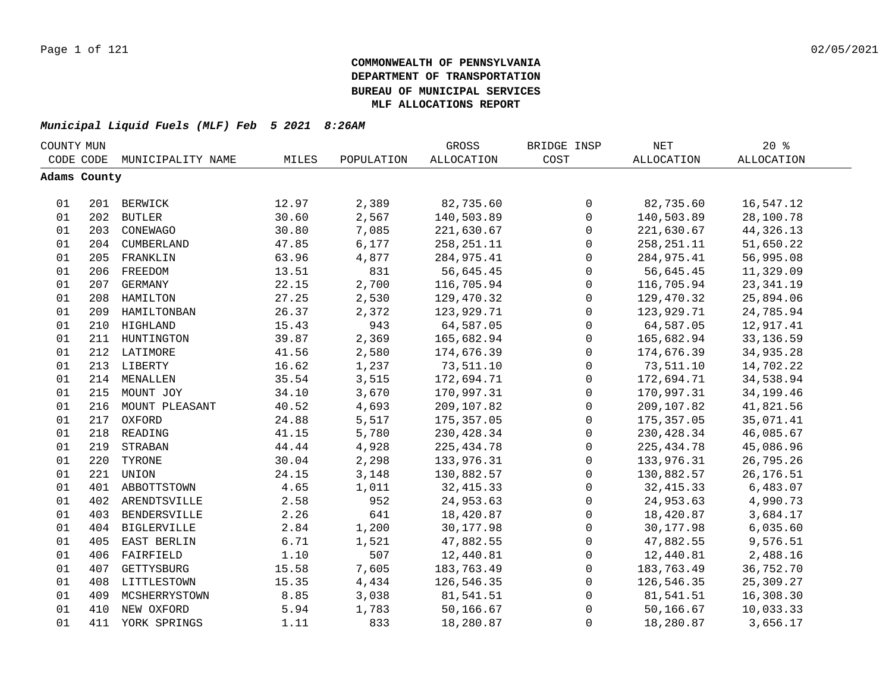| COUNTY MUN |              |                    |       |            | GROSS             | BRIDGE INSP  | $\operatorname{NET}$ | 20%               |  |
|------------|--------------|--------------------|-------|------------|-------------------|--------------|----------------------|-------------------|--|
|            | CODE CODE    | MUNICIPALITY NAME  | MILES | POPULATION | <b>ALLOCATION</b> | COST         | <b>ALLOCATION</b>    | <b>ALLOCATION</b> |  |
|            | Adams County |                    |       |            |                   |              |                      |                   |  |
|            |              |                    |       |            |                   |              |                      |                   |  |
| 01         |              | 201 BERWICK        | 12.97 | 2,389      | 82,735.60         | 0            | 82,735.60            | 16,547.12         |  |
| 01         |              | 202 BUTLER         | 30.60 | 2,567      | 140,503.89        | $\mathsf{O}$ | 140,503.89           | 28,100.78         |  |
| 01         | 203          | CONEWAGO           | 30.80 | 7,085      | 221,630.67        | 0            | 221,630.67           | 44, 326. 13       |  |
| 01         |              | 204 CUMBERLAND     | 47.85 | 6,177      | 258, 251. 11      | 0            | 258, 251. 11         | 51,650.22         |  |
| 01         | 205          | FRANKLIN           | 63.96 | 4,877      | 284,975.41        | $\mathbf 0$  | 284,975.41           | 56,995.08         |  |
| 01         | 206          | FREEDOM            | 13.51 | 831        | 56,645.45         | $\mathbf 0$  | 56,645.45            | 11,329.09         |  |
| 01         | 207          | GERMANY            | 22.15 | 2,700      | 116,705.94        | $\mathsf 0$  | 116,705.94           | 23, 341.19        |  |
| 01         | 208          | HAMILTON           | 27.25 | 2,530      | 129,470.32        | $\mathbf{0}$ | 129,470.32           | 25,894.06         |  |
| 01         | 209          | HAMILTONBAN        | 26.37 | 2,372      | 123,929.71        | $\mathbf{0}$ | 123,929.71           | 24,785.94         |  |
| 01         | 210          | HIGHLAND           | 15.43 | 943        | 64,587.05         | $\mathbf 0$  | 64,587.05            | 12,917.41         |  |
| 01         | 211          | HUNTINGTON         | 39.87 | 2,369      | 165,682.94        | 0            | 165,682.94           | 33, 136.59        |  |
| 01         | 212          | LATIMORE           | 41.56 | 2,580      | 174,676.39        | $\mathbf{0}$ | 174,676.39           | 34,935.28         |  |
| 01         |              | 213 LIBERTY        | 16.62 | 1,237      | 73,511.10         | $\mathsf 0$  | 73,511.10            | 14,702.22         |  |
| 01         |              | 214 MENALLEN       | 35.54 | 3,515      | 172,694.71        | $\mathsf 0$  | 172,694.71           | 34,538.94         |  |
| 01         |              | 215 MOUNT JOY      | 34.10 | 3,670      | 170,997.31        | $\mathsf 0$  | 170,997.31           | 34, 199. 46       |  |
| 01         |              | 216 MOUNT PLEASANT | 40.52 | 4,693      | 209,107.82        | $\mathsf 0$  | 209,107.82           | 41,821.56         |  |
| 01         |              | 217 OXFORD         | 24.88 | 5,517      | 175, 357.05       | $\mathsf 0$  | 175,357.05           | 35,071.41         |  |
| 01         |              | 218 READING        | 41.15 | 5,780      | 230, 428.34       | 0            | 230, 428.34          | 46,085.67         |  |
| 01         | 219          | STRABAN            | 44.44 | 4,928      | 225, 434.78       | 0            | 225, 434.78          | 45,086.96         |  |
| 01         | 220          | TYRONE             | 30.04 | 2,298      | 133,976.31        | $\mathbf 0$  | 133,976.31           | 26,795.26         |  |
| 01         | 221          | UNION              | 24.15 | 3,148      | 130,882.57        | $\mathbf 0$  | 130,882.57           | 26, 176.51        |  |
| 01         | 401          | ABBOTTSTOWN        | 4.65  | 1,011      | 32, 415.33        | $\mathbf 0$  | 32, 415.33           | 6,483.07          |  |
| 01         | 402          | ARENDTSVILLE       | 2.58  | 952        | 24,953.63         | $\mathbf 0$  | 24,953.63            | 4,990.73          |  |
| 01         | 403          | BENDERSVILLE       | 2.26  | 641        | 18,420.87         | $\mathbf 0$  | 18,420.87            | 3,684.17          |  |
| 01         | 404          | BIGLERVILLE        | 2.84  | 1,200      | 30,177.98         | $\mathbf 0$  | 30,177.98            | 6,035.60          |  |
| 01         | 405          | EAST BERLIN        | 6.71  | 1,521      | 47,882.55         | 0            | 47,882.55            | 9,576.51          |  |
| 01         | 406          | FAIRFIELD          | 1.10  | 507        | 12,440.81         | 0            | 12,440.81            | 2,488.16          |  |
| 01         | 407          | GETTYSBURG         | 15.58 | 7,605      | 183,763.49        | 0            | 183,763.49           | 36,752.70         |  |
| 01         | 408          | LITTLESTOWN        | 15.35 | 4,434      | 126,546.35        | $\mathsf 0$  | 126,546.35           | 25,309.27         |  |
| 01         | 409          | MCSHERRYSTOWN      | 8.85  | 3,038      | 81,541.51         | $\mathsf 0$  | 81,541.51            | 16,308.30         |  |
| 01         | 410          | NEW OXFORD         | 5.94  | 1,783      | 50,166.67         | 0            | 50,166.67            | 10,033.33         |  |
| 01         | 411          | YORK SPRINGS       | 1.11  | 833        | 18,280.87         | $\mathsf 0$  | 18,280.87            | 3,656.17          |  |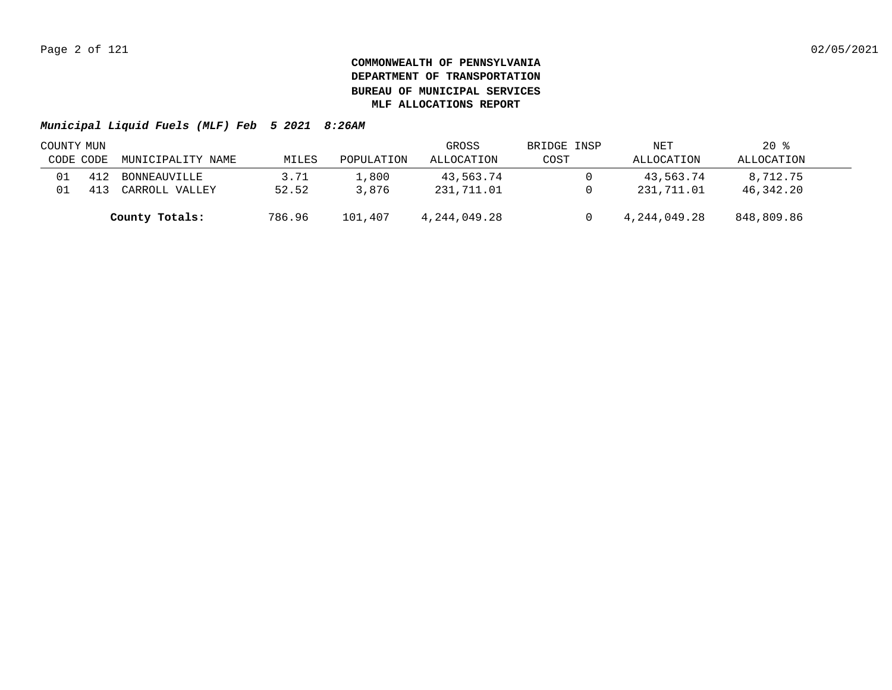|           | COUNTY MUN |                   |        |            | GROSS        | BRIDGE INSP | NET          | $20*$      |  |
|-----------|------------|-------------------|--------|------------|--------------|-------------|--------------|------------|--|
| CODE CODE |            | MUNICIPALITY NAME | MILES  | POPULATION | ALLOCATION   | COST        | ALLOCATION   | ALLOCATION |  |
|           | 412        | BONNEAUVILLE      | 3.71   | 1,800      | 43,563.74    |             | 43,563.74    | 8,712.75   |  |
|           |            | CARROLL VALLEY    | 52.52  | 3,876      | 231,711.01   |             | 231,711.01   | 46,342.20  |  |
|           |            | County Totals:    | 786.96 | 101,407    | 4,244,049.28 |             | 4,244,049.28 | 848,809.86 |  |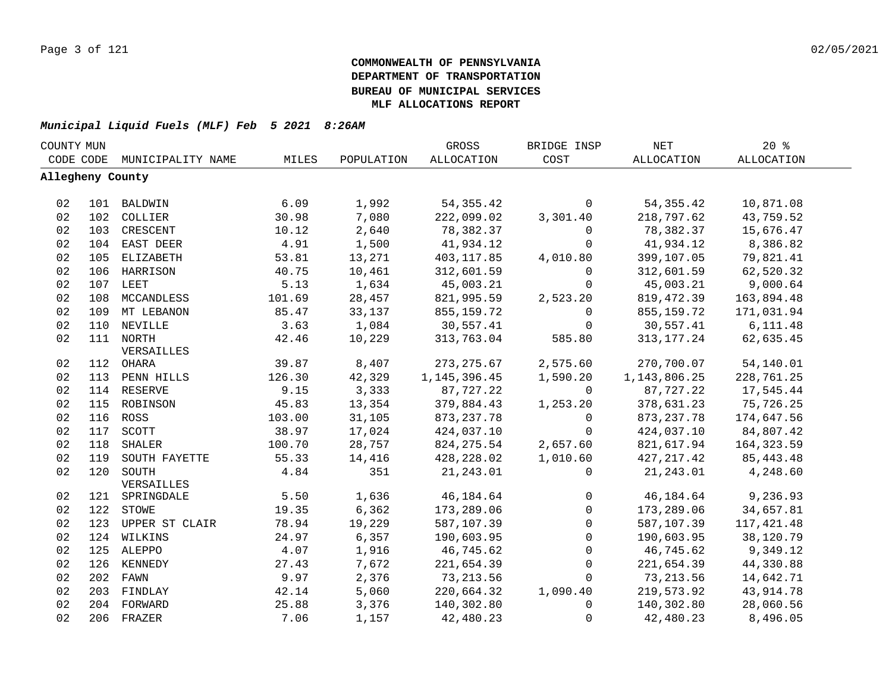|    | COUNTY MUN       |                   |        |            | GROSS             | BRIDGE INSP  | <b>NET</b>      | 20%               |  |
|----|------------------|-------------------|--------|------------|-------------------|--------------|-----------------|-------------------|--|
|    | CODE CODE        | MUNICIPALITY NAME | MILES  | POPULATION | <b>ALLOCATION</b> | COST         | ALLOCATION      | <b>ALLOCATION</b> |  |
|    | Allegheny County |                   |        |            |                   |              |                 |                   |  |
|    |                  |                   |        |            |                   |              |                 |                   |  |
| 02 |                  | 101 BALDWIN       | 6.09   | 1,992      | 54, 355.42        | $\mathbf{0}$ | 54, 355.42      | 10,871.08         |  |
| 02 |                  | 102 COLLIER       | 30.98  | 7,080      | 222,099.02        | 3,301.40     | 218,797.62      | 43,759.52         |  |
| 02 | 103              | CRESCENT          | 10.12  | 2,640      | 78,382.37         | $\mathbf 0$  | 78,382.37       | 15,676.47         |  |
| 02 | 104              | EAST DEER         | 4.91   | 1,500      | 41,934.12         | $\mathbf 0$  | 41,934.12       | 8,386.82          |  |
| 02 | 105              | ELIZABETH         | 53.81  | 13,271     | 403,117.85        | 4,010.80     | 399,107.05      | 79,821.41         |  |
| 02 | 106              | HARRISON          | 40.75  | 10,461     | 312,601.59        | $\Omega$     | 312,601.59      | 62,520.32         |  |
| 02 |                  | 107 LEET          | 5.13   | 1,634      | 45,003.21         | $\mathbf 0$  | 45,003.21       | 9,000.64          |  |
| 02 | 108              | MCCANDLESS        | 101.69 | 28,457     | 821,995.59        | 2,523.20     | 819, 472.39     | 163,894.48        |  |
| 02 | 109              | MT LEBANON        | 85.47  | 33,137     | 855,159.72        | $\mathbf 0$  | 855, 159. 72    | 171,031.94        |  |
| 02 | 110              | NEVILLE           | 3.63   | 1,084      | 30,557.41         | $\mathbf 0$  | 30,557.41       | 6, 111.48         |  |
| 02 | 111              | <b>NORTH</b>      | 42.46  | 10,229     | 313,763.04        | 585.80       | 313, 177. 24    | 62,635.45         |  |
|    |                  | VERSAILLES        |        |            |                   |              |                 |                   |  |
| 02 | 112              | OHARA             | 39.87  | 8,407      | 273, 275.67       | 2,575.60     | 270,700.07      | 54,140.01         |  |
| 02 | 113              | PENN HILLS        | 126.30 | 42,329     | 1, 145, 396.45    | 1,590.20     | 1, 143, 806. 25 | 228,761.25        |  |
| 02 | 114              | RESERVE           | 9.15   | 3,333      | 87,727.22         | $\Omega$     | 87,727.22       | 17,545.44         |  |
| 02 | 115              | ROBINSON          | 45.83  | 13,354     | 379,884.43        | 1,253.20     | 378,631.23      | 75,726.25         |  |
| 02 |                  | 116 ROSS          | 103.00 | 31,105     | 873, 237. 78      | $\mathbf 0$  | 873, 237.78     | 174,647.56        |  |
| 02 | 117              | SCOTT             | 38.97  | 17,024     | 424,037.10        | $\Omega$     | 424,037.10      | 84,807.42         |  |
| 02 | 118              | SHALER            | 100.70 | 28,757     | 824, 275.54       | 2,657.60     | 821,617.94      | 164, 323.59       |  |
| 02 | 119              | SOUTH FAYETTE     | 55.33  | 14,416     | 428,228.02        | 1,010.60     | 427, 217.42     | 85, 443. 48       |  |
| 02 |                  | 120 SOUTH         | 4.84   | 351        | 21, 243.01        | $\Omega$     | 21, 243.01      | 4,248.60          |  |
|    |                  | VERSAILLES        |        |            |                   |              |                 |                   |  |
| 02 |                  | 121 SPRINGDALE    | 5.50   | 1,636      | 46,184.64         | 0            | 46,184.64       | 9,236.93          |  |
| 02 |                  | 122 STOWE         | 19.35  | 6,362      | 173,289.06        | $\mathsf{O}$ | 173,289.06      | 34,657.81         |  |
| 02 | 123              | UPPER ST CLAIR    | 78.94  | 19,229     | 587,107.39        | $\mathbf 0$  | 587,107.39      | 117, 421.48       |  |
| 02 |                  | 124 WILKINS       | 24.97  | 6,357      | 190,603.95        | $\Omega$     | 190,603.95      | 38,120.79         |  |
| 02 |                  | 125 ALEPPO        | 4.07   | 1,916      | 46,745.62         | $\mathbf 0$  | 46,745.62       | 9,349.12          |  |
| 02 | 126              | KENNEDY           | 27.43  | 7,672      | 221,654.39        | $\mathbf 0$  | 221,654.39      | 44,330.88         |  |
| 02 |                  | 202 FAWN          | 9.97   | 2,376      | 73,213.56         | $\Omega$     | 73,213.56       | 14,642.71         |  |
| 02 |                  | 203 FINDLAY       | 42.14  | 5,060      | 220,664.32        | 1,090.40     | 219,573.92      | 43,914.78         |  |
| 02 | 204              | FORWARD           | 25.88  | 3,376      | 140,302.80        | $\Omega$     | 140,302.80      | 28,060.56         |  |
| 02 |                  | 206 FRAZER        | 7.06   | 1,157      | 42,480.23         | $\mathbf 0$  | 42,480.23       | 8,496.05          |  |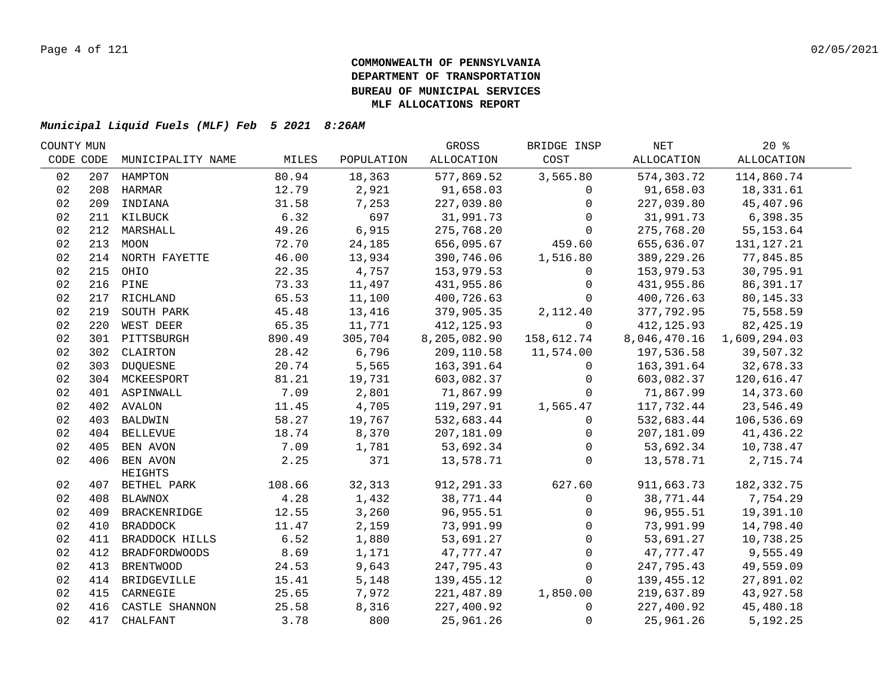| COUNTY MUN |     |                         |        |            | GROSS        | BRIDGE INSP  | NET          | $20*$        |  |
|------------|-----|-------------------------|--------|------------|--------------|--------------|--------------|--------------|--|
| CODE CODE  |     | MUNICIPALITY NAME       | MILES  | POPULATION | ALLOCATION   | COST         | ALLOCATION   | ALLOCATION   |  |
| 02         | 207 | HAMPTON                 | 80.94  | 18,363     | 577,869.52   | 3,565.80     | 574,303.72   | 114,860.74   |  |
| 02         |     | 208 HARMAR              | 12.79  | 2,921      | 91,658.03    | $\Omega$     | 91,658.03    | 18,331.61    |  |
| 02         | 209 | INDIANA                 | 31.58  | 7,253      | 227,039.80   | $\Omega$     | 227,039.80   | 45,407.96    |  |
| 02         |     | 211 KILBUCK             | 6.32   | 697        | 31,991.73    | $\Omega$     | 31,991.73    | 6,398.35     |  |
| 02         |     | 212 MARSHALL            | 49.26  | 6,915      | 275,768.20   | $\Omega$     | 275,768.20   | 55, 153.64   |  |
| 02         |     | 213 MOON                | 72.70  | 24,185     | 656,095.67   | 459.60       | 655,636.07   | 131, 127. 21 |  |
| 02         |     | 214 NORTH FAYETTE       | 46.00  | 13,934     | 390,746.06   | 1,516.80     | 389, 229. 26 | 77,845.85    |  |
| 02         |     | 215 OHIO                | 22.35  | 4,757      | 153,979.53   | 0            | 153,979.53   | 30,795.91    |  |
| 02         |     | 216 PINE                | 73.33  | 11,497     | 431,955.86   | $\mathbf 0$  | 431,955.86   | 86,391.17    |  |
| 02         | 217 | RICHLAND                | 65.53  | 11,100     | 400,726.63   | $\Omega$     | 400,726.63   | 80, 145. 33  |  |
| 02         | 219 | SOUTH PARK              | 45.48  | 13,416     | 379,905.35   | 2,112.40     | 377,792.95   | 75,558.59    |  |
| 02         | 220 | WEST DEER               | 65.35  | 11,771     | 412, 125.93  | $\Omega$     | 412, 125.93  | 82,425.19    |  |
| 02         |     | 301 PITTSBURGH          | 890.49 | 305,704    | 8,205,082.90 | 158,612.74   | 8,046,470.16 | 1,609,294.03 |  |
| 02         |     | 302 CLAIRTON            | 28.42  | 6,796      | 209,110.58   | 11,574.00    | 197,536.58   | 39,507.32    |  |
| 02         | 303 | <b>DUQUESNE</b>         | 20.74  | 5,565      | 163,391.64   | $\mathbf 0$  | 163,391.64   | 32,678.33    |  |
| 02         |     | 304 MCKEESPORT          | 81.21  | 19,731     | 603,082.37   | $\mathbf 0$  | 603,082.37   | 120,616.47   |  |
| 02         |     | 401 ASPINWALL           | 7.09   | 2,801      | 71,867.99    | $\Omega$     | 71,867.99    | 14,373.60    |  |
| 02         |     | 402 AVALON              | 11.45  | 4,705      | 119,297.91   | 1,565.47     | 117,732.44   | 23,546.49    |  |
| 02         |     | 403 BALDWIN             | 58.27  | 19,767     | 532,683.44   | $\mathbf{0}$ | 532,683.44   | 106,536.69   |  |
| 02         |     | 404 BELLEVUE            | 18.74  | 8,370      | 207,181.09   | 0            | 207,181.09   | 41,436.22    |  |
| 02         |     | 405 BEN AVON            | 7.09   | 1,781      | 53,692.34    | $\mathbf 0$  | 53,692.34    | 10,738.47    |  |
| 02         |     | 406 BEN AVON<br>HEIGHTS | 2.25   | 371        | 13,578.71    | $\Omega$     | 13,578.71    | 2,715.74     |  |
| 02         |     | 407 BETHEL PARK         | 108.66 | 32,313     | 912, 291.33  | 627.60       | 911,663.73   | 182, 332. 75 |  |
| 02         |     | 408 BLAWNOX             | 4.28   | 1,432      | 38,771.44    | $\mathbf 0$  | 38,771.44    | 7,754.29     |  |
| 02         |     | 409 BRACKENRIDGE        | 12.55  | 3,260      | 96,955.51    | $\mathbf{0}$ | 96,955.51    | 19,391.10    |  |
| 02         |     | 410 BRADDOCK            | 11.47  | 2,159      | 73,991.99    | $\Omega$     | 73,991.99    | 14,798.40    |  |
| 02         |     | 411 BRADDOCK HILLS      | 6.52   | 1,880      | 53,691.27    | $\mathbf 0$  | 53,691.27    | 10,738.25    |  |
| 02         | 412 | <b>BRADFORDWOODS</b>    | 8.69   | 1,171      | 47,777.47    | $\Omega$     | 47,777.47    | 9,555.49     |  |
| 02         | 413 | <b>BRENTWOOD</b>        | 24.53  | 9,643      | 247,795.43   | $\mathbf{0}$ | 247,795.43   | 49,559.09    |  |
| 02         |     | 414 BRIDGEVILLE         | 15.41  | 5,148      | 139,455.12   | $\Omega$     | 139,455.12   | 27,891.02    |  |
| 02         |     | 415 CARNEGIE            | 25.65  | 7,972      | 221,487.89   | 1,850.00     | 219,637.89   | 43,927.58    |  |
| 02         |     | 416 CASTLE SHANNON      | 25.58  | 8,316      | 227,400.92   | $\mathbf{0}$ | 227,400.92   | 45,480.18    |  |
| 02         | 417 | CHALFANT                | 3.78   | 800        | 25,961.26    | $\mathbf 0$  | 25,961.26    | 5,192.25     |  |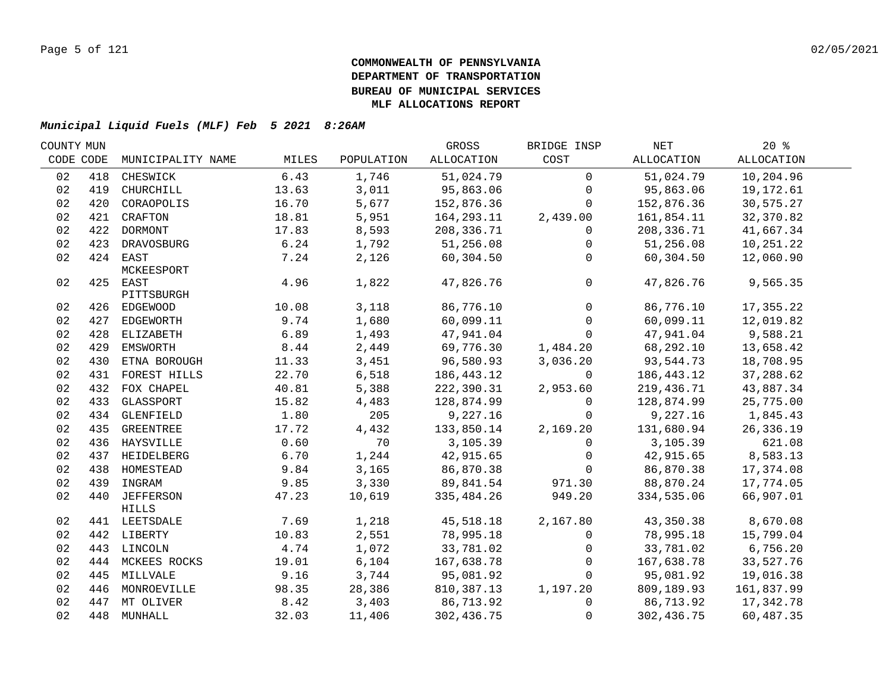| COUNTY MUN |     |                   |       |            | GROSS                   | BRIDGE INSP         | NET          | $20*$                 |  |
|------------|-----|-------------------|-------|------------|-------------------------|---------------------|--------------|-----------------------|--|
| CODE CODE  |     | MUNICIPALITY NAME | MILES | POPULATION | ALLOCATION              | COST                | ALLOCATION   | ALLOCATION            |  |
| 02         | 418 | CHESWICK          | 6.43  | 1,746      | 51,024.79               | $\mathbf 0$         | 51,024.79    | 10,204.96             |  |
| 02         | 419 | CHURCHILL         | 13.63 | 3,011      | 95,863.06               | $\mathbf 0$         | 95,863.06    | 19,172.61             |  |
| 02         | 420 | CORAOPOLIS        | 16.70 | 5,677      | 152,876.36              | $\Omega$            | 152,876.36   | 30,575.27             |  |
| 02         |     | 421 CRAFTON       | 18.81 | 5,951      | 164,293.11              | 2,439.00            | 161,854.11   | 32,370.82             |  |
| 02         |     | 422 DORMONT       | 17.83 | 8,593      | 208,336.71              | $\mathbf{0}$        | 208,336.71   | 41,667.34             |  |
| 02         |     | 423 DRAVOSBURG    | 6.24  | 1,792      | 51,256.08               | 0                   | 51,256.08    | 10,251.22             |  |
| 02         |     | 424 EAST          | 7.24  | 2,126      | 60,304.50               | $\mathbf{0}$        | 60,304.50    | 12,060.90             |  |
|            |     | MCKEESPORT        |       |            |                         |                     |              |                       |  |
| 02         |     | 425 EAST          | 4.96  | 1,822      | 47,826.76               | $\mathsf{O}\xspace$ | 47,826.76    | 9,565.35              |  |
|            |     | PITTSBURGH        |       |            |                         |                     |              |                       |  |
| 02         |     | 426 EDGEWOOD      | 10.08 | 3,118      | 86,776.10               | $\Omega$            | 86,776.10    | 17,355.22             |  |
| 02         |     | 427 EDGEWORTH     | 9.74  | 1,680      | 60,099.11               | $\mathbf 0$         | 60,099.11    | 12,019.82             |  |
| 02         |     | 428 ELIZABETH     | 6.89  | 1,493      | 47,941.04               | $\mathbf 0$         | 47,941.04    | 9,588.21              |  |
| 02         |     | 429 EMSWORTH      | 8.44  | 2,449      | 69,776.30               | 1,484.20            | 68,292.10    | 13,658.42             |  |
| 02         | 430 | ETNA BOROUGH      | 11.33 | 3,451      | 96,580.93               | 3,036.20            | 93,544.73    | 18,708.95             |  |
| 02         | 431 | FOREST HILLS      | 22.70 | 6,518      | 186,443.12              | $\Omega$            | 186, 443. 12 | 37,288.62             |  |
| 02         | 432 | FOX CHAPEL        | 40.81 | 5,388      | 222,390.31              | 2,953.60            | 219,436.71   | 43,887.34             |  |
| 02         | 433 | GLASSPORT         | 15.82 | 4,483      | 128,874.99              | $\Omega$            | 128,874.99   | 25,775.00             |  |
| 02         | 434 | GLENFIELD         | 1.80  | 205        | 9,227.16                | $\Omega$            | 9,227.16     | 1,845.43              |  |
| 02         | 435 | GREENTREE         | 17.72 | 4,432      | 133,850.14              | 2,169.20            | 131,680.94   | 26,336.19             |  |
| 02         |     | 436 HAYSVILLE     | 0.60  | 70         | 3,105.39                | $\Omega$            | 3,105.39     | 621.08                |  |
| 02         |     | 437 HEIDELBERG    | 6.70  | 1,244      | 42,915.65               | 0                   | 42,915.65    | 8,583.13              |  |
| 02         |     | 438 HOMESTEAD     | 9.84  | 3,165      | 86,870.38               | $\Omega$            | 86,870.38    | 17,374.08             |  |
| 02         |     | 439 INGRAM        | 9.85  | 3,330      | 89,841.54               | 971.30              | 88,870.24    | 17,774.05             |  |
| 02         |     | 440 JEFFERSON     | 47.23 | 10,619     | 335,484.26              | 949.20              | 334,535.06   | 66,907.01             |  |
|            |     | HILLS             | 7.69  | 1,218      |                         |                     | 43,350.38    |                       |  |
| 02         |     | 441 LEETSDALE     | 10.83 | 2,551      | 45,518.18               | 2,167.80            | 78,995.18    | 8,670.08              |  |
| 02<br>02   |     | 442 LIBERTY       | 4.74  | 1,072      | 78,995.18               | 0                   | 33,781.02    | 15,799.04<br>6,756.20 |  |
| 02         |     | 443 LINCOLN       | 19.01 |            | 33,781.02<br>167,638.78 | $\mathbf{0}$        | 167,638.78   |                       |  |
|            |     | 444 MCKEES ROCKS  |       | 6,104      | 95,081.92               | $\mathbf 0$         |              | 33,527.76             |  |
| 02         |     | 445 MILLVALE      | 9.16  | 3,744      |                         | $\mathbf 0$         | 95,081.92    | 19,016.38             |  |
| 02         |     | 446 MONROEVILLE   | 98.35 | 28,386     | 810,387.13              | 1,197.20            | 809,189.93   | 161,837.99            |  |
| 02         |     | 447 MT OLIVER     | 8.42  | 3,403      | 86,713.92               | $\mathbf 0$         | 86,713.92    | 17,342.78             |  |
| 02         |     | 448 MUNHALL       | 32.03 | 11,406     | 302,436.75              | $\mathbf 0$         | 302,436.75   | 60,487.35             |  |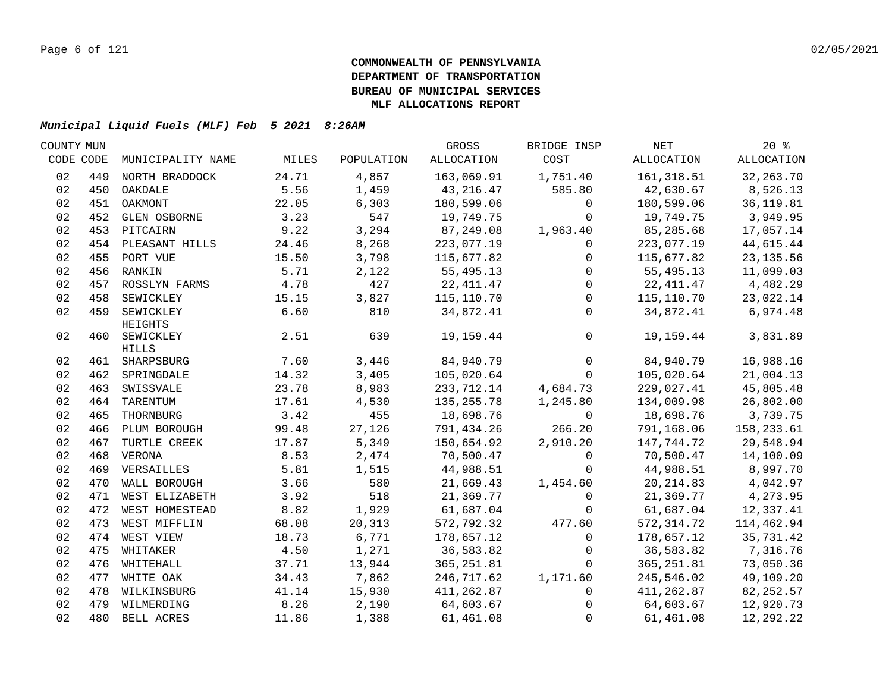| COUNTY MUN |     |                    |               |                | GROSS                      | BRIDGE INSP    | NET                     | $20*$                  |  |
|------------|-----|--------------------|---------------|----------------|----------------------------|----------------|-------------------------|------------------------|--|
| CODE CODE  |     | MUNICIPALITY NAME  | MILES         | POPULATION     | ALLOCATION                 | COST           | ALLOCATION              | <b>ALLOCATION</b>      |  |
| 02         | 449 | NORTH BRADDOCK     | 24.71         | 4,857          | 163,069.91                 | 1,751.40       | 161, 318.51             | 32, 263. 70            |  |
| 02         | 450 | OAKDALE            | 5.56          | 1,459          | 43,216.47                  | 585.80         | 42,630.67               | 8,526.13               |  |
| 02         | 451 | OAKMONT            | 22.05         | 6,303          | 180,599.06                 | $\mathbf 0$    | 180,599.06              | 36, 119.81             |  |
| 02         |     | 452 GLEN OSBORNE   | 3.23          | 547            | 19,749.75                  | 0              | 19,749.75               | 3,949.95               |  |
| 02         |     | 453 PITCAIRN       | 9.22          | 3,294          | 87,249.08                  | 1,963.40       | 85,285.68               | 17,057.14              |  |
| 02         |     | 454 PLEASANT HILLS | 24.46         | 8,268          | 223,077.19                 | 0              | 223,077.19              | 44,615.44              |  |
| 02         |     | 455 PORT VUE       | 15.50         | 3,798          | 115,677.82                 | 0              | 115,677.82              | 23, 135.56             |  |
| 02         |     | 456 RANKIN         | 5.71          | 2,122          | 55,495.13                  | $\overline{0}$ | 55,495.13               | 11,099.03              |  |
| 02         | 457 | ROSSLYN FARMS      | 4.78          | 427            | 22, 411.47                 | $\overline{0}$ | 22, 411.47              | 4,482.29               |  |
| 02         | 458 | SEWICKLEY          | 15.15         | 3,827          | 115,110.70                 | $\overline{0}$ | 115,110.70              | 23,022.14              |  |
| 02         | 459 | SEWICKLEY          | 6.60          | 810            | 34,872.41                  | $\Omega$       | 34,872.41               | 6,974.48               |  |
|            |     | HEIGHTS            |               |                |                            |                |                         |                        |  |
| 02         |     | 460 SEWICKLEY      | 2.51          | 639            | 19,159.44                  | $\overline{0}$ | 19,159.44               | 3,831.89               |  |
|            |     | <b>HILLS</b>       |               |                |                            | $\overline{0}$ |                         |                        |  |
| 02         |     | 461 SHARPSBURG     | 7.60<br>14.32 | 3,446<br>3,405 | 84,940.79<br>105,020.64    | $\overline{0}$ | 84,940.79<br>105,020.64 | 16,988.16<br>21,004.13 |  |
| 02         |     | 462 SPRINGDALE     |               |                |                            |                |                         |                        |  |
| 02         |     | 463 SWISSVALE      | 23.78         | 8,983          | 233,712.14<br>135, 255. 78 | 4,684.73       | 229,027.41              | 45,805.48              |  |
| 02         | 464 | TARENTUM           | 17.61         | 4,530          |                            | 1,245.80       | 134,009.98              | 26,802.00              |  |
| 02         | 465 | THORNBURG          | 3.42          | 455            | 18,698.76                  | $\mathbf 0$    | 18,698.76               | 3,739.75               |  |
| 02         |     | 466 PLUM BOROUGH   | 99.48         | 27,126         | 791,434.26                 | 266.20         | 791,168.06              | 158,233.61             |  |
| 02         | 467 | TURTLE CREEK       | 17.87         | 5,349          | 150,654.92                 | 2,910.20       | 147,744.72              | 29,548.94              |  |
| 02         |     | 468 VERONA         | 8.53          | 2,474          | 70,500.47                  | 0              | 70,500.47               | 14,100.09              |  |
| 02         |     | 469 VERSAILLES     | 5.81          | 1,515          | 44,988.51                  | $\mathbf{0}$   | 44,988.51               | 8,997.70               |  |
| 02         |     | 470 WALL BOROUGH   | 3.66          | 580            | 21,669.43                  | 1,454.60       | 20, 214.83              | 4,042.97               |  |
| 02         |     | 471 WEST ELIZABETH | 3.92          | 518            | 21,369.77                  | $\mathbf 0$    | 21,369.77               | 4,273.95               |  |
| 02         |     | 472 WEST HOMESTEAD | 8.82          | 1,929          | 61,687.04                  | $\mathsf{O}$   | 61,687.04               | 12,337.41              |  |
| 02         |     | 473 WEST MIFFLIN   | 68.08         | 20,313         | 572,792.32                 | 477.60         | 572, 314.72             | 114,462.94             |  |
| 02         |     | 474 WEST VIEW      | 18.73         | 6,771          | 178,657.12                 | $\mathbf 0$    | 178,657.12              | 35,731.42              |  |
| 02         |     | 475 WHITAKER       | 4.50          | 1,271          | 36,583.82                  | $\mathbf 0$    | 36,583.82               | 7,316.76               |  |
| 02         |     | 476 WHITEHALL      | 37.71         | 13,944         | 365,251.81                 | $\mathbf 0$    | 365,251.81              | 73,050.36              |  |
| 02         |     | 477 WHITE OAK      | 34.43         | 7,862          | 246,717.62                 | 1,171.60       | 245,546.02              | 49,109.20              |  |
| 02         |     | 478 WILKINSBURG    | 41.14         | 15,930         | 411,262.87                 | $\mathbf{0}$   | 411,262.87              | 82, 252.57             |  |
| 02         |     | 479 WILMERDING     | 8.26          | 2,190          | 64,603.67                  | $\mathbf{0}$   | 64,603.67               | 12,920.73              |  |
| 02         |     | 480 BELL ACRES     | 11.86         | 1,388          | 61,461.08                  | $\mathbf 0$    | 61,461.08               | 12,292.22              |  |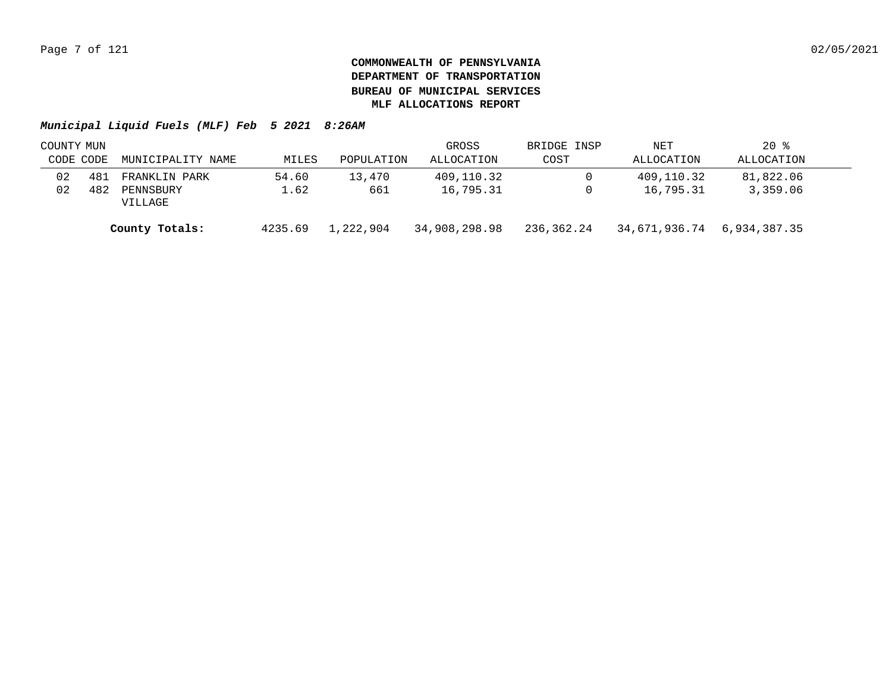|           | COUNTY MUN |                      |         |            | GROSS         | BRIDGE INSP | NET           | $20*$        |  |
|-----------|------------|----------------------|---------|------------|---------------|-------------|---------------|--------------|--|
| CODE CODE |            | MUNICIPALITY NAME    | MILES   | POPULATION | ALLOCATION    | COST        | ALLOCATION    | ALLOCATION   |  |
| 02        | 481        | FRANKLIN PARK        | 54.60   | 13,470     | 409,110.32    | $\Omega$    | 409,110.32    | 81,822.06    |  |
| 02        | 482        | PENNSBURY<br>VILLAGE | 1.62    | 661        | 16,795.31     | 0           | 16,795.31     | 3,359.06     |  |
|           |            | County Totals:       | 4235.69 | 1,222,904  | 34,908,298.98 | 236,362.24  | 34,671,936.74 | 6,934,387.35 |  |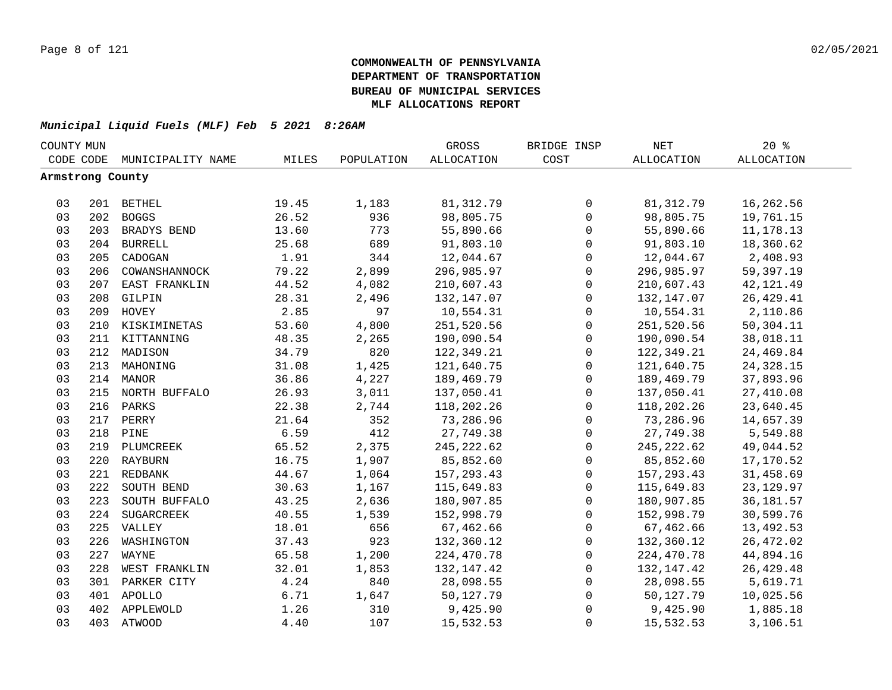|                  | COUNTY MUN |                   |       |            | GROSS             | BRIDGE INSP         | NET         | 20%               |  |
|------------------|------------|-------------------|-------|------------|-------------------|---------------------|-------------|-------------------|--|
| CODE CODE        |            | MUNICIPALITY NAME | MILES | POPULATION | <b>ALLOCATION</b> | COST                | ALLOCATION  | <b>ALLOCATION</b> |  |
| Armstrong County |            |                   |       |            |                   |                     |             |                   |  |
|                  |            |                   |       |            |                   |                     |             |                   |  |
| 03               |            | 201 BETHEL        | 19.45 | 1,183      | 81,312.79         | 0                   | 81, 312.79  | 16,262.56         |  |
| 03               |            | 202 BOGGS         | 26.52 | 936        | 98,805.75         | $\mathsf{O}$        | 98,805.75   | 19,761.15         |  |
| 03               |            | 203 BRADYS BEND   | 13.60 | 773        | 55,890.66         | 0                   | 55,890.66   | 11, 178. 13       |  |
| 03               |            | 204 BURRELL       | 25.68 | 689        | 91,803.10         | $\mathsf{O}\xspace$ | 91,803.10   | 18,360.62         |  |
| 03               | 205        | CADOGAN           | 1.91  | 344        | 12,044.67         | $\mathsf{O}\xspace$ | 12,044.67   | 2,408.93          |  |
| 03               | 206        | COWANSHANNOCK     | 79.22 | 2,899      | 296,985.97        | $\mathbf 0$         | 296,985.97  | 59,397.19         |  |
| 03               | 207        | EAST FRANKLIN     | 44.52 | 4,082      | 210,607.43        | $\mathbf 0$         | 210,607.43  | 42, 121.49        |  |
| 03               | 208        | GILPIN            | 28.31 | 2,496      | 132,147.07        | $\mathsf{O}$        | 132,147.07  | 26, 429.41        |  |
| 03               | 209        | HOVEY             | 2.85  | 97         | 10,554.31         | $\mathbf 0$         | 10,554.31   | 2,110.86          |  |
| 03               | 210        | KISKIMINETAS      | 53.60 | 4,800      | 251,520.56        | $\mathsf{O}$        | 251,520.56  | 50,304.11         |  |
| 03               |            | 211 KITTANNING    | 48.35 | 2,265      | 190,090.54        | $\mathbf 0$         | 190,090.54  | 38,018.11         |  |
| 03               | 212        | MADISON           | 34.79 | 820        | 122,349.21        | $\mathsf{O}$        | 122,349.21  | 24,469.84         |  |
| 03               | 213        | MAHONING          | 31.08 | 1,425      | 121,640.75        | 0                   | 121,640.75  | 24, 328. 15       |  |
| 03               |            | 214 MANOR         | 36.86 | 4,227      | 189,469.79        | 0                   | 189,469.79  | 37,893.96         |  |
| 03               |            | 215 NORTH BUFFALO | 26.93 | 3,011      | 137,050.41        | 0                   | 137,050.41  | 27,410.08         |  |
| 03               |            | 216 PARKS         | 22.38 | 2,744      | 118,202.26        | 0                   | 118,202.26  | 23,640.45         |  |
| 03               |            | 217 PERRY         | 21.64 | 352        | 73,286.96         | $\mathsf{O}\xspace$ | 73,286.96   | 14,657.39         |  |
| 03               |            | 218 PINE          | 6.59  | 412        | 27,749.38         | $\mathsf{O}\xspace$ | 27,749.38   | 5,549.88          |  |
| 03               |            | 219 PLUMCREEK     | 65.52 | 2,375      | 245, 222.62       | $\mathsf{O}\xspace$ | 245, 222.62 | 49,044.52         |  |
| 03               |            | 220 RAYBURN       | 16.75 | 1,907      | 85,852.60         | $\mathsf{O}\xspace$ | 85,852.60   | 17,170.52         |  |
| 03               |            | 221 REDBANK       | 44.67 | 1,064      | 157,293.43        | $\mathsf{O}$        | 157,293.43  | 31,458.69         |  |
| 03               | 222        | SOUTH BEND        | 30.63 | 1,167      | 115,649.83        | $\mathbf 0$         | 115,649.83  | 23, 129.97        |  |
| 03               | 223        | SOUTH BUFFALO     | 43.25 | 2,636      | 180,907.85        | $\mathbf 0$         | 180,907.85  | 36, 181.57        |  |
| 03               | 224        | SUGARCREEK        | 40.55 | 1,539      | 152,998.79        | $\mathbf 0$         | 152,998.79  | 30,599.76         |  |
| 03               |            | 225 VALLEY        | 18.01 | 656        | 67,462.66         | $\mathbf 0$         | 67,462.66   | 13,492.53         |  |
| 03               | 226        | WASHINGTON        | 37.43 | 923        | 132,360.12        | $\mathsf{O}$        | 132,360.12  | 26,472.02         |  |
| 03               | 227        | WAYNE             | 65.58 | 1,200      | 224,470.78        | $\mathsf{O}$        | 224,470.78  | 44,894.16         |  |
| 03               | 228        | WEST FRANKLIN     | 32.01 | 1,853      | 132, 147. 42      | $\mathsf{O}$        | 132,147.42  | 26, 429. 48       |  |
| 03               | 301        | PARKER CITY       | 4.24  | 840        | 28,098.55         | $\mathsf{O}$        | 28,098.55   | 5,619.71          |  |
| 03               |            | 401 APOLLO        | 6.71  | 1,647      | 50,127.79         | $\mathsf 0$         | 50,127.79   | 10,025.56         |  |
| 03               |            | 402 APPLEWOLD     | 1.26  | 310        | 9,425.90          | 0                   | 9,425.90    | 1,885.18          |  |
| 03               |            | 403 ATWOOD        | 4.40  | 107        | 15,532.53         | 0                   | 15,532.53   | 3,106.51          |  |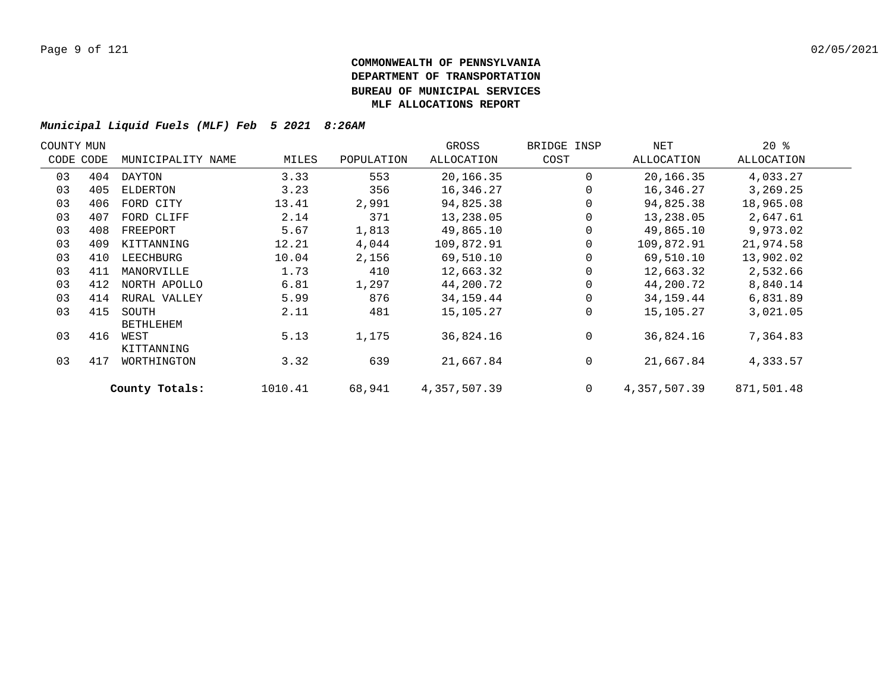|    | COUNTY MUN |                           |         |            | GROSS        | BRIDGE INSP  | NET          | $20*$      |  |
|----|------------|---------------------------|---------|------------|--------------|--------------|--------------|------------|--|
|    | CODE CODE  | MUNICIPALITY NAME         | MILES   | POPULATION | ALLOCATION   | COST         | ALLOCATION   | ALLOCATION |  |
| 03 | 404        | DAYTON                    | 3.33    | 553        | 20,166.35    | $\Omega$     | 20,166.35    | 4,033.27   |  |
| 03 | 405        | ELDERTON                  | 3.23    | 356        | 16,346.27    |              | 16,346.27    | 3,269.25   |  |
| 03 | 406        | FORD CITY                 | 13.41   | 2,991      | 94,825.38    |              | 94,825.38    | 18,965.08  |  |
| 03 | 407        | FORD CLIFF                | 2.14    | 371        | 13,238.05    |              | 13,238.05    | 2,647.61   |  |
| 03 | 408        | FREEPORT                  | 5.67    | 1,813      | 49,865.10    |              | 49,865.10    | 9,973.02   |  |
| 03 | 409        | KITTANNING                | 12.21   | 4,044      | 109,872.91   |              | 109,872.91   | 21,974.58  |  |
| 03 | 410        | LEECHBURG                 | 10.04   | 2,156      | 69,510.10    |              | 69,510.10    | 13,902.02  |  |
| 03 | 411        | MANORVILLE                | 1.73    | 410        | 12,663.32    |              | 12,663.32    | 2,532.66   |  |
| 03 | 412        | NORTH APOLLO              | 6.81    | 1,297      | 44,200.72    |              | 44,200.72    | 8,840.14   |  |
| 03 | 414        | RURAL VALLEY              | 5.99    | 876        | 34,159.44    |              | 34,159.44    | 6,831.89   |  |
| 03 | 415        | SOUTH<br><b>BETHLEHEM</b> | 2.11    | 481        | 15,105.27    | $\Omega$     | 15,105.27    | 3,021.05   |  |
| 03 | 416        | WEST<br>KITTANNING        | 5.13    | 1,175      | 36,824.16    | $\Omega$     | 36,824.16    | 7,364.83   |  |
| 03 | 417        | WORTHINGTON               | 3.32    | 639        | 21,667.84    | 0            | 21,667.84    | 4,333.57   |  |
|    |            | County Totals:            | 1010.41 | 68,941     | 4,357,507.39 | $\mathbf{0}$ | 4,357,507.39 | 871,501.48 |  |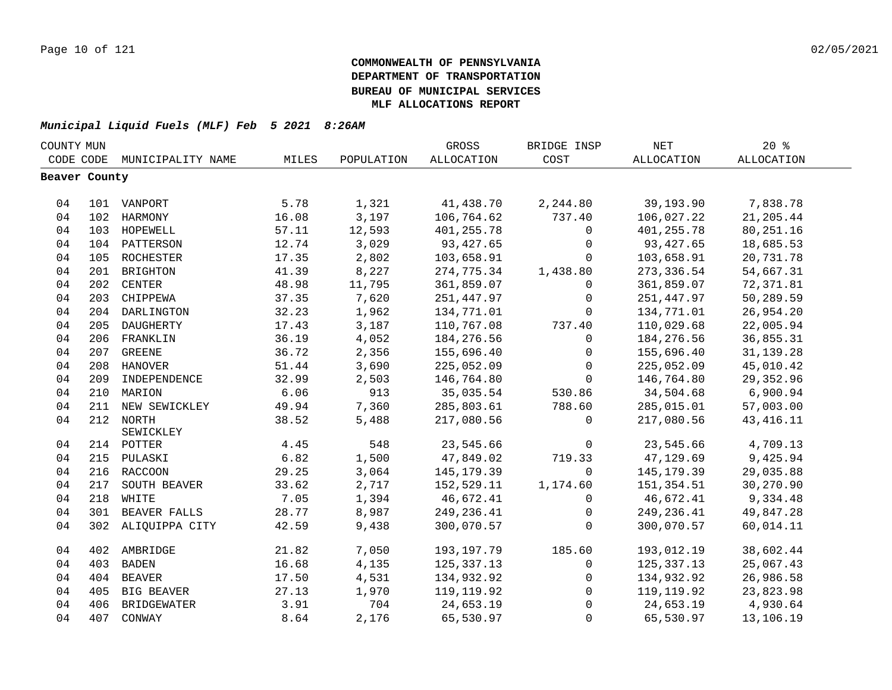| COUNTY MUN    |     |                    |       |            | GROSS             | BRIDGE INSP  | <b>NET</b>  | 20%               |  |
|---------------|-----|--------------------|-------|------------|-------------------|--------------|-------------|-------------------|--|
| CODE CODE     |     | MUNICIPALITY NAME  | MILES | POPULATION | <b>ALLOCATION</b> | COST         | ALLOCATION  | <b>ALLOCATION</b> |  |
| Beaver County |     |                    |       |            |                   |              |             |                   |  |
|               |     |                    |       |            |                   |              |             |                   |  |
| 04            |     | 101 VANPORT        | 5.78  | 1,321      | 41,438.70         | 2,244.80     | 39,193.90   | 7,838.78          |  |
| 04            |     | 102 HARMONY        | 16.08 | 3,197      | 106,764.62        | 737.40       | 106,027.22  | 21,205.44         |  |
| 04            |     | 103 HOPEWELL       | 57.11 | 12,593     | 401,255.78        | 0            | 401,255.78  | 80,251.16         |  |
| 04            |     | 104 PATTERSON      | 12.74 | 3,029      | 93, 427.65        | $\mathbf 0$  | 93,427.65   | 18,685.53         |  |
| 04            | 105 | ROCHESTER          | 17.35 | 2,802      | 103,658.91        | $\mathbf 0$  | 103,658.91  | 20,731.78         |  |
| 04            | 201 | BRIGHTON           | 41.39 | 8,227      | 274,775.34        | 1,438.80     | 273,336.54  | 54,667.31         |  |
| 04            | 202 | CENTER             | 48.98 | 11,795     | 361,859.07        | 0            | 361,859.07  | 72,371.81         |  |
| 04            |     | 203 CHIPPEWA       | 37.35 | 7,620      | 251,447.97        | 0            | 251, 447.97 | 50,289.59         |  |
| 04            |     | 204 DARLINGTON     | 32.23 | 1,962      | 134,771.01        | $\Omega$     | 134,771.01  | 26,954.20         |  |
| 04            |     | 205 DAUGHERTY      | 17.43 | 3,187      | 110,767.08        | 737.40       | 110,029.68  | 22,005.94         |  |
| 04            |     | 206 FRANKLIN       | 36.19 | 4,052      | 184, 276.56       | 0            | 184, 276.56 | 36,855.31         |  |
| 04            |     | 207 GREENE         | 36.72 | 2,356      | 155,696.40        | $\mathbf 0$  | 155,696.40  | 31, 139. 28       |  |
| 04            |     | 208 HANOVER        | 51.44 | 3,690      | 225,052.09        | 0            | 225,052.09  | 45,010.42         |  |
| 04            |     | 209 INDEPENDENCE   | 32.99 | 2,503      | 146,764.80        | $\mathbf 0$  | 146,764.80  | 29, 352.96        |  |
| 04            |     | 210 MARION         | 6.06  | 913        | 35,035.54         | 530.86       | 34,504.68   | 6,900.94          |  |
| 04            | 211 | NEW SEWICKLEY      | 49.94 | 7,360      | 285,803.61        | 788.60       | 285,015.01  | 57,003.00         |  |
| 04            |     | 212 NORTH          | 38.52 | 5,488      | 217,080.56        | $\Omega$     | 217,080.56  | 43, 416. 11       |  |
|               |     | SEWICKLEY          |       |            |                   |              |             |                   |  |
| 04            |     | 214 POTTER         | 4.45  | 548        | 23,545.66         | $\mathsf{O}$ | 23,545.66   | 4,709.13          |  |
| 04            |     | 215 PULASKI        | 6.82  | 1,500      | 47,849.02         | 719.33       | 47,129.69   | 9,425.94          |  |
| 04            |     | 216 RACCOON        | 29.25 | 3,064      | 145,179.39        | $\Omega$     | 145,179.39  | 29,035.88         |  |
| 04            | 217 | SOUTH BEAVER       | 33.62 | 2,717      | 152,529.11        | 1,174.60     | 151,354.51  | 30,270.90         |  |
| 04            |     | 218 WHITE          | 7.05  | 1,394      | 46,672.41         | $\Omega$     | 46,672.41   | 9,334.48          |  |
| 04            |     | 301 BEAVER FALLS   | 28.77 | 8,987      | 249,236.41        | $\mathbf 0$  | 249,236.41  | 49,847.28         |  |
| 04            |     | 302 ALIQUIPPA CITY | 42.59 | 9,438      | 300,070.57        | $\mathbf 0$  | 300,070.57  | 60,014.11         |  |
| 04            |     | 402 AMBRIDGE       | 21.82 | 7,050      | 193,197.79        | 185.60       | 193,012.19  | 38,602.44         |  |
| 04            | 403 | <b>BADEN</b>       | 16.68 | 4,135      | 125,337.13        | $\mathbf 0$  | 125,337.13  | 25,067.43         |  |
| 04            |     | 404 BEAVER         | 17.50 | 4,531      | 134,932.92        | $\mathsf{O}$ | 134,932.92  | 26,986.58         |  |
| 04            | 405 | <b>BIG BEAVER</b>  | 27.13 | 1,970      | 119, 119.92       | $\mathbf 0$  | 119, 119.92 | 23,823.98         |  |
| 04            | 406 | BRIDGEWATER        | 3.91  | 704        | 24,653.19         | $\mathbf 0$  | 24,653.19   | 4,930.64          |  |
| 04            |     | 407 CONWAY         | 8.64  | 2,176      | 65,530.97         | $\mathbf 0$  | 65,530.97   | 13,106.19         |  |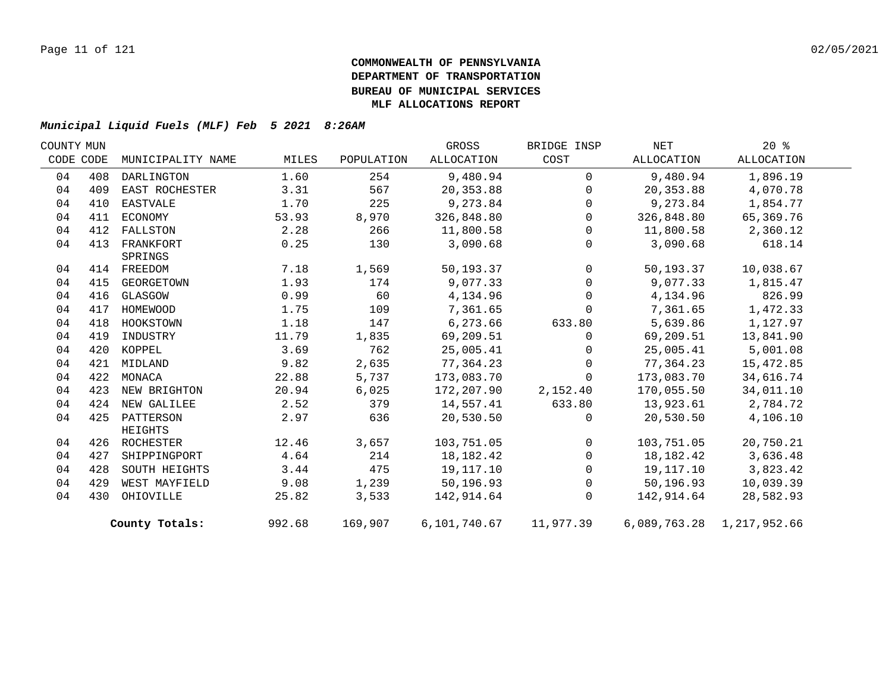| COUNTY MUN |     |                   |        |            | GROSS                        | BRIDGE INSP    | NET        | $20*$                     |  |
|------------|-----|-------------------|--------|------------|------------------------------|----------------|------------|---------------------------|--|
| CODE CODE  |     | MUNICIPALITY NAME | MILES  | POPULATION | ALLOCATION                   | COST           | ALLOCATION | ALLOCATION                |  |
| 04         | 408 | DARLINGTON        | 1.60   | 254        | 9,480.94                     | $\Omega$       | 9,480.94   | 1,896.19                  |  |
| 04         | 409 | EAST ROCHESTER    | 3.31   | 567        | 20,353.88                    | $\mathbf 0$    | 20,353.88  | 4,070.78                  |  |
| 04         | 410 | EASTVALE          | 1.70   | 225        | 9,273.84                     | $\mathbf 0$    | 9,273.84   | 1,854.77                  |  |
| 04         | 411 | ECONOMY           | 53.93  | 8,970      | 326,848.80                   | $\mathbf 0$    | 326,848.80 | 65,369.76                 |  |
| 04         | 412 | FALLSTON          | 2.28   | 266        | 11,800.58                    | $\overline{0}$ | 11,800.58  | 2,360.12                  |  |
| 04         | 413 | FRANKFORT         | 0.25   | 130        | 3,090.68                     | $\mathbf 0$    | 3,090.68   | 618.14                    |  |
|            |     | SPRINGS           |        |            |                              |                |            |                           |  |
| 04         |     | 414 FREEDOM       | 7.18   | 1,569      | 50,193.37                    | $\overline{0}$ | 50,193.37  | 10,038.67                 |  |
| 04         | 415 | GEORGETOWN        | 1.93   | 174        | 9,077.33                     | $\mathbf 0$    | 9,077.33   | 1,815.47                  |  |
| 04         | 416 | GLASGOW           | 0.99   | 60         | 4,134.96                     | $\mathsf{O}$   | 4,134.96   | 826.99                    |  |
| 04         | 417 | HOMEWOOD          | 1.75   | 109        | 7,361.65                     | $\mathbf 0$    | 7,361.65   | 1,472.33                  |  |
| 04         | 418 | HOOKSTOWN         | 1.18   | 147        | 6,273.66                     | 633.80         | 5,639.86   | 1,127.97                  |  |
| 04         | 419 | INDUSTRY          | 11.79  | 1,835      | 69,209.51                    | $\mathbf 0$    | 69,209.51  | 13,841.90                 |  |
| 04         | 420 | KOPPEL            | 3.69   | 762        | 25,005.41                    | $\mathbf{0}$   | 25,005.41  | 5,001.08                  |  |
| 04         |     | 421 MIDLAND       | 9.82   | 2,635      | 77,364.23                    | $\Omega$       | 77,364.23  | 15,472.85                 |  |
| 04         |     | 422 MONACA        | 22.88  | 5,737      | 173,083.70                   | $\Omega$       | 173,083.70 | 34,616.74                 |  |
| 04         | 423 | NEW BRIGHTON      | 20.94  | 6,025      | 172,207.90                   | 2,152.40       | 170,055.50 | 34,011.10                 |  |
| 04         | 424 | NEW GALILEE       | 2.52   | 379        | 14,557.41                    | 633.80         | 13,923.61  | 2,784.72                  |  |
| 04         |     | 425 PATTERSON     | 2.97   | 636        | 20,530.50                    | $\mathbf 0$    | 20,530.50  | 4,106.10                  |  |
|            |     | HEIGHTS           |        |            |                              |                |            |                           |  |
| 04         |     | 426 ROCHESTER     | 12.46  | 3,657      | 103,751.05                   | $\mathsf{O}$   | 103,751.05 | 20,750.21                 |  |
| 04         | 427 | SHIPPINGPORT      | 4.64   | 214        | 18, 182. 42                  | $\mathbf 0$    | 18,182.42  | 3,636.48                  |  |
| 04         | 428 | SOUTH HEIGHTS     | 3.44   | 475        | 19,117.10                    | 0              | 19,117.10  | 3,823.42                  |  |
| 04         | 429 | WEST MAYFIELD     | 9.08   | 1,239      | 50,196.93                    | $\mathsf{O}$   | 50,196.93  | 10,039.39                 |  |
| 04         | 430 | OHIOVILLE         | 25.82  | 3,533      | 142,914.64                   | $\mathbf 0$    | 142,914.64 | 28,582.93                 |  |
|            |     | County Totals:    | 992.68 | 169,907    | 6, 101, 740.67    11, 977.39 |                |            | 6,089,763.28 1,217,952.66 |  |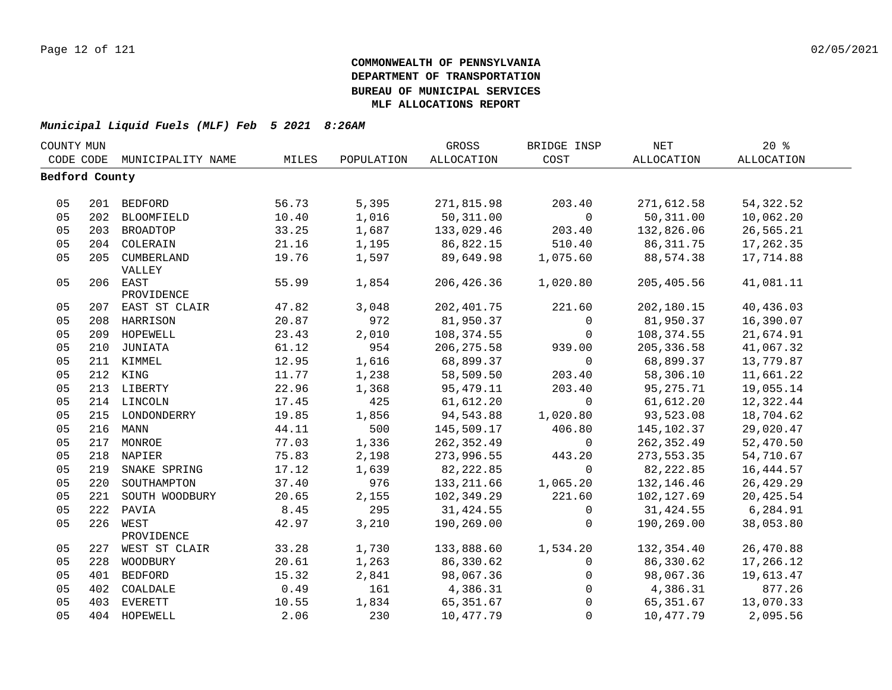| COUNTY MUN     |     |                   |       |            | GROSS       | BRIDGE INSP    | <b>NET</b>  | 20%        |  |
|----------------|-----|-------------------|-------|------------|-------------|----------------|-------------|------------|--|
| CODE CODE      |     | MUNICIPALITY NAME | MILES | POPULATION | ALLOCATION  | COST           | ALLOCATION  | ALLOCATION |  |
| Bedford County |     |                   |       |            |             |                |             |            |  |
|                |     |                   |       |            |             |                |             |            |  |
| 05             |     | 201 BEDFORD       | 56.73 | 5,395      | 271,815.98  | 203.40         | 271,612.58  | 54, 322.52 |  |
| 05             |     | 202 BLOOMFIELD    | 10.40 | 1,016      | 50,311.00   | $\mathbf 0$    | 50,311.00   | 10,062.20  |  |
| 05             |     | 203 BROADTOP      | 33.25 | 1,687      | 133,029.46  | 203.40         | 132,826.06  | 26,565.21  |  |
| 05             |     | 204 COLERAIN      | 21.16 | 1,195      | 86,822.15   | 510.40         | 86, 311.75  | 17,262.35  |  |
| 05             |     | 205 CUMBERLAND    | 19.76 | 1,597      | 89,649.98   | 1,075.60       | 88,574.38   | 17,714.88  |  |
|                |     | VALLEY            |       |            |             |                |             |            |  |
| 05             |     | 206 EAST          | 55.99 | 1,854      | 206,426.36  | 1,020.80       | 205,405.56  | 41,081.11  |  |
|                |     | PROVIDENCE        |       |            |             |                |             |            |  |
| 05             |     | 207 EAST ST CLAIR | 47.82 | 3,048      | 202, 401.75 | 221.60         | 202,180.15  | 40,436.03  |  |
| 05             |     | 208 HARRISON      | 20.87 | 972        | 81,950.37   | $\mathsf{O}$   | 81,950.37   | 16,390.07  |  |
| 05             |     | 209 HOPEWELL      | 23.43 | 2,010      | 108,374.55  | $\overline{0}$ | 108,374.55  | 21,674.91  |  |
| 05             |     | 210 JUNIATA       | 61.12 | 954        | 206, 275.58 | 939.00         | 205, 336.58 | 41,067.32  |  |
| 05             |     | 211 KIMMEL        | 12.95 | 1,616      | 68,899.37   | $\overline{0}$ | 68,899.37   | 13,779.87  |  |
| 05             |     | 212 KING          | 11.77 | 1,238      | 58,509.50   | 203.40         | 58,306.10   | 11,661.22  |  |
| 05             |     | 213 LIBERTY       | 22.96 | 1,368      | 95,479.11   | 203.40         | 95,275.71   | 19,055.14  |  |
| 05             |     | 214 LINCOLN       | 17.45 | 425        | 61,612.20   | $\mathsf{O}$   | 61,612.20   | 12,322.44  |  |
| 05             |     | 215 LONDONDERRY   | 19.85 | 1,856      | 94,543.88   | 1,020.80       | 93,523.08   | 18,704.62  |  |
| 05             |     | 216 MANN          | 44.11 | 500        | 145,509.17  | 406.80         | 145,102.37  | 29,020.47  |  |
| 05             |     | 217 MONROE        | 77.03 | 1,336      | 262, 352.49 | $\mathsf{O}$   | 262,352.49  | 52,470.50  |  |
| 05             |     | 218 NAPIER        | 75.83 | 2,198      | 273,996.55  | 443.20         | 273,553.35  | 54,710.67  |  |
| 05             |     | 219 SNAKE SPRING  | 17.12 | 1,639      | 82,222.85   | $\mathsf{O}$   | 82, 222.85  | 16, 444.57 |  |
| 05             |     | 220 SOUTHAMPTON   | 37.40 | 976        | 133, 211.66 | 1,065.20       | 132,146.46  | 26, 429.29 |  |
| 05             | 221 | SOUTH WOODBURY    | 20.65 | 2,155      | 102,349.29  | 221.60         | 102,127.69  | 20,425.54  |  |
| 05             |     | 222 PAVIA         | 8.45  | 295        | 31,424.55   | $\overline{0}$ | 31,424.55   | 6,284.91   |  |
| 05             |     | 226 WEST          | 42.97 | 3,210      | 190,269.00  | $\Omega$       | 190,269.00  | 38,053.80  |  |
|                |     | PROVIDENCE        |       |            |             |                |             |            |  |
| 05             |     | 227 WEST ST CLAIR | 33.28 | 1,730      | 133,888.60  | 1,534.20       | 132,354.40  | 26,470.88  |  |
| 05             |     | 228 WOODBURY      | 20.61 | 1,263      | 86,330.62   | $\overline{0}$ | 86,330.62   | 17,266.12  |  |
| 05             |     | 401 BEDFORD       | 15.32 | 2,841      | 98,067.36   | $\mathsf{O}$   | 98,067.36   | 19,613.47  |  |
| 05             |     | 402 COALDALE      | 0.49  | 161        | 4,386.31    | $\overline{0}$ | 4,386.31    | 877.26     |  |
| 05             |     | 403 EVERETT       | 10.55 | 1,834      | 65,351.67   | $\Omega$       | 65,351.67   | 13,070.33  |  |
| 05             |     | 404 HOPEWELL      | 2.06  | 230        | 10,477.79   | $\mathbf{0}$   | 10,477.79   | 2,095.56   |  |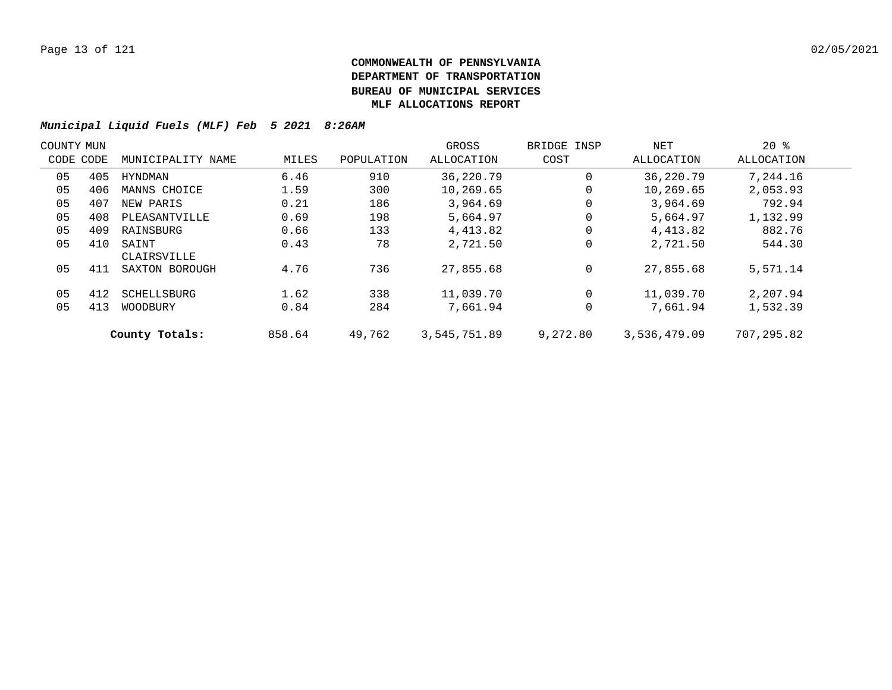| COUNTY MUN |           |                      |        |            | GROSS        | BRIDGE INSP | NET          | $20*$       |  |
|------------|-----------|----------------------|--------|------------|--------------|-------------|--------------|-------------|--|
|            | CODE CODE | MUNICIPALITY NAME    | MILES  | POPULATION | ALLOCATION   | COST        | ALLOCATION   | ALLOCATION  |  |
| 05         | 405       | HYNDMAN              | 6.46   | 910        | 36,220.79    | 0           | 36,220.79    | 7,244.16    |  |
| 05         | 406       | MANNS CHOICE         | 1.59   | 300        | 10,269.65    | 0           | 10,269.65    | 2,053.93    |  |
| 05         | 407       | NEW PARIS            | 0.21   | 186        | 3,964.69     | 0           | 3,964.69     | 792.94      |  |
| 05         | 408       | PLEASANTVILLE        | 0.69   | 198        | 5,664.97     | $\mathbf 0$ | 5,664.97     | 1,132.99    |  |
| 05         | 409       | RAINSBURG            | 0.66   | 133        | 4,413.82     | 0           | 4,413.82     | 882.76      |  |
| 05         | 410       | SAINT<br>CLAIRSVILLE | 0.43   | 78         | 2,721.50     | 0           | 2,721.50     | 544.30      |  |
| 05         | 411       | SAXTON BOROUGH       | 4.76   | 736        | 27,855.68    | 0           | 27,855.68    | 5,571.14    |  |
| 05         | 412       | SCHELLSBURG          | 1.62   | 338        | 11,039.70    | 0           | 11,039.70    | 2,207.94    |  |
| 05         | 413       | WOODBURY             | 0.84   | 284        | 7,661.94     | 0           | 7,661.94     | 1,532.39    |  |
|            |           | County Totals:       | 858.64 | 49,762     | 3,545,751.89 | 9,272.80    | 3,536,479.09 | 707, 295.82 |  |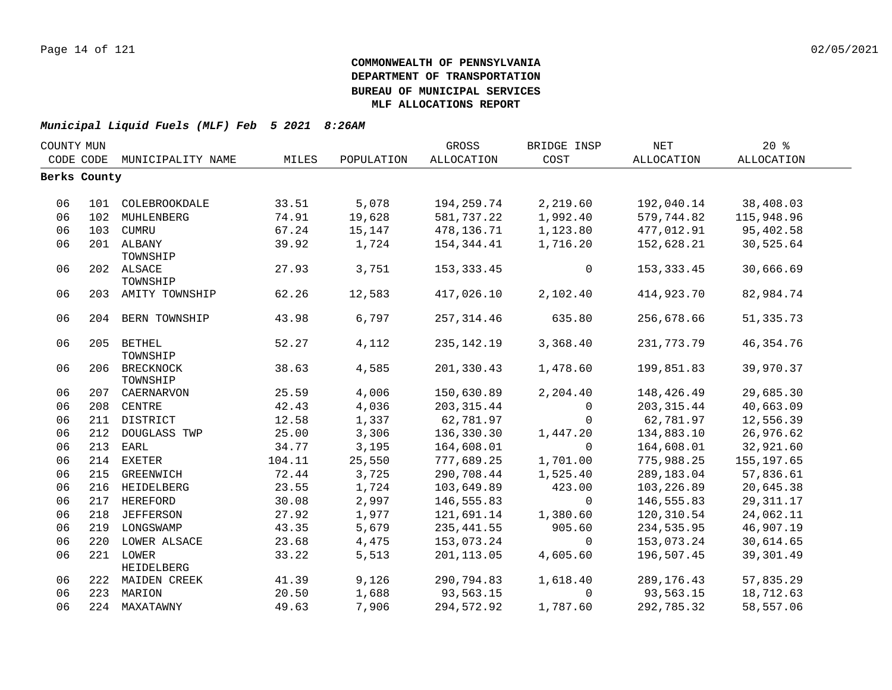| COUNTY MUN |              |                    |        |            | GROSS        | BRIDGE INSP  | NET         | 20%         |  |
|------------|--------------|--------------------|--------|------------|--------------|--------------|-------------|-------------|--|
| CODE CODE  |              | MUNICIPALITY NAME  | MILES  | POPULATION | ALLOCATION   | COST         | ALLOCATION  | ALLOCATION  |  |
|            | Berks County |                    |        |            |              |              |             |             |  |
|            |              |                    |        |            |              |              |             |             |  |
| 06         |              | 101 COLEBROOKDALE  | 33.51  | 5,078      | 194,259.74   | 2,219.60     | 192,040.14  | 38,408.03   |  |
| 06         |              | 102 MUHLENBERG     | 74.91  | 19,628     | 581,737.22   | 1,992.40     | 579,744.82  | 115,948.96  |  |
| 06         |              | 103 CUMRU          | 67.24  | 15,147     | 478,136.71   | 1,123.80     | 477,012.91  | 95,402.58   |  |
| 06         |              | 201 ALBANY         | 39.92  | 1,724      | 154,344.41   | 1,716.20     | 152,628.21  | 30,525.64   |  |
|            |              | TOWNSHIP           |        |            |              |              |             |             |  |
| 06         |              | 202 ALSACE         | 27.93  | 3,751      | 153, 333.45  | $\mathsf{O}$ | 153, 333.45 | 30,666.69   |  |
|            |              | TOWNSHIP           |        |            |              |              |             |             |  |
| 06         |              | 203 AMITY TOWNSHIP | 62.26  | 12,583     | 417,026.10   | 2,102.40     | 414,923.70  | 82,984.74   |  |
| 06         |              | 204 BERN TOWNSHIP  | 43.98  | 6,797      | 257, 314.46  | 635.80       | 256,678.66  | 51, 335.73  |  |
|            |              |                    |        |            |              |              |             |             |  |
| 06         |              | 205 BETHEL         | 52.27  | 4,112      | 235, 142. 19 | 3,368.40     | 231,773.79  | 46, 354. 76 |  |
|            |              | TOWNSHIP           |        |            |              |              |             |             |  |
| 06         |              | 206 BRECKNOCK      | 38.63  | 4,585      | 201,330.43   | 1,478.60     | 199,851.83  | 39,970.37   |  |
|            |              | TOWNSHIP           |        |            |              |              |             |             |  |
| 06         |              | 207 CAERNARVON     | 25.59  | 4,006      | 150,630.89   | 2,204.40     | 148,426.49  | 29,685.30   |  |
| 06         |              | 208 CENTRE         | 42.43  | 4,036      | 203, 315.44  | $\mathbf 0$  | 203, 315.44 | 40,663.09   |  |
| 06         |              | 211 DISTRICT       | 12.58  | 1,337      | 62,781.97    | $\mathbf 0$  | 62,781.97   | 12,556.39   |  |
| 06         | 212          | DOUGLASS TWP       | 25.00  | 3,306      | 136,330.30   | 1,447.20     | 134,883.10  | 26,976.62   |  |
| 06         | 213          | EARL               | 34.77  | 3,195      | 164,608.01   | $\mathbf 0$  | 164,608.01  | 32,921.60   |  |
| 06         |              | 214 EXETER         | 104.11 | 25,550     | 777,689.25   | 1,701.00     | 775,988.25  | 155, 197.65 |  |
| 06         | 215          | GREENWICH          | 72.44  | 3,725      | 290,708.44   | 1,525.40     | 289,183.04  | 57,836.61   |  |
| 06         |              | 216 HEIDELBERG     | 23.55  | 1,724      | 103,649.89   | 423.00       | 103,226.89  | 20,645.38   |  |
| 06         |              | 217 HEREFORD       | 30.08  | 2,997      | 146,555.83   | $\mathbf 0$  | 146,555.83  | 29, 311.17  |  |
| 06         |              | 218 JEFFERSON      | 27.92  | 1,977      | 121,691.14   | 1,380.60     | 120,310.54  | 24,062.11   |  |
| 06         |              | 219 LONGSWAMP      | 43.35  | 5,679      | 235, 441.55  | 905.60       | 234,535.95  | 46,907.19   |  |
| 06         |              | 220 LOWER ALSACE   | 23.68  | 4,475      | 153,073.24   | $\Omega$     | 153,073.24  | 30,614.65   |  |
| 06         |              | 221 LOWER          | 33.22  | 5,513      | 201,113.05   | 4,605.60     | 196,507.45  | 39,301.49   |  |
|            |              | HEIDELBERG         |        |            |              |              |             |             |  |
| 06         |              | 222 MAIDEN CREEK   | 41.39  | 9,126      | 290,794.83   | 1,618.40     | 289,176.43  | 57,835.29   |  |
| 06         |              | 223 MARION         | 20.50  | 1,688      | 93,563.15    | $\Omega$     | 93,563.15   | 18,712.63   |  |
| 06         |              | 224 MAXATAWNY      | 49.63  | 7,906      | 294,572.92   | 1,787.60     | 292,785.32  | 58,557.06   |  |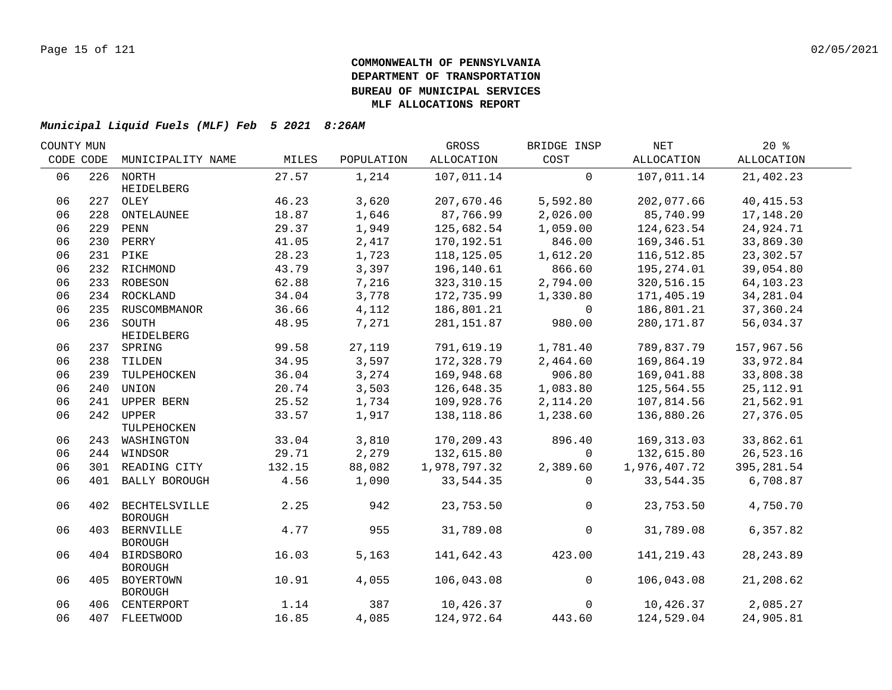| COUNTY MUN |           |                                     |        |            | GROSS        | BRIDGE INSP    | NET          | 20%         |  |
|------------|-----------|-------------------------------------|--------|------------|--------------|----------------|--------------|-------------|--|
|            | CODE CODE | MUNICIPALITY NAME                   | MILES  | POPULATION | ALLOCATION   | COST           | ALLOCATION   | ALLOCATION  |  |
| 06         |           | 226 NORTH<br>HEIDELBERG             | 27.57  | 1,214      | 107,011.14   | $\overline{0}$ | 107,011.14   | 21,402.23   |  |
| 06         |           | 227 OLEY                            | 46.23  | 3,620      | 207,670.46   | 5,592.80       | 202,077.66   | 40, 415.53  |  |
| 06         | 228       | ONTELAUNEE                          | 18.87  | 1,646      | 87,766.99    | 2,026.00       | 85,740.99    | 17,148.20   |  |
| 06         |           | 229 PENN                            | 29.37  | 1,949      | 125,682.54   | 1,059.00       | 124,623.54   | 24,924.71   |  |
| 06         |           | 230 PERRY                           | 41.05  | 2,417      | 170,192.51   | 846.00         | 169,346.51   | 33,869.30   |  |
| 06         |           | 231 PIKE                            | 28.23  | 1,723      | 118,125.05   | 1,612.20       | 116,512.85   | 23,302.57   |  |
| 06         |           | 232 RICHMOND                        | 43.79  | 3,397      | 196,140.61   | 866.60         | 195,274.01   | 39,054.80   |  |
| 06         |           | 233 ROBESON                         | 62.88  | 7,216      | 323, 310.15  | 2,794.00       | 320,516.15   | 64,103.23   |  |
| 06         |           | 234 ROCKLAND                        | 34.04  | 3,778      | 172,735.99   | 1,330.80       | 171,405.19   | 34,281.04   |  |
| 06         |           | 235 RUSCOMBMANOR                    | 36.66  | 4,112      | 186,801.21   | $\overline{0}$ | 186,801.21   | 37,360.24   |  |
| 06         |           | 236 SOUTH                           | 48.95  | 7,271      | 281,151.87   | 980.00         | 280, 171.87  | 56,034.37   |  |
|            |           | HEIDELBERG                          |        |            |              |                |              |             |  |
| 06         |           | 237 SPRING                          | 99.58  | 27,119     | 791,619.19   | 1,781.40       | 789,837.79   | 157,967.56  |  |
| 06         |           | 238 TILDEN                          | 34.95  | 3,597      | 172,328.79   | 2,464.60       | 169,864.19   | 33,972.84   |  |
| 06         |           | 239 TULPEHOCKEN                     | 36.04  | 3,274      | 169,948.68   | 906.80         | 169,041.88   | 33,808.38   |  |
| 06         | 240       | UNION                               | 20.74  | 3,503      | 126,648.35   | 1,083.80       | 125,564.55   | 25, 112.91  |  |
| 06         | 241       | UPPER BERN                          | 25.52  | 1,734      | 109,928.76   | 2,114.20       | 107,814.56   | 21,562.91   |  |
| 06         |           | 242 UPPER<br>TULPEHOCKEN            | 33.57  | 1,917      | 138,118.86   | 1,238.60       | 136,880.26   | 27,376.05   |  |
| 06         |           | 243 WASHINGTON                      | 33.04  | 3,810      | 170,209.43   | 896.40         | 169,313.03   | 33,862.61   |  |
| 06         |           | 244 WINDSOR                         | 29.71  | 2,279      | 132,615.80   | $\Omega$       | 132,615.80   | 26,523.16   |  |
| 06         |           | 301 READING CITY                    | 132.15 | 88,082     | 1,978,797.32 | 2,389.60       | 1,976,407.72 | 395, 281.54 |  |
| 06         | 401       | BALLY BOROUGH                       | 4.56   | 1,090      | 33,544.35    | $\Omega$       | 33,544.35    | 6,708.87    |  |
| 06         |           | 402 BECHTELSVILLE<br><b>BOROUGH</b> | 2.25   | 942        | 23,753.50    | $\overline{0}$ | 23,753.50    | 4,750.70    |  |
| 06         | 403       | BERNVILLE<br><b>BOROUGH</b>         | 4.77   | 955        | 31,789.08    | $\mathsf{O}$   | 31,789.08    | 6,357.82    |  |
| 06         |           | 404 BIRDSBORO<br><b>BOROUGH</b>     | 16.03  | 5,163      | 141,642.43   | 423.00         | 141,219.43   | 28, 243.89  |  |
| 06         |           | 405 BOYERTOWN<br><b>BOROUGH</b>     | 10.91  | 4,055      | 106,043.08   | $\overline{0}$ | 106,043.08   | 21,208.62   |  |
| 06         |           | 406 CENTERPORT                      | 1.14   | 387        | 10,426.37    | $\overline{0}$ | 10,426.37    | 2,085.27    |  |
| 06         |           | 407 FLEETWOOD                       | 16.85  | 4,085      | 124,972.64   | 443.60         | 124,529.04   | 24,905.81   |  |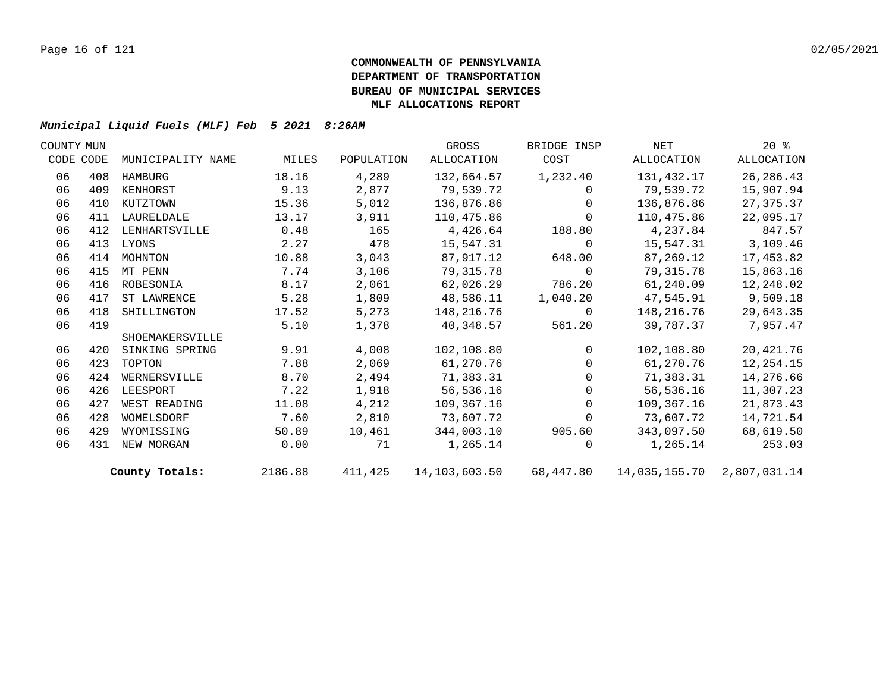| COUNTY MUN |           |                   |         |            | GROSS         | BRIDGE INSP    | NET                                         | $20*$       |  |
|------------|-----------|-------------------|---------|------------|---------------|----------------|---------------------------------------------|-------------|--|
|            | CODE CODE | MUNICIPALITY NAME | MILES   | POPULATION | ALLOCATION    | COST           | ALLOCATION                                  | ALLOCATION  |  |
| 06         | 408       | HAMBURG           | 18.16   | 4,289      | 132,664.57    | 1,232.40       | 131,432.17                                  | 26, 286. 43 |  |
| 06         | 409       | KENHORST          | 9.13    | 2,877      | 79,539.72     | $\Omega$       | 79,539.72                                   | 15,907.94   |  |
| 06         | 410       | KUTZTOWN          | 15.36   | 5,012      | 136,876.86    | $\Omega$       | 136,876.86                                  | 27,375.37   |  |
| 06         | 411       | LAURELDALE        | 13.17   | 3,911      | 110,475.86    | $\Omega$       | 110,475.86                                  | 22,095.17   |  |
| 06         | 412       | LENHARTSVILLE     | 0.48    | 165        | 4,426.64      | 188.80         | 4,237.84                                    | 847.57      |  |
| 06         | 413       | LYONS             | 2.27    | 478        | 15,547.31     | $\overline{0}$ | 15,547.31                                   | 3,109.46    |  |
| 06         | 414       | MOHNTON           | 10.88   | 3,043      | 87,917.12     | 648.00         | 87,269.12                                   | 17,453.82   |  |
| 06         | 415       | MT PENN           | 7.74    | 3,106      | 79,315.78     | $\overline{0}$ | 79,315.78                                   | 15,863.16   |  |
| 06         | 416       | ROBESONIA         | 8.17    | 2,061      | 62,026.29     | 786.20         | 61,240.09                                   | 12,248.02   |  |
| 06         | 417       | ST LAWRENCE       | 5.28    | 1,809      | 48,586.11     | 1,040.20       | 47,545.91                                   | 9,509.18    |  |
| 06         | 418       | SHILLINGTON       | 17.52   | 5,273      | 148,216.76    | $\overline{0}$ | 148,216.76                                  | 29,643.35   |  |
| 06         | 419       |                   | 5.10    | 1,378      | 40,348.57     | 561.20         | 39,787.37                                   | 7,957.47    |  |
|            |           | SHOEMAKERSVILLE   |         |            |               |                |                                             |             |  |
| 06         | 420       | SINKING SPRING    | 9.91    | 4,008      | 102,108.80    | $\Omega$       | 102,108.80                                  | 20,421.76   |  |
| 06         | 423       | TOPTON            | 7.88    | 2,069      | 61,270.76     | $\Omega$       | 61,270.76                                   | 12,254.15   |  |
| 06         | 424       | WERNERSVILLE      | 8.70    | 2,494      | 71,383.31     | $\Omega$       | 71,383.31                                   | 14,276.66   |  |
| 06         | 426       | LEESPORT          | 7.22    | 1,918      | 56,536.16     | $\Omega$       | 56,536.16                                   | 11,307.23   |  |
| 06         | 427       | WEST READING      | 11.08   | 4,212      | 109,367.16    | $\Omega$       | 109,367.16                                  | 21,873.43   |  |
| 06         | 428       | WOMELSDORF        | 7.60    | 2,810      | 73,607.72     | $\Omega$       | 73,607.72                                   | 14,721.54   |  |
| 06         | 429       | WYOMISSING        | 50.89   | 10,461     | 344,003.10    | 905.60         | 343,097.50                                  | 68,619.50   |  |
| 06         | 431       | NEW MORGAN        | 0.00    | 71         | 1,265.14      | $\Omega$       | 1,265.14                                    | 253.03      |  |
|            |           | County Totals:    | 2186.88 | 411,425    | 14,103,603.50 |                | 68, 447.80  14, 035, 155.70  2, 807, 031.14 |             |  |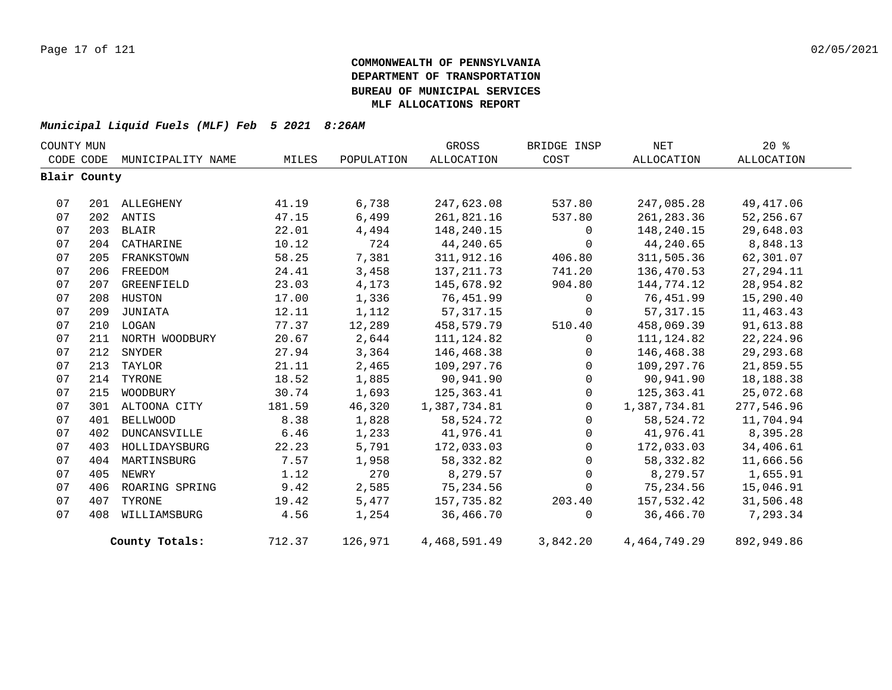| COUNTY MUN |              |                   |        |            | GROSS        | BRIDGE INSP    | NET             | $20*$      |  |
|------------|--------------|-------------------|--------|------------|--------------|----------------|-----------------|------------|--|
|            | CODE CODE    | MUNICIPALITY NAME | MILES  | POPULATION | ALLOCATION   | COST           | ALLOCATION      | ALLOCATION |  |
|            | Blair County |                   |        |            |              |                |                 |            |  |
|            |              |                   |        |            |              |                |                 |            |  |
| 07         |              | 201 ALLEGHENY     | 41.19  | 6,738      | 247,623.08   | 537.80         | 247,085.28      | 49, 417.06 |  |
| 07         |              | 202 ANTIS         | 47.15  | 6,499      | 261,821.16   | 537.80         | 261, 283.36     | 52,256.67  |  |
| 07         | 203          | BLAIR             | 22.01  | 4,494      | 148,240.15   | $\mathbf 0$    | 148,240.15      | 29,648.03  |  |
| 07         |              | 204 CATHARINE     | 10.12  | 724        | 44,240.65    | $\mathbf 0$    | 44,240.65       | 8,848.13   |  |
| 07         | 205          | FRANKSTOWN        | 58.25  | 7,381      | 311,912.16   | 406.80         | 311,505.36      | 62,301.07  |  |
| 07         | 206          | FREEDOM           | 24.41  | 3,458      | 137, 211.73  | 741.20         | 136,470.53      | 27, 294.11 |  |
| 07         | 207          | GREENFIELD        | 23.03  | 4,173      | 145,678.92   | 904.80         | 144,774.12      | 28,954.82  |  |
| 07         |              | 208 HUSTON        | 17.00  | 1,336      | 76,451.99    | $\mathbf 0$    | 76,451.99       | 15,290.40  |  |
| 07         |              | 209 JUNIATA       | 12.11  | 1,112      | 57, 317. 15  | $\mathbf{0}$   | 57, 317.15      | 11,463.43  |  |
| 07         |              | 210 LOGAN         | 77.37  | 12,289     | 458,579.79   | 510.40         | 458,069.39      | 91,613.88  |  |
| 07         | 211          | NORTH WOODBURY    | 20.67  | 2,644      | 111, 124.82  | $\mathbf 0$    | 111,124.82      | 22, 224.96 |  |
| 07         | 212          | SNYDER            | 27.94  | 3,364      | 146,468.38   | $\overline{0}$ | 146,468.38      | 29, 293.68 |  |
| 07         |              | 213 TAYLOR        | 21.11  | 2,465      | 109,297.76   | $\mathbf 0$    | 109,297.76      | 21,859.55  |  |
| 07         |              | 214 TYRONE        | 18.52  | 1,885      | 90,941.90    | $\Omega$       | 90,941.90       | 18,188.38  |  |
| 07         | 215          | WOODBURY          | 30.74  | 1,693      | 125,363.41   | $\mathsf{O}$   | 125,363.41      | 25,072.68  |  |
| 07         |              | 301 ALTOONA CITY  | 181.59 | 46,320     | 1,387,734.81 | $\overline{0}$ | 1,387,734.81    | 277,546.96 |  |
| 07         | 401          | <b>BELLWOOD</b>   | 8.38   | 1,828      | 58, 524. 72  | $\Omega$       | 58,524.72       | 11,704.94  |  |
| 07         | 402          | DUNCANSVILLE      | 6.46   | 1,233      | 41,976.41    | $\mathbf{0}$   | 41,976.41       | 8,395.28   |  |
| 07         | 403          | HOLLIDAYSBURG     | 22.23  | 5,791      | 172,033.03   | $\mathbf{0}$   | 172,033.03      | 34,406.61  |  |
| 07         | 404          | MARTINSBURG       | 7.57   | 1,958      | 58, 332.82   | 0              | 58,332.82       | 11,666.56  |  |
| 07         | 405          | NEWRY             | 1.12   | 270        | 8,279.57     | $\Omega$       | 8,279.57        | 1,655.91   |  |
| 07         | 406          | ROARING SPRING    | 9.42   | 2,585      | 75,234.56    | 0              | 75,234.56       | 15,046.91  |  |
| 07         | 407          | TYRONE            | 19.42  | 5,477      | 157,735.82   | 203.40         | 157,532.42      | 31,506.48  |  |
| 07         | 408          | WILLIAMSBURG      | 4.56   | 1,254      | 36,466.70    | $\Omega$       | 36,466.70       | 7,293.34   |  |
|            |              | County Totals:    | 712.37 | 126,971    | 4,468,591.49 | 3,842.20       | 4, 464, 749. 29 | 892,949.86 |  |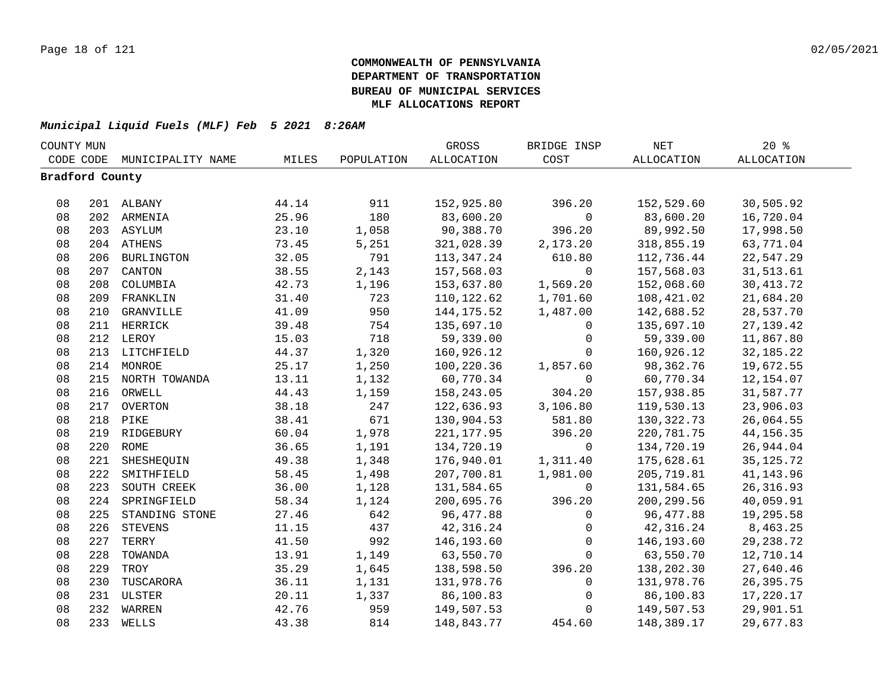| COUNTY MUN      |     |                             |       |            | GROSS       | BRIDGE INSP  | $\operatorname{NET}$ | $20*$       |  |
|-----------------|-----|-----------------------------|-------|------------|-------------|--------------|----------------------|-------------|--|
|                 |     | CODE CODE MUNICIPALITY NAME | MILES | POPULATION | ALLOCATION  | COST         | ALLOCATION           | ALLOCATION  |  |
| Bradford County |     |                             |       |            |             |              |                      |             |  |
|                 |     |                             |       |            |             |              |                      |             |  |
| 08              |     | 201 ALBANY                  | 44.14 | 911        | 152,925.80  | 396.20       | 152,529.60           | 30,505.92   |  |
| 08              |     | 202 ARMENIA                 | 25.96 | 180        | 83,600.20   | $\mathbf 0$  | 83,600.20            | 16,720.04   |  |
| 08              |     | 203 ASYLUM                  | 23.10 | 1,058      | 90,388.70   | 396.20       | 89,992.50            | 17,998.50   |  |
| 08              |     | 204 ATHENS                  | 73.45 | 5,251      | 321,028.39  | 2,173.20     | 318,855.19           | 63,771.04   |  |
| 08              |     | 206 BURLINGTON              | 32.05 | 791        | 113,347.24  | 610.80       | 112,736.44           | 22,547.29   |  |
| 08              | 207 | CANTON                      | 38.55 | 2,143      | 157,568.03  | $\mathbf 0$  | 157,568.03           | 31,513.61   |  |
| 08              | 208 | COLUMBIA                    | 42.73 | 1,196      | 153,637.80  | 1,569.20     | 152,068.60           | 30, 413.72  |  |
| 08              |     | 209 FRANKLIN                | 31.40 | 723        | 110,122.62  | 1,701.60     | 108,421.02           | 21,684.20   |  |
| 08              | 210 | GRANVILLE                   | 41.09 | 950        | 144, 175.52 | 1,487.00     | 142,688.52           | 28,537.70   |  |
| 08              |     | 211 HERRICK                 | 39.48 | 754        | 135,697.10  | $\mathbf{0}$ | 135,697.10           | 27, 139. 42 |  |
| 08              |     | 212 LEROY                   | 15.03 | 718        | 59,339.00   | $\mathsf{O}$ | 59,339.00            | 11,867.80   |  |
| 08              |     | 213 LITCHFIELD              | 44.37 | 1,320      | 160,926.12  | $\mathbf 0$  | 160,926.12           | 32, 185. 22 |  |
| $0\,8$          |     | 214 MONROE                  | 25.17 | 1,250      | 100,220.36  | 1,857.60     | 98,362.76            | 19,672.55   |  |
| 08              |     | 215 NORTH TOWANDA           | 13.11 | 1,132      | 60,770.34   | $\mathsf{O}$ | 60,770.34            | 12, 154.07  |  |
| 08              |     | 216 ORWELL                  | 44.43 | 1,159      | 158,243.05  | 304.20       | 157,938.85           | 31,587.77   |  |
| 08              |     | 217 OVERTON                 | 38.18 | 247        | 122,636.93  | 3,106.80     | 119,530.13           | 23,906.03   |  |
| 08              |     | 218 PIKE                    | 38.41 | 671        | 130,904.53  | 581.80       | 130, 322. 73         | 26,064.55   |  |
| 08              |     | 219 RIDGEBURY               | 60.04 | 1,978      | 221, 177.95 | 396.20       | 220,781.75           | 44, 156. 35 |  |
| 08              |     | 220 ROME                    | 36.65 | 1,191      | 134,720.19  | $\mathbf 0$  | 134,720.19           | 26,944.04   |  |
| 08              | 221 | SHESHEQUIN                  | 49.38 | 1,348      | 176,940.01  | 1,311.40     | 175,628.61           | 35, 125. 72 |  |
| 08              | 222 | SMITHFIELD                  | 58.45 | 1,498      | 207,700.81  | 1,981.00     | 205,719.81           | 41, 143.96  |  |
| 08              | 223 | SOUTH CREEK                 | 36.00 | 1,128      | 131,584.65  | $\mathbf 0$  | 131,584.65           | 26, 316.93  |  |
| 08              | 224 | SPRINGFIELD                 | 58.34 | 1,124      | 200,695.76  | 396.20       | 200,299.56           | 40,059.91   |  |
| 08              | 225 | STANDING STONE              | 27.46 | 642        | 96,477.88   | $\mathbf 0$  | 96,477.88            | 19,295.58   |  |
| 08              | 226 | <b>STEVENS</b>              | 11.15 | 437        | 42,316.24   | $\mathbf 0$  | 42,316.24            | 8,463.25    |  |
| 08              | 227 | TERRY                       | 41.50 | 992        | 146,193.60  | $\mathbf 0$  | 146,193.60           | 29, 238.72  |  |
| 08              | 228 | TOWANDA                     | 13.91 | 1,149      | 63,550.70   | $\mathbf 0$  | 63,550.70            | 12,710.14   |  |
| 08              | 229 | TROY                        | 35.29 | 1,645      | 138,598.50  | 396.20       | 138,202.30           | 27,640.46   |  |
| 08              | 230 | TUSCARORA                   | 36.11 | 1,131      | 131,978.76  | 0            | 131,978.76           | 26,395.75   |  |
| 08              |     | 231 ULSTER                  | 20.11 | 1,337      | 86,100.83   | 0            | 86,100.83            | 17,220.17   |  |
| 08              |     | 232 WARREN                  | 42.76 | 959        | 149,507.53  | $\mathbf 0$  | 149,507.53           | 29,901.51   |  |
| 08              |     | 233 WELLS                   | 43.38 | 814        | 148,843.77  | 454.60       | 148,389.17           | 29,677.83   |  |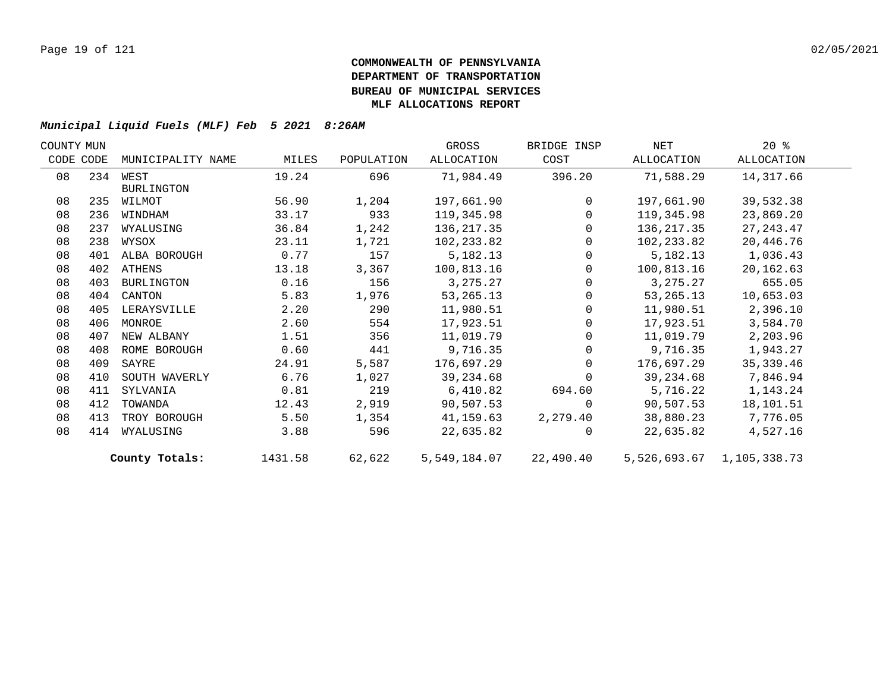| COUNTY MUN |           |                   |         |            | GROSS        | BRIDGE INSP | NET         | $20*$                     |  |
|------------|-----------|-------------------|---------|------------|--------------|-------------|-------------|---------------------------|--|
|            | CODE CODE | MUNICIPALITY NAME | MILES   | POPULATION | ALLOCATION   | COST        | ALLOCATION  | ALLOCATION                |  |
| 08         | 234       | WEST              | 19.24   | 696        | 71,984.49    | 396.20      | 71,588.29   | 14,317.66                 |  |
|            |           | <b>BURLINGTON</b> |         |            |              |             |             |                           |  |
| 08         | 235       | WILMOT            | 56.90   | 1,204      | 197,661.90   | $\Omega$    | 197,661.90  | 39,532.38                 |  |
| 08         | 236       | WINDHAM           | 33.17   | 933        | 119,345.98   | $\Omega$    | 119,345.98  | 23,869.20                 |  |
| 08         | 237       | WYALUSING         | 36.84   | 1,242      | 136, 217.35  | $\Omega$    | 136,217.35  | 27, 243.47                |  |
| 08         | 238       | WYSOX             | 23.11   | 1,721      | 102,233.82   | $\Omega$    | 102,233.82  | 20,446.76                 |  |
| 08         | 401       | ALBA BOROUGH      | 0.77    | 157        | 5,182.13     | $\Omega$    | 5,182.13    | 1,036.43                  |  |
| 08         |           | 402 ATHENS        | 13.18   | 3,367      | 100,813.16   | $\Omega$    | 100,813.16  | 20,162.63                 |  |
| 08         | 403       | BURLINGTON        | 0.16    | 156        | 3,275.27     | $\Omega$    | 3,275.27    | 655.05                    |  |
| 08         | 404       | CANTON            | 5.83    | 1,976      | 53, 265. 13  | $\Omega$    | 53, 265. 13 | 10,653.03                 |  |
| 08         | 405       | LERAYSVILLE       | 2.20    | 290        | 11,980.51    | $\Omega$    | 11,980.51   | 2,396.10                  |  |
| 08         | 406       | MONROE            | 2.60    | 554        | 17,923.51    | 0           | 17,923.51   | 3,584.70                  |  |
| 08         | 407       | NEW ALBANY        | 1.51    | 356        | 11,019.79    | $\Omega$    | 11,019.79   | 2,203.96                  |  |
| 08         | 408       | ROME BOROUGH      | 0.60    | 441        | 9,716.35     | $\mathbf 0$ | 9,716.35    | 1,943.27                  |  |
| 08         | 409       | SAYRE             | 24.91   | 5,587      | 176,697.29   | $\Omega$    | 176,697.29  | 35, 339.46                |  |
| 08         | 410       | SOUTH WAVERLY     | 6.76    | 1,027      | 39,234.68    | $\Omega$    | 39,234.68   | 7,846.94                  |  |
| 08         | 411       | SYLVANIA          | 0.81    | 219        | 6,410.82     | 694.60      | 5,716.22    | 1,143.24                  |  |
| 08         | 412       | TOWANDA           | 12.43   | 2,919      | 90,507.53    | $\Omega$    | 90,507.53   | 18,101.51                 |  |
| 08         | 413       | TROY BOROUGH      | 5.50    | 1,354      | 41,159.63    | 2,279.40    | 38,880.23   | 7,776.05                  |  |
| 08         | 414       | WYALUSING         | 3.88    | 596        | 22,635.82    | $\Omega$    | 22,635.82   | 4,527.16                  |  |
|            |           | County Totals:    | 1431.58 | 62,622     | 5,549,184.07 | 22,490.40   |             | 5,526,693.67 1,105,338.73 |  |
|            |           |                   |         |            |              |             |             |                           |  |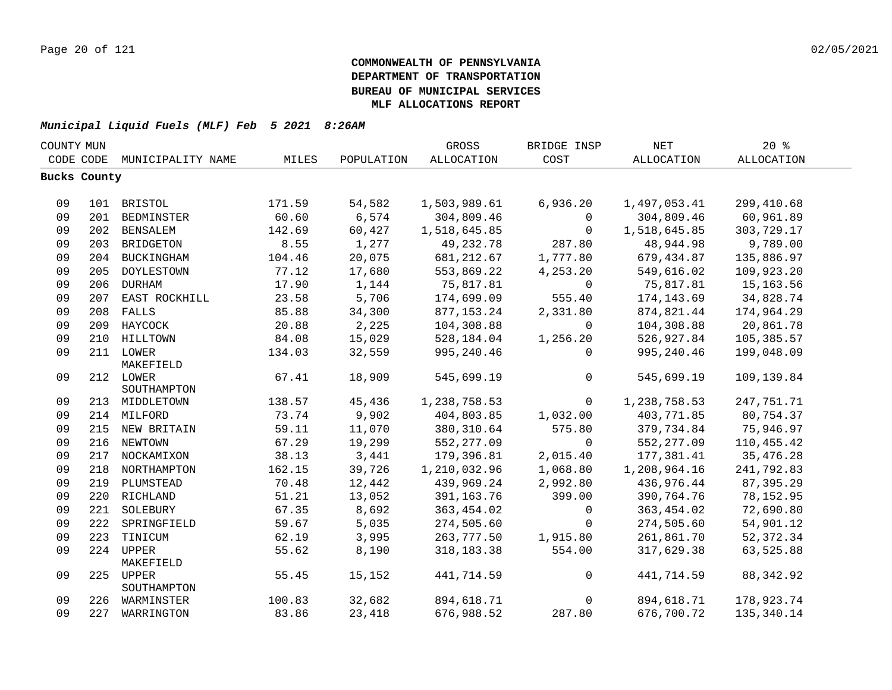| COUNTY MUN |              |                   |        |            | GROSS        | BRIDGE INSP | <b>NET</b>        | 20%               |  |
|------------|--------------|-------------------|--------|------------|--------------|-------------|-------------------|-------------------|--|
|            | CODE CODE    | MUNICIPALITY NAME | MILES  | POPULATION | ALLOCATION   | COST        | <b>ALLOCATION</b> | <b>ALLOCATION</b> |  |
|            | Bucks County |                   |        |            |              |             |                   |                   |  |
|            |              |                   |        |            |              |             |                   |                   |  |
| 09         |              | 101 BRISTOL       | 171.59 | 54,582     | 1,503,989.61 | 6,936.20    | 1,497,053.41      | 299,410.68        |  |
| 09         |              | 201 BEDMINSTER    | 60.60  | 6,574      | 304,809.46   | $\mathbf 0$ | 304,809.46        | 60,961.89         |  |
| 09         |              | 202 BENSALEM      | 142.69 | 60,427     | 1,518,645.85 | $\mathbf 0$ | 1,518,645.85      | 303,729.17        |  |
| 09         |              | 203 BRIDGETON     | 8.55   | 1,277      | 49,232.78    | 287.80      | 48,944.98         | 9,789.00          |  |
| 09         |              | 204 BUCKINGHAM    | 104.46 | 20,075     | 681, 212.67  | 1,777.80    | 679,434.87        | 135,886.97        |  |
| 09         | 205          | DOYLESTOWN        | 77.12  | 17,680     | 553,869.22   | 4,253.20    | 549,616.02        | 109,923.20        |  |
| 09         |              | 206 DURHAM        | 17.90  | 1,144      | 75,817.81    | $\mathbf 0$ | 75,817.81         | 15,163.56         |  |
| 09         |              | 207 EAST ROCKHILL | 23.58  | 5,706      | 174,699.09   | 555.40      | 174,143.69        | 34,828.74         |  |
| 09         |              | 208 FALLS         | 85.88  | 34,300     | 877, 153. 24 | 2,331.80    | 874,821.44        | 174,964.29        |  |
| 09         |              | 209 HAYCOCK       | 20.88  | 2,225      | 104,308.88   | $\mathbf 0$ | 104,308.88        | 20,861.78         |  |
| 09         |              | 210 HILLTOWN      | 84.08  | 15,029     | 528,184.04   | 1,256.20    | 526,927.84        | 105,385.57        |  |
| 09         |              | 211 LOWER         | 134.03 | 32,559     | 995,240.46   | $\Omega$    | 995,240.46        | 199,048.09        |  |
|            |              | MAKEFIELD         |        |            |              |             |                   |                   |  |
| 09         |              | 212 LOWER         | 67.41  | 18,909     | 545,699.19   | 0           | 545,699.19        | 109,139.84        |  |
|            |              | SOUTHAMPTON       |        |            |              |             |                   |                   |  |
| 09         |              | 213 MIDDLETOWN    | 138.57 | 45,436     | 1,238,758.53 | $\mathbf 0$ | 1,238,758.53      | 247,751.71        |  |
| 09         |              | 214 MILFORD       | 73.74  | 9,902      | 404,803.85   | 1,032.00    | 403,771.85        | 80,754.37         |  |
| 09         |              | 215 NEW BRITAIN   | 59.11  | 11,070     | 380, 310.64  | 575.80      | 379,734.84        | 75,946.97         |  |
| 09         |              | 216 NEWTOWN       | 67.29  | 19,299     | 552,277.09   | $\mathbf 0$ | 552, 277.09       | 110,455.42        |  |
| 09         |              | 217 NOCKAMIXON    | 38.13  | 3,441      | 179,396.81   | 2,015.40    | 177,381.41        | 35, 476.28        |  |
| 09         |              | 218 NORTHAMPTON   | 162.15 | 39,726     | 1,210,032.96 | 1,068.80    | 1,208,964.16      | 241,792.83        |  |
| 09         |              | 219 PLUMSTEAD     | 70.48  | 12,442     | 439,969.24   | 2,992.80    | 436,976.44        | 87, 395.29        |  |
| 09         |              | 220 RICHLAND      | 51.21  | 13,052     | 391, 163. 76 | 399.00      | 390,764.76        | 78,152.95         |  |
| 09         | 221          | SOLEBURY          | 67.35  | 8,692      | 363,454.02   | 0           | 363, 454.02       | 72,690.80         |  |
| 09         | 222          | SPRINGFIELD       | 59.67  | 5,035      | 274,505.60   | $\mathbf 0$ | 274,505.60        | 54,901.12         |  |
| 09         |              | 223 TINICUM       | 62.19  | 3,995      | 263,777.50   | 1,915.80    | 261,861.70        | 52, 372.34        |  |
| 09         |              | 224 UPPER         | 55.62  | 8,190      | 318, 183. 38 | 554.00      | 317,629.38        | 63,525.88         |  |
|            |              | MAKEFIELD         |        |            |              |             |                   |                   |  |
| 09         |              | 225 UPPER         | 55.45  | 15,152     | 441,714.59   | 0           | 441,714.59        | 88, 342.92        |  |
| 09         |              | SOUTHAMPTON       | 100.83 | 32,682     | 894,618.71   | 0           | 894,618.71        | 178,923.74        |  |
| 09         |              | 226 WARMINSTER    |        |            |              |             |                   |                   |  |
|            |              | 227 WARRINGTON    | 83.86  | 23,418     | 676,988.52   | 287.80      | 676,700.72        | 135,340.14        |  |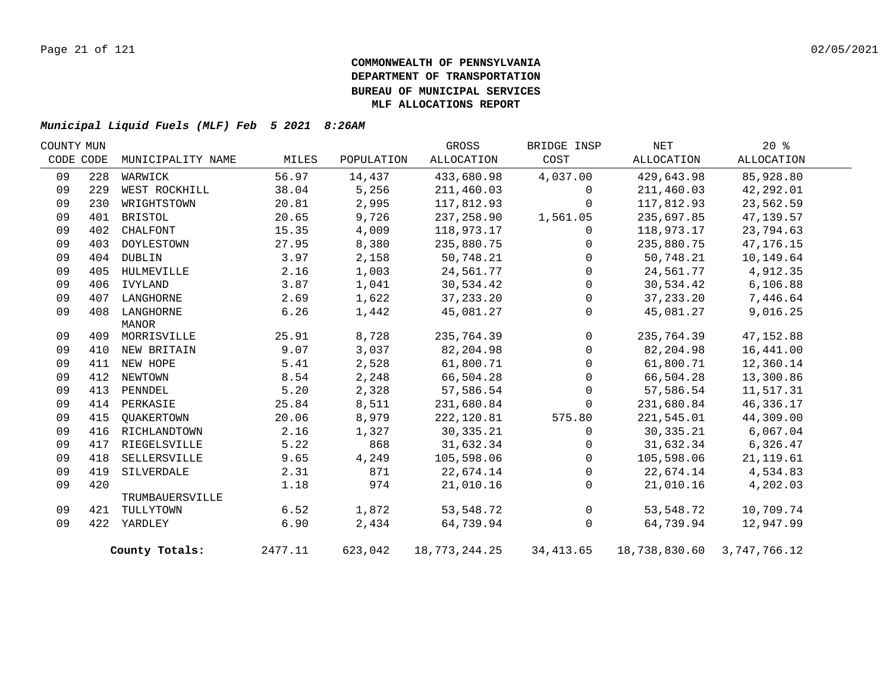| COUNTY MUN |           |                   |         |            | GROSS         | BRIDGE INSP  | NET                        | 20%         |  |
|------------|-----------|-------------------|---------|------------|---------------|--------------|----------------------------|-------------|--|
|            | CODE CODE | MUNICIPALITY NAME | MILES   | POPULATION | ALLOCATION    | COST         | ALLOCATION                 | ALLOCATION  |  |
| 09         | 228       | WARWICK           | 56.97   | 14,437     | 433,680.98    | 4,037.00     | 429,643.98                 | 85,928.80   |  |
| 09         | 229       | WEST ROCKHILL     | 38.04   | 5,256      | 211,460.03    | 0            | 211,460.03                 | 42,292.01   |  |
| 09         | 230       | WRIGHTSTOWN       | 20.81   | 2,995      | 117,812.93    | $\Omega$     | 117,812.93                 | 23,562.59   |  |
| 09         | 401       | BRISTOL           | 20.65   | 9,726      | 237,258.90    | 1,561.05     | 235,697.85                 | 47, 139.57  |  |
| 09         | 402       | CHALFONT          | 15.35   | 4,009      | 118,973.17    | $\mathbf{0}$ | 118,973.17                 | 23,794.63   |  |
| 09         | 403       | DOYLESTOWN        | 27.95   | 8,380      | 235,880.75    | $\Omega$     | 235,880.75                 | 47, 176. 15 |  |
| 09         | 404       | DUBLIN            | 3.97    | 2,158      | 50,748.21     | $\Omega$     | 50,748.21                  | 10,149.64   |  |
| 09         | 405       | HULMEVILLE        | 2.16    | 1,003      | 24,561.77     | $\Omega$     | 24,561.77                  | 4,912.35    |  |
| 09         | 406       | IVYLAND           | 3.87    | 1,041      | 30,534.42     | $\Omega$     | 30,534.42                  | 6,106.88    |  |
| 09         | 407       | LANGHORNE         | 2.69    | 1,622      | 37, 233. 20   | $\mathbf 0$  | 37, 233. 20                | 7,446.64    |  |
| 09         | 408       | LANGHORNE         | 6.26    | 1,442      | 45,081.27     | $\Omega$     | 45,081.27                  | 9,016.25    |  |
|            |           | MANOR             |         |            |               |              |                            |             |  |
| 09         |           | 409 MORRISVILLE   | 25.91   | 8,728      | 235,764.39    | $\mathbf 0$  | 235,764.39                 | 47, 152.88  |  |
| 09         |           | 410 NEW BRITAIN   | 9.07    | 3,037      | 82,204.98     | $\Omega$     | 82,204.98                  | 16,441.00   |  |
| 09         |           | 411 NEW HOPE      | 5.41    | 2,528      | 61,800.71     | $\Omega$     | 61,800.71                  | 12,360.14   |  |
| 09         | 412       | NEWTOWN           | 8.54    | 2,248      | 66,504.28     | 0            | 66,504.28                  | 13,300.86   |  |
| 09         | 413       | PENNDEL           | 5.20    | 2,328      | 57,586.54     | $\Omega$     | 57,586.54                  | 11,517.31   |  |
| 09         |           | 414 PERKASIE      | 25.84   | 8,511      | 231,680.84    | $\mathbf 0$  | 231,680.84                 | 46,336.17   |  |
| 09         | 415       | QUAKERTOWN        | 20.06   | 8,979      | 222,120.81    | 575.80       | 221,545.01                 | 44,309.00   |  |
| 09         | 416       | RICHLANDTOWN      | 2.16    | 1,327      | 30, 335. 21   | $\mathbf 0$  | 30, 335. 21                | 6,067.04    |  |
| 09         | 417       | RIEGELSVILLE      | 5.22    | 868        | 31,632.34     | $\Omega$     | 31,632.34                  | 6,326.47    |  |
| 09         | 418       | SELLERSVILLE      | 9.65    | 4,249      | 105,598.06    | $\Omega$     | 105,598.06                 | 21, 119.61  |  |
| 09         | 419       | SILVERDALE        | 2.31    | 871        | 22,674.14     | $\mathbf 0$  | 22,674.14                  | 4,534.83    |  |
| 09         | 420       |                   | 1.18    | 974        | 21,010.16     | $\mathbf{0}$ | 21,010.16                  | 4,202.03    |  |
|            |           | TRUMBAUERSVILLE   |         |            |               |              |                            |             |  |
| 09         | 421       | TULLYTOWN         | 6.52    | 1,872      | 53,548.72     | $\mathsf{O}$ | 53,548.72                  | 10,709.74   |  |
| 09         |           | 422 YARDLEY       | 6.90    | 2,434      | 64,739.94     | $\mathbf 0$  | 64,739.94                  | 12,947.99   |  |
|            |           | County Totals:    | 2477.11 | 623,042    | 18,773,244.25 | 34,413.65    | 18,738,830.60 3,747,766.12 |             |  |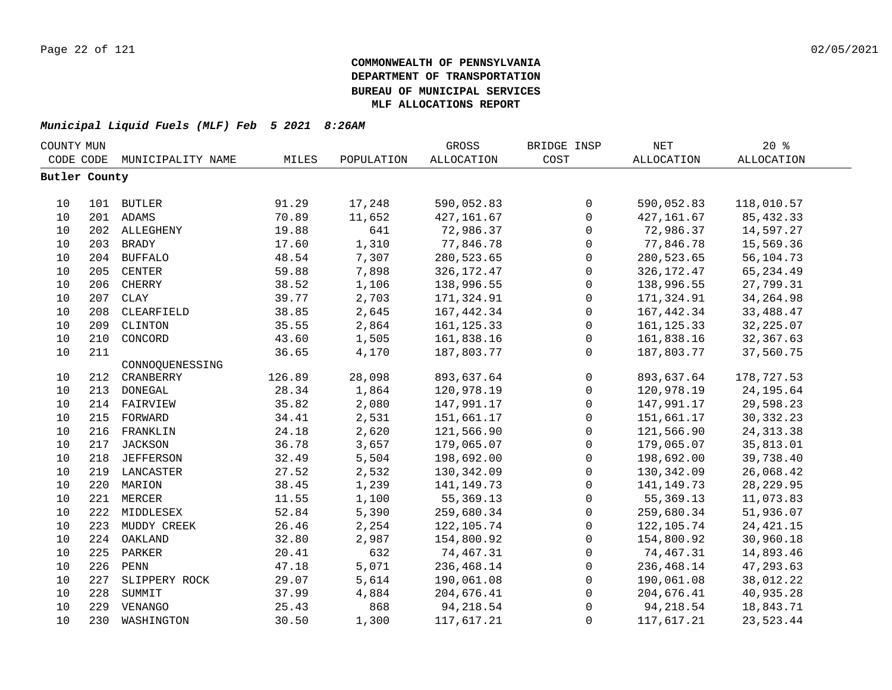| COUNTY MUN    |     |                   |        |            | GROSS             | BRIDGE INSP         | $\operatorname{NET}$ | 20%               |  |
|---------------|-----|-------------------|--------|------------|-------------------|---------------------|----------------------|-------------------|--|
| CODE CODE     |     | MUNICIPALITY NAME | MILES  | POPULATION | <b>ALLOCATION</b> | COST                | <b>ALLOCATION</b>    | <b>ALLOCATION</b> |  |
| Butler County |     |                   |        |            |                   |                     |                      |                   |  |
|               |     |                   |        |            |                   |                     |                      |                   |  |
| 10            |     | 101 BUTLER        | 91.29  | 17,248     | 590,052.83        | $\mathsf{O}$        | 590,052.83           | 118,010.57        |  |
| 10            |     | 201 ADAMS         | 70.89  | 11,652     | 427, 161.67       | $\mathbf 0$         | 427, 161.67          | 85, 432.33        |  |
| 10            |     | 202 ALLEGHENY     | 19.88  | 641        | 72,986.37         | $\mathsf{O}$        | 72,986.37            | 14,597.27         |  |
| 10            |     | 203 BRADY         | 17.60  | 1,310      | 77,846.78         | $\mathsf{O}\xspace$ | 77,846.78            | 15,569.36         |  |
| 10            |     | 204 BUFFALO       | 48.54  | 7,307      | 280,523.65        | $\mathsf{O}\xspace$ | 280,523.65           | 56,104.73         |  |
| 10            | 205 | <b>CENTER</b>     | 59.88  | 7,898      | 326, 172. 47      | $\mathbf 0$         | 326, 172. 47         | 65, 234.49        |  |
| 10            | 206 | CHERRY            | 38.52  | 1,106      | 138,996.55        | $\mathbf 0$         | 138,996.55           | 27,799.31         |  |
| 10            | 207 | <b>CLAY</b>       | 39.77  | 2,703      | 171,324.91        | $\mathbf 0$         | 171,324.91           | 34, 264.98        |  |
| 10            | 208 | CLEARFIELD        | 38.85  | 2,645      | 167,442.34        | $\mathsf{O}$        | 167,442.34           | 33,488.47         |  |
| 10            | 209 | CLINTON           | 35.55  | 2,864      | 161, 125.33       | $\mathbf 0$         | 161, 125.33          | 32, 225.07        |  |
| $10$          | 210 | CONCORD           | 43.60  | 1,505      | 161,838.16        | $\mathsf{O}\xspace$ | 161,838.16           | 32, 367.63        |  |
| 10            | 211 |                   | 36.65  | 4,170      | 187,803.77        | $\mathbf 0$         | 187,803.77           | 37,560.75         |  |
|               |     | CONNOOUENESSING   |        |            |                   |                     |                      |                   |  |
| 10            | 212 | CRANBERRY         | 126.89 | 28,098     | 893,637.64        | $\mathsf{O}$        | 893,637.64           | 178,727.53        |  |
| 10            | 213 | DONEGAL           | 28.34  | 1,864      | 120,978.19        | $\mathsf{O}$        | 120,978.19           | 24, 195.64        |  |
| 10            | 214 | FAIRVIEW          | 35.82  | 2,080      | 147,991.17        | $\mathsf{O}$        | 147,991.17           | 29,598.23         |  |
| 10            | 215 | FORWARD           | 34.41  | 2,531      | 151,661.17        | $\mathsf 0$         | 151,661.17           | 30, 332. 23       |  |
| 10            | 216 | FRANKLIN          | 24.18  | 2,620      | 121,566.90        | $\mathsf 0$         | 121,566.90           | 24, 313.38        |  |
| 10            | 217 | JACKSON           | 36.78  | 3,657      | 179,065.07        | $\mathbf 0$         | 179,065.07           | 35,813.01         |  |
| 10            |     | 218 JEFFERSON     | 32.49  | 5,504      | 198,692.00        | 0                   | 198,692.00           | 39,738.40         |  |
| 10            |     | 219 LANCASTER     | 27.52  | 2,532      | 130,342.09        | 0                   | 130,342.09           | 26,068.42         |  |
| 10            |     | 220 MARION        | 38.45  | 1,239      | 141, 149. 73      | $\mathsf{O}\xspace$ | 141, 149. 73         | 28, 229.95        |  |
| 10            |     | 221 MERCER        | 11.55  | 1,100      | 55, 369. 13       | $\mathsf{O}\xspace$ | 55,369.13            | 11,073.83         |  |
| 10            |     | 222 MIDDLESEX     | 52.84  | 5,390      | 259,680.34        | $\mathsf{O}$        | 259,680.34           | 51,936.07         |  |
| 10            | 223 | MUDDY CREEK       | 26.46  | 2,254      | 122,105.74        | $\mathsf{O}$        | 122,105.74           | 24, 421. 15       |  |
| 10            | 224 | OAKLAND           | 32.80  | 2,987      | 154,800.92        | $\mathbf 0$         | 154,800.92           | 30,960.18         |  |
| 10            | 225 | PARKER            | 20.41  | 632        | 74,467.31         | $\mathbf 0$         | 74,467.31            | 14,893.46         |  |
| 10            | 226 | ${\tt PENN}$      | 47.18  | 5,071      | 236,468.14        | $\mathsf{O}$        | 236,468.14           | 47,293.63         |  |
| 10            | 227 | SLIPPERY ROCK     | 29.07  | 5,614      | 190,061.08        | $\mathbf 0$         | 190,061.08           | 38,012.22         |  |
| 10            | 228 | SUMMIT            | 37.99  | 4,884      | 204,676.41        | $\mathsf{O}$        | 204,676.41           | 40,935.28         |  |
| 10            | 229 | VENANGO           | 25.43  | 868        | 94, 218.54        | $\mathbf 0$         | 94, 218.54           | 18,843.71         |  |
| 10            | 230 | WASHINGTON        | 30.50  | 1,300      | 117,617.21        | $\mathbf 0$         | 117,617.21           | 23,523.44         |  |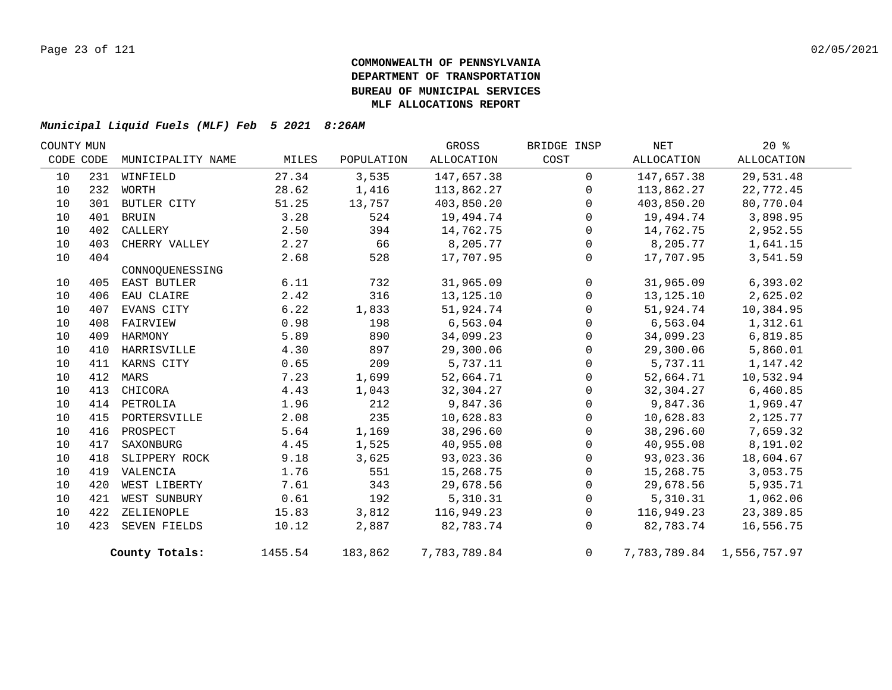| COUNTY MUN |     |                   |         |            | GROSS        | BRIDGE INSP    | NET        | $20*$                     |  |
|------------|-----|-------------------|---------|------------|--------------|----------------|------------|---------------------------|--|
| CODE CODE  |     | MUNICIPALITY NAME | MILES   | POPULATION | ALLOCATION   | COST           | ALLOCATION | ALLOCATION                |  |
| 10         |     | 231 WINFIELD      | 27.34   | 3,535      | 147,657.38   | $\mathbf 0$    | 147,657.38 | 29,531.48                 |  |
| 10         | 232 | WORTH             | 28.62   | 1,416      | 113,862.27   | $\Omega$       | 113,862.27 | 22,772.45                 |  |
| 10         | 301 | BUTLER CITY       | 51.25   | 13,757     | 403,850.20   | $\Omega$       | 403,850.20 | 80,770.04                 |  |
| 10         | 401 | <b>BRUIN</b>      | 3.28    | 524        | 19,494.74    | $\Omega$       | 19,494.74  | 3,898.95                  |  |
| 10         | 402 | CALLERY           | 2.50    | 394        | 14,762.75    | $\mathbf 0$    | 14,762.75  | 2,952.55                  |  |
| 10         | 403 | CHERRY VALLEY     | 2.27    | 66         | 8,205.77     | $\Omega$       | 8,205.77   | 1,641.15                  |  |
| 10         | 404 |                   | 2.68    | 528        | 17,707.95    | $\mathbf 0$    | 17,707.95  | 3,541.59                  |  |
|            |     | CONNOOUENESSING   |         |            |              |                |            |                           |  |
| 10         |     | 405 EAST BUTLER   | 6.11    | 732        | 31,965.09    | $\mathbf 0$    | 31,965.09  | 6,393.02                  |  |
| 10         | 406 | EAU CLAIRE        | 2.42    | 316        | 13,125.10    | $\Omega$       | 13,125.10  | 2,625.02                  |  |
| 10         | 407 | EVANS CITY        | 6.22    | 1,833      | 51,924.74    | $\mathbf{0}$   | 51,924.74  | 10,384.95                 |  |
| 10         | 408 | FAIRVIEW          | 0.98    | 198        | 6,563.04     | $\Omega$       | 6,563.04   | 1,312.61                  |  |
| 10         | 409 | HARMONY           | 5.89    | 890        | 34,099.23    | $\Omega$       | 34,099.23  | 6,819.85                  |  |
| 10         | 410 | HARRISVILLE       | 4.30    | 897        | 29,300.06    | $\Omega$       | 29,300.06  | 5,860.01                  |  |
| 10         |     | 411 KARNS CITY    | 0.65    | 209        | 5,737.11     | $\Omega$       | 5,737.11   | 1,147.42                  |  |
| 10         |     | 412 MARS          | 7.23    | 1,699      | 52,664.71    | 0              | 52,664.71  | 10,532.94                 |  |
| 10         | 413 | CHICORA           | 4.43    | 1,043      | 32,304.27    | $\Omega$       | 32,304.27  | 6,460.85                  |  |
| 10         |     | 414 PETROLIA      | 1.96    | 212        | 9,847.36     | $\Omega$       | 9,847.36   | 1,969.47                  |  |
| 10         |     | 415 PORTERSVILLE  | 2.08    | 235        | 10,628.83    | $\Omega$       | 10,628.83  | 2,125.77                  |  |
| 10         |     | 416 PROSPECT      | 5.64    | 1,169      | 38,296.60    | $\Omega$       | 38,296.60  | 7,659.32                  |  |
| 10         | 417 | SAXONBURG         | 4.45    | 1,525      | 40,955.08    | $\mathbf{0}$   | 40,955.08  | 8,191.02                  |  |
| 10         |     | 418 SLIPPERY ROCK | 9.18    | 3,625      | 93,023.36    | $\Omega$       | 93,023.36  | 18,604.67                 |  |
| 10         | 419 | VALENCIA          | 1.76    | 551        | 15,268.75    | $\Omega$       | 15,268.75  | 3,053.75                  |  |
| 10         | 420 | WEST LIBERTY      | 7.61    | 343        | 29,678.56    | $\mathbf 0$    | 29,678.56  | 5,935.71                  |  |
| 10         | 421 | WEST SUNBURY      | 0.61    | 192        | 5,310.31     | $\Omega$       | 5,310.31   | 1,062.06                  |  |
| 10         |     | 422 ZELIENOPLE    | 15.83   | 3,812      | 116,949.23   | 0              | 116,949.23 | 23,389.85                 |  |
| 10         |     | 423 SEVEN FIELDS  | 10.12   | 2,887      | 82,783.74    | $\Omega$       | 82,783.74  | 16,556.75                 |  |
|            |     | County Totals:    | 1455.54 | 183,862    | 7,783,789.84 | $\overline{0}$ |            | 7,783,789.84 1,556,757.97 |  |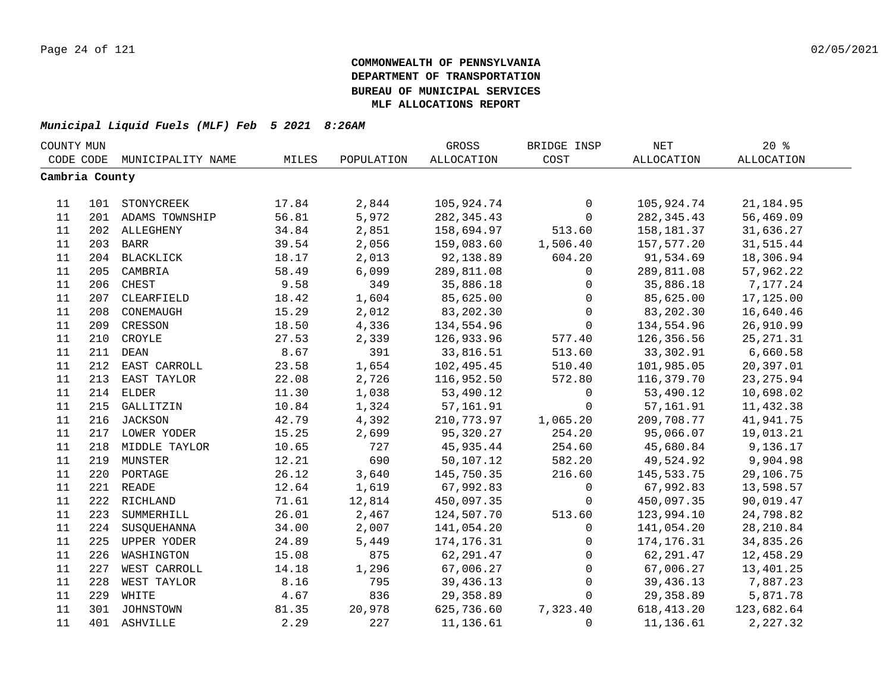| COUNTY MUN     |     |                    |       |            | GROSS             | BRIDGE INSP  | $\operatorname{NET}$ | $20*$      |  |
|----------------|-----|--------------------|-------|------------|-------------------|--------------|----------------------|------------|--|
| CODE CODE      |     | MUNICIPALITY NAME  | MILES | POPULATION | <b>ALLOCATION</b> | COST         | ALLOCATION           | ALLOCATION |  |
| Cambria County |     |                    |       |            |                   |              |                      |            |  |
|                |     |                    |       |            |                   |              |                      |            |  |
| 11             |     | 101 STONYCREEK     | 17.84 | 2,844      | 105,924.74        | $\mathsf{O}$ | 105,924.74           | 21, 184.95 |  |
| 11             |     | 201 ADAMS TOWNSHIP | 56.81 | 5,972      | 282, 345.43       | $\mathsf{O}$ | 282, 345.43          | 56,469.09  |  |
| 11             |     | 202 ALLEGHENY      | 34.84 | 2,851      | 158,694.97        | 513.60       | 158,181.37           | 31,636.27  |  |
| 11             |     | 203 BARR           | 39.54 | 2,056      | 159,083.60        | 1,506.40     | 157,577.20           | 31,515.44  |  |
| 11             |     | 204 BLACKLICK      | 18.17 | 2,013      | 92,138.89         | 604.20       | 91,534.69            | 18,306.94  |  |
| 11             | 205 | CAMBRIA            | 58.49 | 6,099      | 289,811.08        | 0            | 289,811.08           | 57,962.22  |  |
| 11             | 206 | CHEST              | 9.58  | 349        | 35,886.18         | $\mathbf 0$  | 35,886.18            | 7,177.24   |  |
| 11             | 207 | CLEARFIELD         | 18.42 | 1,604      | 85,625.00         | $\mathbf 0$  | 85,625.00            | 17,125.00  |  |
| 11             | 208 | CONEMAUGH          | 15.29 | 2,012      | 83,202.30         | $\mathbf 0$  | 83,202.30            | 16,640.46  |  |
| 11             | 209 | CRESSON            | 18.50 | 4,336      | 134,554.96        | $\mathsf{O}$ | 134,554.96           | 26,910.99  |  |
| 11             | 210 | CROYLE             | 27.53 | 2,339      | 126,933.96        | 577.40       | 126,356.56           | 25, 271.31 |  |
| 11             | 211 | <b>DEAN</b>        | 8.67  | 391        | 33,816.51         | 513.60       | 33,302.91            | 6,660.58   |  |
| 11             | 212 | EAST CARROLL       | 23.58 | 1,654      | 102,495.45        | 510.40       | 101,985.05           | 20,397.01  |  |
| 11             | 213 | EAST TAYLOR        | 22.08 | 2,726      | 116,952.50        | 572.80       | 116,379.70           | 23, 275.94 |  |
| 11             | 214 | <b>ELDER</b>       | 11.30 | 1,038      | 53,490.12         | 0            | 53,490.12            | 10,698.02  |  |
| 11             |     | 215 GALLITZIN      | 10.84 | 1,324      | 57,161.91         | $\mathbf 0$  | 57,161.91            | 11,432.38  |  |
| 11             |     | 216 JACKSON        | 42.79 | 4,392      | 210,773.97        | 1,065.20     | 209,708.77           | 41,941.75  |  |
| 11             |     | 217 LOWER YODER    | 15.25 | 2,699      | 95,320.27         | 254.20       | 95,066.07            | 19,013.21  |  |
| 11             |     | 218 MIDDLE TAYLOR  | 10.65 | 727        | 45,935.44         | 254.60       | 45,680.84            | 9,136.17   |  |
| 11             |     | 219 MUNSTER        | 12.21 | 690        | 50,107.12         | 582.20       | 49,524.92            | 9,904.98   |  |
| 11             | 220 | PORTAGE            | 26.12 | 3,640      | 145,750.35        | 216.60       | 145,533.75           | 29,106.75  |  |
| 11             |     | 221 READE          | 12.64 | 1,619      | 67,992.83         | $\mathsf{O}$ | 67,992.83            | 13,598.57  |  |
| 11             |     | 222 RICHLAND       | 71.61 | 12,814     | 450,097.35        | $\mathbf 0$  | 450,097.35           | 90,019.47  |  |
| 11             | 223 | SUMMERHILL         | 26.01 | 2,467      | 124,507.70        | 513.60       | 123,994.10           | 24,798.82  |  |
| 11             | 224 | SUSQUEHANNA        | 34.00 | 2,007      | 141,054.20        | $\mathbf 0$  | 141,054.20           | 28, 210.84 |  |
| 11             | 225 | UPPER YODER        | 24.89 | 5,449      | 174, 176.31       | $\mathbf 0$  | 174,176.31           | 34,835.26  |  |
| 11             | 226 | WASHINGTON         | 15.08 | 875        | 62,291.47         | $\mathbf 0$  | 62,291.47            | 12,458.29  |  |
| 11             | 227 | WEST CARROLL       | 14.18 | 1,296      | 67,006.27         | $\mathsf{O}$ | 67,006.27            | 13,401.25  |  |
| 11             | 228 | WEST TAYLOR        | 8.16  | 795        | 39,436.13         | $\mathsf{O}$ | 39,436.13            | 7,887.23   |  |
| 11             | 229 | WHITE              | 4.67  | 836        | 29,358.89         | $\mathbf 0$  | 29,358.89            | 5,871.78   |  |
| 11             |     | 301 JOHNSTOWN      | 81.35 | 20,978     | 625,736.60        | 7,323.40     | 618,413.20           | 123,682.64 |  |
| 11             |     | 401 ASHVILLE       | 2.29  | 227        | 11,136.61         | $\Omega$     | 11,136.61            | 2,227.32   |  |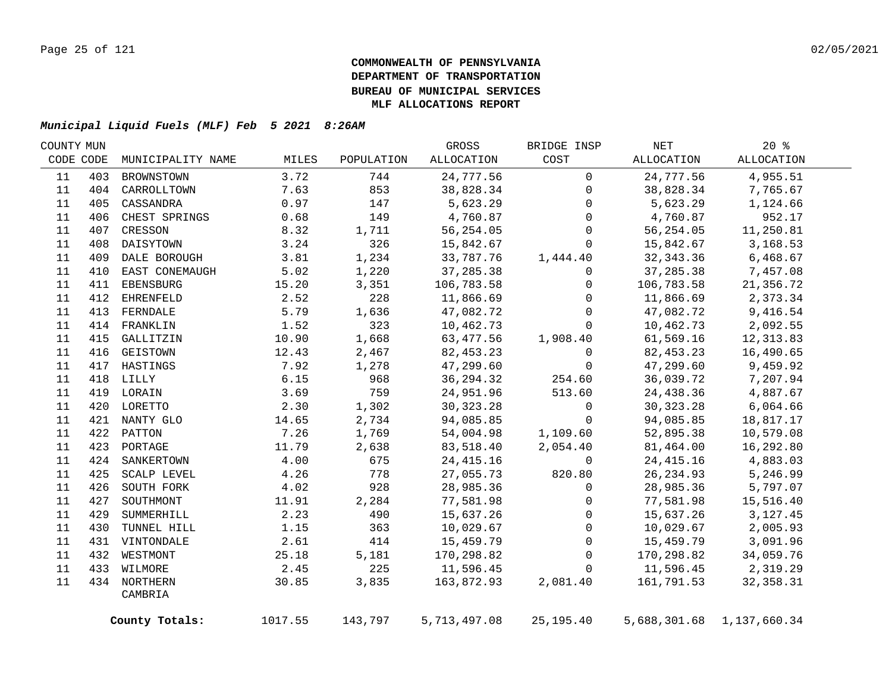|     |                         |                                                                                                                                                                                                                                                                                                      |            | GROSS        | BRIDGE INSP  | NET         | $20*$      |                                                                                                                                                                                                                               |
|-----|-------------------------|------------------------------------------------------------------------------------------------------------------------------------------------------------------------------------------------------------------------------------------------------------------------------------------------------|------------|--------------|--------------|-------------|------------|-------------------------------------------------------------------------------------------------------------------------------------------------------------------------------------------------------------------------------|
|     | MUNICIPALITY NAME       | MILES                                                                                                                                                                                                                                                                                                | POPULATION | ALLOCATION   | COST         | ALLOCATION  | ALLOCATION |                                                                                                                                                                                                                               |
| 403 | BROWNSTOWN              | 3.72                                                                                                                                                                                                                                                                                                 | 744        | 24,777.56    | $\mathbf 0$  | 24,777.56   | 4,955.51   |                                                                                                                                                                                                                               |
|     |                         | 7.63                                                                                                                                                                                                                                                                                                 | 853        | 38,828.34    | $\mathbf 0$  |             | 7,765.67   |                                                                                                                                                                                                                               |
| 405 | CASSANDRA               | 0.97                                                                                                                                                                                                                                                                                                 | 147        | 5,623.29     | $\mathbf 0$  |             | 1,124.66   |                                                                                                                                                                                                                               |
| 406 | CHEST SPRINGS           | 0.68                                                                                                                                                                                                                                                                                                 | 149        | 4,760.87     | $\Omega$     |             | 952.17     |                                                                                                                                                                                                                               |
|     | CRESSON                 | 8.32                                                                                                                                                                                                                                                                                                 | 1,711      | 56,254.05    | $\mathbf 0$  |             | 11,250.81  |                                                                                                                                                                                                                               |
| 408 |                         | 3.24                                                                                                                                                                                                                                                                                                 | 326        | 15,842.67    | $\mathbf 0$  |             | 3,168.53   |                                                                                                                                                                                                                               |
|     |                         | 3.81                                                                                                                                                                                                                                                                                                 | 1,234      | 33,787.76    | 1,444.40     | 32, 343.36  | 6,468.67   |                                                                                                                                                                                                                               |
| 410 |                         | 5.02                                                                                                                                                                                                                                                                                                 | 1,220      | 37,285.38    | $\mathsf{O}$ | 37,285.38   | 7,457.08   |                                                                                                                                                                                                                               |
| 411 | EBENSBURG               | 15.20                                                                                                                                                                                                                                                                                                | 3,351      | 106,783.58   | 0            | 106,783.58  | 21,356.72  |                                                                                                                                                                                                                               |
| 412 | EHRENFELD               | 2.52                                                                                                                                                                                                                                                                                                 | 228        | 11,866.69    | $\mathbf{0}$ |             | 2,373.34   |                                                                                                                                                                                                                               |
| 413 | FERNDALE                | 5.79                                                                                                                                                                                                                                                                                                 | 1,636      | 47,082.72    | $\mathbf 0$  | 47,082.72   | 9,416.54   |                                                                                                                                                                                                                               |
|     |                         | 1.52                                                                                                                                                                                                                                                                                                 | 323        | 10,462.73    | $\Omega$     |             | 2,092.55   |                                                                                                                                                                                                                               |
| 415 | GALLITZIN               | 10.90                                                                                                                                                                                                                                                                                                | 1,668      | 63,477.56    | 1,908.40     | 61,569.16   | 12, 313.83 |                                                                                                                                                                                                                               |
|     | GEISTOWN                | 12.43                                                                                                                                                                                                                                                                                                | 2,467      | 82, 453.23   | $\mathbf 0$  | 82, 453. 23 | 16,490.65  |                                                                                                                                                                                                                               |
|     | HASTINGS                | 7.92                                                                                                                                                                                                                                                                                                 | 1,278      | 47,299.60    | $\mathbf 0$  | 47,299.60   | 9,459.92   |                                                                                                                                                                                                                               |
|     |                         | 6.15                                                                                                                                                                                                                                                                                                 | 968        | 36, 294.32   | 254.60       | 36,039.72   | 7,207.94   |                                                                                                                                                                                                                               |
|     |                         | 3.69                                                                                                                                                                                                                                                                                                 | 759        | 24,951.96    | 513.60       | 24,438.36   | 4,887.67   |                                                                                                                                                                                                                               |
|     |                         | 2.30                                                                                                                                                                                                                                                                                                 | 1,302      | 30, 323. 28  | 0            | 30, 323. 28 | 6,064.66   |                                                                                                                                                                                                                               |
|     |                         | 14.65                                                                                                                                                                                                                                                                                                | 2,734      | 94,085.85    | $\Omega$     | 94,085.85   | 18,817.17  |                                                                                                                                                                                                                               |
|     |                         | 7.26                                                                                                                                                                                                                                                                                                 | 1,769      | 54,004.98    | 1,109.60     | 52,895.38   | 10,579.08  |                                                                                                                                                                                                                               |
|     |                         | 11.79                                                                                                                                                                                                                                                                                                | 2,638      | 83,518.40    | 2,054.40     | 81,464.00   | 16,292.80  |                                                                                                                                                                                                                               |
|     |                         | 4.00                                                                                                                                                                                                                                                                                                 | 675        | 24, 415.16   | $\Omega$     | 24, 415.16  | 4,883.03   |                                                                                                                                                                                                                               |
| 425 | SCALP LEVEL             | 4.26                                                                                                                                                                                                                                                                                                 | 778        | 27,055.73    | 820.80       |             | 5,246.99   |                                                                                                                                                                                                                               |
| 426 | SOUTH FORK              | 4.02                                                                                                                                                                                                                                                                                                 | 928        | 28,985.36    | $\Omega$     |             | 5,797.07   |                                                                                                                                                                                                                               |
| 427 | SOUTHMONT               | 11.91                                                                                                                                                                                                                                                                                                | 2,284      | 77,581.98    | $\mathbf{0}$ |             | 15,516.40  |                                                                                                                                                                                                                               |
| 429 | SUMMERHILL              | 2.23                                                                                                                                                                                                                                                                                                 | 490        | 15,637.26    | $\mathbf 0$  | 15,637.26   | 3, 127. 45 |                                                                                                                                                                                                                               |
| 430 | TUNNEL HILL             | 1.15                                                                                                                                                                                                                                                                                                 | 363        | 10,029.67    | $\mathbf 0$  |             | 2,005.93   |                                                                                                                                                                                                                               |
|     |                         | 2.61                                                                                                                                                                                                                                                                                                 | 414        | 15,459.79    | $\mathbf 0$  |             | 3,091.96   |                                                                                                                                                                                                                               |
|     |                         | 25.18                                                                                                                                                                                                                                                                                                | 5,181      | 170,298.82   | $\mathbf 0$  |             | 34,059.76  |                                                                                                                                                                                                                               |
|     |                         | 2.45                                                                                                                                                                                                                                                                                                 | 225        | 11,596.45    | $\mathbf 0$  |             | 2,319.29   |                                                                                                                                                                                                                               |
|     |                         | 30.85                                                                                                                                                                                                                                                                                                | 3,835      | 163,872.93   | 2,081.40     |             | 32, 358.31 |                                                                                                                                                                                                                               |
|     | CAMBRIA                 |                                                                                                                                                                                                                                                                                                      |            |              |              |             |            |                                                                                                                                                                                                                               |
|     |                         | 1017.55                                                                                                                                                                                                                                                                                              | 143,797    | 5,713,497.08 | 25, 195.40   |             |            |                                                                                                                                                                                                                               |
|     | COUNTY MUN<br>CODE CODE | 404 CARROLLTOWN<br>407<br>DAISYTOWN<br>409 DALE BOROUGH<br>EAST CONEMAUGH<br>414 FRANKLIN<br>416<br>417<br>418 LILLY<br>419 LORAIN<br>420 LORETTO<br>421 NANTY GLO<br>422 PATTON<br>423 PORTAGE<br>424 SANKERTOWN<br>431 VINTONDALE<br>432 WESTMONT<br>433 WILMORE<br>434 NORTHERN<br>County Totals: |            |              |              |             |            | 38,828.34<br>5,623.29<br>4,760.87<br>56,254.05<br>15,842.67<br>11,866.69<br>10,462.73<br>26, 234.93<br>28,985.36<br>77,581.98<br>10,029.67<br>15,459.79<br>170,298.82<br>11,596.45<br>161,791.53<br>5,688,301.68 1,137,660.34 |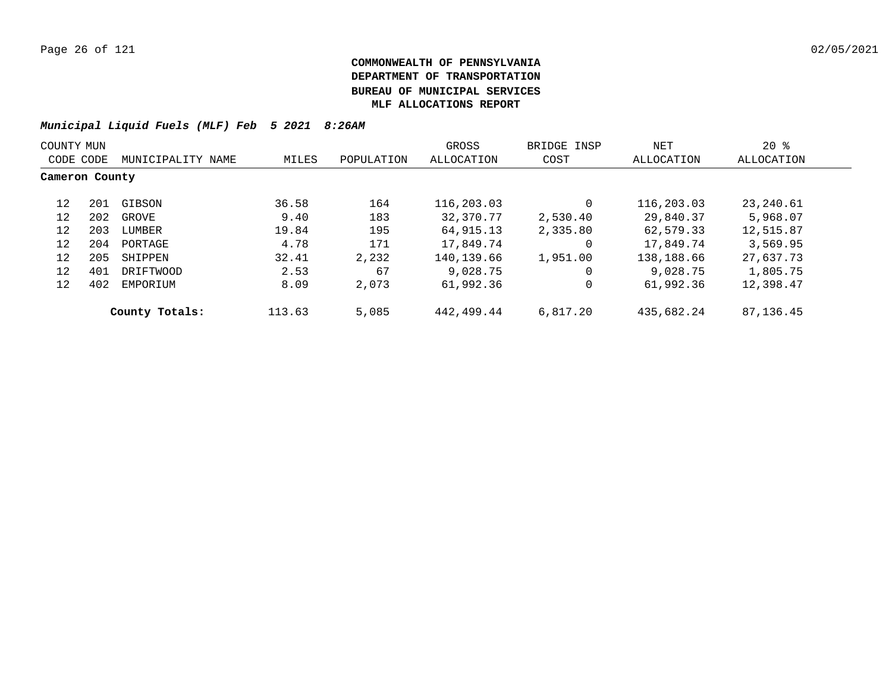| COUNTY MUN     |     |                   |        |            | GROSS      | BRIDGE INSP | NET        | $20*$       |
|----------------|-----|-------------------|--------|------------|------------|-------------|------------|-------------|
| CODE CODE      |     | MUNICIPALITY NAME | MILES  | POPULATION | ALLOCATION | COST        | ALLOCATION | ALLOCATION  |
| Cameron County |     |                   |        |            |            |             |            |             |
| 12             | 201 | GIBSON            | 36.58  | 164        | 116,203.03 |             | 116,203.03 | 23,240.61   |
| 12             | 202 | GROVE             | 9.40   | 183        | 32,370.77  | 2,530.40    | 29,840.37  | 5,968.07    |
| 12             | 203 | LUMBER            | 19.84  | 195        | 64,915.13  | 2,335.80    | 62,579.33  | 12,515.87   |
| 12             | 204 | PORTAGE           | 4.78   | 171        | 17,849.74  | $\Omega$    | 17,849.74  | 3,569.95    |
| 12             | 205 | SHIPPEN           | 32.41  | 2,232      | 140,139.66 | 1,951.00    | 138,188.66 | 27,637.73   |
| 12             | 401 | DRIFTWOOD         | 2.53   | 67         | 9,028.75   |             | 9,028.75   | 1,805.75    |
| 12             | 402 | EMPORIUM          | 8.09   | 2,073      | 61,992.36  |             | 61,992.36  | 12,398.47   |
|                |     | County Totals:    | 113.63 | 5,085      | 442,499.44 | 6,817.20    | 435,682.24 | 87, 136. 45 |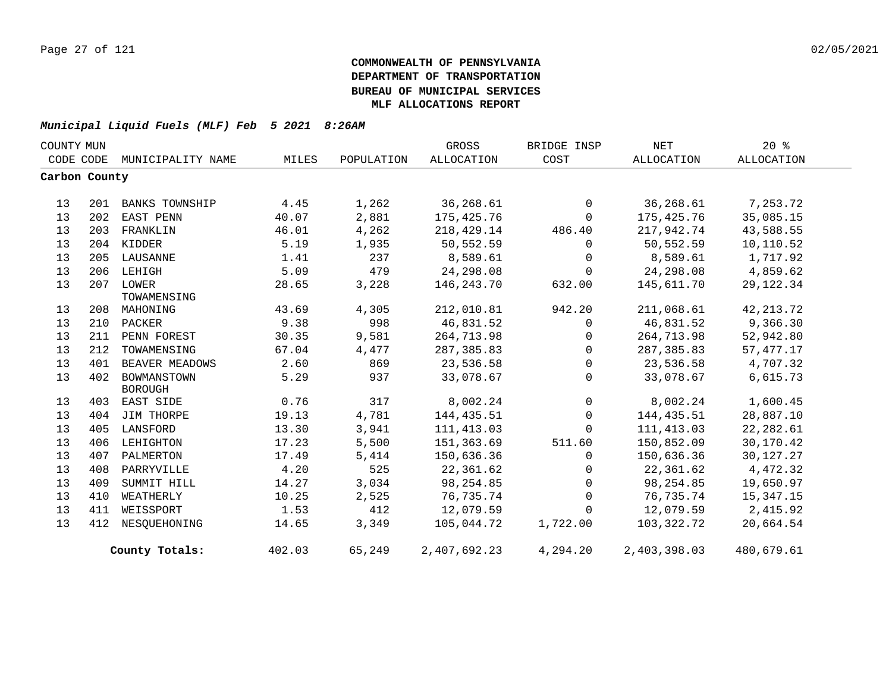| COUNTY MUN    |     |                       |        |            | GROSS        | BRIDGE INSP    | NET          | $20*$       |  |
|---------------|-----|-----------------------|--------|------------|--------------|----------------|--------------|-------------|--|
| CODE CODE     |     | MUNICIPALITY NAME     | MILES  | POPULATION | ALLOCATION   | COST           | ALLOCATION   | ALLOCATION  |  |
| Carbon County |     |                       |        |            |              |                |              |             |  |
|               |     |                       |        |            |              |                |              |             |  |
| 13            | 201 | <b>BANKS TOWNSHIP</b> | 4.45   | 1,262      | 36,268.61    | $\mathbf{0}$   | 36,268.61    | 7,253.72    |  |
| 13            | 202 | EAST PENN             | 40.07  | 2,881      | 175,425.76   | $\mathbf{0}$   | 175,425.76   | 35,085.15   |  |
| 13            | 203 | FRANKLIN              | 46.01  | 4,262      | 218,429.14   | 486.40         | 217,942.74   | 43,588.55   |  |
| 13            |     | 204 KIDDER            | 5.19   | 1,935      | 50,552.59    | $\Omega$       | 50,552.59    | 10,110.52   |  |
| 13            |     | 205 LAUSANNE          | 1.41   | 237        | 8,589.61     | $\mathbf{0}$   | 8,589.61     | 1,717.92    |  |
| 13            | 206 | LEHIGH                | 5.09   | 479        | 24,298.08    | $\mathbf 0$    | 24,298.08    | 4,859.62    |  |
| 13            |     | 207 LOWER             | 28.65  | 3,228      | 146,243.70   | 632.00         | 145,611.70   | 29, 122.34  |  |
|               |     | TOWAMENSING           |        |            |              |                |              |             |  |
| 13            | 208 | MAHONING              | 43.69  | 4,305      | 212,010.81   | 942.20         | 211,068.61   | 42, 213.72  |  |
| 13            | 210 | PACKER                | 9.38   | 998        | 46,831.52    | $\mathbf 0$    | 46,831.52    | 9,366.30    |  |
| 13            | 211 | PENN FOREST           | 30.35  | 9,581      | 264,713.98   | $\Omega$       | 264,713.98   | 52,942.80   |  |
| 13            | 212 | TOWAMENSING           | 67.04  | 4,477      | 287,385.83   | $\mathbf{0}$   | 287,385.83   | 57, 477. 17 |  |
| 13            | 401 | BEAVER MEADOWS        | 2.60   | 869        | 23,536.58    | $\mathbf 0$    | 23,536.58    | 4,707.32    |  |
| 13            | 402 | BOWMANSTOWN           | 5.29   | 937        | 33,078.67    | $\Omega$       | 33,078.67    | 6,615.73    |  |
|               |     | <b>BOROUGH</b>        |        |            |              |                |              |             |  |
| 13            | 403 | EAST SIDE             | 0.76   | 317        | 8,002.24     | $\overline{0}$ | 8,002.24     | 1,600.45    |  |
| 13            | 404 | JIM THORPE            | 19.13  | 4,781      | 144,435.51   | $\overline{0}$ | 144,435.51   | 28,887.10   |  |
| 13            | 405 | LANSFORD              | 13.30  | 3,941      | 111, 413.03  | $\mathbf 0$    | 111, 413.03  | 22,282.61   |  |
| 13            | 406 | LEHIGHTON             | 17.23  | 5,500      | 151,363.69   | 511.60         | 150,852.09   | 30,170.42   |  |
| 13            | 407 | PALMERTON             | 17.49  | 5,414      | 150,636.36   | $\mathbf 0$    | 150,636.36   | 30,127.27   |  |
| 13            | 408 | PARRYVILLE            | 4.20   | 525        | 22,361.62    | $\mathbf 0$    | 22,361.62    | 4,472.32    |  |
| 13            | 409 | SUMMIT HILL           | 14.27  | 3,034      | 98,254.85    | $\Omega$       | 98,254.85    | 19,650.97   |  |
| 13            | 410 | WEATHERLY             | 10.25  | 2,525      | 76,735.74    | $\mathbf 0$    | 76,735.74    | 15,347.15   |  |
| 13            | 411 | WEISSPORT             | 1.53   | 412        | 12,079.59    | $\Omega$       | 12,079.59    | 2,415.92    |  |
| 13            | 412 | NESOUEHONING          | 14.65  | 3,349      | 105,044.72   | 1,722.00       | 103,322.72   | 20,664.54   |  |
|               |     | County Totals:        | 402.03 | 65,249     | 2,407,692.23 | 4,294.20       | 2,403,398.03 | 480,679.61  |  |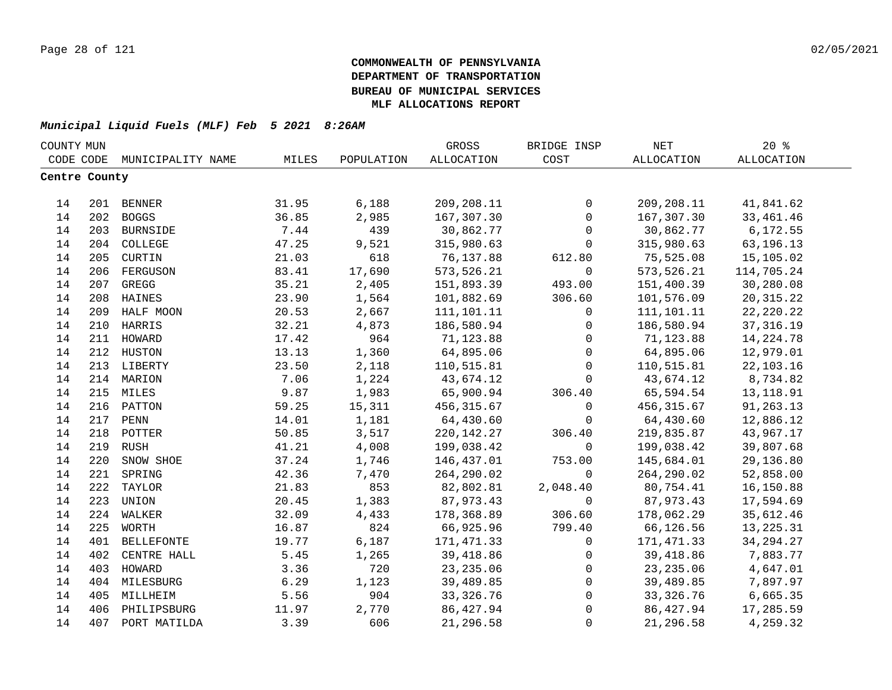| COUNTY MUN    |     |                   |       |            | GROSS             | BRIDGE INSP         | $\operatorname{NET}$ | $20*$       |  |
|---------------|-----|-------------------|-------|------------|-------------------|---------------------|----------------------|-------------|--|
| CODE CODE     |     | MUNICIPALITY NAME | MILES | POPULATION | <b>ALLOCATION</b> | COST                | ALLOCATION           | ALLOCATION  |  |
| Centre County |     |                   |       |            |                   |                     |                      |             |  |
|               |     |                   |       |            |                   |                     |                      |             |  |
| 14            |     | 201 BENNER        | 31.95 | 6,188      | 209,208.11        | $\mathsf{O}$        | 209,208.11           | 41,841.62   |  |
| 14            |     | 202 BOGGS         | 36.85 | 2,985      | 167,307.30        | $\mathbf 0$         | 167,307.30           | 33, 461. 46 |  |
| 14            |     | 203 BURNSIDE      | 7.44  | 439        | 30,862.77         | $\mathbf 0$         | 30,862.77            | 6, 172.55   |  |
| 14            |     | 204 COLLEGE       | 47.25 | 9,521      | 315,980.63        | $\mathbf 0$         | 315,980.63           | 63,196.13   |  |
| 14            | 205 | CURTIN            | 21.03 | 618        | 76,137.88         | 612.80              | 75,525.08            | 15,105.02   |  |
| 14            | 206 | FERGUSON          | 83.41 | 17,690     | 573, 526.21       | $\mathsf{O}$        | 573,526.21           | 114,705.24  |  |
| 14            | 207 | GREGG             | 35.21 | 2,405      | 151,893.39        | 493.00              | 151,400.39           | 30,280.08   |  |
| 14            | 208 | HAINES            | 23.90 | 1,564      | 101,882.69        | 306.60              | 101,576.09           | 20, 315. 22 |  |
| 14            | 209 | HALF MOON         | 20.53 | 2,667      | 111,101.11        | $\mathbf 0$         | 111,101.11           | 22, 220. 22 |  |
| 14            | 210 | HARRIS            | 32.21 | 4,873      | 186,580.94        | $\mathsf{O}$        | 186,580.94           | 37, 316.19  |  |
| 14            | 211 | HOWARD            | 17.42 | 964        | 71,123.88         | $\mathbf 0$         | 71,123.88            | 14, 224. 78 |  |
| 14            | 212 | HUSTON            | 13.13 | 1,360      | 64,895.06         | $\mathbf 0$         | 64,895.06            | 12,979.01   |  |
| 14            |     | 213 LIBERTY       | 23.50 | 2,118      | 110,515.81        | $\mathbf 0$         | 110,515.81           | 22, 103. 16 |  |
| 14            |     | 214 MARION        | 7.06  | 1,224      | 43,674.12         | $\Omega$            | 43,674.12            | 8,734.82    |  |
| 14            |     | 215 MILES         | 9.87  | 1,983      | 65,900.94         | 306.40              | 65,594.54            | 13, 118.91  |  |
| 14            |     | 216 PATTON        | 59.25 | 15,311     | 456, 315.67       | $\mathbf 0$         | 456, 315.67          | 91,263.13   |  |
| 14            |     | 217 PENN          | 14.01 | 1,181      | 64,430.60         | $\mathbf 0$         | 64,430.60            | 12,886.12   |  |
| 14            | 218 | POTTER            | 50.85 | 3,517      | 220, 142. 27      | 306.40              | 219,835.87           | 43,967.17   |  |
| 14            | 219 | <b>RUSH</b>       | 41.21 | 4,008      | 199,038.42        | $\mathbf 0$         | 199,038.42           | 39,807.68   |  |
| 14            | 220 | SNOW SHOE         | 37.24 | 1,746      | 146,437.01        | 753.00              | 145,684.01           | 29,136.80   |  |
| 14            | 221 | SPRING            | 42.36 | 7,470      | 264,290.02        | $\Omega$            | 264, 290.02          | 52,858.00   |  |
| 14            | 222 | TAYLOR            | 21.83 | 853        | 82,802.81         | 2,048.40            | 80,754.41            | 16,150.88   |  |
| 14            | 223 | UNION             | 20.45 | 1,383      | 87,973.43         | $\mathbf 0$         | 87,973.43            | 17,594.69   |  |
| 14            | 224 | WALKER            | 32.09 | 4,433      | 178,368.89        | 306.60              | 178,062.29           | 35,612.46   |  |
| 14            | 225 | WORTH             | 16.87 | 824        | 66,925.96         | 799.40              | 66,126.56            | 13, 225. 31 |  |
| 14            | 401 | <b>BELLEFONTE</b> | 19.77 | 6,187      | 171,471.33        | $\mathbf 0$         | 171,471.33           | 34, 294. 27 |  |
| 14            | 402 | CENTRE HALL       | 5.45  | 1,265      | 39,418.86         | $\mathsf{O}$        | 39,418.86            | 7,883.77    |  |
| 14            | 403 | HOWARD            | 3.36  | 720        | 23, 235.06        | $\mathsf{O}$        | 23, 235.06           | 4,647.01    |  |
| 14            |     | 404 MILESBURG     | 6.29  | 1,123      | 39,489.85         | $\mathbf 0$         | 39,489.85            | 7,897.97    |  |
| 14            | 405 | MILLHEIM          | 5.56  | 904        | 33, 326. 76       | 0                   | 33,326.76            | 6,665.35    |  |
| 14            | 406 | PHILIPSBURG       | 11.97 | 2,770      | 86, 427.94        | $\mathsf{O}\xspace$ | 86, 427.94           | 17,285.59   |  |
| 14            | 407 | PORT MATILDA      | 3.39  | 606        | 21,296.58         | $\mathbf 0$         | 21,296.58            | 4,259.32    |  |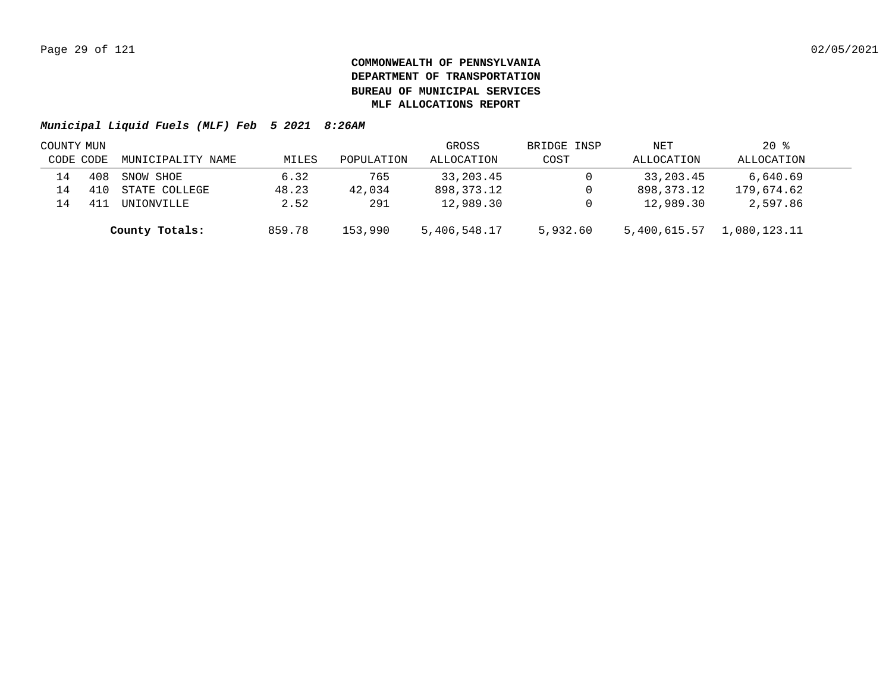| COUNTY MUN |     |                   |        |            | GROSS        | BRIDGE INSP | NET          | $20*$        |  |
|------------|-----|-------------------|--------|------------|--------------|-------------|--------------|--------------|--|
| CODE CODE  |     | MUNICIPALITY NAME | MILES  | POPULATION | ALLOCATION   | COST        | ALLOCATION   | ALLOCATION   |  |
| 14         | 408 | SNOW SHOE         | 6.32   | 765        | 33,203.45    |             | 33,203.45    | 6,640.69     |  |
| 14         |     | STATE COLLEGE     | 48.23  | 42,034     | 898,373.12   |             | 898,373.12   | 179,674.62   |  |
| L4         |     | UNIONVILLE        | 2.52   | 291        | 12,989.30    |             | 12,989.30    | 2,597.86     |  |
|            |     | County Totals:    | 859.78 | 153,990    | 5,406,548.17 | 5,932.60    | 5,400,615.57 | 1,080,123.11 |  |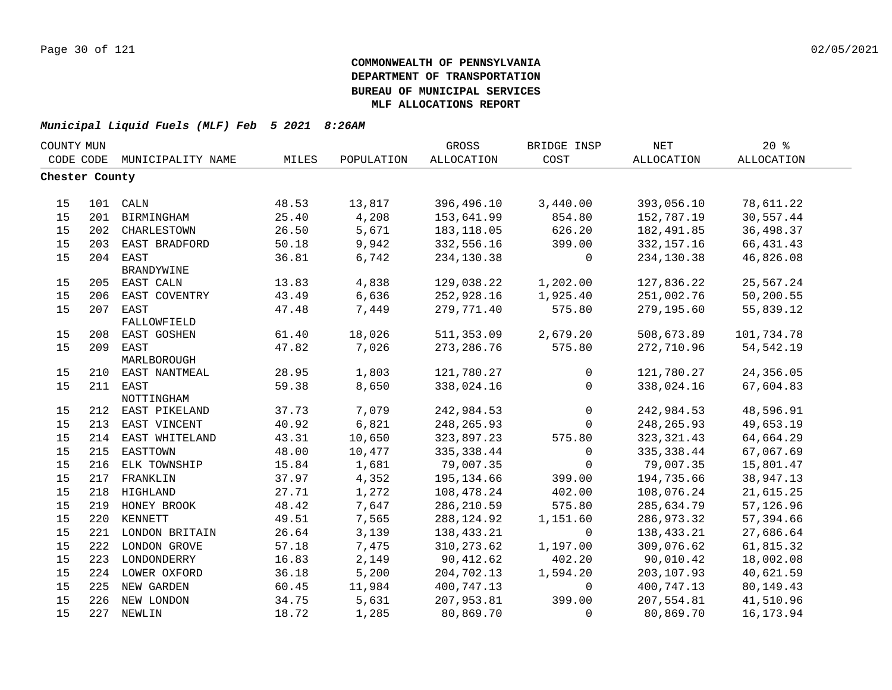| COUNTY MUN     |     |                                 |       |            | GROSS                      | BRIDGE INSP             | <b>NET</b>        | 20%               |  |
|----------------|-----|---------------------------------|-------|------------|----------------------------|-------------------------|-------------------|-------------------|--|
| CODE CODE      |     | MUNICIPALITY NAME               | MILES | POPULATION | ALLOCATION                 | COST                    | <b>ALLOCATION</b> | <b>ALLOCATION</b> |  |
| Chester County |     |                                 |       |            |                            |                         |                   |                   |  |
|                |     |                                 |       |            |                            |                         |                   |                   |  |
| 15             |     | 101 CALN                        | 48.53 | 13,817     | 396,496.10                 | 3,440.00                | 393,056.10        | 78,611.22         |  |
| 15             | 201 | BIRMINGHAM                      | 25.40 | 4,208      | 153,641.99                 | 854.80                  | 152,787.19        | 30,557.44         |  |
| 15             |     | 202 CHARLESTOWN                 | 26.50 | 5,671      | 183, 118.05                | 626.20                  | 182,491.85        | 36,498.37         |  |
| 15             | 203 | EAST BRADFORD                   | 50.18 | 9,942      | 332,556.16                 | 399.00                  | 332, 157. 16      | 66, 431.43        |  |
| 15             | 204 | EAST                            | 36.81 | 6,742      | 234,130.38                 | $\mathbf 0$             | 234,130.38        | 46,826.08         |  |
|                |     | <b>BRANDYWINE</b>               |       |            |                            |                         |                   |                   |  |
| 15             |     | 205 EAST CALN                   | 13.83 | 4,838      | 129,038.22                 | 1,202.00                | 127,836.22        | 25,567.24         |  |
| 15             | 206 | EAST COVENTRY                   | 43.49 | 6,636      | 252,928.16                 | 1,925.40                | 251,002.76        | 50,200.55         |  |
| 15             | 207 | EAST                            | 47.48 | 7,449      | 279,771.40                 | 575.80                  | 279,195.60        | 55,839.12         |  |
|                |     | FALLOWFIELD                     |       |            |                            |                         |                   |                   |  |
| 15             | 208 | EAST GOSHEN                     | 61.40 | 18,026     | 511, 353.09                | 2,679.20                | 508,673.89        | 101,734.78        |  |
| 15             | 209 | EAST                            | 47.82 | 7,026      | 273, 286.76                | 575.80                  | 272,710.96        | 54, 542.19        |  |
|                |     | MARLBOROUGH                     |       |            |                            |                         |                   |                   |  |
| 15             |     | 210 EAST NANTMEAL               | 28.95 | 1,803      | 121,780.27                 | $\mathbf{0}$            | 121,780.27        | 24,356.05         |  |
| 15             |     | 211 EAST                        | 59.38 | 8,650      | 338,024.16                 | $\Omega$                | 338,024.16        | 67,604.83         |  |
| 15             |     | NOTTINGHAM<br>212 EAST PIKELAND | 37.73 | 7,079      | 242,984.53                 | 0                       | 242,984.53        | 48,596.91         |  |
| 15             | 213 | EAST VINCENT                    | 40.92 | 6,821      | 248, 265.93                | $\mathbf 0$             | 248, 265.93       | 49,653.19         |  |
| 15             | 214 | EAST WHITELAND                  | 43.31 | 10,650     | 323,897.23                 | 575.80                  | 323, 321.43       | 64,664.29         |  |
| 15             | 215 | EASTTOWN                        | 48.00 | 10,477     | 335, 338.44                | $\mathbf 0$             | 335, 338.44       | 67,067.69         |  |
| 15             | 216 | ELK TOWNSHIP                    | 15.84 | 1,681      | 79,007.35                  | $\mathbf 0$             | 79,007.35         | 15,801.47         |  |
| 15             |     | 217 FRANKLIN                    | 37.97 | 4,352      | 195,134.66                 | 399.00                  | 194,735.66        | 38,947.13         |  |
| 15             |     | 218 HIGHLAND                    | 27.71 | 1,272      | 108,478.24                 | 402.00                  | 108,076.24        | 21,615.25         |  |
| $15$           |     | 219 HONEY BROOK                 | 48.42 | 7,647      |                            | 575.80                  | 285,634.79        | 57,126.96         |  |
| 15             |     | 220 KENNETT                     | 49.51 |            | 286, 210.59<br>288, 124.92 |                         | 286,973.32        | 57,394.66         |  |
| 15             |     | 221 LONDON BRITAIN              |       | 7,565      |                            | 1,151.60                | 138,433.21        |                   |  |
| 15             |     |                                 | 26.64 | 3,139      | 138,433.21                 | $\mathbf 0$<br>1,197.00 | 309,076.62        | 27,686.64         |  |
|                |     | 222 LONDON GROVE                | 57.18 | 7,475      | 310, 273.62                |                         |                   | 61,815.32         |  |
| 15             |     | 223 LONDONDERRY                 | 16.83 | 2,149      | 90,412.62                  | 402.20                  | 90,010.42         | 18,002.08         |  |
| 15             |     | 224 LOWER OXFORD                | 36.18 | 5,200      | 204,702.13                 | 1,594.20                | 203,107.93        | 40,621.59         |  |
| 15             |     | 225 NEW GARDEN                  | 60.45 | 11,984     | 400,747.13                 | $\mathbf{0}$            | 400,747.13        | 80, 149. 43       |  |
| 15             |     | 226 NEW LONDON                  | 34.75 | 5,631      | 207,953.81                 | 399.00                  | 207,554.81        | 41,510.96         |  |
| 15             |     | 227 NEWLIN                      | 18.72 | 1,285      | 80,869.70                  | $\Omega$                | 80,869.70         | 16, 173.94        |  |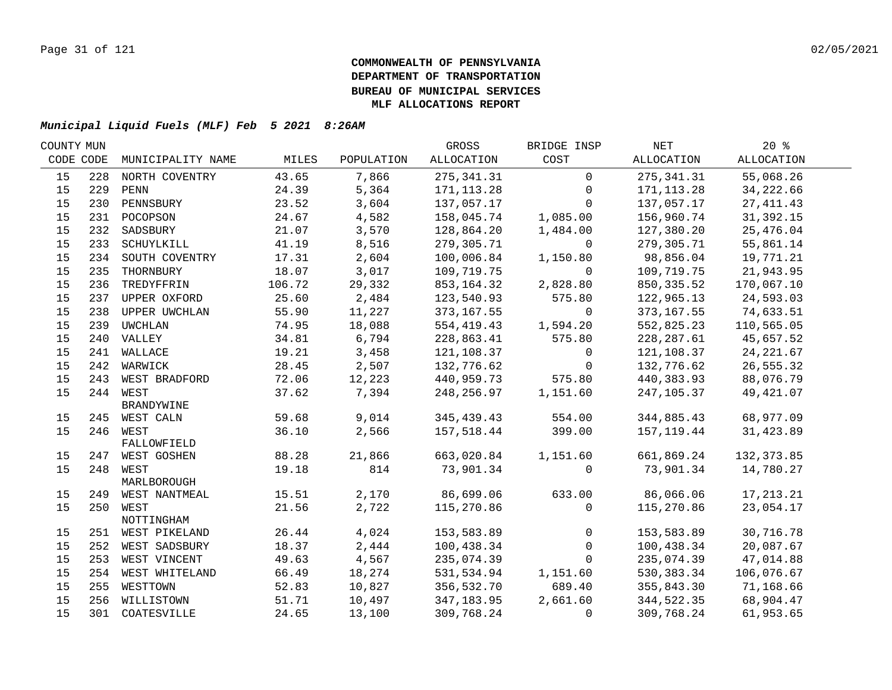| COUNTY MUN |     |                                |        |            | GROSS       | BRIDGE INSP  | NET          | $20*$       |  |
|------------|-----|--------------------------------|--------|------------|-------------|--------------|--------------|-------------|--|
| CODE CODE  |     | MUNICIPALITY NAME              | MILES  | POPULATION | ALLOCATION  | COST         | ALLOCATION   | ALLOCATION  |  |
| 15         | 228 | NORTH COVENTRY                 | 43.65  | 7,866      | 275, 341.31 | $\mathbf 0$  | 275, 341.31  | 55,068.26   |  |
| 15         | 229 | PENN                           | 24.39  | 5,364      | 171, 113.28 | $\mathbf{0}$ | 171, 113.28  | 34,222.66   |  |
| 15         | 230 | PENNSBURY                      | 23.52  | 3,604      | 137,057.17  | $\Omega$     | 137,057.17   | 27, 411.43  |  |
| 15         |     | 231 POCOPSON                   | 24.67  | 4,582      | 158,045.74  | 1,085.00     | 156,960.74   | 31,392.15   |  |
| 15         |     | 232 SADSBURY                   | 21.07  | 3,570      | 128,864.20  | 1,484.00     | 127,380.20   | 25,476.04   |  |
| 15         | 233 | SCHUYLKILL                     | 41.19  | 8,516      | 279,305.71  | $\mathbf 0$  | 279,305.71   | 55,861.14   |  |
| 15         |     | 234 SOUTH COVENTRY             | 17.31  | 2,604      | 100,006.84  | 1,150.80     | 98,856.04    | 19,771.21   |  |
| 15         | 235 | THORNBURY                      | 18.07  | 3,017      | 109,719.75  | $\mathbf 0$  | 109,719.75   | 21,943.95   |  |
| 15         | 236 | TREDYFFRIN                     | 106.72 | 29,332     | 853,164.32  | 2,828.80     | 850, 335.52  | 170,067.10  |  |
| 15         | 237 | UPPER OXFORD                   | 25.60  | 2,484      | 123,540.93  | 575.80       | 122,965.13   | 24,593.03   |  |
| 15         | 238 | <b>UPPER UWCHLAN</b>           | 55.90  | 11,227     | 373,167.55  | $\Omega$     | 373, 167.55  | 74,633.51   |  |
| 15         | 239 | UWCHLAN                        | 74.95  | 18,088     | 554,419.43  | 1,594.20     | 552,825.23   | 110,565.05  |  |
| 15         |     | 240 VALLEY                     | 34.81  | 6,794      | 228,863.41  | 575.80       | 228, 287.61  | 45,657.52   |  |
| 15         |     | 241 WALLACE                    | 19.21  | 3,458      | 121,108.37  | $\mathsf{O}$ | 121,108.37   | 24, 221.67  |  |
| 15         |     | 242 WARWICK                    | 28.45  | 2,507      | 132,776.62  | $\mathbf 0$  | 132,776.62   | 26,555.32   |  |
| 15         |     | 243 WEST BRADFORD              | 72.06  | 12,223     | 440,959.73  | 575.80       | 440,383.93   | 88,076.79   |  |
| 15         |     | 244 WEST                       | 37.62  | 7,394      | 248,256.97  | 1,151.60     | 247,105.37   | 49, 421.07  |  |
|            |     | BRANDYWINE                     |        |            |             |              |              |             |  |
| 15         |     | 245 WEST CALN                  | 59.68  | 9,014      | 345, 439.43 | 554.00       | 344,885.43   | 68,977.09   |  |
| 15         |     | 246 WEST                       | 36.10  | 2,566      | 157,518.44  | 399.00       | 157, 119.44  | 31,423.89   |  |
| 15         |     | FALLOWFIELD<br>247 WEST GOSHEN | 88.28  | 21,866     | 663,020.84  | 1,151.60     | 661,869.24   | 132, 373.85 |  |
| 15         |     | 248 WEST                       | 19.18  | 814        | 73,901.34   | $\Omega$     | 73,901.34    | 14,780.27   |  |
|            |     | MARLBOROUGH                    |        |            |             |              |              |             |  |
| 15         |     | 249 WEST NANTMEAL              | 15.51  | 2,170      | 86,699.06   | 633.00       | 86,066.06    | 17, 213. 21 |  |
| 15         |     | 250 WEST                       | 21.56  | 2,722      | 115,270.86  | $\mathbf 0$  | 115,270.86   | 23,054.17   |  |
|            |     | NOTTINGHAM                     |        |            |             |              |              |             |  |
| 15         |     | 251 WEST PIKELAND              | 26.44  | 4,024      | 153,583.89  | $\mathbf 0$  | 153,583.89   | 30,716.78   |  |
| 15         |     | 252 WEST SADSBURY              | 18.37  | 2,444      | 100,438.34  | $\mathsf{O}$ | 100,438.34   | 20,087.67   |  |
| 15         |     | 253 WEST VINCENT               | 49.63  | 4,567      | 235,074.39  | $\Omega$     | 235,074.39   | 47,014.88   |  |
| 15         |     | 254 WEST WHITELAND             | 66.49  | 18,274     | 531,534.94  | 1,151.60     | 530, 383. 34 | 106,076.67  |  |
| 15         | 255 | WESTTOWN                       | 52.83  | 10,827     | 356,532.70  | 689.40       | 355,843.30   | 71,168.66   |  |
| 15         |     | 256 WILLISTOWN                 | 51.71  | 10,497     | 347,183.95  | 2,661.60     | 344,522.35   | 68,904.47   |  |
| 15         |     | 301 COATESVILLE                | 24.65  | 13,100     | 309,768.24  | 0            | 309,768.24   | 61,953.65   |  |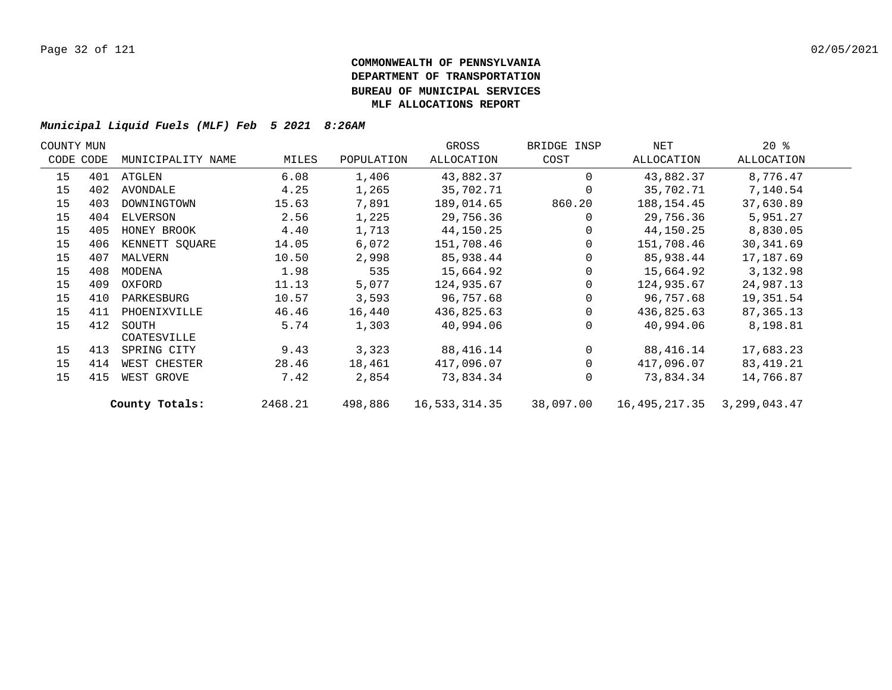| COUNTY MUN |           |                   |         |            | GROSS             | BRIDGE INSP | NET           | $20*$          |  |
|------------|-----------|-------------------|---------|------------|-------------------|-------------|---------------|----------------|--|
|            | CODE CODE | MUNICIPALITY NAME | MILES   | POPULATION | <b>ALLOCATION</b> | COST        | ALLOCATION    | ALLOCATION     |  |
| 15         | 401       | ATGLEN            | 6.08    | 1,406      | 43,882.37         | $\Omega$    | 43,882.37     | 8,776.47       |  |
| 15         | 402       | AVONDALE          | 4.25    | 1,265      | 35,702.71         | $\Omega$    | 35,702.71     | 7,140.54       |  |
| 15         | 403       | DOWNINGTOWN       | 15.63   | 7,891      | 189,014.65        | 860.20      | 188,154.45    | 37,630.89      |  |
| 15         | 404       | ELVERSON          | 2.56    | 1,225      | 29,756.36         | $\Omega$    | 29,756.36     | 5,951.27       |  |
| 15         | 405       | HONEY BROOK       | 4.40    | 1,713      | 44,150.25         | $\mathbf 0$ | 44,150.25     | 8,830.05       |  |
| 15         | 406       | KENNETT SQUARE    | 14.05   | 6,072      | 151,708.46        | $\Omega$    | 151,708.46    | 30, 341.69     |  |
| 15         | 407       | MALVERN           | 10.50   | 2,998      | 85,938.44         | $\Omega$    | 85,938.44     | 17,187.69      |  |
| 15         | 408       | MODENA            | 1.98    | 535        | 15,664.92         | $\Omega$    | 15,664.92     | 3,132.98       |  |
| 15         | 409       | OXFORD            | 11.13   | 5,077      | 124,935.67        | $\Omega$    | 124,935.67    | 24,987.13      |  |
| 15         | 410       | PARKESBURG        | 10.57   | 3,593      | 96,757.68         | $\Omega$    | 96,757.68     | 19,351.54      |  |
| 15         | 411       | PHOENIXVILLE      | 46.46   | 16,440     | 436,825.63        | $\Omega$    | 436,825.63    | 87, 365. 13    |  |
| 15         | 412       | SOUTH             | 5.74    | 1,303      | 40,994.06         | $\Omega$    | 40,994.06     | 8,198.81       |  |
|            |           | COATESVILLE       |         |            |                   |             |               |                |  |
| 15         | 413       | SPRING CITY       | 9.43    | 3,323      | 88,416.14         | $\mathbf 0$ | 88,416.14     | 17,683.23      |  |
| 15         | 414       | WEST CHESTER      | 28.46   | 18,461     | 417,096.07        | $\Omega$    | 417,096.07    | 83,419.21      |  |
| 15         | 415       | WEST GROVE        | 7.42    | 2,854      | 73,834.34         | $\Omega$    | 73,834.34     | 14,766.87      |  |
|            |           | County Totals:    | 2468.21 | 498,886    | 16,533,314.35     | 38,097.00   | 16,495,217.35 | 3, 299, 043.47 |  |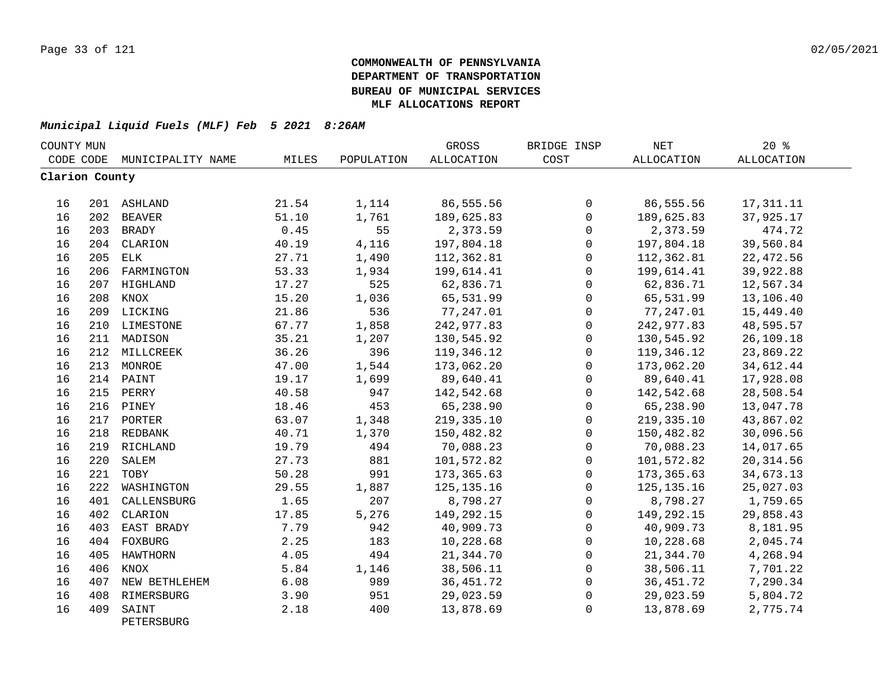| COUNTY MUN     |     |                     |       |            | GROSS        | BRIDGE INSP  | $\operatorname{NET}$ | 20%        |  |
|----------------|-----|---------------------|-------|------------|--------------|--------------|----------------------|------------|--|
| CODE CODE      |     | MUNICIPALITY NAME   | MILES | POPULATION | ALLOCATION   | COST         | ALLOCATION           | ALLOCATION |  |
| Clarion County |     |                     |       |            |              |              |                      |            |  |
| 16             |     | 201 ASHLAND         | 21.54 | 1,114      | 86,555.56    | 0            | 86,555.56            | 17, 311.11 |  |
| 16             |     | 202 BEAVER          | 51.10 | 1,761      | 189,625.83   | $\mathbf 0$  | 189,625.83           | 37,925.17  |  |
| 16             |     | 203 BRADY           | 0.45  | 55         | 2,373.59     | 0            | 2,373.59             | 474.72     |  |
| 16             |     | 204 CLARION         | 40.19 | 4,116      | 197,804.18   | 0            | 197,804.18           | 39,560.84  |  |
| 16             | 205 | ELK                 | 27.71 | 1,490      | 112,362.81   | $\mathbf 0$  | 112,362.81           | 22, 472.56 |  |
| 16             | 206 | FARMINGTON          | 53.33 | 1,934      | 199,614.41   | $\mathbf 0$  | 199,614.41           | 39,922.88  |  |
| 16             |     | 207 HIGHLAND        | 17.27 | 525        | 62,836.71    | $\mathbf 0$  | 62,836.71            | 12,567.34  |  |
| 16             | 208 | KNOX                | 15.20 | 1,036      | 65,531.99    | $\mathbf 0$  | 65,531.99            | 13,106.40  |  |
| 16             |     | 209 LICKING         | 21.86 | 536        | 77,247.01    | 0            | 77,247.01            | 15,449.40  |  |
| 16             |     | 210 LIMESTONE       | 67.77 | 1,858      | 242,977.83   | 0            | 242,977.83           | 48,595.57  |  |
| 16             |     | 211 MADISON         | 35.21 | 1,207      | 130,545.92   | $\mathbf 0$  | 130,545.92           | 26,109.18  |  |
| 16             |     | 212 MILLCREEK       | 36.26 | 396        | 119,346.12   | $\mathsf{O}$ | 119,346.12           | 23,869.22  |  |
| 16             |     | 213 MONROE          | 47.00 | 1,544      | 173,062.20   | 0            | 173,062.20           | 34,612.44  |  |
| 16             |     | 214 PAINT           | 19.17 | 1,699      | 89,640.41    | $\mathsf{O}$ | 89,640.41            | 17,928.08  |  |
| 16             |     | 215 PERRY           | 40.58 | 947        | 142,542.68   | $\mathsf{O}$ | 142,542.68           | 28,508.54  |  |
| 16             |     | 216 PINEY           | 18.46 | 453        | 65,238.90    | 0            | 65,238.90            | 13,047.78  |  |
| 16             |     | 217 PORTER          | 63.07 | 1,348      | 219, 335.10  | $\mathbf 0$  | 219, 335.10          | 43,867.02  |  |
| 16             |     | 218 REDBANK         | 40.71 | 1,370      | 150,482.82   | $\mathbf 0$  | 150,482.82           | 30,096.56  |  |
| 16             |     | 219 RICHLAND        | 19.79 | 494        | 70,088.23    | $\mathbf 0$  | 70,088.23            | 14,017.65  |  |
| 16             | 220 | SALEM               | 27.73 | 881        | 101,572.82   | $\mathbf 0$  | 101,572.82           | 20, 314.56 |  |
| 16             | 221 | TOBY                | 50.28 | 991        | 173,365.63   | $\mathbf 0$  | 173,365.63           | 34,673.13  |  |
| 16             | 222 | WASHINGTON          | 29.55 | 1,887      | 125, 135. 16 | $\mathbf 0$  | 125, 135. 16         | 25,027.03  |  |
| 16             | 401 | CALLENSBURG         | 1.65  | 207        | 8,798.27     | $\mathbf 0$  | 8,798.27             | 1,759.65   |  |
| 16             | 402 | CLARION             | 17.85 | 5,276      | 149,292.15   | $\mathsf{O}$ | 149,292.15           | 29,858.43  |  |
| 16             | 403 | EAST BRADY          | 7.79  | 942        | 40,909.73    | 0            | 40,909.73            | 8,181.95   |  |
| 16             |     | 404 FOXBURG         | 2.25  | 183        | 10,228.68    | $\mathsf{O}$ | 10,228.68            | 2,045.74   |  |
| 16             | 405 | HAWTHORN            | 4.05  | 494        | 21,344.70    | $\mathsf{O}$ | 21,344.70            | 4,268.94   |  |
| 16             | 406 | KNOX                | 5.84  | 1,146      | 38,506.11    | 0            | 38,506.11            | 7,701.22   |  |
| 16             | 407 | NEW BETHLEHEM       | 6.08  | 989        | 36, 451.72   | $\mathbf 0$  | 36, 451.72           | 7,290.34   |  |
| 16             | 408 | RIMERSBURG          | 3.90  | 951        | 29,023.59    | 0            | 29,023.59            | 5,804.72   |  |
| 16             | 409 | SAINT<br>PETERSBURG | 2.18  | 400        | 13,878.69    | $\mathbf 0$  | 13,878.69            | 2,775.74   |  |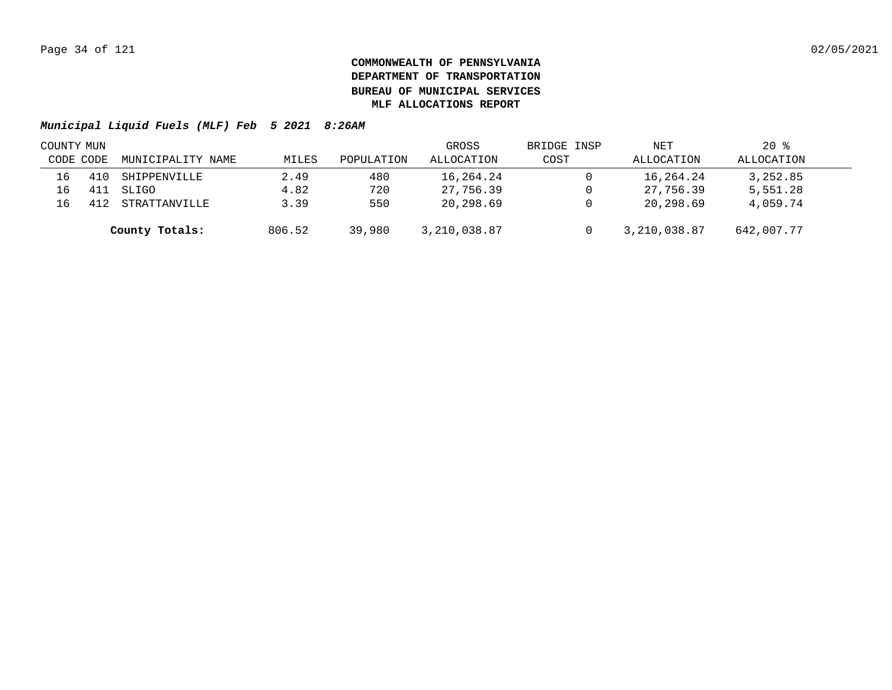| COUNTY MUN |           |                   |        |            | GROSS        | BRIDGE INSP | NET          | $20*$      |  |
|------------|-----------|-------------------|--------|------------|--------------|-------------|--------------|------------|--|
|            | CODE CODE | MUNICIPALITY NAME | MILES  | POPULATION | ALLOCATION   | COST        | ALLOCATION   | ALLOCATION |  |
| 16         |           | SHIPPENVILLE      | 2.49   | 480        | 16,264.24    |             | 16,264.24    | 3,252.85   |  |
| 16         |           | SLIGO             | 4.82   | 720        | 27,756.39    |             | 27,756.39    | 5,551.28   |  |
| 16         |           | STRATTANVILLE     | 3.39   | 550        | 20,298.69    |             | 20,298.69    | 4,059.74   |  |
|            |           | County Totals:    | 806.52 | 39,980     | 3,210,038.87 |             | 3,210,038.87 | 642,007.77 |  |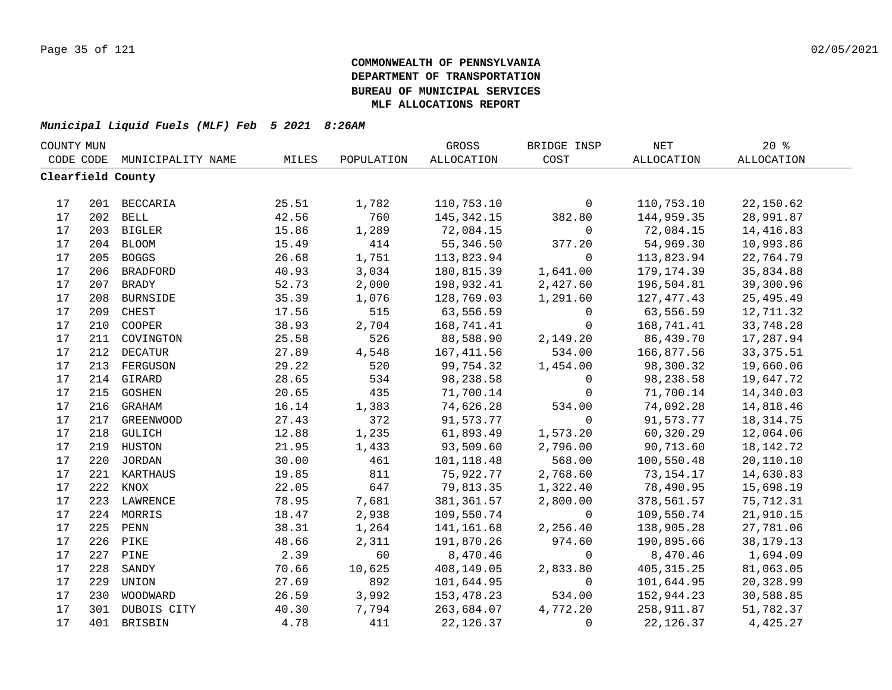| COUNTY MUN |     |                   |       |            | GROSS        | BRIDGE INSP  | NET         | 20%               |  |
|------------|-----|-------------------|-------|------------|--------------|--------------|-------------|-------------------|--|
| CODE CODE  |     | MUNICIPALITY NAME | MILES | POPULATION | ALLOCATION   | COST         | ALLOCATION  | <b>ALLOCATION</b> |  |
|            |     | Clearfield County |       |            |              |              |             |                   |  |
|            |     |                   |       |            |              |              |             |                   |  |
| 17         |     | 201 BECCARIA      | 25.51 | 1,782      | 110,753.10   | $\mathbf 0$  | 110,753.10  | 22,150.62         |  |
| 17         |     | 202 BELL          | 42.56 | 760        | 145, 342. 15 | 382.80       | 144,959.35  | 28,991.87         |  |
| 17         |     | 203 BIGLER        | 15.86 | 1,289      | 72,084.15    | $\mathsf{O}$ | 72,084.15   | 14,416.83         |  |
| $17$       |     | 204 BLOOM         | 15.49 | 414        | 55,346.50    | 377.20       | 54,969.30   | 10,993.86         |  |
| 17         | 205 | <b>BOGGS</b>      | 26.68 | 1,751      | 113,823.94   | $\mathbf 0$  | 113,823.94  | 22,764.79         |  |
| 17         | 206 | <b>BRADFORD</b>   | 40.93 | 3,034      | 180,815.39   | 1,641.00     | 179,174.39  | 35,834.88         |  |
| 17         | 207 | BRADY             | 52.73 | 2,000      | 198,932.41   | 2,427.60     | 196,504.81  | 39,300.96         |  |
| 17         | 208 | <b>BURNSIDE</b>   | 35.39 | 1,076      | 128,769.03   | 1,291.60     | 127,477.43  | 25, 495.49        |  |
| 17         | 209 | CHEST             | 17.56 | 515        | 63,556.59    | $\mathbf 0$  | 63,556.59   | 12,711.32         |  |
| 17         | 210 | COOPER            | 38.93 | 2,704      | 168,741.41   | $\mathbf 0$  | 168,741.41  | 33,748.28         |  |
| $17$       | 211 | COVINGTON         | 25.58 | 526        | 88,588.90    | 2,149.20     | 86,439.70   | 17,287.94         |  |
| 17         | 212 | <b>DECATUR</b>    | 27.89 | 4,548      | 167, 411.56  | 534.00       | 166,877.56  | 33, 375.51        |  |
| 17         | 213 | FERGUSON          | 29.22 | 520        | 99,754.32    | 1,454.00     | 98,300.32   | 19,660.06         |  |
| $17$       |     | 214 GIRARD        | 28.65 | 534        | 98,238.58    | $\mathsf{O}$ | 98,238.58   | 19,647.72         |  |
| 17         |     | 215 GOSHEN        | 20.65 | 435        | 71,700.14    | $\Omega$     | 71,700.14   | 14,340.03         |  |
| 17         |     | 216 GRAHAM        | 16.14 | 1,383      | 74,626.28    | 534.00       | 74,092.28   | 14,818.46         |  |
| 17         |     | 217 GREENWOOD     | 27.43 | 372        | 91,573.77    | $\mathbf 0$  | 91,573.77   | 18, 314. 75       |  |
| 17         |     | 218 GULICH        | 12.88 | 1,235      | 61,893.49    | 1,573.20     | 60,320.29   | 12,064.06         |  |
| 17         |     | 219 HUSTON        | 21.95 | 1,433      | 93,509.60    | 2,796.00     | 90,713.60   | 18, 142. 72       |  |
| 17         |     | 220 JORDAN        | 30.00 | 461        | 101,118.48   | 568.00       | 100,550.48  | 20,110.10         |  |
| 17         |     | 221 KARTHAUS      | 19.85 | 811        | 75,922.77    | 2,768.60     | 73, 154. 17 | 14,630.83         |  |
| 17         |     | 222 KNOX          | 22.05 | 647        | 79,813.35    | 1,322.40     | 78,490.95   | 15,698.19         |  |
| 17         | 223 | LAWRENCE          | 78.95 | 7,681      | 381, 361.57  | 2,800.00     | 378,561.57  | 75,712.31         |  |
| 17         | 224 | MORRIS            | 18.47 | 2,938      | 109,550.74   | $\mathbf 0$  | 109,550.74  | 21,910.15         |  |
| 17         | 225 | PENN              | 38.31 | 1,264      | 141,161.68   | 2,256.40     | 138,905.28  | 27,781.06         |  |
| 17         | 226 | PIKE              | 48.66 | 2,311      | 191,870.26   | 974.60       | 190,895.66  | 38, 179. 13       |  |
| 17         | 227 | PINE              | 2.39  | 60         | 8,470.46     | $\Omega$     | 8,470.46    | 1,694.09          |  |
| 17         | 228 | SANDY             | 70.66 | 10,625     | 408,149.05   | 2,833.80     | 405, 315.25 | 81,063.05         |  |
| 17         | 229 | UNION             | 27.69 | 892        | 101,644.95   | $\mathbf 0$  | 101,644.95  | 20,328.99         |  |
| 17         | 230 | WOODWARD          | 26.59 | 3,992      | 153,478.23   | 534.00       | 152,944.23  | 30,588.85         |  |
| 17         | 301 | DUBOIS CITY       | 40.30 | 7,794      | 263,684.07   | 4,772.20     | 258,911.87  | 51,782.37         |  |
| 17         |     | 401 BRISBIN       | 4.78  | 411        | 22, 126.37   | $\Omega$     | 22, 126.37  | 4,425.27          |  |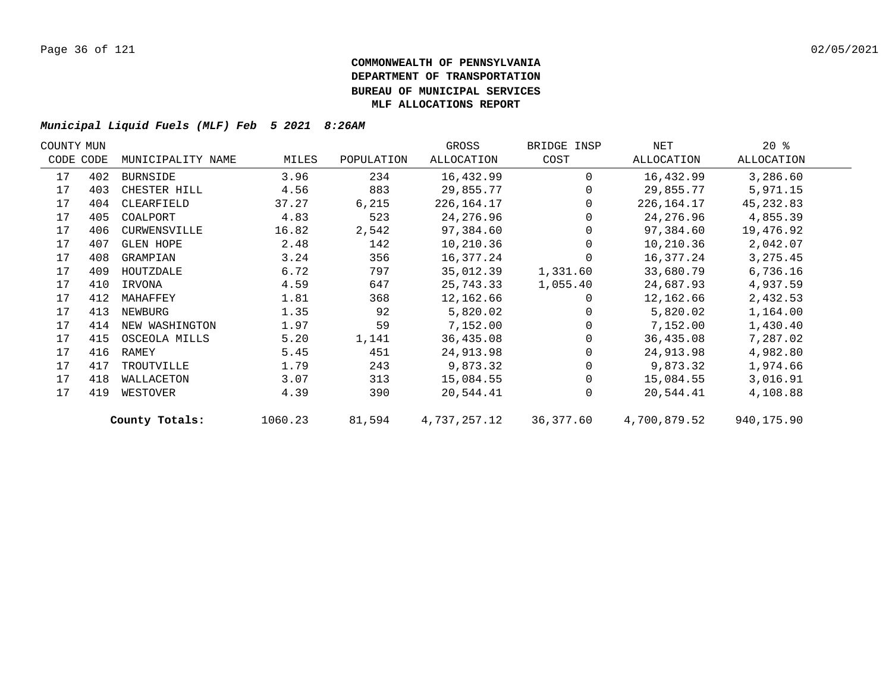| COUNTY MUN |           |                   |         |            | GROSS        | BRIDGE INSP | NET          | $20*$      |  |
|------------|-----------|-------------------|---------|------------|--------------|-------------|--------------|------------|--|
|            | CODE CODE | MUNICIPALITY NAME | MILES   | POPULATION | ALLOCATION   | COST        | ALLOCATION   | ALLOCATION |  |
| 17         | 402       | BURNSIDE          | 3.96    | 234        | 16,432.99    | $\Omega$    | 16,432.99    | 3,286.60   |  |
| 17         | 403       | CHESTER HILL      | 4.56    | 883        | 29,855.77    |             | 29,855.77    | 5,971.15   |  |
| 17         | 404       | CLEARFIELD        | 37.27   | 6,215      | 226, 164. 17 |             | 226,164.17   | 45, 232.83 |  |
| 17         | 405       | COALPORT          | 4.83    | 523        | 24,276.96    |             | 24,276.96    | 4,855.39   |  |
| 17         | 406       | CURWENSVILLE      | 16.82   | 2,542      | 97,384.60    |             | 97,384.60    | 19,476.92  |  |
| 17         | 407       | <b>GLEN HOPE</b>  | 2.48    | 142        | 10,210.36    |             | 10,210.36    | 2,042.07   |  |
| 17         | 408       | GRAMPIAN          | 3.24    | 356        | 16,377.24    |             | 16,377.24    | 3, 275.45  |  |
| 17         | 409       | HOUTZDALE         | 6.72    | 797        | 35,012.39    | 1,331.60    | 33,680.79    | 6,736.16   |  |
| 17         | 410       | IRVONA            | 4.59    | 647        | 25,743.33    | 1,055.40    | 24,687.93    | 4,937.59   |  |
| 17         | 412       | MAHAFFEY          | 1.81    | 368        | 12,162.66    |             | 12,162.66    | 2,432.53   |  |
| 17         | 413       | NEWBURG           | 1.35    | 92         | 5,820.02     |             | 5,820.02     | 1,164.00   |  |
| 17         | 414       | NEW WASHINGTON    | 1.97    | 59         | 7,152.00     |             | 7,152.00     | 1,430.40   |  |
| 17         | 415       | OSCEOLA MILLS     | 5.20    | 1,141      | 36,435.08    |             | 36,435.08    | 7,287.02   |  |
| 17         | 416       | RAMEY             | 5.45    | 451        | 24,913.98    |             | 24,913.98    | 4,982.80   |  |
| 17         | 417       | TROUTVILLE        | 1.79    | 243        | 9,873.32     |             | 9,873.32     | 1,974.66   |  |
| 17         | 418       | WALLACETON        | 3.07    | 313        | 15,084.55    | 0           | 15,084.55    | 3,016.91   |  |
| 17         | 419       | WESTOVER          | 4.39    | 390        | 20,544.41    | $\Omega$    | 20,544.41    | 4,108.88   |  |
|            |           | County Totals:    | 1060.23 | 81,594     | 4,737,257.12 | 36,377.60   | 4,700,879.52 | 940,175.90 |  |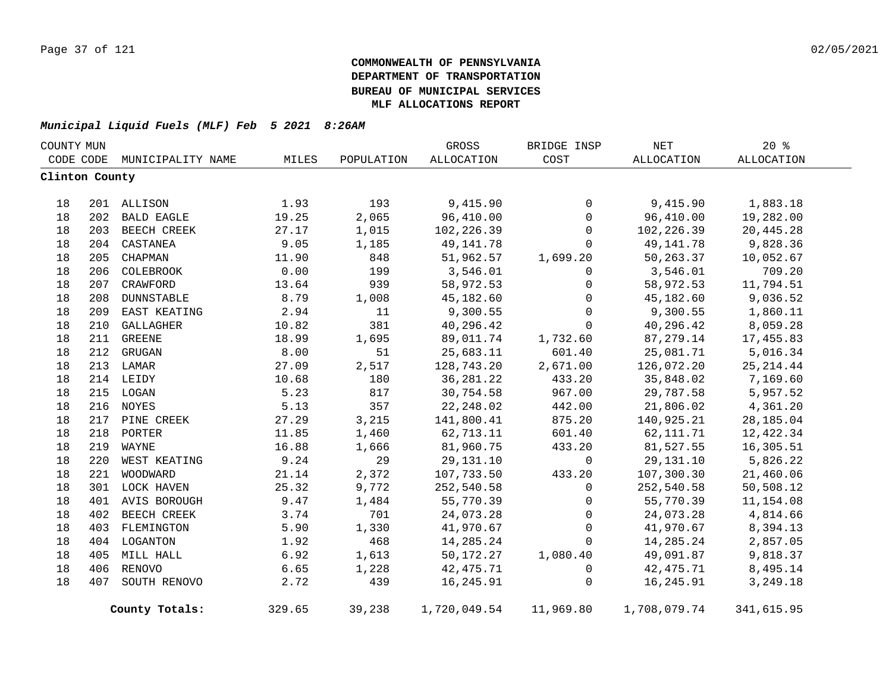| COUNTY MUN     |     |                   |        |            | GROSS        | BRIDGE INSP    | NET          | 20%        |  |
|----------------|-----|-------------------|--------|------------|--------------|----------------|--------------|------------|--|
| CODE CODE      |     | MUNICIPALITY NAME | MILES  | POPULATION | ALLOCATION   | COST           | ALLOCATION   | ALLOCATION |  |
| Clinton County |     |                   |        |            |              |                |              |            |  |
| 18             |     | 201 ALLISON       | 1.93   | 193        | 9,415.90     | $\overline{0}$ | 9,415.90     | 1,883.18   |  |
| 18             | 202 | <b>BALD EAGLE</b> | 19.25  | 2,065      | 96,410.00    | $\overline{0}$ | 96,410.00    | 19,282.00  |  |
| 18             |     | 203 BEECH CREEK   | 27.17  | 1,015      | 102,226.39   | $\mathbf 0$    | 102,226.39   | 20,445.28  |  |
| 18             |     | 204 CASTANEA      | 9.05   | 1,185      | 49, 141. 78  | $\mathbf 0$    | 49,141.78    | 9,828.36   |  |
| 18             | 205 | CHAPMAN           | 11.90  | 848        | 51,962.57    | 1,699.20       | 50,263.37    | 10,052.67  |  |
| 18             | 206 | COLEBROOK         | 0.00   | 199        | 3,546.01     | 0              | 3,546.01     | 709.20     |  |
| 18             | 207 | CRAWFORD          | 13.64  | 939        | 58,972.53    | 0              | 58,972.53    | 11,794.51  |  |
| 18             |     | 208 DUNNSTABLE    | 8.79   | 1,008      | 45,182.60    | $\mathbf 0$    | 45,182.60    | 9,036.52   |  |
| 18             |     | 209 EAST KEATING  | 2.94   | 11         | 9,300.55     | $\mathbf 0$    | 9,300.55     | 1,860.11   |  |
| 18             | 210 | GALLAGHER         | 10.82  | 381        | 40,296.42    | $\Omega$       | 40,296.42    | 8,059.28   |  |
| 18             |     | 211 GREENE        | 18.99  | 1,695      | 89,011.74    | 1,732.60       | 87,279.14    | 17,455.83  |  |
| 18             |     | 212 GRUGAN        | 8.00   | 51         | 25,683.11    | 601.40         | 25,081.71    | 5,016.34   |  |
| 18             |     | 213 LAMAR         | 27.09  | 2,517      | 128,743.20   | 2,671.00       | 126,072.20   | 25, 214.44 |  |
| 18             |     | 214 LEIDY         | 10.68  | 180        | 36, 281. 22  | 433.20         | 35,848.02    | 7,169.60   |  |
| $18\,$         |     | 215 LOGAN         | 5.23   | 817        | 30,754.58    | 967.00         | 29,787.58    | 5,957.52   |  |
| 18             |     | 216 NOYES         | 5.13   | 357        | 22, 248.02   | 442.00         | 21,806.02    | 4,361.20   |  |
| 18             |     | 217 PINE CREEK    | 27.29  | 3,215      | 141,800.41   | 875.20         | 140,925.21   | 28,185.04  |  |
| 18             |     | 218 PORTER        | 11.85  | 1,460      | 62,713.11    | 601.40         | 62,111.71    | 12,422.34  |  |
| 18             | 219 | WAYNE             | 16.88  | 1,666      | 81,960.75    | 433.20         | 81,527.55    | 16,305.51  |  |
| 18             | 220 | WEST KEATING      | 9.24   | 29         | 29, 131. 10  | $\mathbf 0$    | 29,131.10    | 5,826.22   |  |
| 18             | 221 | WOODWARD          | 21.14  | 2,372      | 107,733.50   | 433.20         | 107,300.30   | 21,460.06  |  |
| 18             |     | 301 LOCK HAVEN    | 25.32  | 9,772      | 252,540.58   | $\mathbf 0$    | 252,540.58   | 50,508.12  |  |
| 18             |     | 401 AVIS BOROUGH  | 9.47   | 1,484      | 55,770.39    | 0              | 55,770.39    | 11,154.08  |  |
| 18             |     | 402 BEECH CREEK   | 3.74   | 701        | 24,073.28    | $\mathbf 0$    | 24,073.28    | 4,814.66   |  |
| 18             |     | 403 FLEMINGTON    | 5.90   | 1,330      | 41,970.67    | 0              | 41,970.67    | 8,394.13   |  |
| 18             |     | 404 LOGANTON      | 1.92   | 468        | 14,285.24    | $\mathbf 0$    | 14,285.24    | 2,857.05   |  |
| 18             |     | 405 MILL HALL     | 6.92   | 1,613      | 50,172.27    | 1,080.40       | 49,091.87    | 9,818.37   |  |
| 18             |     | 406 RENOVO        | 6.65   | 1,228      | 42, 475.71   | $\mathbf 0$    | 42,475.71    | 8,495.14   |  |
| 18             | 407 | SOUTH RENOVO      | 2.72   | 439        | 16,245.91    | $\mathbf 0$    | 16,245.91    | 3,249.18   |  |
|                |     |                   |        |            |              |                |              |            |  |
|                |     | County Totals:    | 329.65 | 39,238     | 1,720,049.54 | 11,969.80      | 1,708,079.74 | 341,615.95 |  |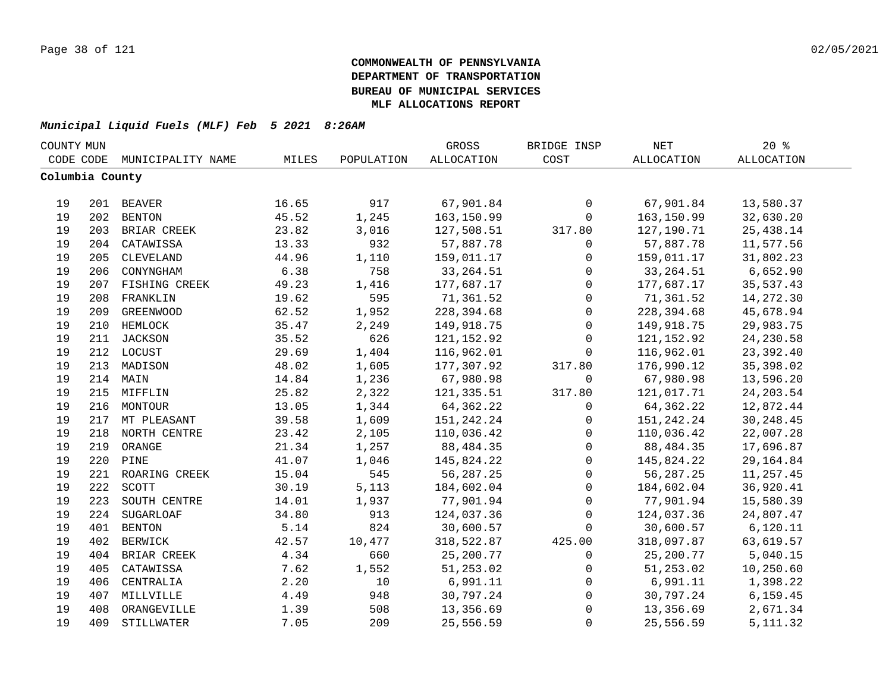| COUNTY MUN |                 |                   |       |            | GROSS             | BRIDGE INSP  | $\operatorname{NET}$ | 20%               |  |
|------------|-----------------|-------------------|-------|------------|-------------------|--------------|----------------------|-------------------|--|
|            | CODE CODE       | MUNICIPALITY NAME | MILES | POPULATION | <b>ALLOCATION</b> | COST         | ALLOCATION           | <b>ALLOCATION</b> |  |
|            | Columbia County |                   |       |            |                   |              |                      |                   |  |
|            |                 |                   |       |            |                   |              |                      |                   |  |
| 19         |                 | 201 BEAVER        | 16.65 | 917        | 67,901.84         | $\mathsf{O}$ | 67,901.84            | 13,580.37         |  |
| 19         |                 | 202 BENTON        | 45.52 | 1,245      | 163,150.99        | $\mathbf 0$  | 163,150.99           | 32,630.20         |  |
| 19         |                 | 203 BRIAR CREEK   | 23.82 | 3,016      | 127,508.51        | 317.80       | 127,190.71           | 25, 438.14        |  |
| 19         |                 | 204 CATAWISSA     | 13.33 | 932        | 57,887.78         | $\mathbf 0$  | 57,887.78            | 11,577.56         |  |
| 19         | 205             | CLEVELAND         | 44.96 | 1,110      | 159,011.17        | 0            | 159,011.17           | 31,802.23         |  |
| 19         | 206             | CONYNGHAM         | 6.38  | 758        | 33, 264.51        | $\mathbf 0$  | 33, 264.51           | 6,652.90          |  |
| 19         | 207             | FISHING CREEK     | 49.23 | 1,416      | 177,687.17        | $\mathbf 0$  | 177,687.17           | 35,537.43         |  |
| 19         | 208             | FRANKLIN          | 19.62 | 595        | 71,361.52         | $\mathbf 0$  | 71,361.52            | 14,272.30         |  |
| 19         | 209             | <b>GREENWOOD</b>  | 62.52 | 1,952      | 228,394.68        | $\mathsf{O}$ | 228,394.68           | 45,678.94         |  |
| 19         |                 | 210 HEMLOCK       | 35.47 | 2,249      | 149,918.75        | $\mathbf 0$  | 149,918.75           | 29,983.75         |  |
| 19         | 211             | <b>JACKSON</b>    | 35.52 | 626        | 121, 152.92       | $\Omega$     | 121, 152.92          | 24, 230.58        |  |
| 19         |                 | 212 LOCUST        | 29.69 | 1,404      | 116,962.01        | $\Omega$     | 116,962.01           | 23,392.40         |  |
| 19         |                 | 213 MADISON       | 48.02 | 1,605      | 177,307.92        | 317.80       | 176,990.12           | 35,398.02         |  |
| 19         |                 | 214 MAIN          | 14.84 | 1,236      | 67,980.98         | $\Omega$     | 67,980.98            | 13,596.20         |  |
| 19         |                 | 215 MIFFLIN       | 25.82 | 2,322      | 121,335.51        | 317.80       | 121,017.71           | 24, 203.54        |  |
| 19         |                 | 216 MONTOUR       | 13.05 | 1,344      | 64,362.22         | $\mathbf 0$  | 64, 362. 22          | 12,872.44         |  |
| 19         |                 | 217 MT PLEASANT   | 39.58 | 1,609      | 151, 242. 24      | 0            | 151, 242. 24         | 30,248.45         |  |
| 19         |                 | 218 NORTH CENTRE  | 23.42 | 2,105      | 110,036.42        | $\mathbf 0$  | 110,036.42           | 22,007.28         |  |
| 19         |                 | 219 ORANGE        | 21.34 | 1,257      | 88,484.35         | $\mathbf 0$  | 88,484.35            | 17,696.87         |  |
| 19         |                 | 220 PINE          | 41.07 | 1,046      | 145,824.22        | $\mathbf 0$  | 145,824.22           | 29, 164.84        |  |
| 19         |                 | 221 ROARING CREEK | 15.04 | 545        | 56, 287. 25       | $\Omega$     | 56, 287. 25          | 11,257.45         |  |
| 19         | 222             | SCOTT             | 30.19 | 5,113      | 184,602.04        | $\mathbf 0$  | 184,602.04           | 36,920.41         |  |
| 19         | 223             | SOUTH CENTRE      | 14.01 | 1,937      | 77,901.94         | $\mathbf 0$  | 77,901.94            | 15,580.39         |  |
| 19         | 224             | SUGARLOAF         | 34.80 | 913        | 124,037.36        | $\mathbf 0$  | 124,037.36           | 24,807.47         |  |
| 19         | 401             | <b>BENTON</b>     | 5.14  | 824        | 30,600.57         | $\mathbf 0$  | 30,600.57            | 6,120.11          |  |
| 19         | 402             | <b>BERWICK</b>    | 42.57 | 10,477     | 318,522.87        | 425.00       | 318,097.87           | 63,619.57         |  |
| 19         | 404             | BRIAR CREEK       | 4.34  | 660        | 25,200.77         | $\mathbf{0}$ | 25,200.77            | 5,040.15          |  |
| 19         | 405             | CATAWISSA         | 7.62  | 1,552      | 51,253.02         | $\mathbf 0$  | 51,253.02            | 10,250.60         |  |
| 19         | 406             | CENTRALIA         | 2.20  | 10         | 6,991.11          | $\mathbf 0$  | 6,991.11             | 1,398.22          |  |
| 19         |                 | 407 MILLVILLE     | 4.49  | 948        | 30,797.24         | $\mathbf 0$  | 30,797.24            | 6, 159.45         |  |
| 19         | 408             | ORANGEVILLE       | 1.39  | 508        | 13,356.69         | $\mathsf 0$  | 13,356.69            | 2,671.34          |  |
| 19         | 409             | STILLWATER        | 7.05  | 209        | 25,556.59         | $\mathbf 0$  | 25,556.59            | 5, 111.32         |  |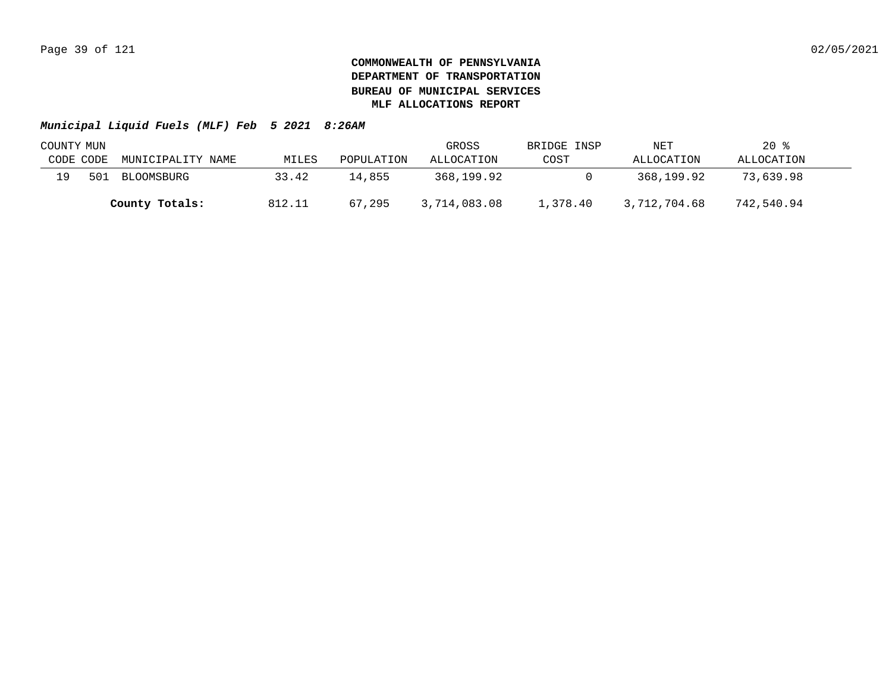|           | COUNTY MUN |                   |        |            | GROSS        | BRIDGE INSP | NET          | $20*$      |  |
|-----------|------------|-------------------|--------|------------|--------------|-------------|--------------|------------|--|
| CODE CODE |            | MUNICIPALITY NAME | MILES  | POPULATION | ALLOCATION   | COST        | ALLOCATION   | ALLOCATION |  |
| 19        | 501        | BLOOMSBURG        | 33.42  | 14,855     | 368,199.92   |             | 368,199.92   | 73,639.98  |  |
|           |            | County Totals:    | 812.11 | 67,295     | 3,714,083.08 | 1,378.40    | 3,712,704.68 | 742,540.94 |  |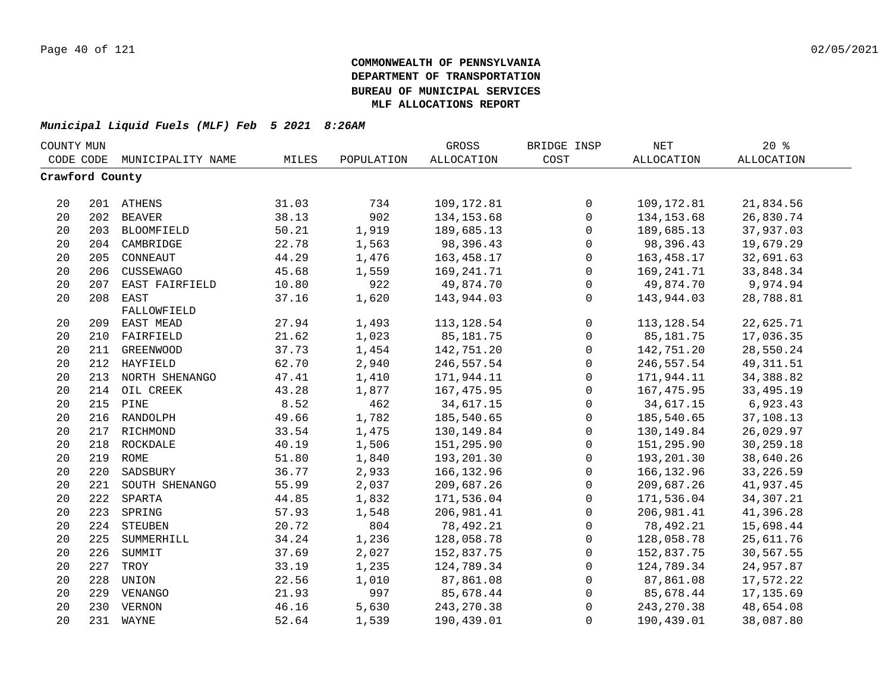| COUNTY MUN      |     |                    |       |            | GROSS        | BRIDGE INSP         | $\operatorname{NET}$ | 20%         |  |
|-----------------|-----|--------------------|-------|------------|--------------|---------------------|----------------------|-------------|--|
| CODE CODE       |     | MUNICIPALITY NAME  | MILES | POPULATION | ALLOCATION   | COST                | <b>ALLOCATION</b>    | ALLOCATION  |  |
| Crawford County |     |                    |       |            |              |                     |                      |             |  |
|                 |     |                    |       |            |              |                     |                      |             |  |
| 20              |     | 201 ATHENS         | 31.03 | 734        | 109,172.81   | $\mathbf 0$         | 109,172.81           | 21,834.56   |  |
| 20              |     | 202 BEAVER         | 38.13 | 902        | 134, 153.68  | $\mathsf{O}$        | 134, 153.68          | 26,830.74   |  |
| 20              |     | 203 BLOOMFIELD     | 50.21 | 1,919      | 189,685.13   | $\mathsf{O}$        | 189,685.13           | 37,937.03   |  |
| 20              |     | 204 CAMBRIDGE      | 22.78 | 1,563      | 98,396.43    | 0                   | 98,396.43            | 19,679.29   |  |
| 20              | 205 | CONNEAUT           | 44.29 | 1,476      | 163,458.17   | $\mathsf{O}\xspace$ | 163,458.17           | 32,691.63   |  |
| 20              | 206 | CUSSEWAGO          | 45.68 | 1,559      | 169, 241. 71 | $\mathsf{O}$        | 169, 241. 71         | 33,848.34   |  |
| 20              | 207 | EAST FAIRFIELD     | 10.80 | 922        | 49,874.70    | $\mathbf 0$         | 49,874.70            | 9,974.94    |  |
| 20              | 208 | EAST               | 37.16 | 1,620      | 143,944.03   | $\Omega$            | 143,944.03           | 28,788.81   |  |
|                 |     | FALLOWFIELD        |       |            |              |                     |                      |             |  |
| 20              |     | 209 EAST MEAD      | 27.94 | 1,493      | 113,128.54   | 0                   | 113,128.54           | 22,625.71   |  |
| 20              | 210 | FAIRFIELD          | 21.62 | 1,023      | 85, 181. 75  | 0                   | 85,181.75            | 17,036.35   |  |
| 20              | 211 | <b>GREENWOOD</b>   | 37.73 | 1,454      | 142,751.20   | $\mathbf 0$         | 142,751.20           | 28,550.24   |  |
| 20              |     | 212 HAYFIELD       | 62.70 | 2,940      | 246,557.54   | $\mathbf 0$         | 246,557.54           | 49, 311.51  |  |
| 20              | 213 | NORTH SHENANGO     | 47.41 | 1,410      | 171,944.11   | $\mathbf 0$         | 171,944.11           | 34, 388.82  |  |
| 20              | 214 | OIL CREEK          | 43.28 | 1,877      | 167, 475.95  | $\mathbf 0$         | 167,475.95           | 33, 495. 19 |  |
| 20              | 215 | PINE               | 8.52  | 462        | 34,617.15    | $\mathbf 0$         | 34,617.15            | 6,923.43    |  |
| 20              | 216 | RANDOLPH           | 49.66 | 1,782      | 185,540.65   | $\mathsf{O}$        | 185,540.65           | 37,108.13   |  |
| 20              |     | 217 RICHMOND       | 33.54 | 1,475      | 130,149.84   | $\mathbf 0$         | 130, 149.84          | 26,029.97   |  |
| 20              |     | 218 ROCKDALE       | 40.19 | 1,506      | 151,295.90   | $\mathsf{O}$        | 151,295.90           | 30,259.18   |  |
| 20              |     | 219 ROME           | 51.80 | 1,840      | 193,201.30   | $\mathsf{O}$        | 193,201.30           | 38,640.26   |  |
| 20              |     | 220 SADSBURY       | 36.77 | 2,933      | 166, 132.96  | $\mathsf 0$         | 166, 132.96          | 33, 226.59  |  |
| 20              |     | 221 SOUTH SHENANGO | 55.99 | 2,037      | 209,687.26   | $\mathsf 0$         | 209,687.26           | 41,937.45   |  |
| 20              |     | 222 SPARTA         | 44.85 | 1,832      | 171,536.04   | $\mathsf{O}$        | 171,536.04           | 34, 307. 21 |  |
| 20              | 223 | SPRING             | 57.93 | 1,548      | 206,981.41   | $\mathbf 0$         | 206,981.41           | 41,396.28   |  |
| 20              |     | 224 STEUBEN        | 20.72 | 804        | 78,492.21    | $\mathbf 0$         | 78,492.21            | 15,698.44   |  |
| 20              | 225 | SUMMERHILL         | 34.24 | 1,236      | 128,058.78   | $\mathbf 0$         | 128,058.78           | 25,611.76   |  |
| 20              | 226 | SUMMIT             | 37.69 | 2,027      | 152,837.75   | $\mathbf 0$         | 152,837.75           | 30,567.55   |  |
| 20              | 227 | TROY               | 33.19 | 1,235      | 124,789.34   | $\mathsf{O}$        | 124,789.34           | 24,957.87   |  |
| 20              | 228 | UNION              | 22.56 | 1,010      | 87,861.08    | $\mathbf 0$         | 87,861.08            | 17,572.22   |  |
| 20              |     | 229 VENANGO        | 21.93 | 997        | 85,678.44    | 0                   | 85,678.44            | 17,135.69   |  |
| 20              |     | 230 VERNON         | 46.16 | 5,630      | 243, 270.38  | $\mathbf 0$         | 243, 270.38          | 48,654.08   |  |
| 20              |     | 231 WAYNE          | 52.64 | 1,539      | 190,439.01   | $\mathbf 0$         | 190,439.01           | 38,087.80   |  |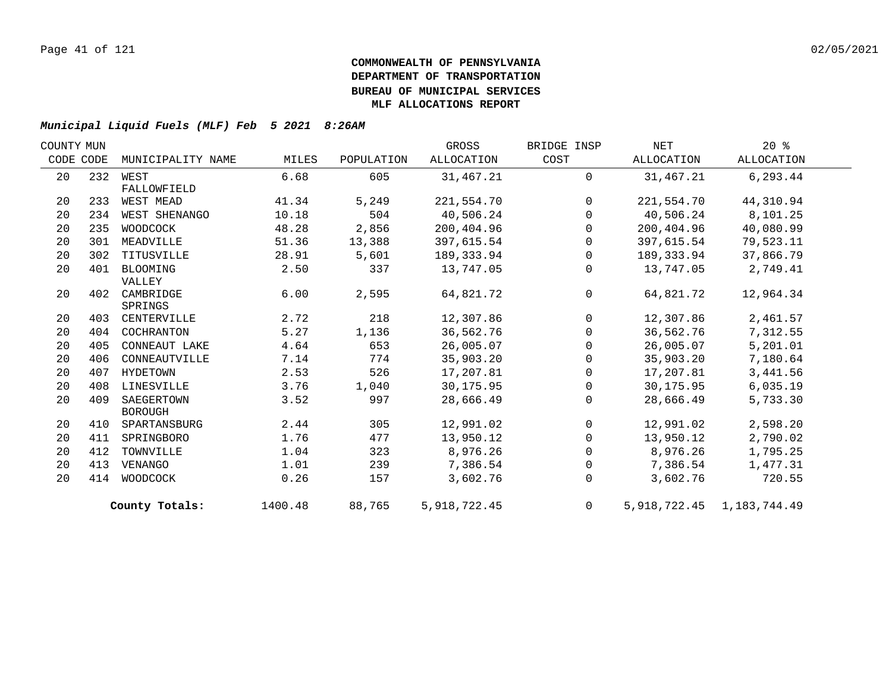| COUNTY MUN |     |                   |         |            | GROSS        | BRIDGE INSP    | NET        | $20*$                           |  |
|------------|-----|-------------------|---------|------------|--------------|----------------|------------|---------------------------------|--|
| CODE CODE  |     | MUNICIPALITY NAME | MILES   | POPULATION | ALLOCATION   | COST           | ALLOCATION | ALLOCATION                      |  |
| 20         |     | 232 WEST          | 6.68    | 605        | 31,467.21    | $\mathbf 0$    | 31,467.21  | 6,293.44                        |  |
|            |     | FALLOWFIELD       |         |            |              |                |            |                                 |  |
| 20         | 233 | WEST MEAD         | 41.34   | 5,249      | 221,554.70   | $\Omega$       | 221,554.70 | 44,310.94                       |  |
| 20         | 234 | WEST SHENANGO     | 10.18   | 504        | 40,506.24    | $\Omega$       | 40,506.24  | 8,101.25                        |  |
| 20         | 235 | WOODCOCK          | 48.28   | 2,856      | 200,404.96   | $\Omega$       | 200,404.96 | 40,080.99                       |  |
| 20         | 301 | MEADVILLE         | 51.36   | 13,388     | 397,615.54   | $\Omega$       | 397,615.54 | 79,523.11                       |  |
| 20         | 302 | TITUSVILLE        | 28.91   | 5,601      | 189, 333.94  | $\mathbf{0}$   | 189,333.94 | 37,866.79                       |  |
| 20         | 401 | BLOOMING          | 2.50    | 337        | 13,747.05    | $\mathbf{0}$   | 13,747.05  | 2,749.41                        |  |
|            |     | VALLEY            |         |            |              |                |            |                                 |  |
| 20         | 402 | CAMBRIDGE         | 6.00    | 2,595      | 64,821.72    | $\mathbf 0$    | 64,821.72  | 12,964.34                       |  |
|            |     | SPRINGS           |         |            |              |                |            |                                 |  |
| 20         | 403 | CENTERVILLE       | 2.72    | 218        | 12,307.86    | $\Omega$       | 12,307.86  | 2,461.57                        |  |
| 20         | 404 | COCHRANTON        | 5.27    | 1,136      | 36,562.76    | $\Omega$       | 36,562.76  | 7,312.55                        |  |
| 20         | 405 | CONNEAUT LAKE     | 4.64    | 653        | 26,005.07    | $\Omega$       | 26,005.07  | 5,201.01                        |  |
| 20         | 406 | CONNEAUTVILLE     | 7.14    | 774        | 35,903.20    | $\mathbf 0$    | 35,903.20  | 7,180.64                        |  |
| 20         | 407 | HYDETOWN          | 2.53    | 526        | 17,207.81    | $\Omega$       | 17,207.81  | 3,441.56                        |  |
| 20         | 408 | LINESVILLE        | 3.76    | 1,040      | 30,175.95    | $\Omega$       | 30,175.95  | 6,035.19                        |  |
| 20         | 409 | SAEGERTOWN        | 3.52    | 997        | 28,666.49    | $\mathbf 0$    | 28,666.49  | 5,733.30                        |  |
|            |     | <b>BOROUGH</b>    |         |            |              |                |            |                                 |  |
| 20         | 410 | SPARTANSBURG      | 2.44    | 305        | 12,991.02    | $\mathbf 0$    | 12,991.02  | 2,598.20                        |  |
| 20         | 411 | SPRINGBORO        | 1.76    | 477        | 13,950.12    | $\Omega$       | 13,950.12  | 2,790.02                        |  |
| 20         | 412 | TOWNVILLE         | 1.04    | 323        | 8,976.26     | $\Omega$       | 8,976.26   | 1,795.25                        |  |
| 20         | 413 | VENANGO           | 1.01    | 239        | 7,386.54     | $\mathbf 0$    | 7,386.54   | 1,477.31                        |  |
| 20         | 414 | WOODCOCK          | 0.26    | 157        | 3,602.76     | 0              | 3,602.76   | 720.55                          |  |
|            |     | County Totals:    | 1400.48 | 88,765     | 5,918,722.45 | $\overline{0}$ |            | 5, 918, 722. 45 1, 183, 744. 49 |  |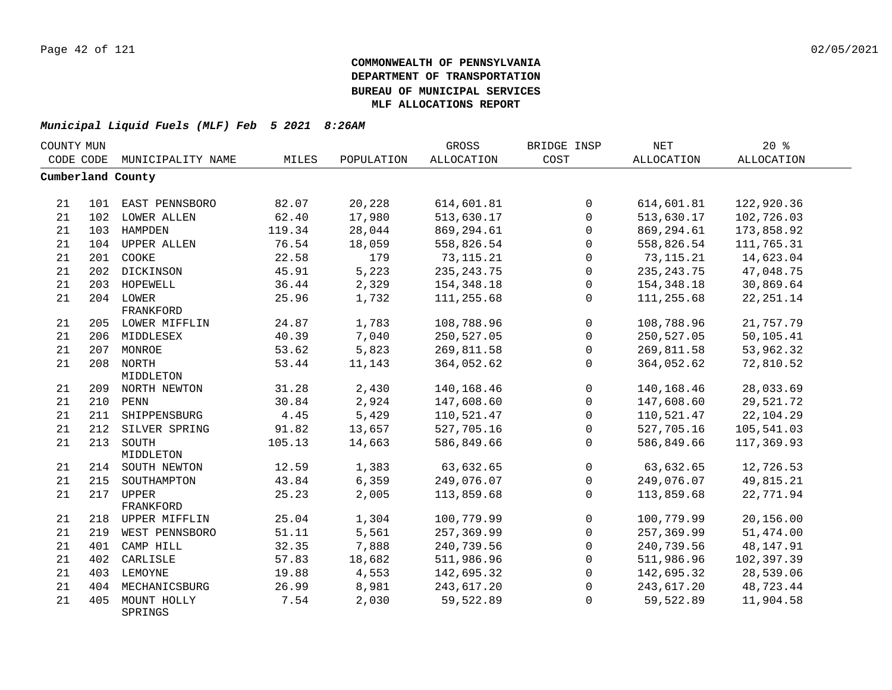| COUNTY MUN |     |                        |        |            | GROSS             | BRIDGE INSP  | $\operatorname{NET}$ | 20%               |  |
|------------|-----|------------------------|--------|------------|-------------------|--------------|----------------------|-------------------|--|
| CODE CODE  |     | MUNICIPALITY NAME      | MILES  | POPULATION | <b>ALLOCATION</b> | COST         | <b>ALLOCATION</b>    | <b>ALLOCATION</b> |  |
|            |     | Cumberland County      |        |            |                   |              |                      |                   |  |
|            |     |                        |        |            |                   |              |                      |                   |  |
| 21         |     | 101 EAST PENNSBORO     | 82.07  | 20,228     | 614,601.81        | $\mathbf{0}$ | 614,601.81           | 122,920.36        |  |
| 21         |     | 102 LOWER ALLEN        | 62.40  | 17,980     | 513,630.17        | $\mathbf 0$  | 513,630.17           | 102,726.03        |  |
| 21         |     | 103 HAMPDEN            | 119.34 | 28,044     | 869,294.61        | $\mathbf{0}$ | 869,294.61           | 173,858.92        |  |
| 21         | 104 | <b>UPPER ALLEN</b>     | 76.54  | 18,059     | 558,826.54        | $\Omega$     | 558,826.54           | 111,765.31        |  |
| 21         | 201 | COOKE                  | 22.58  | 179        | 73, 115. 21       | 0            | 73,115.21            | 14,623.04         |  |
| 21         | 202 | DICKINSON              | 45.91  | 5,223      | 235, 243. 75      | $\mathbf{0}$ | 235, 243. 75         | 47,048.75         |  |
| 21         |     | 203 HOPEWELL           | 36.44  | 2,329      | 154, 348. 18      | $\mathbf 0$  | 154,348.18           | 30,869.64         |  |
| 21         |     | 204 LOWER              | 25.96  | 1,732      | 111,255.68        | $\mathbf{0}$ | 111,255.68           | 22, 251.14        |  |
|            |     | FRANKFORD              |        |            |                   |              |                      |                   |  |
| 21         |     | 205 LOWER MIFFLIN      | 24.87  | 1,783      | 108,788.96        | $\mathbf 0$  | 108,788.96           | 21,757.79         |  |
| 21         |     | 206 MIDDLESEX          | 40.39  | 7,040      | 250,527.05        | $\mathbf 0$  | 250,527.05           | 50,105.41         |  |
| 21         |     | 207 MONROE             | 53.62  | 5,823      | 269,811.58        | $\mathsf{O}$ | 269,811.58           | 53,962.32         |  |
| 21         |     | 208 NORTH              | 53.44  | 11,143     | 364,052.62        | $\Omega$     | 364,052.62           | 72,810.52         |  |
|            |     | MIDDLETON              |        |            |                   |              |                      |                   |  |
| 21         |     | 209 NORTH NEWTON       | 31.28  | 2,430      | 140,168.46        | $\mathbf 0$  | 140,168.46           | 28,033.69         |  |
| 21         |     | 210 PENN               | 30.84  | 2,924      | 147,608.60        | $\Omega$     | 147,608.60           | 29,521.72         |  |
| 21         |     | 211 SHIPPENSBURG       | 4.45   | 5,429      | 110,521.47        | $\Omega$     | 110,521.47           | 22,104.29         |  |
| 21         | 212 | SILVER SPRING          | 91.82  | 13,657     | 527,705.16        | $\mathbf{0}$ | 527,705.16           | 105,541.03        |  |
| 21         | 213 | SOUTH                  | 105.13 | 14,663     | 586,849.66        | $\mathbf{0}$ | 586,849.66           | 117,369.93        |  |
|            |     | MIDDLETON              |        |            |                   |              |                      |                   |  |
| 21         |     | 214 SOUTH NEWTON       | 12.59  | 1,383      | 63,632.65         | $\mathbf 0$  | 63,632.65            | 12,726.53         |  |
| 21         | 215 | SOUTHAMPTON            | 43.84  | 6,359      | 249,076.07        | 0            | 249,076.07           | 49,815.21         |  |
| 21         | 217 | <b>UPPER</b>           | 25.23  | 2,005      | 113,859.68        | $\mathbf 0$  | 113,859.68           | 22,771.94         |  |
|            |     | FRANKFORD              | 25.04  | 1,304      | 100,779.99        | $\Omega$     | 100,779.99           |                   |  |
| 21         |     | 218 UPPER MIFFLIN      |        |            |                   |              |                      | 20,156.00         |  |
| 21         | 219 | WEST PENNSBORO         | 51.11  | 5,561      | 257,369.99        | $\mathbf 0$  | 257,369.99           | 51,474.00         |  |
| 21         | 401 | CAMP HILL              | 32.35  | 7,888      | 240,739.56        | $\mathbf 0$  | 240,739.56           | 48,147.91         |  |
| 21         | 402 | CARLISLE               | 57.83  | 18,682     | 511,986.96        | $\mathbf 0$  | 511,986.96           | 102,397.39        |  |
| 21         | 403 | LEMOYNE                | 19.88  | 4,553      | 142,695.32        | $\mathbf 0$  | 142,695.32           | 28,539.06         |  |
| 21         | 404 | MECHANICSBURG          | 26.99  | 8,981      | 243,617.20        | $\mathbf{0}$ | 243,617.20           | 48,723.44         |  |
| 21         | 405 | MOUNT HOLLY<br>SPRINGS | 7.54   | 2,030      | 59,522.89         | $\Omega$     | 59,522.89            | 11,904.58         |  |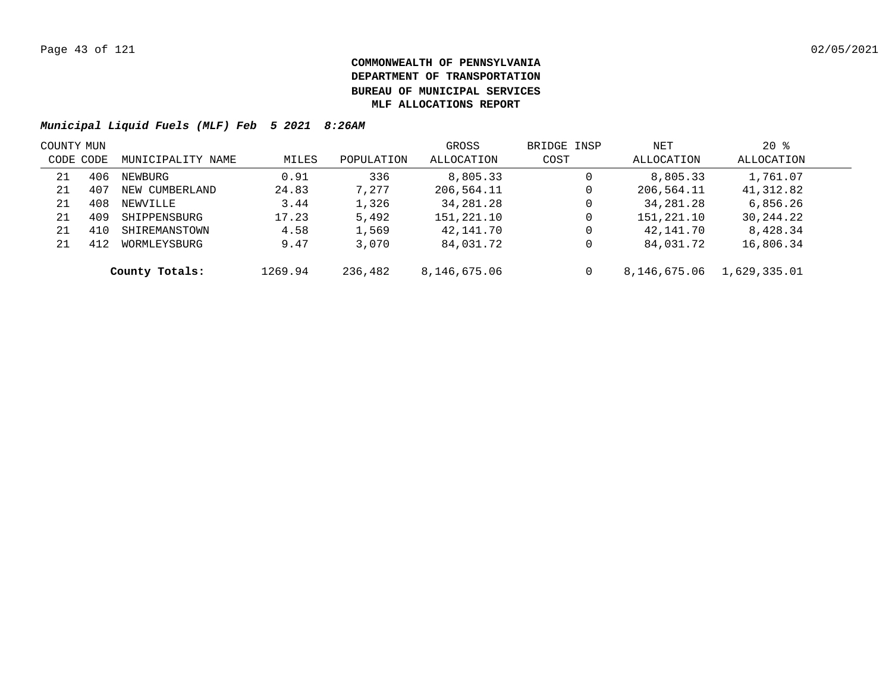| COUNTY MUN |     |                   |         |            | GROSS        | BRIDGE INSP | NET          | $20*$        |  |
|------------|-----|-------------------|---------|------------|--------------|-------------|--------------|--------------|--|
| CODE CODE  |     | MUNICIPALITY NAME | MILES   | POPULATION | ALLOCATION   | COST        | ALLOCATION   | ALLOCATION   |  |
| 21         | 406 | NEWBURG           | 0.91    | 336        | 8,805.33     | 0           | 8,805.33     | 1,761.07     |  |
| 21         | 407 | NEW CUMBERLAND    | 24.83   | 7.277      | 206,564.11   | 0           | 206,564.11   | 41,312.82    |  |
| 21         | 408 | NEWVILLE          | 3.44    | 1,326      | 34,281.28    | 0           | 34,281.28    | 6,856.26     |  |
| 21         | 409 | SHIPPENSBURG      | 17.23   | 5,492      | 151,221.10   | 0           | 151,221.10   | 30,244.22    |  |
| 21         | 410 | SHIREMANSTOWN     | 4.58    | 1,569      | 42,141.70    | 0           | 42,141.70    | 8,428.34     |  |
| 21         | 412 | WORMLEYSBURG      | 9.47    | 3,070      | 84,031.72    | 0           | 84,031.72    | 16,806.34    |  |
|            |     | County Totals:    | 1269.94 | 236,482    | 8,146,675.06 | 0           | 8,146,675.06 | 1,629,335.01 |  |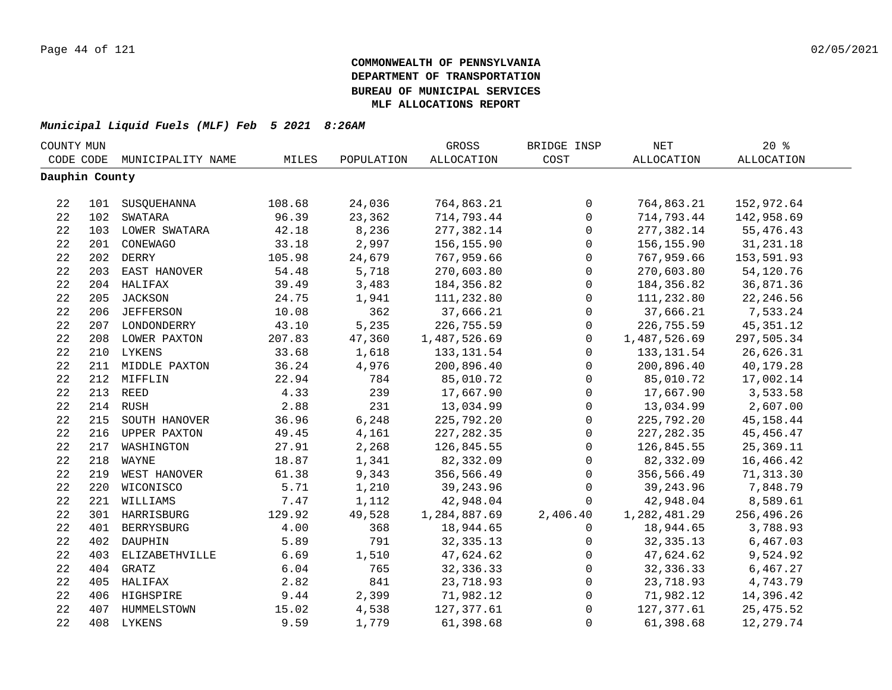| COUNTY MUN     |     |                   |        |            | GROSS             | BRIDGE INSP  | $\operatorname{NET}$ | $20*$             |  |
|----------------|-----|-------------------|--------|------------|-------------------|--------------|----------------------|-------------------|--|
| CODE CODE      |     | MUNICIPALITY NAME | MILES  | POPULATION | <b>ALLOCATION</b> | COST         | ALLOCATION           | <b>ALLOCATION</b> |  |
| Dauphin County |     |                   |        |            |                   |              |                      |                   |  |
|                |     |                   |        |            |                   |              |                      |                   |  |
| 22             |     | 101 SUSQUEHANNA   | 108.68 | 24,036     | 764,863.21        | $\mathbf 0$  | 764,863.21           | 152,972.64        |  |
| 22             |     | 102 SWATARA       | 96.39  | 23,362     | 714,793.44        | $\mathbf 0$  | 714,793.44           | 142,958.69        |  |
| 22             |     | 103 LOWER SWATARA | 42.18  | 8,236      | 277,382.14        | $\mathbf 0$  | 277,382.14           | 55,476.43         |  |
| 22             |     | 201 CONEWAGO      | 33.18  | 2,997      | 156,155.90        | $\mathbf 0$  | 156,155.90           | 31, 231. 18       |  |
| 22             |     | 202 DERRY         | 105.98 | 24,679     | 767,959.66        | $\mathbf 0$  | 767,959.66           | 153,591.93        |  |
| 22             | 203 | EAST HANOVER      | 54.48  | 5,718      | 270,603.80        | $\mathbf 0$  | 270,603.80           | 54,120.76         |  |
| 22             |     | 204 HALIFAX       | 39.49  | 3,483      | 184,356.82        | $\mathbf 0$  | 184,356.82           | 36,871.36         |  |
| 22             |     | 205 JACKSON       | 24.75  | 1,941      | 111,232.80        | $\mathbf 0$  | 111,232.80           | 22, 246.56        |  |
| 22             |     | 206 JEFFERSON     | 10.08  | 362        | 37,666.21         | $\mathbf 0$  | 37,666.21            | 7,533.24          |  |
| 22             |     | 207 LONDONDERRY   | 43.10  | 5,235      | 226,755.59        | 0            | 226,755.59           | 45, 351. 12       |  |
| 22             |     | 208 LOWER PAXTON  | 207.83 | 47,360     | 1,487,526.69      | $\mathbf{0}$ | 1,487,526.69         | 297,505.34        |  |
| 22             |     | 210 LYKENS        | 33.68  | 1,618      | 133, 131.54       | $\mathbf 0$  | 133, 131.54          | 26,626.31         |  |
| 22             |     | 211 MIDDLE PAXTON | 36.24  | 4,976      | 200,896.40        | $\mathbf 0$  | 200,896.40           | 40,179.28         |  |
| 22             |     | 212 MIFFLIN       | 22.94  | 784        | 85,010.72         | $\mathbf 0$  | 85,010.72            | 17,002.14         |  |
| 22             |     | 213 REED          | 4.33   | 239        | 17,667.90         | $\mathbf 0$  | 17,667.90            | 3,533.58          |  |
| 22             |     | 214 RUSH          | 2.88   | 231        | 13,034.99         | $\mathbf 0$  | 13,034.99            | 2,607.00          |  |
| 22             |     | 215 SOUTH HANOVER | 36.96  | 6,248      | 225,792.20        | $\mathbf 0$  | 225,792.20           | 45, 158.44        |  |
| 22             |     | 216 UPPER PAXTON  | 49.45  | 4,161      | 227, 282.35       | $\mathbf 0$  | 227, 282.35          | 45, 456.47        |  |
| 22             |     | 217 WASHINGTON    | 27.91  | 2,268      | 126,845.55        | $\mathbf 0$  | 126,845.55           | 25, 369. 11       |  |
| 22             |     | 218 WAYNE         | 18.87  | 1,341      | 82,332.09         | $\mathbf 0$  | 82,332.09            | 16,466.42         |  |
| 22             |     | 219 WEST HANOVER  | 61.38  | 9,343      | 356,566.49        | $\mathbf 0$  | 356,566.49           | 71,313.30         |  |
| 22             |     | 220 WICONISCO     | 5.71   | 1,210      | 39,243.96         | $\mathbf 0$  | 39,243.96            | 7,848.79          |  |
| 22             |     | 221 WILLIAMS      | 7.47   | 1,112      | 42,948.04         | $\Omega$     | 42,948.04            | 8,589.61          |  |
| 22             |     | 301 HARRISBURG    | 129.92 | 49,528     | 1,284,887.69      | 2,406.40     | 1,282,481.29         | 256,496.26        |  |
| 22             |     | 401 BERRYSBURG    | 4.00   | 368        | 18,944.65         | $\mathbf{0}$ | 18,944.65            | 3,788.93          |  |
| 22             |     | 402 DAUPHIN       | 5.89   | 791        | 32, 335. 13       | $\mathbf{0}$ | 32, 335. 13          | 6,467.03          |  |
| 22             | 403 | ELIZABETHVILLE    | 6.69   | 1,510      | 47,624.62         | $\mathbf 0$  | 47,624.62            | 9,524.92          |  |
| 22             |     | 404 GRATZ         | 6.04   | 765        | 32, 336. 33       | $\mathbf 0$  | 32, 336.33           | 6,467.27          |  |
| 22             |     | 405 HALIFAX       | 2.82   | 841        | 23,718.93         | $\mathbf 0$  | 23,718.93            | 4,743.79          |  |
| 22             |     | 406 HIGHSPIRE     | 9.44   | 2,399      | 71,982.12         | 0            | 71,982.12            | 14,396.42         |  |
| 22             |     | 407 HUMMELSTOWN   | 15.02  | 4,538      | 127, 377.61       | $\mathbf 0$  | 127,377.61           | 25, 475.52        |  |
| 22             |     | 408 LYKENS        | 9.59   | 1,779      | 61,398.68         | $\mathbf 0$  | 61,398.68            | 12,279.74         |  |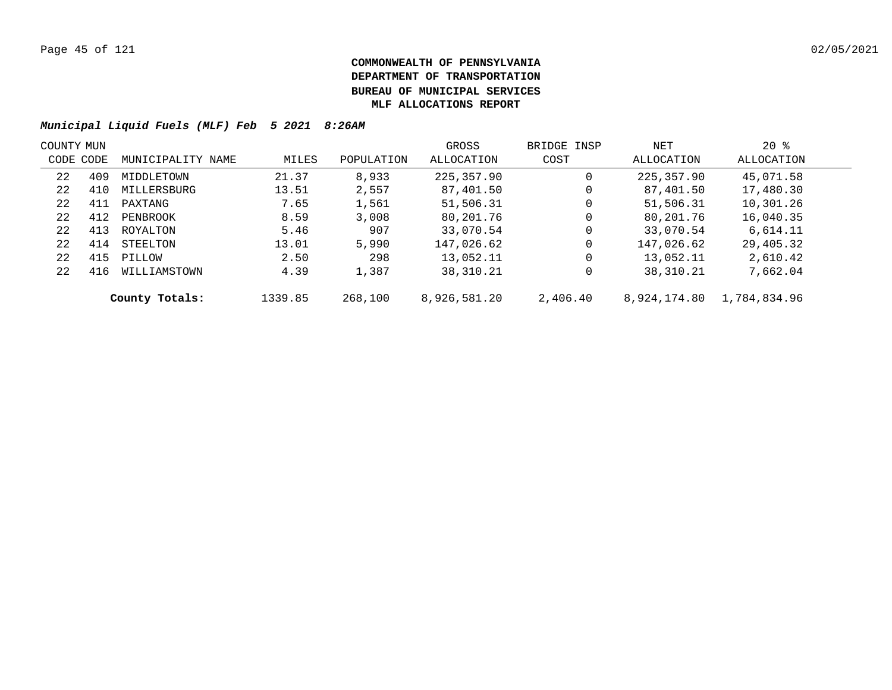| COUNTY MUN |     |                   |         |            | GROSS        | BRIDGE INSP | NET          | $20*$        |  |
|------------|-----|-------------------|---------|------------|--------------|-------------|--------------|--------------|--|
| CODE CODE  |     | MUNICIPALITY NAME | MILES   | POPULATION | ALLOCATION   | COST        | ALLOCATION   | ALLOCATION   |  |
| 22         | 409 | MIDDLETOWN        | 21.37   | 8,933      | 225,357.90   | 0           | 225,357.90   | 45,071.58    |  |
| 22         | 410 | MILLERSBURG       | 13.51   | 2,557      | 87,401.50    | 0           | 87,401.50    | 17,480.30    |  |
| 22         | 411 | PAXTANG           | 7.65    | 1,561      | 51,506.31    | 0           | 51,506.31    | 10,301.26    |  |
| 22         | 412 | PENBROOK          | 8.59    | 3,008      | 80,201.76    | 0           | 80,201.76    | 16,040.35    |  |
| 22         | 413 | ROYALTON          | 5.46    | 907        | 33,070.54    | 0           | 33,070.54    | 6,614.11     |  |
| 22         | 414 | STEELTON          | 13.01   | 5,990      | 147,026.62   | 0           | 147,026.62   | 29,405.32    |  |
| 22         | 415 | PILLOW            | 2.50    | 298        | 13,052.11    | 0           | 13,052.11    | 2,610.42     |  |
| 22         | 416 | WILLIAMSTOWN      | 4.39    | 1,387      | 38,310.21    | 0           | 38,310.21    | 7,662.04     |  |
|            |     | County Totals:    | 1339.85 | 268,100    | 8,926,581.20 | 2,406.40    | 8,924,174.80 | 1,784,834.96 |  |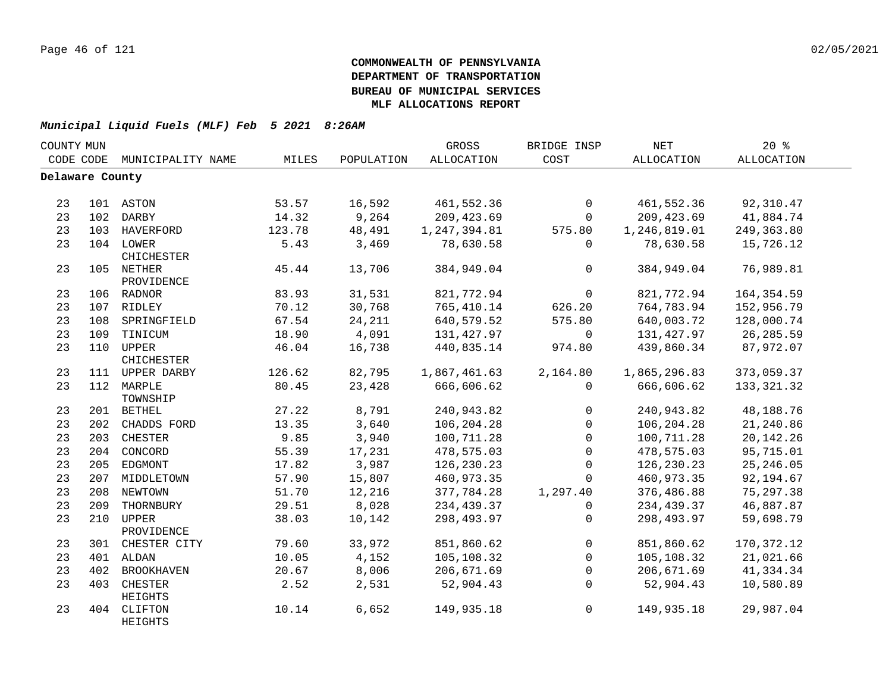| COUNTY MUN      |     |                         |        |            | <b>GROSS</b>      | BRIDGE INSP    | <b>NET</b>   | 20%         |  |
|-----------------|-----|-------------------------|--------|------------|-------------------|----------------|--------------|-------------|--|
| CODE CODE       |     | MUNICIPALITY NAME       | MILES  | POPULATION | <b>ALLOCATION</b> | COST           | ALLOCATION   | ALLOCATION  |  |
| Delaware County |     |                         |        |            |                   |                |              |             |  |
| 23              |     | 101 ASTON               | 53.57  | 16,592     | 461,552.36        | $\mathbf 0$    | 461,552.36   | 92,310.47   |  |
| 23              |     | 102 DARBY               | 14.32  | 9,264      | 209, 423.69       | $\mathbf 0$    | 209,423.69   | 41,884.74   |  |
| 23              |     | 103 HAVERFORD           | 123.78 | 48,491     | 1, 247, 394.81    | 575.80         | 1,246,819.01 | 249, 363.80 |  |
| 23              |     | 104 LOWER               | 5.43   | 3,469      | 78,630.58         | $\mathbf{0}$   | 78,630.58    | 15,726.12   |  |
|                 |     | CHICHESTER              |        |            |                   |                |              |             |  |
| 23              |     | 105 NETHER              | 45.44  | 13,706     | 384,949.04        | $\overline{0}$ | 384,949.04   | 76,989.81   |  |
|                 |     | PROVIDENCE              |        |            |                   |                |              |             |  |
| 23              |     | 106 RADNOR              | 83.93  | 31,531     | 821,772.94        | $\mathsf{O}$   | 821,772.94   | 164, 354.59 |  |
| 23              |     | 107 RIDLEY              | 70.12  | 30,768     | 765,410.14        | 626.20         | 764,783.94   | 152,956.79  |  |
| 23              |     | 108 SPRINGFIELD         | 67.54  | 24,211     | 640,579.52        | 575.80         | 640,003.72   | 128,000.74  |  |
| 23              |     | 109 TINICUM             | 18.90  | 4,091      | 131,427.97        | $\mathbf 0$    | 131,427.97   | 26,285.59   |  |
| 23              |     | 110 UPPER<br>CHICHESTER | 46.04  | 16,738     | 440,835.14        | 974.80         | 439,860.34   | 87,972.07   |  |
| 23              |     | 111 UPPER DARBY         | 126.62 | 82,795     | 1,867,461.63      | 2,164.80       | 1,865,296.83 | 373,059.37  |  |
| 23              |     | 112 MARPLE<br>TOWNSHIP  | 80.45  | 23,428     | 666,606.62        | $\mathbf 0$    | 666,606.62   | 133, 321.32 |  |
| 23              |     | 201 BETHEL              | 27.22  | 8,791      | 240,943.82        | $\mathbf 0$    | 240,943.82   | 48,188.76   |  |
| 23              |     | 202 CHADDS FORD         | 13.35  | 3,640      | 106,204.28        | $\mathbf 0$    | 106,204.28   | 21,240.86   |  |
| 23              |     | 203 CHESTER             | 9.85   | 3,940      | 100,711.28        | $\mathsf{O}$   | 100,711.28   | 20, 142. 26 |  |
| 23              |     | 204 CONCORD             | 55.39  | 17,231     | 478,575.03        | $\mathsf{O}$   | 478,575.03   | 95,715.01   |  |
| 23              |     | 205 EDGMONT             | 17.82  | 3,987      | 126,230.23        | $\mathbf 0$    | 126,230.23   | 25, 246.05  |  |
| 23              |     | 207 MIDDLETOWN          | 57.90  | 15,807     | 460,973.35        | $\Omega$       | 460,973.35   | 92,194.67   |  |
| 23              |     | 208 NEWTOWN             | 51.70  | 12,216     | 377,784.28        | 1,297.40       | 376,486.88   | 75, 297.38  |  |
| 23              | 209 | THORNBURY               | 29.51  | 8,028      | 234,439.37        | 0              | 234,439.37   | 46,887.87   |  |
| 23              | 210 | UPPER                   | 38.03  | 10,142     | 298,493.97        | $\mathbf 0$    | 298,493.97   | 59,698.79   |  |
|                 |     | PROVIDENCE              |        |            |                   |                |              |             |  |
| 23              |     | 301 CHESTER CITY        | 79.60  | 33,972     | 851,860.62        | $\mathsf{O}$   | 851,860.62   | 170, 372.12 |  |
| 23              |     | 401 ALDAN               | 10.05  | 4,152      | 105,108.32        | $\mathbf 0$    | 105,108.32   | 21,021.66   |  |
| 23              | 402 | <b>BROOKHAVEN</b>       | 20.67  | 8,006      | 206,671.69        | $\mathbf 0$    | 206,671.69   | 41,334.34   |  |
| 23              | 403 | CHESTER<br>HEIGHTS      | 2.52   | 2,531      | 52,904.43         | $\Omega$       | 52,904.43    | 10,580.89   |  |
| 23              |     | 404 CLIFTON<br>HEIGHTS  | 10.14  | 6,652      | 149,935.18        | $\overline{0}$ | 149,935.18   | 29,987.04   |  |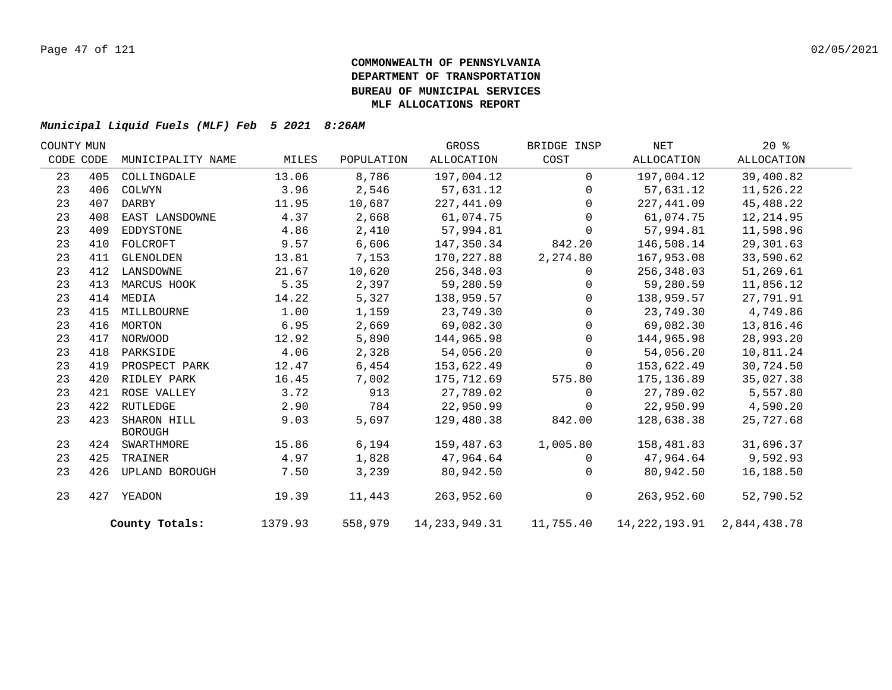| COUNTY MUN |     |                               |         |            | GROSS         | BRIDGE INSP  | NET                                        | $20*$      |  |
|------------|-----|-------------------------------|---------|------------|---------------|--------------|--------------------------------------------|------------|--|
| CODE CODE  |     | MUNICIPALITY NAME             | MILES   | POPULATION | ALLOCATION    | COST         | ALLOCATION                                 | ALLOCATION |  |
| 23         | 405 | COLLINGDALE                   | 13.06   | 8,786      | 197,004.12    | $\Omega$     | 197,004.12                                 | 39,400.82  |  |
| 23         | 406 | COLWYN                        | 3.96    | 2,546      | 57,631.12     | $\Omega$     | 57,631.12                                  | 11,526.22  |  |
| 23         | 407 | DARBY                         | 11.95   | 10,687     | 227,441.09    | $\Omega$     | 227,441.09                                 | 45,488.22  |  |
| 23         | 408 | EAST LANSDOWNE                | 4.37    | 2,668      | 61,074.75     | $\Omega$     | 61,074.75                                  | 12, 214.95 |  |
| 23         | 409 | EDDYSTONE                     | 4.86    | 2,410      | 57,994.81     | $\Omega$     | 57,994.81                                  | 11,598.96  |  |
| 23         | 410 | FOLCROFT                      | 9.57    | 6,606      | 147,350.34    | 842.20       | 146,508.14                                 | 29,301.63  |  |
| 23         | 411 | GLENOLDEN                     | 13.81   | 7,153      | 170,227.88    | 2,274.80     | 167,953.08                                 | 33,590.62  |  |
| 23         | 412 | LANSDOWNE                     | 21.67   | 10,620     | 256,348.03    | $\Omega$     | 256,348.03                                 | 51,269.61  |  |
| 23         | 413 | MARCUS HOOK                   | 5.35    | 2,397      | 59,280.59     | $\Omega$     | 59,280.59                                  | 11,856.12  |  |
| 23         | 414 | MEDIA                         | 14.22   | 5,327      | 138,959.57    | $\Omega$     | 138,959.57                                 | 27,791.91  |  |
| 23         | 415 | MILLBOURNE                    | 1.00    | 1,159      | 23,749.30     | $\Omega$     | 23,749.30                                  | 4,749.86   |  |
| 23         |     | 416 MORTON                    | 6.95    | 2,669      | 69,082.30     | $\Omega$     | 69,082.30                                  | 13,816.46  |  |
| 23         | 417 | NORWOOD                       | 12.92   | 5,890      | 144,965.98    | $\Omega$     | 144,965.98                                 | 28,993.20  |  |
| 23         | 418 | PARKSIDE                      | 4.06    | 2,328      | 54,056.20     | $\Omega$     | 54,056.20                                  | 10,811.24  |  |
| 23         | 419 | PROSPECT PARK                 | 12.47   | 6,454      | 153,622.49    | $\mathbf 0$  | 153,622.49                                 | 30,724.50  |  |
| 23         | 420 | RIDLEY PARK                   | 16.45   | 7,002      | 175,712.69    | 575.80       | 175,136.89                                 | 35,027.38  |  |
| 23         | 421 | ROSE VALLEY                   | 3.72    | 913        | 27,789.02     | $\Omega$     | 27,789.02                                  | 5,557.80   |  |
| 23         | 422 | RUTLEDGE                      | 2.90    | 784        | 22,950.99     | 0            | 22,950.99                                  | 4,590.20   |  |
| 23         | 423 | SHARON HILL<br><b>BOROUGH</b> | 9.03    | 5,697      | 129,480.38    | 842.00       | 128,638.38                                 | 25,727.68  |  |
| 23         |     | 424 SWARTHMORE                | 15.86   | 6,194      | 159,487.63    | 1,005.80     | 158,481.83                                 | 31,696.37  |  |
| 23         | 425 | TRAINER                       | 4.97    | 1,828      | 47,964.64     | $\Omega$     | 47,964.64                                  | 9,592.93   |  |
| 23         | 426 | UPLAND BOROUGH                | 7.50    | 3,239      | 80,942.50     | $\mathbf{0}$ | 80,942.50                                  | 16,188.50  |  |
| 23         | 427 | YEADON                        | 19.39   | 11,443     | 263,952.60    | $\mathsf{O}$ | 263,952.60                                 | 52,790.52  |  |
|            |     | County Totals:                | 1379.93 | 558,979    | 14,233,949.31 |              | 11,755.40    14,222,193.91    2,844,438.78 |            |  |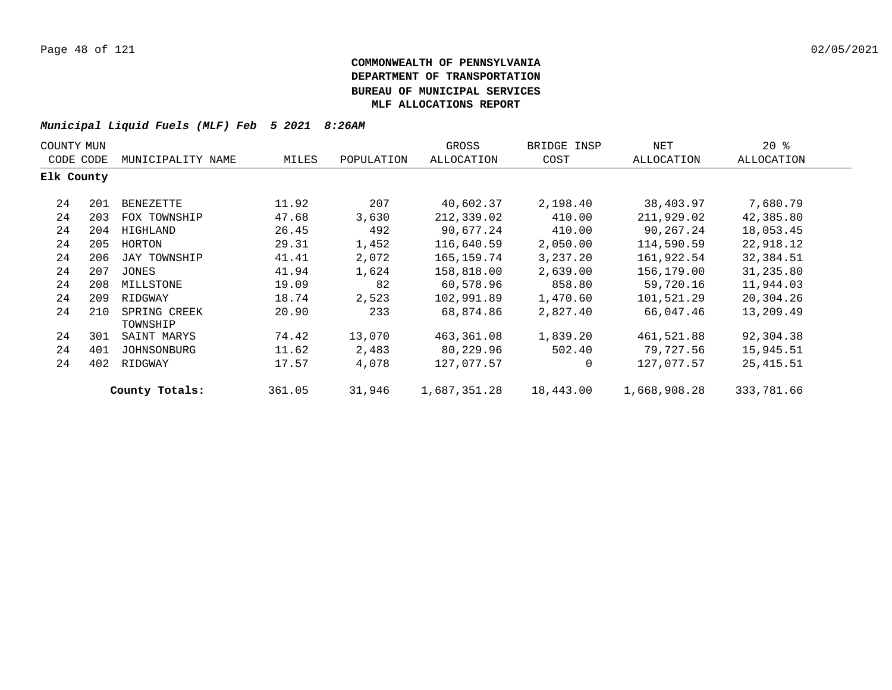| COUNTY MUN |     |                          |        |            | GROSS        | BRIDGE INSP | NET          | $20*$      |  |
|------------|-----|--------------------------|--------|------------|--------------|-------------|--------------|------------|--|
| CODE CODE  |     | MUNICIPALITY NAME        | MILES  | POPULATION | ALLOCATION   | COST        | ALLOCATION   | ALLOCATION |  |
| Elk County |     |                          |        |            |              |             |              |            |  |
| 24         | 201 | BENEZETTE                | 11.92  | 207        | 40,602.37    | 2,198.40    | 38,403.97    | 7,680.79   |  |
| 24         | 203 | FOX TOWNSHIP             | 47.68  | 3,630      | 212,339.02   | 410.00      | 211,929.02   | 42,385.80  |  |
| 24         | 204 | HIGHLAND                 | 26.45  | 492        | 90,677.24    | 410.00      | 90,267.24    | 18,053.45  |  |
| 24         | 205 | HORTON                   | 29.31  | 1,452      | 116,640.59   | 2,050.00    | 114,590.59   | 22,918.12  |  |
| 24         | 206 | JAY TOWNSHIP             | 41.41  | 2,072      | 165,159.74   | 3,237.20    | 161,922.54   | 32,384.51  |  |
| 24         | 207 | JONES                    | 41.94  | 1,624      | 158,818.00   | 2,639.00    | 156,179.00   | 31,235.80  |  |
| 24         | 208 | MILLSTONE                | 19.09  | 82         | 60,578.96    | 858.80      | 59,720.16    | 11,944.03  |  |
| 24         | 209 | RIDGWAY                  | 18.74  | 2,523      | 102,991.89   | 1,470.60    | 101,521.29   | 20,304.26  |  |
| 24         | 210 | SPRING CREEK<br>TOWNSHIP | 20.90  | 233        | 68,874.86    | 2,827.40    | 66,047.46    | 13,209.49  |  |
| 24         | 301 | SAINT MARYS              | 74.42  | 13,070     | 463,361.08   | 1,839.20    | 461,521.88   | 92,304.38  |  |
| 24         | 401 | JOHNSONBURG              | 11.62  | 2,483      | 80,229.96    | 502.40      | 79,727.56    | 15,945.51  |  |
| 24         | 402 | RIDGWAY                  | 17.57  | 4,078      | 127,077.57   | 0           | 127,077.57   | 25,415.51  |  |
|            |     | County Totals:           | 361.05 | 31,946     | 1,687,351.28 | 18,443.00   | 1,668,908.28 | 333,781.66 |  |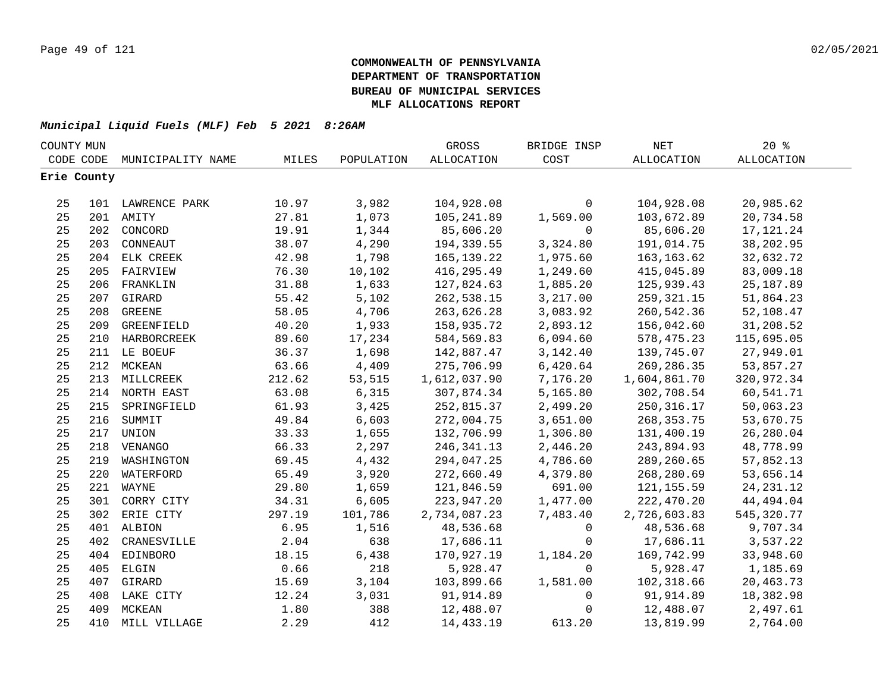| COUNTY MUN |             |                   |        |            | GROSS             | BRIDGE INSP  | $\operatorname{NET}$ | 20%               |  |
|------------|-------------|-------------------|--------|------------|-------------------|--------------|----------------------|-------------------|--|
|            | CODE CODE   | MUNICIPALITY NAME | MILES  | POPULATION | <b>ALLOCATION</b> | COST         | ALLOCATION           | <b>ALLOCATION</b> |  |
|            | Erie County |                   |        |            |                   |              |                      |                   |  |
|            |             |                   |        |            |                   |              |                      |                   |  |
| 25         |             | 101 LAWRENCE PARK | 10.97  | 3,982      | 104,928.08        | $\mathbf 0$  | 104,928.08           | 20,985.62         |  |
| 25         |             | 201 AMITY         | 27.81  | 1,073      | 105,241.89        | 1,569.00     | 103,672.89           | 20,734.58         |  |
| 25         |             | 202 CONCORD       | 19.91  | 1,344      | 85,606.20         | $\mathsf{O}$ | 85,606.20            | 17, 121. 24       |  |
| 25         | 203         | CONNEAUT          | 38.07  | 4,290      | 194,339.55        | 3,324.80     | 191,014.75           | 38,202.95         |  |
| 25         |             | 204 ELK CREEK     | 42.98  | 1,798      | 165, 139. 22      | 1,975.60     | 163, 163.62          | 32,632.72         |  |
| 25         | 205         | FAIRVIEW          | 76.30  | 10,102     | 416,295.49        | 1,249.60     | 415,045.89           | 83,009.18         |  |
| 25         | 206         | FRANKLIN          | 31.88  | 1,633      | 127,824.63        | 1,885.20     | 125,939.43           | 25, 187.89        |  |
| 25         | 207         | GIRARD            | 55.42  | 5,102      | 262,538.15        | 3,217.00     | 259,321.15           | 51,864.23         |  |
| 25         | 208         | <b>GREENE</b>     | 58.05  | 4,706      | 263,626.28        | 3,083.92     | 260,542.36           | 52,108.47         |  |
| 25         | 209         | GREENFIELD        | 40.20  | 1,933      | 158,935.72        | 2,893.12     | 156,042.60           | 31,208.52         |  |
| 25         |             | 210 HARBORCREEK   | 89.60  | 17,234     | 584,569.83        | 6,094.60     | 578,475.23           | 115,695.05        |  |
| 25         |             | 211 LE BOEUF      | 36.37  | 1,698      | 142,887.47        | 3, 142. 40   | 139,745.07           | 27,949.01         |  |
| 25         |             | 212 MCKEAN        | 63.66  | 4,409      | 275,706.99        | 6,420.64     | 269,286.35           | 53,857.27         |  |
| 25         |             | 213 MILLCREEK     | 212.62 | 53,515     | 1,612,037.90      | 7,176.20     | 1,604,861.70         | 320,972.34        |  |
| 25         |             | 214 NORTH EAST    | 63.08  | 6,315      | 307,874.34        | 5,165.80     | 302,708.54           | 60,541.71         |  |
| 25         |             | 215 SPRINGFIELD   | 61.93  | 3,425      | 252,815.37        | 2,499.20     | 250, 316.17          | 50,063.23         |  |
| 25         |             | 216 SUMMIT        | 49.84  | 6,603      | 272,004.75        | 3,651.00     | 268, 353. 75         | 53,670.75         |  |
| 25         |             | 217 UNION         | 33.33  | 1,655      | 132,706.99        | 1,306.80     | 131,400.19           | 26,280.04         |  |
| 25         |             | 218 VENANGO       | 66.33  | 2,297      | 246, 341. 13      | 2,446.20     | 243,894.93           | 48,778.99         |  |
| 25         |             | 219 WASHINGTON    | 69.45  | 4,432      | 294,047.25        | 4,786.60     | 289,260.65           | 57,852.13         |  |
| 25         | 220         | WATERFORD         | 65.49  | 3,920      | 272,660.49        | 4,379.80     | 268,280.69           | 53,656.14         |  |
| 25         |             | 221 WAYNE         | 29.80  | 1,659      | 121,846.59        | 691.00       | 121, 155.59          | 24, 231. 12       |  |
| 25         |             | 301 CORRY CITY    | 34.31  | 6,605      | 223,947.20        | 1,477.00     | 222,470.20           | 44,494.04         |  |
| 25         |             | 302 ERIE CITY     | 297.19 | 101,786    | 2,734,087.23      | 7,483.40     | 2,726,603.83         | 545, 320.77       |  |
| 25         |             | 401 ALBION        | 6.95   | 1,516      | 48,536.68         | $\mathsf{O}$ | 48,536.68            | 9,707.34          |  |
| 25         | 402         | CRANESVILLE       | 2.04   | 638        | 17,686.11         | $\mathbf 0$  | 17,686.11            | 3,537.22          |  |
| 25         | 404         | EDINBORO          | 18.15  | 6,438      | 170,927.19        | 1,184.20     | 169,742.99           | 33,948.60         |  |
| 25         | 405         | ELGIN             | 0.66   | 218        | 5,928.47          | $\mathbf 0$  | 5,928.47             | 1,185.69          |  |
| 25         |             | 407 GIRARD        | 15.69  | 3,104      | 103,899.66        | 1,581.00     | 102,318.66           | 20,463.73         |  |
| 25         |             | 408 LAKE CITY     | 12.24  | 3,031      | 91,914.89         | $\mathbf 0$  | 91,914.89            | 18,382.98         |  |
| 25         | 409         | MCKEAN            | 1.80   | 388        | 12,488.07         | $\mathbf 0$  | 12,488.07            | 2,497.61          |  |
| 25         | 410         | MILL VILLAGE      | 2.29   | 412        | 14,433.19         | 613.20       | 13,819.99            | 2,764.00          |  |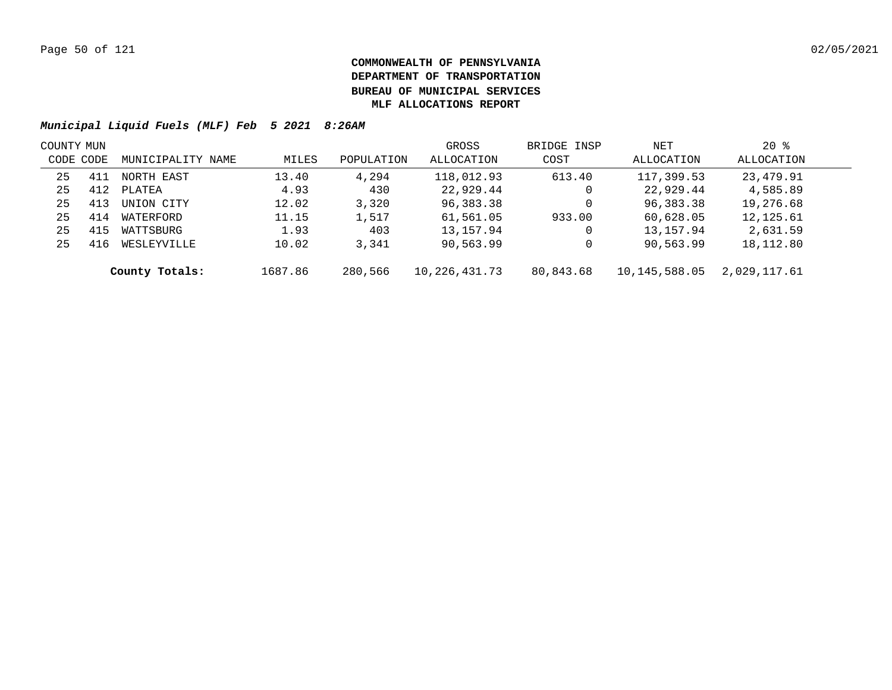|           | COUNTY MUN |                   |         |            | GROSS         | BRIDGE INSP | NET           | $20*$        |  |
|-----------|------------|-------------------|---------|------------|---------------|-------------|---------------|--------------|--|
| CODE CODE |            | MUNICIPALITY NAME | MILES   | POPULATION | ALLOCATION    | COST        | ALLOCATION    | ALLOCATION   |  |
| 25        | 411        | NORTH EAST        | 13.40   | 4,294      | 118,012.93    | 613.40      | 117,399.53    | 23,479.91    |  |
| 25        | 412        | PLATEA            | 4.93    | 430        | 22,929.44     | 0           | 22,929.44     | 4,585.89     |  |
| 25        | 413        | UNION CITY        | 12.02   | 3,320      | 96,383.38     | 0           | 96,383.38     | 19,276.68    |  |
| 25        | 414        | WATERFORD         | 11.15   | 1,517      | 61,561.05     | 933.00      | 60,628.05     | 12,125.61    |  |
| 25        | 415        | WATTSBURG         | 1.93    | 403        | 13,157.94     | 0           | 13,157.94     | 2,631.59     |  |
| 25        | 416        | WESLEYVILLE       | 10.02   | 3,341      | 90,563.99     | 0           | 90,563.99     | 18,112.80    |  |
|           |            | County Totals:    | 1687.86 | 280,566    | 10,226,431.73 | 80,843.68   | 10,145,588.05 | 2,029,117.61 |  |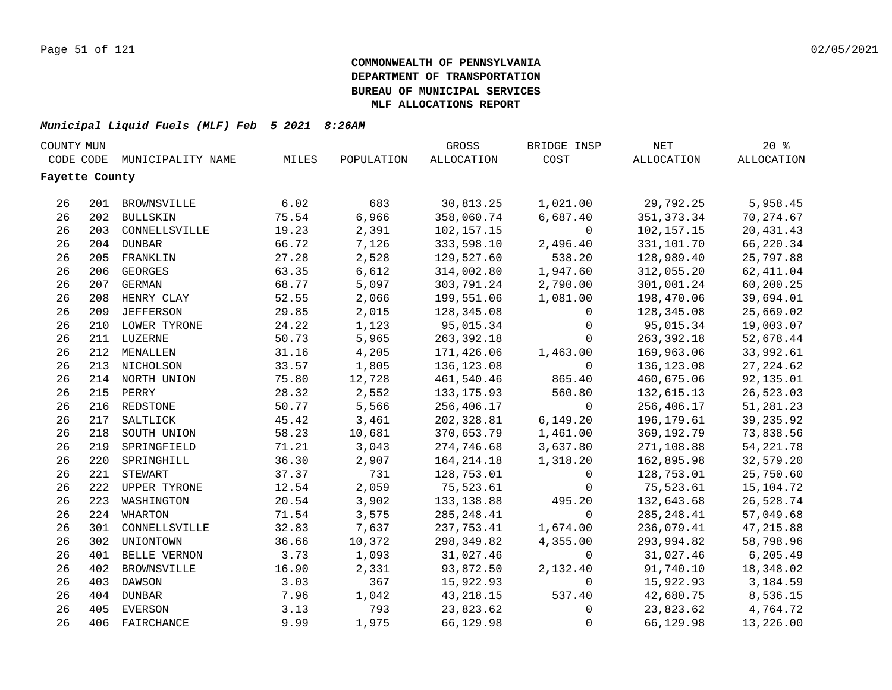| COUNTY MUN     |     |                   |       |            | GROSS             | BRIDGE INSP  | NET          | 20%         |  |
|----------------|-----|-------------------|-------|------------|-------------------|--------------|--------------|-------------|--|
| CODE CODE      |     | MUNICIPALITY NAME | MILES | POPULATION | <b>ALLOCATION</b> | COST         | ALLOCATION   | ALLOCATION  |  |
| Fayette County |     |                   |       |            |                   |              |              |             |  |
|                |     |                   |       |            |                   |              |              |             |  |
| 26             |     | 201 BROWNSVILLE   | 6.02  | 683        | 30,813.25         | 1,021.00     | 29,792.25    | 5,958.45    |  |
| 26             |     | 202 BULLSKIN      | 75.54 | 6,966      | 358,060.74        | 6,687.40     | 351, 373.34  | 70, 274.67  |  |
| 26             |     | 203 CONNELLSVILLE | 19.23 | 2,391      | 102,157.15        | $\mathsf{O}$ | 102,157.15   | 20,431.43   |  |
| 26             |     | 204 DUNBAR        | 66.72 | 7,126      | 333,598.10        | 2,496.40     | 331,101.70   | 66,220.34   |  |
| 26             | 205 | FRANKLIN          | 27.28 | 2,528      | 129,527.60        | 538.20       | 128,989.40   | 25,797.88   |  |
| 26             | 206 | <b>GEORGES</b>    | 63.35 | 6,612      | 314,002.80        | 1,947.60     | 312,055.20   | 62, 411.04  |  |
| 26             | 207 | <b>GERMAN</b>     | 68.77 | 5,097      | 303,791.24        | 2,790.00     | 301,001.24   | 60,200.25   |  |
| 26             | 208 | HENRY CLAY        | 52.55 | 2,066      | 199,551.06        | 1,081.00     | 198,470.06   | 39,694.01   |  |
| 26             | 209 | <b>JEFFERSON</b>  | 29.85 | 2,015      | 128,345.08        | $\mathbf 0$  | 128,345.08   | 25,669.02   |  |
| 26             |     | 210 LOWER TYRONE  | 24.22 | 1,123      | 95,015.34         | $\mathbf 0$  | 95,015.34    | 19,003.07   |  |
| 26             |     | 211 LUZERNE       | 50.73 | 5,965      | 263,392.18        | $\Omega$     | 263,392.18   | 52,678.44   |  |
| 26             |     | 212 MENALLEN      | 31.16 | 4,205      | 171,426.06        | 1,463.00     | 169,963.06   | 33,992.61   |  |
| 26             |     | 213 NICHOLSON     | 33.57 | 1,805      | 136,123.08        | $\Omega$     | 136,123.08   | 27, 224.62  |  |
| 26             |     | 214 NORTH UNION   | 75.80 | 12,728     | 461,540.46        | 865.40       | 460,675.06   | 92,135.01   |  |
| 26             |     | 215 PERRY         | 28.32 | 2,552      | 133, 175.93       | 560.80       | 132,615.13   | 26,523.03   |  |
| 26             |     | 216 REDSTONE      | 50.77 | 5,566      | 256,406.17        | $\mathbf 0$  | 256,406.17   | 51,281.23   |  |
| 26             |     | 217 SALTLICK      | 45.42 | 3,461      | 202,328.81        | 6, 149.20    | 196,179.61   | 39, 235.92  |  |
| 26             |     | 218 SOUTH UNION   | 58.23 | 10,681     | 370,653.79        | 1,461.00     | 369, 192. 79 | 73,838.56   |  |
| 26             |     | 219 SPRINGFIELD   | 71.21 | 3,043      | 274,746.68        | 3,637.80     | 271,108.88   | 54, 221. 78 |  |
| 26             | 220 | SPRINGHILL        | 36.30 | 2,907      | 164, 214. 18      | 1,318.20     | 162,895.98   | 32,579.20   |  |
| 26             |     | 221 STEWART       | 37.37 | 731        | 128,753.01        | $\mathbf 0$  | 128,753.01   | 25,750.60   |  |
| 26             |     | 222 UPPER TYRONE  | 12.54 | 2,059      | 75,523.61         | $\Omega$     | 75,523.61    | 15,104.72   |  |
| 26             | 223 | WASHINGTON        | 20.54 | 3,902      | 133, 138.88       | 495.20       | 132,643.68   | 26,528.74   |  |
| 26             |     | 224 WHARTON       | 71.54 | 3,575      | 285, 248.41       | $\mathbf 0$  | 285, 248.41  | 57,049.68   |  |
| 26             | 301 | CONNELLSVILLE     | 32.83 | 7,637      | 237,753.41        | 1,674.00     | 236,079.41   | 47, 215.88  |  |
| 26             | 302 | UNIONTOWN         | 36.66 | 10,372     | 298,349.82        | 4,355.00     | 293,994.82   | 58,798.96   |  |
| 26             | 401 | BELLE VERNON      | 3.73  | 1,093      | 31,027.46         | $\mathbf 0$  | 31,027.46    | 6, 205.49   |  |
| 26             | 402 | BROWNSVILLE       | 16.90 | 2,331      | 93,872.50         | 2,132.40     | 91,740.10    | 18,348.02   |  |
| 26             | 403 | DAWSON            | 3.03  | 367        | 15,922.93         | 0            | 15,922.93    | 3,184.59    |  |
| 26             | 404 | DUNBAR            | 7.96  | 1,042      | 43, 218. 15       | 537.40       | 42,680.75    | 8,536.15    |  |
| 26             | 405 | EVERSON           | 3.13  | 793        | 23,823.62         | 0            | 23,823.62    | 4,764.72    |  |
| 26             | 406 | FAIRCHANCE        | 9.99  | 1,975      | 66,129.98         | $\mathbf 0$  | 66,129.98    | 13,226.00   |  |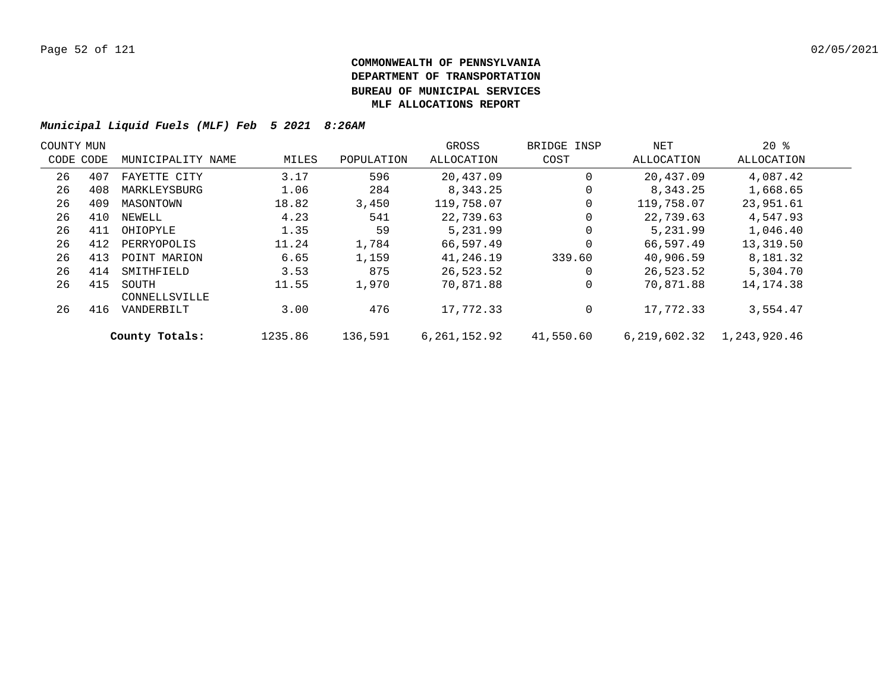| COUNTY MUN |           |                        |         |            | GROSS        | BRIDGE INSP | NET          | $20*$        |  |
|------------|-----------|------------------------|---------|------------|--------------|-------------|--------------|--------------|--|
|            | CODE CODE | MUNICIPALITY NAME      | MILES   | POPULATION | ALLOCATION   | COST        | ALLOCATION   | ALLOCATION   |  |
| 26         | 407       | FAYETTE CITY           | 3.17    | 596        | 20,437.09    |             | 20,437.09    | 4,087.42     |  |
| 26         | 408       | MARKLEYSBURG           | 1.06    | 284        | 8,343.25     | 0           | 8,343.25     | 1,668.65     |  |
| 26         | 409       | MASONTOWN              | 18.82   | 3,450      | 119,758.07   |             | 119,758.07   | 23,951.61    |  |
| 26         | 410       | NEWELL                 | 4.23    | 541        | 22,739.63    | 0           | 22,739.63    | 4,547.93     |  |
| 26         | 411       | OHIOPYLE               | 1.35    | 59         | 5,231.99     |             | 5,231.99     | 1,046.40     |  |
| 26         | 412       | PERRYOPOLIS            | 11.24   | 1,784      | 66,597.49    | $\Omega$    | 66,597.49    | 13,319.50    |  |
| 26         | 413       | POINT MARION           | 6.65    | 1,159      | 41,246.19    | 339.60      | 40,906.59    | 8,181.32     |  |
| 26         | 414       | SMITHFIELD             | 3.53    | 875        | 26,523.52    | 0           | 26,523.52    | 5,304.70     |  |
| 26         | 415       | SOUTH<br>CONNELLSVILLE | 11.55   | 1,970      | 70,871.88    |             | 70,871.88    | 14, 174. 38  |  |
| 26         | 416       | VANDERBILT             | 3.00    | 476        | 17,772.33    | 0           | 17,772.33    | 3,554.47     |  |
|            |           | County Totals:         | 1235.86 | 136,591    | 6,261,152.92 | 41,550.60   | 6,219,602.32 | 1,243,920.46 |  |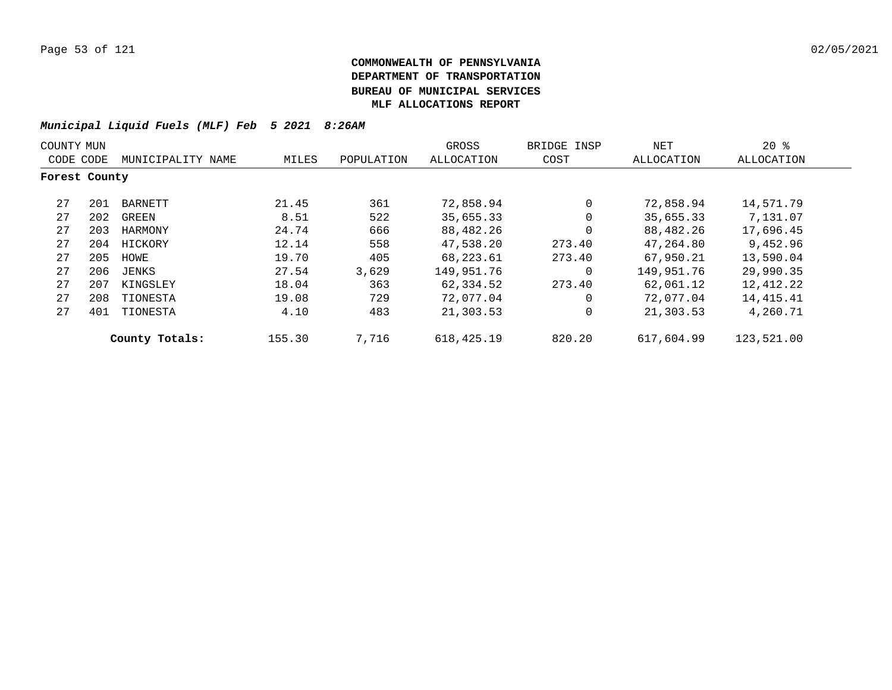| COUNTY MUN    |     |                   |        |            | GROSS        | BRIDGE INSP | NET        | $20*$      |
|---------------|-----|-------------------|--------|------------|--------------|-------------|------------|------------|
| CODE CODE     |     | MUNICIPALITY NAME | MILES  | POPULATION | ALLOCATION   | COST        | ALLOCATION | ALLOCATION |
| Forest County |     |                   |        |            |              |             |            |            |
| 27            | 201 | BARNETT           | 21.45  | 361        | 72,858.94    | $\Omega$    | 72,858.94  | 14,571.79  |
| 27            | 202 | GREEN             | 8.51   | 522        | 35,655.33    | $\Omega$    | 35,655.33  | 7,131.07   |
| 27            | 203 | HARMONY           | 24.74  | 666        | 88,482.26    | $\Omega$    | 88,482.26  | 17,696.45  |
| 27            | 204 | HICKORY           | 12.14  | 558        | 47,538.20    | 273.40      | 47,264.80  | 9,452.96   |
| 27            | 205 | HOWE              | 19.70  | 405        | 68,223.61    | 273.40      | 67,950.21  | 13,590.04  |
| 27            | 206 | JENKS             | 27.54  | 3,629      | 149,951.76   | $\Omega$    | 149,951.76 | 29,990.35  |
| 27            | 207 | KINGSLEY          | 18.04  | 363        | 62,334.52    | 273.40      | 62,061.12  | 12,412.22  |
| 27            | 208 | TIONESTA          | 19.08  | 729        | 72,077.04    | $\Omega$    | 72,077.04  | 14,415.41  |
| 27            | 401 | TIONESTA          | 4.10   | 483        | 21,303.53    | $\Omega$    | 21,303.53  | 4,260.71   |
|               |     | County Totals:    | 155.30 | 7,716      | 618, 425. 19 | 820.20      | 617,604.99 | 123,521.00 |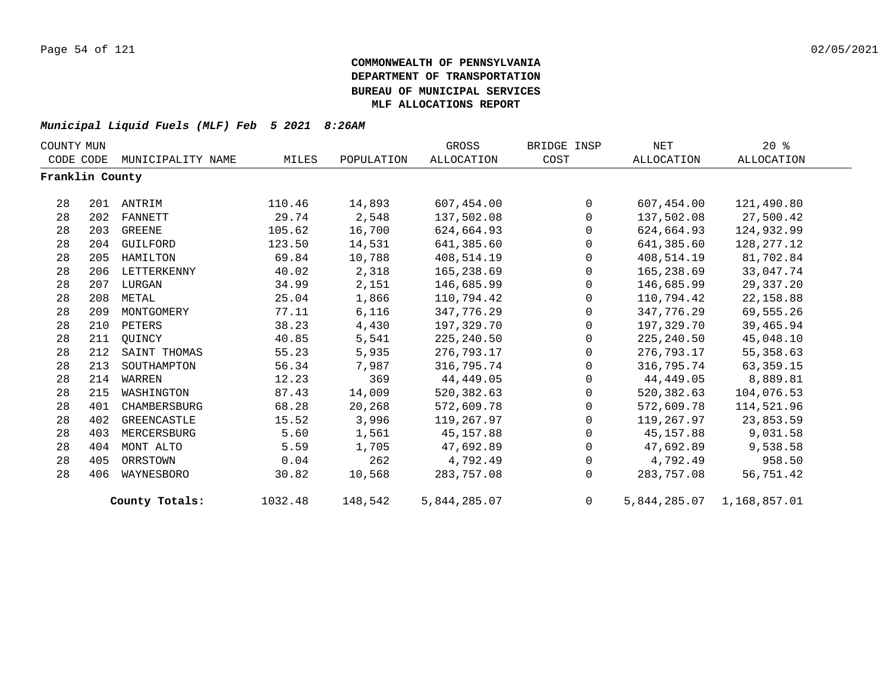| COUNTY MUN      |     |                   |         |            | GROSS             | BRIDGE INSP  | NET          | $20*$        |  |
|-----------------|-----|-------------------|---------|------------|-------------------|--------------|--------------|--------------|--|
| CODE CODE       |     | MUNICIPALITY NAME | MILES   | POPULATION | <b>ALLOCATION</b> | COST         | ALLOCATION   | ALLOCATION   |  |
| Franklin County |     |                   |         |            |                   |              |              |              |  |
| 28              | 201 | ANTRIM            | 110.46  | 14,893     | 607,454.00        | $\mathbf 0$  | 607,454.00   | 121,490.80   |  |
| 28              | 202 | FANNETT           | 29.74   | 2,548      | 137,502.08        | $\mathbf 0$  | 137,502.08   | 27,500.42    |  |
| 28              | 203 | GREENE            | 105.62  | 16,700     | 624,664.93        | 0            | 624,664.93   | 124,932.99   |  |
| 28              | 204 | GUILFORD          | 123.50  | 14,531     | 641,385.60        | $\Omega$     | 641,385.60   | 128, 277. 12 |  |
| 28              | 205 | HAMILTON          | 69.84   | 10,788     | 408,514.19        | $\mathbf 0$  | 408,514.19   | 81,702.84    |  |
| 28              | 206 | LETTERKENNY       | 40.02   | 2,318      | 165,238.69        | $\mathbf 0$  | 165,238.69   | 33,047.74    |  |
| 28              | 207 | LURGAN            | 34.99   | 2,151      | 146,685.99        | 0            | 146,685.99   | 29,337.20    |  |
| 28              | 208 | METAL             | 25.04   | 1,866      | 110,794.42        | $\Omega$     | 110,794.42   | 22, 158.88   |  |
| 28              | 209 | MONTGOMERY        | 77.11   | 6,116      | 347,776.29        | $\Omega$     | 347,776.29   | 69,555.26    |  |
| 28              | 210 | PETERS            | 38.23   | 4,430      | 197,329.70        | 0            | 197,329.70   | 39,465.94    |  |
| 28              | 211 | OUINCY            | 40.85   | 5,541      | 225,240.50        | 0            | 225, 240.50  | 45,048.10    |  |
| 28              | 212 | SAINT THOMAS      | 55.23   | 5,935      | 276,793.17        | $\mathbf 0$  | 276,793.17   | 55, 358.63   |  |
| 28              | 213 | SOUTHAMPTON       | 56.34   | 7,987      | 316,795.74        | $\Omega$     | 316,795.74   | 63, 359. 15  |  |
| 28              | 214 | WARREN            | 12.23   | 369        | 44,449.05         | $\mathsf{O}$ | 44,449.05    | 8,889.81     |  |
| 28              | 215 | WASHINGTON        | 87.43   | 14,009     | 520,382.63        | 0            | 520,382.63   | 104,076.53   |  |
| 28              | 401 | CHAMBERSBURG      | 68.28   | 20,268     | 572,609.78        | $\mathbf 0$  | 572,609.78   | 114,521.96   |  |
| 28              | 402 | GREENCASTLE       | 15.52   | 3,996      | 119,267.97        | $\Omega$     | 119,267.97   | 23,853.59    |  |
| 28              | 403 | MERCERSBURG       | 5.60    | 1,561      | 45,157.88         | $\mathsf{O}$ | 45,157.88    | 9,031.58     |  |
| 28              | 404 | MONT ALTO         | 5.59    | 1,705      | 47,692.89         | 0            | 47,692.89    | 9,538.58     |  |
| 28              | 405 | ORRSTOWN          | 0.04    | 262        | 4,792.49          | $\mathbf 0$  | 4,792.49     | 958.50       |  |
| 28              | 406 | WAYNESBORO        | 30.82   | 10,568     | 283,757.08        | $\Omega$     | 283,757.08   | 56,751.42    |  |
|                 |     | County Totals:    | 1032.48 | 148,542    | 5,844,285.07      | 0            | 5,844,285.07 | 1,168,857.01 |  |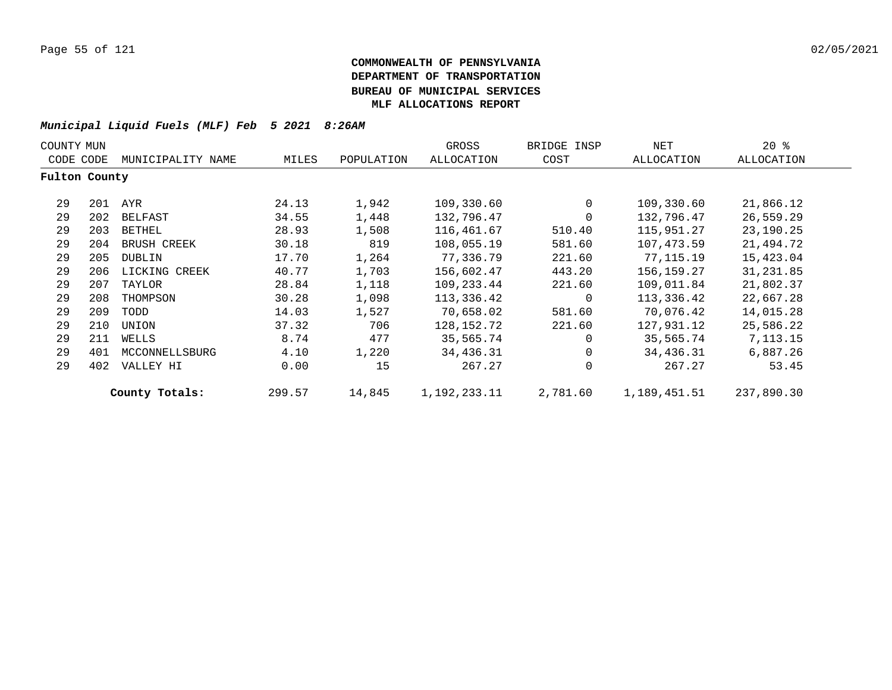| COUNTY MUN    |     |                   |        |            | GROSS        | BRIDGE INSP | NET          | $20*$      |
|---------------|-----|-------------------|--------|------------|--------------|-------------|--------------|------------|
| CODE CODE     |     | MUNICIPALITY NAME | MILES  | POPULATION | ALLOCATION   | COST        | ALLOCATION   | ALLOCATION |
| Fulton County |     |                   |        |            |              |             |              |            |
| 29            | 201 | AYR               | 24.13  | 1,942      | 109,330.60   | $\mathbf 0$ | 109,330.60   | 21,866.12  |
| 29            | 202 | BELFAST           | 34.55  | 1,448      | 132,796.47   | $\mathbf 0$ | 132,796.47   | 26,559.29  |
| 29            | 203 | BETHEL            | 28.93  | 1,508      | 116,461.67   | 510.40      | 115,951.27   | 23,190.25  |
| 29            | 204 | BRUSH CREEK       | 30.18  | 819        | 108,055.19   | 581.60      | 107,473.59   | 21,494.72  |
| 29            | 205 | DUBLIN            | 17.70  | 1,264      | 77,336.79    | 221.60      | 77,115.19    | 15,423.04  |
| 29            | 206 | LICKING CREEK     | 40.77  | 1,703      | 156,602.47   | 443.20      | 156,159.27   | 31,231.85  |
| 29            | 207 | TAYLOR            | 28.84  | 1,118      | 109,233.44   | 221.60      | 109,011.84   | 21,802.37  |
| 29            | 208 | THOMPSON          | 30.28  | 1,098      | 113,336.42   | 0           | 113,336.42   | 22,667.28  |
| 29            | 209 | TODD              | 14.03  | 1,527      | 70,658.02    | 581.60      | 70,076.42    | 14,015.28  |
| 29            | 210 | UNION             | 37.32  | 706        | 128,152.72   | 221.60      | 127,931.12   | 25,586.22  |
| 29            | 211 | WELLS             | 8.74   | 477        | 35,565.74    | $\Omega$    | 35,565.74    | 7,113.15   |
| 29            | 401 | MCCONNELLSBURG    | 4.10   | 1,220      | 34,436.31    | $\mathbf 0$ | 34,436.31    | 6,887.26   |
| 29            | 402 | VALLEY HI         | 0.00   | 15         | 267.27       | $\mathbf 0$ | 267.27       | 53.45      |
|               |     | County Totals:    | 299.57 | 14,845     | 1,192,233.11 | 2,781.60    | 1,189,451.51 | 237,890.30 |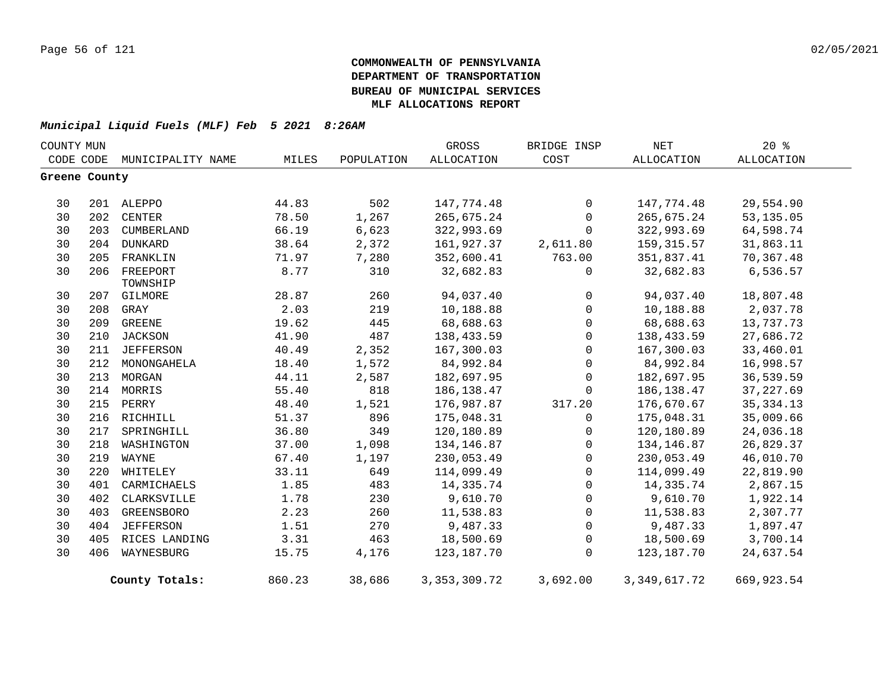| COUNTY MUN    |     |                             |        |            | GROSS           | BRIDGE INSP         | NET             | $20*$       |
|---------------|-----|-----------------------------|--------|------------|-----------------|---------------------|-----------------|-------------|
|               |     | CODE CODE MUNICIPALITY NAME | MILES  | POPULATION | ALLOCATION      | COST                | ALLOCATION      | ALLOCATION  |
| Greene County |     |                             |        |            |                 |                     |                 |             |
| 30            |     | 201 ALEPPO                  | 44.83  | 502        | 147,774.48      | 0                   | 147,774.48      | 29,554.90   |
| 30            |     | 202 CENTER                  | 78.50  | 1,267      | 265,675.24      | $\mathbf 0$         | 265,675.24      | 53,135.05   |
| 30            | 203 | CUMBERLAND                  | 66.19  | 6,623      | 322,993.69      | $\mathbf 0$         | 322,993.69      | 64,598.74   |
| 30            |     | 204 DUNKARD                 | 38.64  | 2,372      | 161,927.37      | 2,611.80            | 159,315.57      | 31,863.11   |
| 30            | 205 | FRANKLIN                    | 71.97  | 7,280      | 352,600.41      | 763.00              | 351,837.41      | 70,367.48   |
| 30            | 206 | FREEPORT<br>TOWNSHIP        | 8.77   | 310        | 32,682.83       | 0                   | 32,682.83       | 6,536.57    |
| 30            | 207 | GILMORE                     | 28.87  | 260        | 94,037.40       | $\mathsf{O}$        | 94,037.40       | 18,807.48   |
| 30            | 208 | GRAY                        | 2.03   | 219        | 10,188.88       | 0                   | 10,188.88       | 2,037.78    |
| 30            | 209 | GREENE                      | 19.62  | 445        | 68,688.63       | 0                   | 68,688.63       | 13,737.73   |
| 30            | 210 | JACKSON                     | 41.90  | 487        | 138,433.59      | 0                   | 138,433.59      | 27,686.72   |
| 30            | 211 | JEFFERSON                   | 40.49  | 2,352      | 167,300.03      | 0                   | 167,300.03      | 33,460.01   |
| 30            | 212 | MONONGAHELA                 | 18.40  | 1,572      | 84,992.84       | $\mathbf 0$         | 84,992.84       | 16,998.57   |
| 30            | 213 | MORGAN                      | 44.11  | 2,587      | 182,697.95      | $\mathbf 0$         | 182,697.95      | 36,539.59   |
| 30            |     | 214 MORRIS                  | 55.40  | 818        | 186, 138.47     | $\mathbf{0}$        | 186,138.47      | 37, 227.69  |
| 30            |     | 215 PERRY                   | 48.40  | 1,521      | 176,987.87      | 317.20              | 176,670.67      | 35, 334. 13 |
| 30            | 216 | RICHHILL                    | 51.37  | 896        | 175,048.31      | $\mathbf{0}$        | 175,048.31      | 35,009.66   |
| 30            | 217 | SPRINGHILL                  | 36.80  | 349        | 120,180.89      | 0                   | 120,180.89      | 24,036.18   |
| 30            | 218 | WASHINGTON                  | 37.00  | 1,098      | 134, 146.87     | $\mathsf{O}\xspace$ | 134,146.87      | 26,829.37   |
| 30            | 219 | WAYNE                       | 67.40  | 1,197      | 230,053.49      | $\overline{0}$      | 230,053.49      | 46,010.70   |
| 30            | 220 | WHITELEY                    | 33.11  | 649        | 114,099.49      | $\mathsf{O}$        | 114,099.49      | 22,819.90   |
| 30            | 401 | CARMICHAELS                 | 1.85   | 483        | 14,335.74       | $\mathsf{O}$        | 14,335.74       | 2,867.15    |
| 30            | 402 | CLARKSVILLE                 | 1.78   | 230        | 9,610.70        | $\mathsf{O}$        | 9,610.70        | 1,922.14    |
| 30            | 403 | GREENSBORO                  | 2.23   | 260        | 11,538.83       | $\mathsf{O}$        | 11,538.83       | 2,307.77    |
| 30            | 404 | <b>JEFFERSON</b>            | 1.51   | 270        | 9,487.33        | 0                   | 9,487.33        | 1,897.47    |
| 30            | 405 | RICES LANDING               | 3.31   | 463        | 18,500.69       | 0                   | 18,500.69       | 3,700.14    |
| 30            | 406 | WAYNESBURG                  | 15.75  | 4,176      | 123,187.70      | $\Omega$            | 123,187.70      | 24,637.54   |
|               |     | County Totals:              | 860.23 | 38,686     | 3, 353, 309. 72 | 3,692.00            | 3, 349, 617. 72 | 669,923.54  |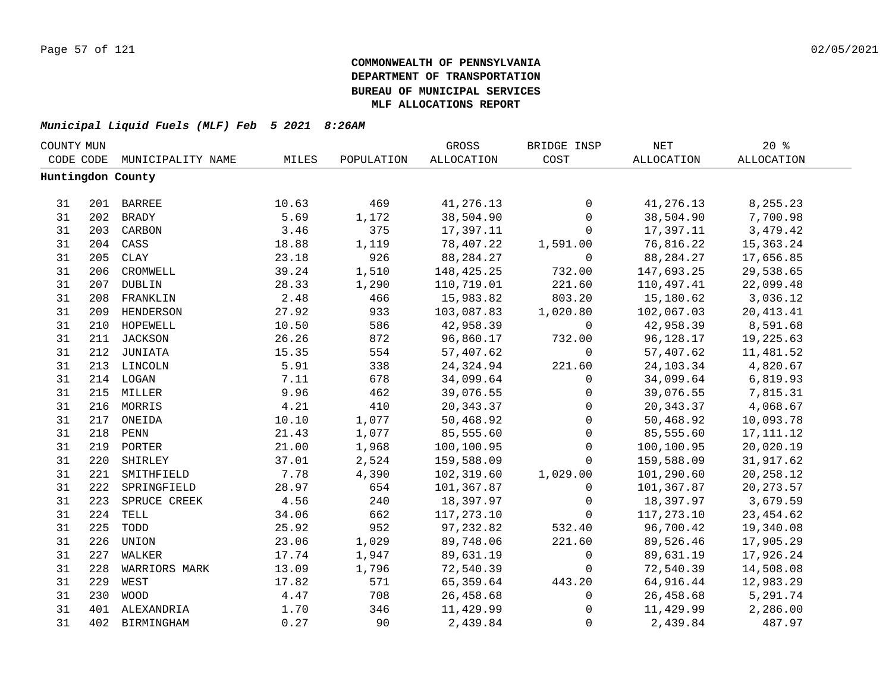| COUNTY MUN |     |                   |       |            | GROSS       | BRIDGE INSP         | $\operatorname{NET}$ | 20%         |  |
|------------|-----|-------------------|-------|------------|-------------|---------------------|----------------------|-------------|--|
| CODE CODE  |     | MUNICIPALITY NAME | MILES | POPULATION | ALLOCATION  | COST                | ALLOCATION           | ALLOCATION  |  |
|            |     | Huntingdon County |       |            |             |                     |                      |             |  |
|            |     |                   |       |            |             |                     |                      |             |  |
| 31         |     | 201 BARREE        | 10.63 | 469        | 41,276.13   | 0                   | 41,276.13            | 8,255.23    |  |
| 31         |     | 202 BRADY         | 5.69  | 1,172      | 38,504.90   | $\mathbf 0$         | 38,504.90            | 7,700.98    |  |
| 31         |     | 203 CARBON        | 3.46  | 375        | 17,397.11   | $\mathsf{O}$        | 17,397.11            | 3,479.42    |  |
| 31         |     | 204 CASS          | 18.88 | 1,119      | 78,407.22   | 1,591.00            | 76,816.22            | 15,363.24   |  |
| 31         | 205 | CLAY              | 23.18 | 926        | 88, 284. 27 | $\overline{0}$      | 88,284.27            | 17,656.85   |  |
| 31         | 206 | CROMWELL          | 39.24 | 1,510      | 148,425.25  | 732.00              | 147,693.25           | 29,538.65   |  |
| 31         | 207 | DUBLIN            | 28.33 | 1,290      | 110,719.01  | 221.60              | 110,497.41           | 22,099.48   |  |
| 31         | 208 | FRANKLIN          | 2.48  | 466        | 15,983.82   | 803.20              | 15,180.62            | 3,036.12    |  |
| 31         | 209 | HENDERSON         | 27.92 | 933        | 103,087.83  | 1,020.80            | 102,067.03           | 20, 413. 41 |  |
| 31         | 210 | HOPEWELL          | 10.50 | 586        | 42,958.39   | $\mathsf{O}$        | 42,958.39            | 8,591.68    |  |
| 31         |     | 211 JACKSON       | 26.26 | 872        | 96,860.17   | 732.00              | 96,128.17            | 19,225.63   |  |
| 31         |     | 212 JUNIATA       | 15.35 | 554        | 57,407.62   | $\mathbf 0$         | 57,407.62            | 11,481.52   |  |
| 31         |     | 213 LINCOLN       | 5.91  | 338        | 24,324.94   | 221.60              | 24, 103. 34          | 4,820.67    |  |
| 31         |     | 214 LOGAN         | 7.11  | 678        | 34,099.64   | $\mathbf 0$         | 34,099.64            | 6,819.93    |  |
| 31         |     | 215 MILLER        | 9.96  | 462        | 39,076.55   | 0                   | 39,076.55            | 7,815.31    |  |
| 31         |     | 216 MORRIS        | 4.21  | 410        | 20, 343.37  | $\mathsf{O}\xspace$ | 20, 343.37           | 4,068.67    |  |
| 31         |     | 217 ONEIDA        | 10.10 | 1,077      | 50,468.92   | $\mathsf{O}\xspace$ | 50,468.92            | 10,093.78   |  |
| 31         |     | 218 PENN          | 21.43 | 1,077      | 85,555.60   | $\mathsf{O}\xspace$ | 85,555.60            | 17, 111. 12 |  |
| 31         |     | 219 PORTER        | 21.00 | 1,968      | 100,100.95  | $\mathbf 0$         | 100,100.95           | 20,020.19   |  |
| 31         | 220 | SHIRLEY           | 37.01 | 2,524      | 159,588.09  | $\Omega$            | 159,588.09           | 31,917.62   |  |
| 31         | 221 | SMITHFIELD        | 7.78  | 4,390      | 102,319.60  | 1,029.00            | 101,290.60           | 20,258.12   |  |
| 31         | 222 | SPRINGFIELD       | 28.97 | 654        | 101,367.87  | $\Omega$            | 101,367.87           | 20, 273.57  |  |
| 31         | 223 | SPRUCE CREEK      | 4.56  | 240        | 18,397.97   | $\mathbf{0}$        | 18,397.97            | 3,679.59    |  |
| 31         | 224 | TELL              | 34.06 | 662        | 117,273.10  | $\mathbf 0$         | 117,273.10           | 23, 454.62  |  |
| 31         | 225 | TODD              | 25.92 | 952        | 97,232.82   | 532.40              | 96,700.42            | 19,340.08   |  |
| 31         | 226 | UNION             | 23.06 | 1,029      | 89,748.06   | 221.60              | 89,526.46            | 17,905.29   |  |
| 31         | 227 | WALKER            | 17.74 | 1,947      | 89,631.19   | $\mathbf 0$         | 89,631.19            | 17,926.24   |  |
| 31         | 228 | WARRIORS MARK     | 13.09 | 1,796      | 72,540.39   | $\mathbf 0$         | 72,540.39            | 14,508.08   |  |
| 31         | 229 | WEST              | 17.82 | 571        | 65,359.64   | 443.20              | 64,916.44            | 12,983.29   |  |
| 31         | 230 | <b>WOOD</b>       | 4.47  | 708        | 26,458.68   | $\mathsf{O}$        | 26,458.68            | 5,291.74    |  |
| 31         |     | 401 ALEXANDRIA    | 1.70  | 346        | 11,429.99   | $\mathsf 0$         | 11,429.99            | 2,286.00    |  |
| 31         | 402 | BIRMINGHAM        | 0.27  | 90         | 2,439.84    | $\mathbf 0$         | 2,439.84             | 487.97      |  |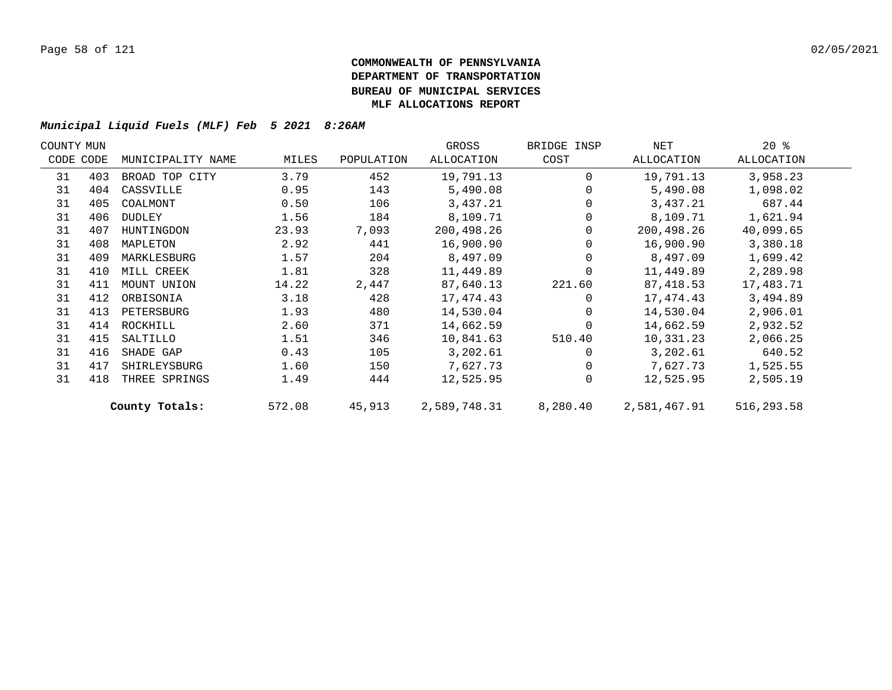| COUNTY MUN |           |                   |        |            | GROSS        | BRIDGE INSP | NET          | $20*$      |  |
|------------|-----------|-------------------|--------|------------|--------------|-------------|--------------|------------|--|
|            | CODE CODE | MUNICIPALITY NAME | MILES  | POPULATION | ALLOCATION   | COST        | ALLOCATION   | ALLOCATION |  |
| 31         | 403       | BROAD TOP CITY    | 3.79   | 452        | 19,791.13    | $\Omega$    | 19,791.13    | 3,958.23   |  |
| 31         | 404       | CASSVILLE         | 0.95   | 143        | 5,490.08     |             | 5,490.08     | 1,098.02   |  |
| 31         | 405       | COALMONT          | 0.50   | 106        | 3,437.21     |             | 3,437.21     | 687.44     |  |
| 31         | 406       | DUDLEY            | 1.56   | 184        | 8,109.71     |             | 8,109.71     | 1,621.94   |  |
| 31         | 407       | HUNTINGDON        | 23.93  | 7,093      | 200,498.26   | $\Omega$    | 200,498.26   | 40,099.65  |  |
| 31         | 408       | MAPLETON          | 2.92   | 441        | 16,900.90    |             | 16,900.90    | 3,380.18   |  |
| 31         | 409       | MARKLESBURG       | 1.57   | 204        | 8,497.09     |             | 8,497.09     | 1,699.42   |  |
| 31         | 410       | MILL CREEK        | 1.81   | 328        | 11,449.89    |             | 11,449.89    | 2,289.98   |  |
| 31         | 411       | MOUNT UNION       | 14.22  | 2,447      | 87,640.13    | 221.60      | 87,418.53    | 17,483.71  |  |
| 31         | 412       | ORBISONIA         | 3.18   | 428        | 17,474.43    | $\Omega$    | 17,474.43    | 3,494.89   |  |
| 31         | 413       | PETERSBURG        | 1.93   | 480        | 14,530.04    | $\Omega$    | 14,530.04    | 2,906.01   |  |
| 31         | 414       | ROCKHILL          | 2.60   | 371        | 14,662.59    | $\Omega$    | 14,662.59    | 2,932.52   |  |
| 31         | 415       | SALTILLO          | 1.51   | 346        | 10,841.63    | 510.40      | 10,331.23    | 2,066.25   |  |
| 31         | 416       | SHADE GAP         | 0.43   | 105        | 3,202.61     |             | 3,202.61     | 640.52     |  |
| 31         | 417       | SHIRLEYSBURG      | 1.60   | 150        | 7,627.73     | $\Omega$    | 7,627.73     | 1,525.55   |  |
| 31         | 418       | THREE SPRINGS     | 1.49   | 444        | 12,525.95    | $\Omega$    | 12,525.95    | 2,505.19   |  |
|            |           | County Totals:    | 572.08 | 45,913     | 2,589,748.31 | 8,280.40    | 2,581,467.91 | 516,293.58 |  |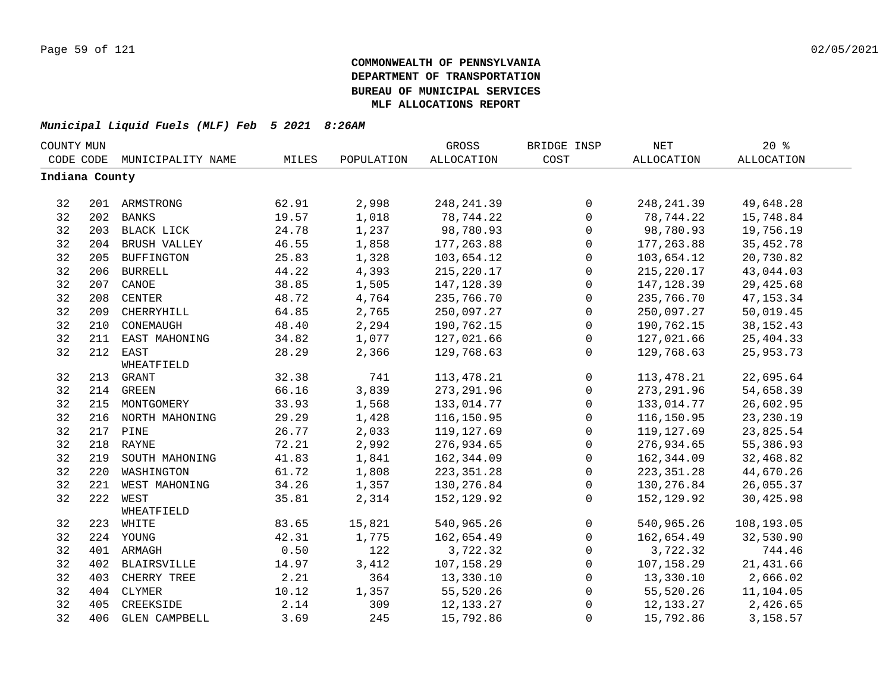| COUNTY MUN     |     |                    |       |            | <b>GROSS</b> | BRIDGE INSP  | <b>NET</b>  | 20%               |  |
|----------------|-----|--------------------|-------|------------|--------------|--------------|-------------|-------------------|--|
| CODE CODE      |     | MUNICIPALITY NAME  | MILES | POPULATION | ALLOCATION   | COST         | ALLOCATION  | <b>ALLOCATION</b> |  |
| Indiana County |     |                    |       |            |              |              |             |                   |  |
|                |     |                    |       |            |              |              |             |                   |  |
| 32             |     | 201 ARMSTRONG      | 62.91 | 2,998      | 248, 241.39  | $\mathbf 0$  | 248, 241.39 | 49,648.28         |  |
| 32             | 202 | <b>BANKS</b>       | 19.57 | 1,018      | 78,744.22    | $\mathbf 0$  | 78,744.22   | 15,748.84         |  |
| 32             |     | 203 BLACK LICK     | 24.78 | 1,237      | 98,780.93    | $\mathbf 0$  | 98,780.93   | 19,756.19         |  |
| 32             | 204 | BRUSH VALLEY       | 46.55 | 1,858      | 177, 263.88  | $\mathbf 0$  | 177, 263.88 | 35, 452. 78       |  |
| 32             | 205 | <b>BUFFINGTON</b>  | 25.83 | 1,328      | 103,654.12   | $\mathbf 0$  | 103,654.12  | 20,730.82         |  |
| 32             | 206 | <b>BURRELL</b>     | 44.22 | 4,393      | 215, 220.17  | $\mathbf 0$  | 215,220.17  | 43,044.03         |  |
| 32             | 207 | CANOE              | 38.85 | 1,505      | 147, 128.39  | $\Omega$     | 147,128.39  | 29, 425.68        |  |
| 32             | 208 | CENTER             | 48.72 | 4,764      | 235,766.70   | $\mathbf 0$  | 235,766.70  | 47, 153.34        |  |
| 32             | 209 | CHERRYHILL         | 64.85 | 2,765      | 250,097.27   | $\mathbf 0$  | 250,097.27  | 50,019.45         |  |
| 32             | 210 | CONEMAUGH          | 48.40 | 2,294      | 190,762.15   | $\mathbf 0$  | 190,762.15  | 38, 152. 43       |  |
| 32             | 211 | EAST MAHONING      | 34.82 | 1,077      | 127,021.66   | $\mathbf 0$  | 127,021.66  | 25, 404.33        |  |
| 32             | 212 | EAST               | 28.29 | 2,366      | 129,768.63   | $\mathbf{0}$ | 129,768.63  | 25, 953. 73       |  |
|                |     | WHEATFIELD         |       |            |              |              |             |                   |  |
| 32             | 213 | GRANT              | 32.38 | 741        | 113, 478. 21 | $\mathbf{0}$ | 113,478.21  | 22,695.64         |  |
| 32             |     | 214 GREEN          | 66.16 | 3,839      | 273, 291.96  | $\mathbf 0$  | 273, 291.96 | 54,658.39         |  |
| 32             |     | 215 MONTGOMERY     | 33.93 | 1,568      | 133,014.77   | $\mathbf{0}$ | 133,014.77  | 26,602.95         |  |
| 32             |     | 216 NORTH MAHONING | 29.29 | 1,428      | 116,150.95   | $\mathbf 0$  | 116,150.95  | 23, 230.19        |  |
| 32             |     | 217 PINE           | 26.77 | 2,033      | 119,127.69   | $\mathbf 0$  | 119,127.69  | 23,825.54         |  |
| 32             |     | 218 RAYNE          | 72.21 | 2,992      | 276,934.65   | $\mathbf 0$  | 276,934.65  | 55,386.93         |  |
| 32             | 219 | SOUTH MAHONING     | 41.83 | 1,841      | 162,344.09   | $\mathsf{O}$ | 162,344.09  | 32,468.82         |  |
| 32             | 220 | WASHINGTON         | 61.72 | 1,808      | 223, 351.28  | $\mathbf 0$  | 223, 351.28 | 44,670.26         |  |
| 32             | 221 | WEST MAHONING      | 34.26 | 1,357      | 130,276.84   | $\mathbf 0$  | 130,276.84  | 26,055.37         |  |
| 32             | 222 | WEST               | 35.81 | 2,314      | 152,129.92   | $\Omega$     | 152,129.92  | 30,425.98         |  |
|                |     | WHEATFIELD         |       |            |              |              |             |                   |  |
| 32             |     | 223 WHITE          | 83.65 | 15,821     | 540,965.26   | $\mathbf 0$  | 540,965.26  | 108,193.05        |  |
| 32             |     | 224 YOUNG          | 42.31 | 1,775      | 162,654.49   | $\mathbf 0$  | 162,654.49  | 32,530.90         |  |
| 32             |     | 401 ARMAGH         | 0.50  | 122        | 3,722.32     | $\mathbf 0$  | 3,722.32    | 744.46            |  |
| 32             | 402 | <b>BLAIRSVILLE</b> | 14.97 | 3,412      | 107,158.29   | $\Omega$     | 107,158.29  | 21,431.66         |  |
| 32             | 403 | CHERRY TREE        | 2.21  | 364        | 13,330.10    | $\mathbf 0$  | 13,330.10   | 2,666.02          |  |
| 32             | 404 | CLYMER             | 10.12 | 1,357      | 55,520.26    | $\mathbf 0$  | 55,520.26   | 11,104.05         |  |
| 32             | 405 | CREEKSIDE          | 2.14  | 309        | 12, 133. 27  | $\Omega$     | 12,133.27   | 2,426.65          |  |
| 32             | 406 | GLEN CAMPBELL      | 3.69  | 245        | 15,792.86    | $\mathbf 0$  | 15,792.86   | 3,158.57          |  |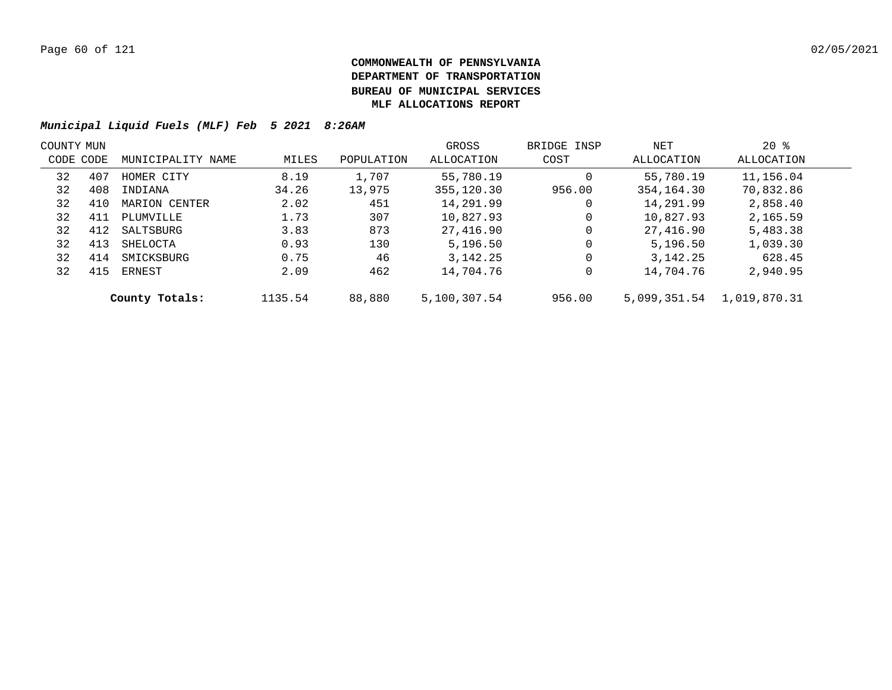| COUNTY MUN |     |                   |         | GROSS      | BRIDGE INSP  | NET    | $20*$      |                           |  |
|------------|-----|-------------------|---------|------------|--------------|--------|------------|---------------------------|--|
| CODE CODE  |     | MUNICIPALITY NAME | MILES   | POPULATION | ALLOCATION   | COST   | ALLOCATION | ALLOCATION                |  |
| 32         | 407 | HOMER CITY        | 8.19    | 1,707      | 55,780.19    | 0      | 55,780.19  | 11,156.04                 |  |
| 32         | 408 | INDIANA           | 34.26   | 13,975     | 355,120.30   | 956.00 | 354,164.30 | 70,832.86                 |  |
| 32         | 410 | MARION CENTER     | 2.02    | 451        | 14,291.99    | 0      | 14,291.99  | 2,858.40                  |  |
| 32         | 411 | PLUMVILLE         | 1.73    | 307        | 10,827.93    | 0      | 10,827.93  | 2,165.59                  |  |
| 32         | 412 | SALTSBURG         | 3.83    | 873        | 27,416.90    | 0      | 27,416.90  | 5,483.38                  |  |
| 32         | 413 | SHELOCTA          | 0.93    | 130        | 5,196.50     | 0      | 5,196.50   | 1,039.30                  |  |
| 32         | 414 | SMICKSBURG        | 0.75    | 46         | 3,142.25     | 0      | 3,142.25   | 628.45                    |  |
| 32         | 415 | ERNEST            | 2.09    | 462        | 14,704.76    | 0      | 14,704.76  | 2,940.95                  |  |
|            |     | County Totals:    | 1135.54 | 88,880     | 5,100,307.54 | 956.00 |            | 5,099,351.54 1,019,870.31 |  |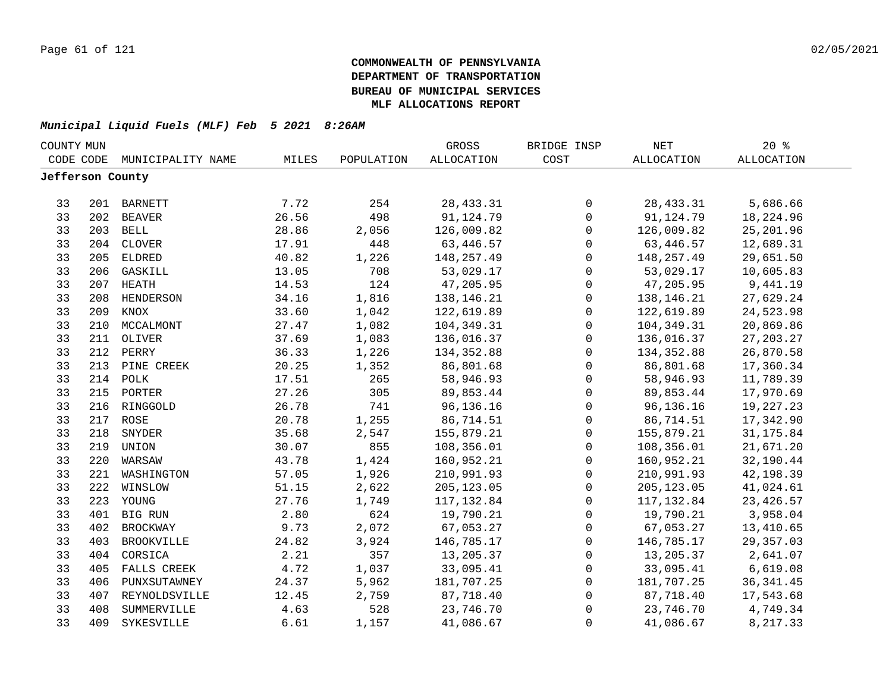| COUNTY MUN       |     |                   |       |            | GROSS             | BRIDGE INSP         | NET         | $20*$       |  |
|------------------|-----|-------------------|-------|------------|-------------------|---------------------|-------------|-------------|--|
| CODE CODE        |     | MUNICIPALITY NAME | MILES | POPULATION | <b>ALLOCATION</b> | COST                | ALLOCATION  | ALLOCATION  |  |
| Jefferson County |     |                   |       |            |                   |                     |             |             |  |
|                  |     |                   |       |            |                   |                     |             |             |  |
| 33               |     | 201 BARNETT       | 7.72  | 254        | 28, 433.31        | 0                   | 28, 433.31  | 5,686.66    |  |
| 33               | 202 | <b>BEAVER</b>     | 26.56 | 498        | 91,124.79         | $\mathsf{O}\xspace$ | 91,124.79   | 18,224.96   |  |
| 33               |     | 203 BELL          | 28.86 | 2,056      | 126,009.82        | $\mathsf{O}\xspace$ | 126,009.82  | 25, 201.96  |  |
| 33               | 204 | <b>CLOVER</b>     | 17.91 | 448        | 63,446.57         | $\mathsf{O}\xspace$ | 63,446.57   | 12,689.31   |  |
| 33               | 205 | <b>ELDRED</b>     | 40.82 | 1,226      | 148,257.49        | $\mathsf{O}$        | 148,257.49  | 29,651.50   |  |
| 33               | 206 | GASKILL           | 13.05 | 708        | 53,029.17         | $\mathbf 0$         | 53,029.17   | 10,605.83   |  |
| 33               | 207 | HEATH             | 14.53 | 124        | 47,205.95         | $\mathbf 0$         | 47,205.95   | 9,441.19    |  |
| 33               | 208 | HENDERSON         | 34.16 | 1,816      | 138,146.21        | $\mathsf{O}$        | 138,146.21  | 27,629.24   |  |
| 33               | 209 | KNOX              | 33.60 | 1,042      | 122,619.89        | $\mathsf{O}$        | 122,619.89  | 24,523.98   |  |
| 33               | 210 | MCCALMONT         | 27.47 | 1,082      | 104, 349. 31      | $\mathsf{O}$        | 104,349.31  | 20,869.86   |  |
| 33               | 211 | OLIVER            | 37.69 | 1,083      | 136,016.37        | $\mathbf 0$         | 136,016.37  | 27, 203. 27 |  |
| 33               | 212 | PERRY             | 36.33 | 1,226      | 134, 352.88       | $\mathbf 0$         | 134, 352.88 | 26,870.58   |  |
| 33               | 213 | PINE CREEK        | 20.25 | 1,352      | 86,801.68         | $\mathsf{O}$        | 86,801.68   | 17,360.34   |  |
| 33               | 214 | POLK              | 17.51 | 265        | 58,946.93         | $\mathsf{O}\xspace$ | 58,946.93   | 11,789.39   |  |
| 33               |     | 215 PORTER        | 27.26 | 305        | 89,853.44         | $\mathbf 0$         | 89,853.44   | 17,970.69   |  |
| 33               |     | 216 RINGGOLD      | 26.78 | 741        | 96,136.16         | 0                   | 96,136.16   | 19,227.23   |  |
| 33               |     | 217 ROSE          | 20.78 | 1,255      | 86,714.51         | $\mathsf{O}\xspace$ | 86,714.51   | 17,342.90   |  |
| 33               | 218 | SNYDER            | 35.68 | 2,547      | 155,879.21        | $\mathsf{O}\xspace$ | 155,879.21  | 31, 175.84  |  |
| 33               | 219 | UNION             | 30.07 | 855        | 108,356.01        | $\mathsf{O}$        | 108,356.01  | 21,671.20   |  |
| 33               | 220 | WARSAW            | 43.78 | 1,424      | 160,952.21        | $\mathsf{O}$        | 160,952.21  | 32,190.44   |  |
| 33               | 221 | WASHINGTON        | 57.05 | 1,926      | 210,991.93        | $\mathbf 0$         | 210,991.93  | 42,198.39   |  |
| 33               | 222 | WINSLOW           | 51.15 | 2,622      | 205, 123.05       | $\mathbf 0$         | 205, 123.05 | 41,024.61   |  |
| 33               |     | 223 YOUNG         | 27.76 | 1,749      | 117, 132.84       | $\mathbf 0$         | 117,132.84  | 23, 426.57  |  |
| 33               |     | 401 BIG RUN       | 2.80  | 624        | 19,790.21         | $\mathbf 0$         | 19,790.21   | 3,958.04    |  |
| 33               | 402 | <b>BROCKWAY</b>   | 9.73  | 2,072      | 67,053.27         | $\mathbf 0$         | 67,053.27   | 13,410.65   |  |
| 33               | 403 | <b>BROOKVILLE</b> | 24.82 | 3,924      | 146,785.17        | $\mathsf{O}$        | 146,785.17  | 29,357.03   |  |
| 33               | 404 | CORSICA           | 2.21  | 357        | 13,205.37         | $\mathbf 0$         | 13,205.37   | 2,641.07    |  |
| 33               | 405 | FALLS CREEK       | 4.72  | 1,037      | 33,095.41         | $\mathsf{O}$        | 33,095.41   | 6,619.08    |  |
| 33               | 406 | PUNXSUTAWNEY      | 24.37 | 5,962      | 181,707.25        | $\mathsf{O}$        | 181,707.25  | 36, 341.45  |  |
| 33               | 407 | REYNOLDSVILLE     | 12.45 | 2,759      | 87,718.40         | 0                   | 87,718.40   | 17,543.68   |  |
| 33               | 408 | SUMMERVILLE       | 4.63  | 528        | 23,746.70         | 0                   | 23,746.70   | 4,749.34    |  |
| 33               | 409 | SYKESVILLE        | 6.61  | 1,157      | 41,086.67         | $\mathbf 0$         | 41,086.67   | 8,217.33    |  |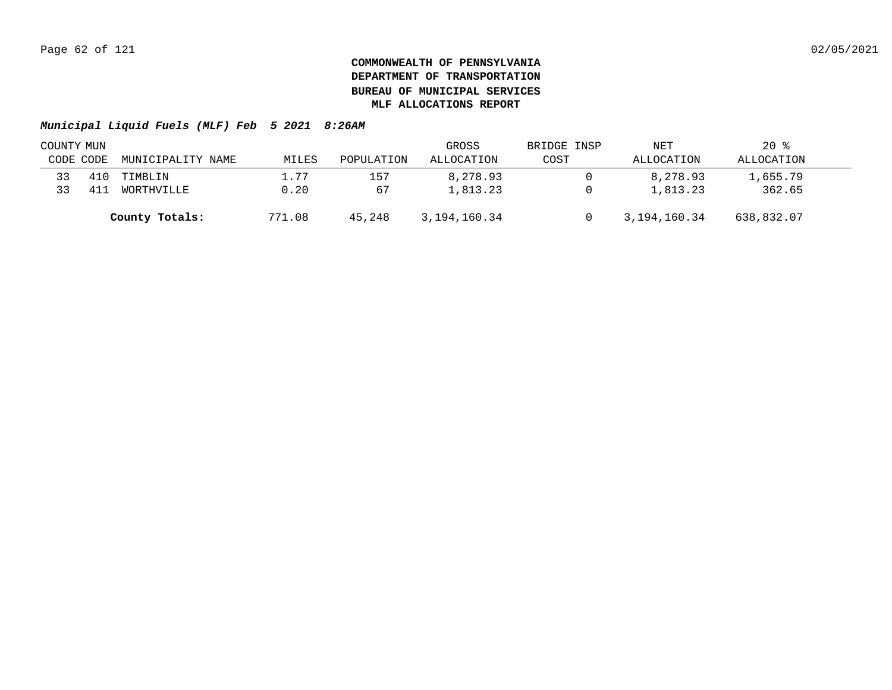|           | COUNTY MUN |                   |            |            | GROSS        | BRIDGE INSP | NET          | $20*$      |  |
|-----------|------------|-------------------|------------|------------|--------------|-------------|--------------|------------|--|
| CODE CODE |            | MUNICIPALITY NAME | MILES      | POPULATION | ALLOCATION   | COST        | ALLOCATION   | ALLOCATION |  |
|           |            | TIMBLIN           | $\pm 0.77$ | 157        | 8,278.93     |             | 8,278.93     | 1,655.79   |  |
|           |            | WORTHVILLE        | 0.20       | 67         | 1,813.23     |             | 1,813.23     | 362.65     |  |
|           |            | County Totals:    | 771.08     | 45,248     | 3,194,160.34 |             | 3,194,160.34 | 638,832.07 |  |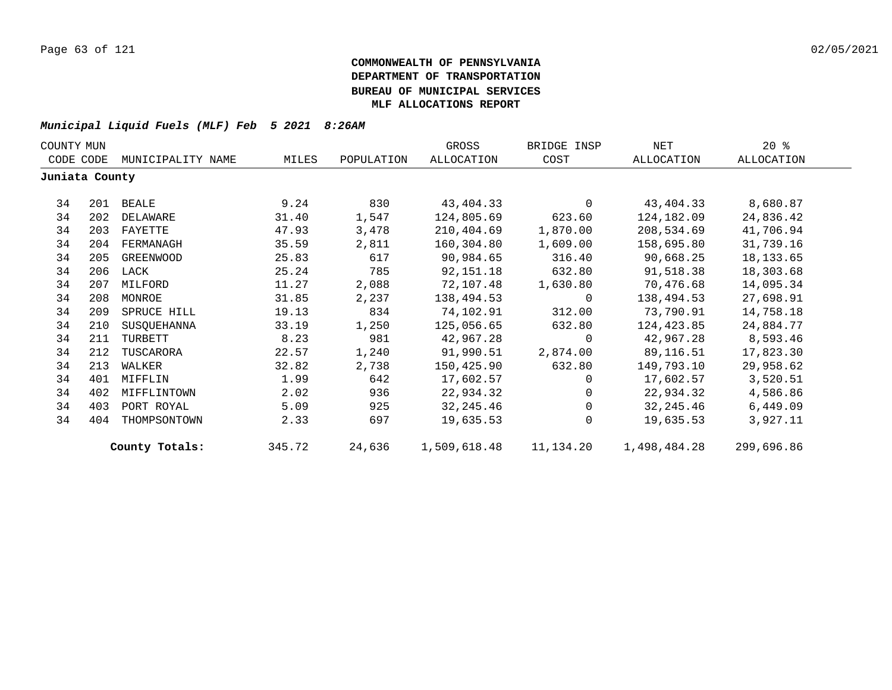|                | COUNTY MUN |                   |        |            | GROSS        | BRIDGE INSP    | NET          | $20*$      |
|----------------|------------|-------------------|--------|------------|--------------|----------------|--------------|------------|
| CODE CODE      |            | MUNICIPALITY NAME | MILES  | POPULATION | ALLOCATION   | COST           | ALLOCATION   | ALLOCATION |
| Juniata County |            |                   |        |            |              |                |              |            |
| 34             | 201        | BEALE             | 9.24   | 830        | 43,404.33    | $\mathbf 0$    | 43,404.33    | 8,680.87   |
| 34             | 202        | DELAWARE          | 31.40  | 1,547      | 124,805.69   | 623.60         | 124,182.09   | 24,836.42  |
| 34             | 203        | FAYETTE           | 47.93  | 3,478      | 210,404.69   | 1,870.00       | 208,534.69   | 41,706.94  |
| 34             | 204        | FERMANAGH         | 35.59  | 2,811      | 160,304.80   | 1,609.00       | 158,695.80   | 31,739.16  |
| 34             | 205        | GREENWOOD         | 25.83  | 617        | 90,984.65    | 316.40         | 90,668.25    | 18, 133.65 |
| 34             | 206        | LACK              | 25.24  | 785        | 92,151.18    | 632.80         | 91,518.38    | 18,303.68  |
| 34             | 207        | MILFORD           | 11.27  | 2,088      | 72,107.48    | 1,630.80       | 70,476.68    | 14,095.34  |
| 34             | 208        | MONROE            | 31.85  | 2,237      | 138,494.53   | $\overline{0}$ | 138,494.53   | 27,698.91  |
| 34             | 209        | SPRUCE HILL       | 19.13  | 834        | 74,102.91    | 312.00         | 73,790.91    | 14,758.18  |
| 34             | 210        | SUSQUEHANNA       | 33.19  | 1,250      | 125,056.65   | 632.80         | 124,423.85   | 24,884.77  |
| 34             | 211        | TURBETT           | 8.23   | 981        | 42,967.28    | $\Omega$       | 42,967.28    | 8,593.46   |
| 34             | 212        | TUSCARORA         | 22.57  | 1,240      | 91,990.51    | 2,874.00       | 89,116.51    | 17,823.30  |
| 34             | 213        | WALKER            | 32.82  | 2,738      | 150,425.90   | 632.80         | 149,793.10   | 29,958.62  |
| 34             | 401        | MIFFLIN           | 1.99   | 642        | 17,602.57    | $\Omega$       | 17,602.57    | 3,520.51   |
| 34             | 402        | MIFFLINTOWN       | 2.02   | 936        | 22,934.32    | $\Omega$       | 22,934.32    | 4,586.86   |
| 34             | 403        | PORT ROYAL        | 5.09   | 925        | 32, 245.46   | $\Omega$       | 32,245.46    | 6,449.09   |
| 34             | 404        | THOMPSONTOWN      | 2.33   | 697        | 19,635.53    |                | 19,635.53    | 3,927.11   |
|                |            | County Totals:    | 345.72 | 24,636     | 1,509,618.48 | 11,134.20      | 1,498,484.28 | 299,696.86 |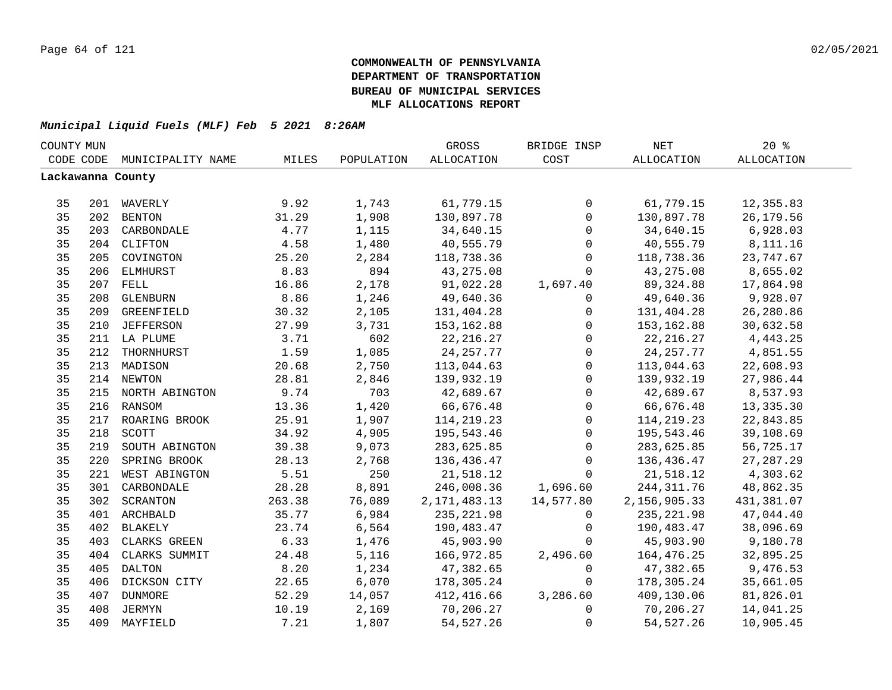| COUNTY MUN |           |                    |        |            | GROSS             | BRIDGE INSP  | $\operatorname{NET}$ | $20*$             |  |
|------------|-----------|--------------------|--------|------------|-------------------|--------------|----------------------|-------------------|--|
|            | CODE CODE | MUNICIPALITY NAME  | MILES  | POPULATION | <b>ALLOCATION</b> | COST         | ALLOCATION           | <b>ALLOCATION</b> |  |
|            |           | Lackawanna County  |        |            |                   |              |                      |                   |  |
|            |           |                    |        |            |                   |              |                      |                   |  |
| 35         |           | 201 WAVERLY        | 9.92   | 1,743      | 61,779.15         | 0            | 61,779.15            | 12,355.83         |  |
| 35         |           | 202 BENTON         | 31.29  | 1,908      | 130,897.78        | $\mathbf 0$  | 130,897.78           | 26,179.56         |  |
| 35         |           | 203 CARBONDALE     | 4.77   | 1,115      | 34,640.15         | $\mathsf{O}$ | 34,640.15            | 6,928.03          |  |
| 35         |           | 204 CLIFTON        | 4.58   | 1,480      | 40,555.79         | $\mathsf 0$  | 40,555.79            | 8,111.16          |  |
| 35         | 205       | COVINGTON          | 25.20  | 2,284      | 118,738.36        | 0            | 118,738.36           | 23,747.67         |  |
| 35         |           | 206 ELMHURST       | 8.83   | 894        | 43,275.08         | $\mathbf 0$  | 43,275.08            | 8,655.02          |  |
| 35         | 207       | FELL               | 16.86  | 2,178      | 91,022.28         | 1,697.40     | 89,324.88            | 17,864.98         |  |
| 35         | 208       | GLENBURN           | 8.86   | 1,246      | 49,640.36         | $\mathbf 0$  | 49,640.36            | 9,928.07          |  |
| 35         | 209       | GREENFIELD         | 30.32  | 2,105      | 131,404.28        | $\mathbf 0$  | 131,404.28           | 26,280.86         |  |
| 35         | 210       | JEFFERSON          | 27.99  | 3,731      | 153,162.88        | $\mathbf 0$  | 153,162.88           | 30,632.58         |  |
| 35         |           | 211 LA PLUME       | 3.71   | 602        | 22, 216.27        | $\mathbf 0$  | 22, 216.27           | 4, 443.25         |  |
| 35         | 212       | THORNHURST         | 1.59   | 1,085      | 24, 257. 77       | $\mathsf{O}$ | 24, 257. 77          | 4,851.55          |  |
| 35         | 213       | MADISON            | 20.68  | 2,750      | 113,044.63        | $\mathsf{O}$ | 113,044.63           | 22,608.93         |  |
| 35         |           | 214 NEWTON         | 28.81  | 2,846      | 139,932.19        | $\mathbf{0}$ | 139,932.19           | 27,986.44         |  |
| 35         |           | 215 NORTH ABINGTON | 9.74   | 703        | 42,689.67         | $\mathbf{0}$ | 42,689.67            | 8,537.93          |  |
| 35         |           | 216 RANSOM         | 13.36  | 1,420      | 66,676.48         | $\mathsf 0$  | 66,676.48            | 13,335.30         |  |
| 35         |           | 217 ROARING BROOK  | 25.91  | 1,907      | 114, 219. 23      | $\mathsf 0$  | 114, 219. 23         | 22,843.85         |  |
| 35         | 218       | SCOTT              | 34.92  | 4,905      | 195,543.46        | $\mathsf{O}$ | 195,543.46           | 39,108.69         |  |
| 35         | 219       | SOUTH ABINGTON     | 39.38  | 9,073      | 283,625.85        | 0            | 283,625.85           | 56,725.17         |  |
| 35         | 220       | SPRING BROOK       | 28.13  | 2,768      | 136,436.47        | 0            | 136,436.47           | 27, 287. 29       |  |
| 35         | 221       | WEST ABINGTON      | 5.51   | 250        | 21,518.12         | $\mathbf 0$  | 21,518.12            | 4,303.62          |  |
| 35         | 301       | CARBONDALE         | 28.28  | 8,891      | 246,008.36        | 1,696.60     | 244, 311.76          | 48,862.35         |  |
| 35         | 302       | SCRANTON           | 263.38 | 76,089     | 2, 171, 483. 13   | 14,577.80    | 2,156,905.33         | 431,381.07        |  |
| 35         |           | 401 ARCHBALD       | 35.77  | 6,984      | 235, 221.98       | $\mathbf 0$  | 235, 221.98          | 47,044.40         |  |
| 35         | 402       | <b>BLAKELY</b>     | 23.74  | 6,564      | 190,483.47        | $\mathbf{0}$ | 190,483.47           | 38,096.69         |  |
| 35         | 403       | CLARKS GREEN       | 6.33   | 1,476      | 45,903.90         | $\Omega$     | 45,903.90            | 9,180.78          |  |
| 35         | 404       | CLARKS SUMMIT      | 24.48  | 5,116      | 166,972.85        | 2,496.60     | 164,476.25           | 32,895.25         |  |
| 35         | 405       | DALTON             | 8.20   | 1,234      | 47,382.65         | $\mathbf 0$  | 47,382.65            | 9,476.53          |  |
| 35         | 406       | DICKSON CITY       | 22.65  | 6,070      | 178,305.24        | $\mathbf 0$  | 178,305.24           | 35,661.05         |  |
| 35         | 407       | DUNMORE            | 52.29  | 14,057     | 412,416.66        | 3,286.60     | 409,130.06           | 81,826.01         |  |
| 35         | 408       | JERMYN             | 10.19  | 2,169      | 70,206.27         | $\mathbf 0$  | 70,206.27            | 14,041.25         |  |
| 35         |           | 409 MAYFIELD       | 7.21   | 1,807      | 54, 527.26        | 0            | 54, 527.26           | 10,905.45         |  |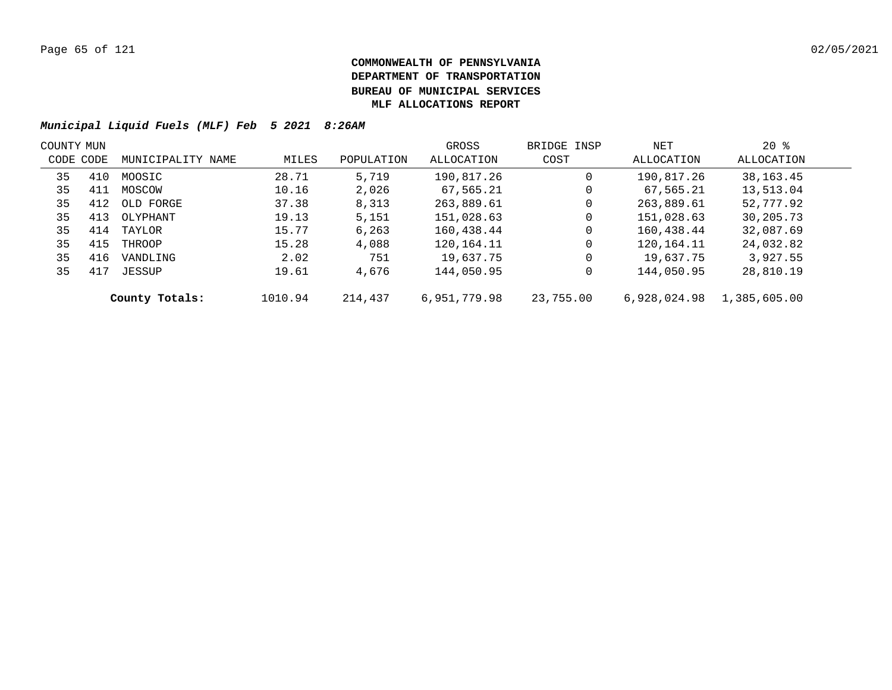|           | COUNTY MUN |                   |         |            | GROSS        | BRIDGE INSP | NET          | $20$ %       |  |
|-----------|------------|-------------------|---------|------------|--------------|-------------|--------------|--------------|--|
| CODE CODE |            | MUNICIPALITY NAME | MILES   | POPULATION | ALLOCATION   | COST        | ALLOCATION   | ALLOCATION   |  |
| 35        | 410        | MOOSIC            | 28.71   | 5,719      | 190,817.26   | 0           | 190,817.26   | 38,163.45    |  |
| 35        | 411        | MOSCOW            | 10.16   | 2,026      | 67,565.21    | 0           | 67,565.21    | 13,513.04    |  |
| 35        | 412        | OLD FORGE         | 37.38   | 8,313      | 263,889.61   | $\mathbf 0$ | 263,889.61   | 52,777.92    |  |
| 35        | 413        | OLYPHANT          | 19.13   | 5,151      | 151,028.63   | 0           | 151,028.63   | 30,205.73    |  |
| 35        | 414        | TAYLOR            | 15.77   | 6,263      | 160,438.44   | 0           | 160,438.44   | 32,087.69    |  |
| 35        | 415        | THROOP            | 15.28   | 4,088      | 120,164.11   | $\mathbf 0$ | 120,164.11   | 24,032.82    |  |
| 35        | 416        | VANDLING          | 2.02    | 751        | 19,637.75    | $\mathbf 0$ | 19,637.75    | 3,927.55     |  |
| 35        | 417        | JESSUP            | 19.61   | 4,676      | 144,050.95   | 0           | 144,050.95   | 28,810.19    |  |
|           |            | County Totals:    | 1010.94 | 214,437    | 6,951,779.98 | 23,755.00   | 6,928,024.98 | 1,385,605.00 |  |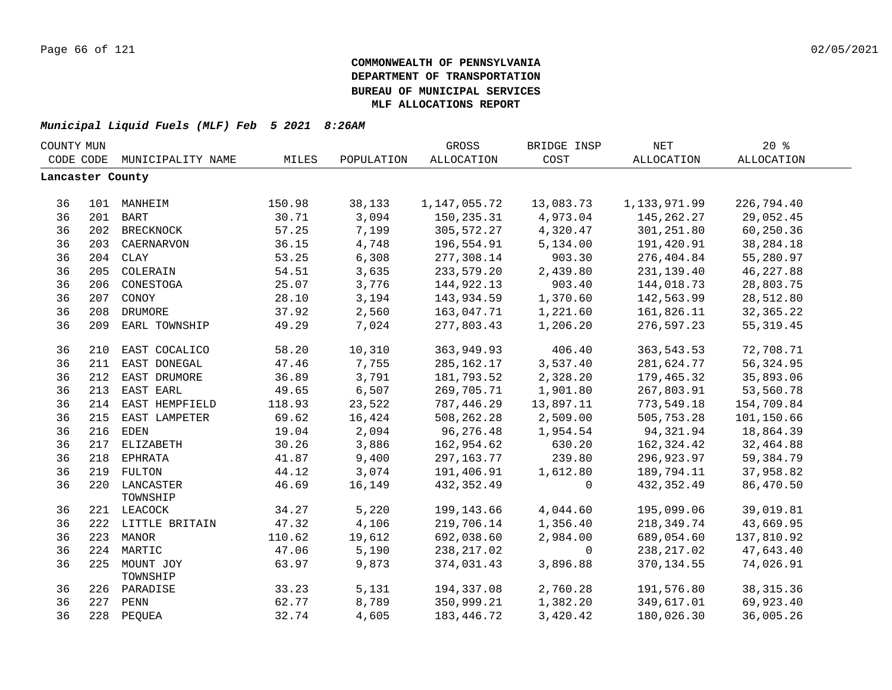| COUNTY MUN       |     |                           |        |            | GROSS        | BRIDGE INSP | <b>NET</b>   | 20%         |  |
|------------------|-----|---------------------------|--------|------------|--------------|-------------|--------------|-------------|--|
| CODE CODE        |     | MUNICIPALITY NAME         | MILES  | POPULATION | ALLOCATION   | COST        | ALLOCATION   | ALLOCATION  |  |
| Lancaster County |     |                           |        |            |              |             |              |             |  |
|                  |     |                           |        |            |              |             |              |             |  |
| 36               |     | 101 MANHEIM               | 150.98 | 38,133     | 1,147,055.72 | 13,083.73   | 1,133,971.99 | 226,794.40  |  |
| 36               |     | 201 BART                  | 30.71  | 3,094      | 150,235.31   | 4,973.04    | 145, 262. 27 | 29,052.45   |  |
| 36               |     | 202 BRECKNOCK             | 57.25  | 7,199      | 305,572.27   | 4,320.47    | 301,251.80   | 60,250.36   |  |
| 36               | 203 | CAERNARVON                | 36.15  | 4,748      | 196,554.91   | 5,134.00    | 191,420.91   | 38, 284. 18 |  |
| 36               |     | 204 CLAY                  | 53.25  | 6,308      | 277,308.14   | 903.30      | 276,404.84   | 55,280.97   |  |
| 36               | 205 | COLERAIN                  | 54.51  | 3,635      | 233,579.20   | 2,439.80    | 231,139.40   | 46, 227.88  |  |
| 36               | 206 | CONESTOGA                 | 25.07  | 3,776      | 144,922.13   | 903.40      | 144,018.73   | 28,803.75   |  |
| 36               | 207 | CONOY                     | 28.10  | 3,194      | 143,934.59   | 1,370.60    | 142,563.99   | 28,512.80   |  |
| 36               | 208 | DRUMORE                   | 37.92  | 2,560      | 163,047.71   | 1,221.60    | 161,826.11   | 32, 365.22  |  |
| 36               | 209 | EARL TOWNSHIP             | 49.29  | 7,024      | 277,803.43   | 1,206.20    | 276,597.23   | 55, 319.45  |  |
| 36               | 210 | EAST COCALICO             | 58.20  | 10,310     | 363,949.93   | 406.40      | 363,543.53   | 72,708.71   |  |
| 36               | 211 | EAST DONEGAL              | 47.46  | 7,755      | 285,162.17   | 3,537.40    | 281,624.77   | 56, 324.95  |  |
| 36               | 212 | EAST DRUMORE              | 36.89  | 3,791      | 181,793.52   | 2,328.20    | 179,465.32   | 35,893.06   |  |
| 36               |     | 213 EAST EARL             | 49.65  | 6,507      | 269,705.71   | 1,901.80    | 267,803.91   | 53,560.78   |  |
| 36               |     | 214 EAST HEMPFIELD        | 118.93 | 23,522     | 787,446.29   | 13,897.11   | 773,549.18   | 154,709.84  |  |
| 36               |     | 215 EAST LAMPETER         | 69.62  | 16,424     | 508,262.28   | 2,509.00    | 505,753.28   | 101,150.66  |  |
| 36               |     | 216 EDEN                  | 19.04  | 2,094      | 96,276.48    | 1,954.54    | 94,321.94    | 18,864.39   |  |
| 36               |     | 217 ELIZABETH             | 30.26  | 3,886      | 162,954.62   | 630.20      | 162,324.42   | 32,464.88   |  |
| 36               |     | 218 EPHRATA               | 41.87  | 9,400      | 297, 163. 77 | 239.80      | 296,923.97   | 59, 384. 79 |  |
| 36               |     | 219 FULTON                | 44.12  | 3,074      | 191,406.91   | 1,612.80    | 189,794.11   | 37,958.82   |  |
| 36               |     | 220 LANCASTER<br>TOWNSHIP | 46.69  | 16,149     | 432, 352.49  | $\mathbf 0$ | 432,352.49   | 86,470.50   |  |
| 36               |     | 221 LEACOCK               | 34.27  | 5,220      | 199,143.66   | 4,044.60    | 195,099.06   | 39,019.81   |  |
| 36               |     | 222 LITTLE BRITAIN        | 47.32  | 4,106      | 219,706.14   | 1,356.40    | 218,349.74   | 43,669.95   |  |
| 36               |     | 223 MANOR                 | 110.62 | 19,612     | 692,038.60   | 2,984.00    | 689,054.60   | 137,810.92  |  |
| 36               | 224 | MARTIC                    | 47.06  | 5,190      | 238, 217.02  | $\mathbf 0$ | 238, 217.02  | 47,643.40   |  |
| 36               | 225 | MOUNT JOY<br>TOWNSHIP     | 63.97  | 9,873      | 374,031.43   | 3,896.88    | 370, 134.55  | 74,026.91   |  |
| 36               |     | 226 PARADISE              | 33.23  | 5,131      | 194,337.08   | 2,760.28    | 191,576.80   | 38, 315.36  |  |
| 36               | 227 | PENN                      | 62.77  | 8,789      | 350,999.21   | 1,382.20    | 349,617.01   | 69,923.40   |  |
| 36               |     | 228 PEQUEA                | 32.74  | 4,605      | 183, 446.72  | 3,420.42    | 180,026.30   | 36,005.26   |  |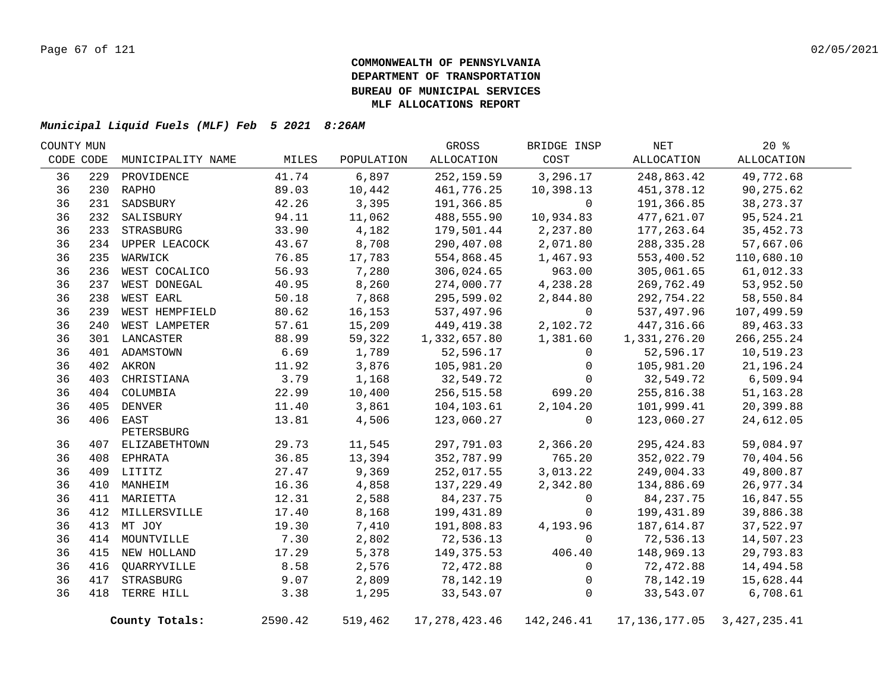| COUNTY MUN |     |                   |         |            | GROSS           | BRIDGE INSP | NET           | 20%            |  |
|------------|-----|-------------------|---------|------------|-----------------|-------------|---------------|----------------|--|
| CODE CODE  |     | MUNICIPALITY NAME | MILES   | POPULATION | ALLOCATION      | COST        | ALLOCATION    | ALLOCATION     |  |
| 36         | 229 | PROVIDENCE        | 41.74   | 6,897      | 252, 159.59     | 3,296.17    | 248,863.42    | 49,772.68      |  |
| 36         |     | 230 RAPHO         | 89.03   | 10,442     | 461,776.25      | 10,398.13   | 451,378.12    | 90,275.62      |  |
| 36         | 231 | SADSBURY          | 42.26   | 3,395      | 191,366.85      | $\Omega$    | 191,366.85    | 38, 273. 37    |  |
| 36         | 232 | SALISBURY         | 94.11   | 11,062     | 488,555.90      | 10,934.83   | 477,621.07    | 95,524.21      |  |
| 36         |     | 233 STRASBURG     | 33.90   | 4,182      | 179,501.44      | 2,237.80    | 177,263.64    | 35, 452. 73    |  |
| 36         |     | 234 UPPER LEACOCK | 43.67   | 8,708      | 290,407.08      | 2,071.80    | 288, 335. 28  | 57,667.06      |  |
| 36         | 235 | WARWICK           | 76.85   | 17,783     | 554,868.45      | 1,467.93    | 553,400.52    | 110,680.10     |  |
| 36         | 236 | WEST COCALICO     | 56.93   | 7,280      | 306,024.65      | 963.00      | 305,061.65    | 61,012.33      |  |
| 36         | 237 | WEST DONEGAL      | 40.95   | 8,260      | 274,000.77      | 4,238.28    | 269,762.49    | 53,952.50      |  |
| 36         | 238 | WEST EARL         | 50.18   | 7,868      | 295,599.02      | 2,844.80    | 292,754.22    | 58,550.84      |  |
| 36         | 239 | WEST HEMPFIELD    | 80.62   | 16,153     | 537,497.96      | $\mathbf 0$ | 537,497.96    | 107,499.59     |  |
| 36         | 240 | WEST LAMPETER     | 57.61   | 15,209     | 449,419.38      | 2,102.72    | 447,316.66    | 89, 463. 33    |  |
| 36         |     | 301 LANCASTER     | 88.99   | 59,322     | 1,332,657.80    | 1,381.60    | 1,331,276.20  | 266, 255. 24   |  |
| 36         |     | 401 ADAMSTOWN     | 6.69    | 1,789      | 52,596.17       | $\Omega$    | 52,596.17     | 10,519.23      |  |
| 36         |     | 402 AKRON         | 11.92   | 3,876      | 105,981.20      | $\Omega$    | 105,981.20    | 21,196.24      |  |
| 36         | 403 | CHRISTIANA        | 3.79    | 1,168      | 32,549.72       | $\Omega$    | 32,549.72     | 6,509.94       |  |
| 36         |     | 404 COLUMBIA      | 22.99   | 10,400     | 256,515.58      | 699.20      | 255,816.38    | 51, 163. 28    |  |
| 36         |     | 405 DENVER        | 11.40   | 3,861      | 104,103.61      | 2,104.20    | 101,999.41    | 20,399.88      |  |
| 36         |     | 406 EAST          | 13.81   | 4,506      | 123,060.27      | $\mathbf 0$ | 123,060.27    | 24,612.05      |  |
|            |     | PETERSBURG        |         |            |                 |             |               |                |  |
| 36         |     | 407 ELIZABETHTOWN | 29.73   | 11,545     | 297,791.03      | 2,366.20    | 295, 424.83   | 59,084.97      |  |
| 36         |     | 408 EPHRATA       | 36.85   | 13,394     | 352,787.99      | 765.20      | 352,022.79    | 70,404.56      |  |
| 36         |     | 409 LITITZ        | 27.47   | 9,369      | 252,017.55      | 3,013.22    | 249,004.33    | 49,800.87      |  |
| 36         |     | 410 MANHEIM       | 16.36   | 4,858      | 137,229.49      | 2,342.80    | 134,886.69    | 26,977.34      |  |
| 36         |     | 411 MARIETTA      | 12.31   | 2,588      | 84,237.75       | 0           | 84, 237. 75   | 16,847.55      |  |
| 36         |     | 412 MILLERSVILLE  | 17.40   | 8,168      | 199,431.89      | 0           | 199,431.89    | 39,886.38      |  |
| 36         | 413 | MT JOY            | 19.30   | 7,410      | 191,808.83      | 4,193.96    | 187,614.87    | 37,522.97      |  |
| 36         |     | 414 MOUNTVILLE    | 7.30    | 2,802      | 72,536.13       | $\Omega$    | 72,536.13     | 14,507.23      |  |
| 36         | 415 | NEW HOLLAND       | 17.29   | 5,378      | 149,375.53      | 406.40      | 148,969.13    | 29,793.83      |  |
| 36         | 416 | QUARRYVILLE       | 8.58    | 2,576      | 72,472.88       | 0           | 72,472.88     | 14,494.58      |  |
| 36         | 417 | STRASBURG         | 9.07    | 2,809      | 78,142.19       | 0           | 78,142.19     | 15,628.44      |  |
| 36         | 418 | TERRE HILL        | 3.38    | 1,295      | 33,543.07       | 0           | 33,543.07     | 6,708.61       |  |
|            |     | County Totals:    | 2590.42 | 519,462    | 17, 278, 423.46 | 142,246.41  | 17,136,177.05 | 3, 427, 235.41 |  |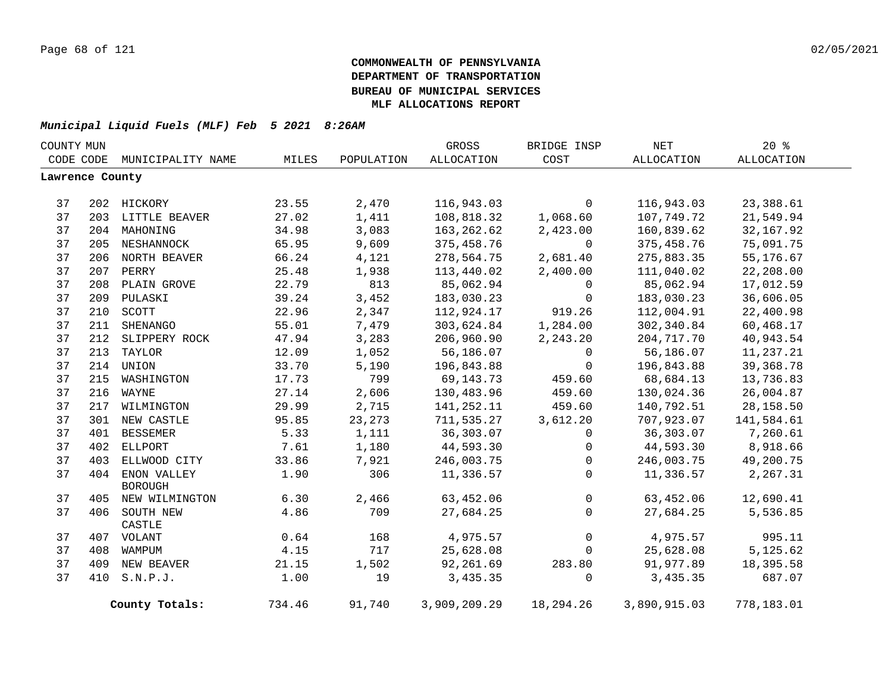| COUNTY MUN      |     |                             |        |            | GROSS        | BRIDGE INSP    | $\operatorname{NET}$ | 20%         |  |
|-----------------|-----|-----------------------------|--------|------------|--------------|----------------|----------------------|-------------|--|
|                 |     | CODE CODE MUNICIPALITY NAME | MILES  | POPULATION | ALLOCATION   | COST           | ALLOCATION           | ALLOCATION  |  |
| Lawrence County |     |                             |        |            |              |                |                      |             |  |
|                 |     |                             |        |            |              |                |                      |             |  |
| 37              |     | 202 HICKORY                 | 23.55  | 2,470      | 116,943.03   | $\mathbf{0}$   | 116,943.03           | 23,388.61   |  |
| 37              |     | 203 LITTLE BEAVER           | 27.02  | 1,411      | 108,818.32   | 1,068.60       | 107,749.72           | 21,549.94   |  |
| 37              |     | 204 MAHONING                | 34.98  | 3,083      | 163, 262.62  | 2,423.00       | 160,839.62           | 32, 167.92  |  |
| 37              |     | 205 NESHANNOCK              | 65.95  | 9,609      | 375,458.76   | $\mathbf 0$    | 375,458.76           | 75,091.75   |  |
| 37              |     | 206 NORTH BEAVER            | 66.24  | 4,121      | 278,564.75   | 2,681.40       | 275,883.35           | 55,176.67   |  |
| 37              |     | 207 PERRY                   | 25.48  | 1,938      | 113,440.02   | 2,400.00       | 111,040.02           | 22,208.00   |  |
| 37              |     | 208 PLAIN GROVE             | 22.79  | 813        | 85,062.94    | $\overline{0}$ | 85,062.94            | 17,012.59   |  |
| 37              |     | 209 PULASKI                 | 39.24  | 3,452      | 183,030.23   | $\mathbf 0$    | 183,030.23           | 36,606.05   |  |
| 37              | 210 | SCOTT                       | 22.96  | 2,347      | 112,924.17   | 919.26         | 112,004.91           | 22,400.98   |  |
| 37              | 211 | SHENANGO                    | 55.01  | 7,479      | 303,624.84   | 1,284.00       | 302,340.84           | 60,468.17   |  |
| 37              | 212 | SLIPPERY ROCK               | 47.94  | 3,283      | 206,960.90   | 2,243.20       | 204,717.70           | 40,943.54   |  |
| 37              | 213 | TAYLOR                      | 12.09  | 1,052      | 56,186.07    | $\mathbf 0$    | 56,186.07            | 11,237.21   |  |
| 37              |     | 214 UNION                   | 33.70  | 5,190      | 196,843.88   | $\mathbf 0$    | 196,843.88           | 39, 368. 78 |  |
| 37              | 215 | WASHINGTON                  | 17.73  | 799        | 69,143.73    | 459.60         | 68,684.13            | 13,736.83   |  |
| 37              | 216 | WAYNE                       | 27.14  | 2,606      | 130,483.96   | 459.60         | 130,024.36           | 26,004.87   |  |
| 37              | 217 | WILMINGTON                  | 29.99  | 2,715      | 141,252.11   | 459.60         | 140,792.51           | 28,158.50   |  |
| 37              | 301 | NEW CASTLE                  | 95.85  | 23, 273    | 711,535.27   | 3,612.20       | 707,923.07           | 141,584.61  |  |
| 37              | 401 | <b>BESSEMER</b>             | 5.33   | 1,111      | 36, 303.07   | $\mathbf 0$    | 36,303.07            | 7,260.61    |  |
| 37              | 402 | ELLPORT                     | 7.61   | 1,180      | 44,593.30    | $\mathbf 0$    | 44,593.30            | 8,918.66    |  |
| 37              | 403 | ELLWOOD CITY                | 33.86  | 7,921      | 246,003.75   | 0              | 246,003.75           | 49,200.75   |  |
| 37              |     | 404 ENON VALLEY             | 1.90   | 306        | 11,336.57    | $\mathbf 0$    | 11,336.57            | 2,267.31    |  |
|                 |     | <b>BOROUGH</b>              |        |            |              |                |                      |             |  |
| 37              |     | 405 NEW WILMINGTON          | 6.30   | 2,466      | 63,452.06    | $\mathsf{O}$   | 63,452.06            | 12,690.41   |  |
| 37              |     | 406 SOUTH NEW               | 4.86   | 709        | 27,684.25    | $\Omega$       | 27,684.25            | 5,536.85    |  |
|                 |     | CASTLE                      |        |            |              |                |                      |             |  |
| 37              |     | 407 VOLANT                  | 0.64   | 168        | 4,975.57     | $\mathbf 0$    | 4,975.57             | 995.11      |  |
| 37              |     | 408 WAMPUM                  | 4.15   | 717        | 25,628.08    | $\mathsf{O}$   | 25,628.08            | 5, 125.62   |  |
| 37              |     | 409 NEW BEAVER              | 21.15  | 1,502      | 92,261.69    | 283.80         | 91,977.89            | 18,395.58   |  |
| 37              |     | 410 S.N.P.J.                | 1.00   | 19         | 3,435.35     | $\mathbf 0$    | 3,435.35             | 687.07      |  |
|                 |     | County Totals:              | 734.46 | 91,740     | 3,909,209.29 | 18,294.26      | 3,890,915.03         | 778,183.01  |  |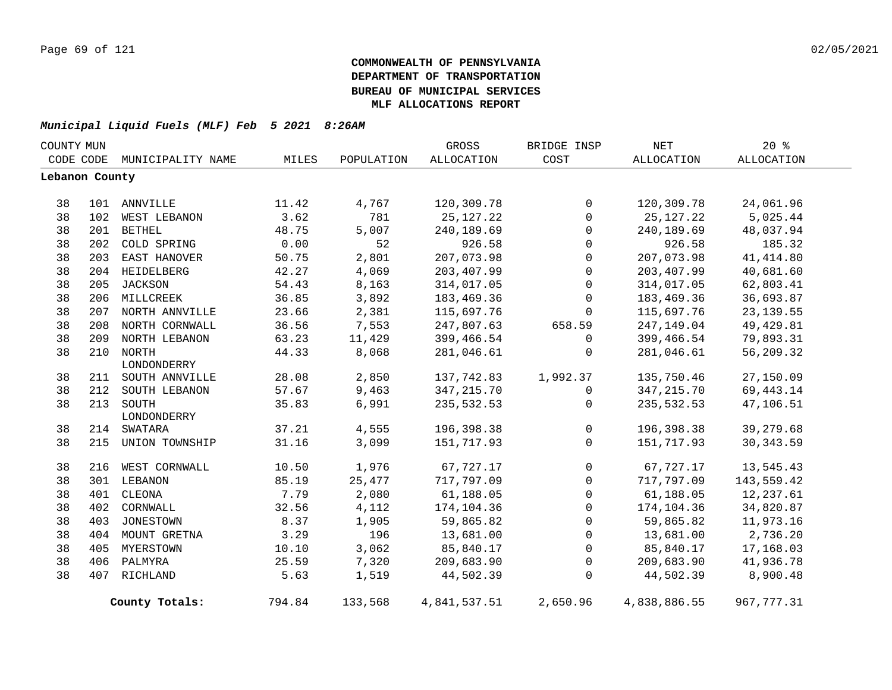| COUNTY MUN     |     |                    |        |            | GROSS             | BRIDGE INSP  | NET          | 20%               |  |
|----------------|-----|--------------------|--------|------------|-------------------|--------------|--------------|-------------------|--|
| CODE CODE      |     | MUNICIPALITY NAME  | MILES  | POPULATION | <b>ALLOCATION</b> | COST         | ALLOCATION   | <b>ALLOCATION</b> |  |
| Lebanon County |     |                    |        |            |                   |              |              |                   |  |
| 38             |     | 101 ANNVILLE       | 11.42  | 4,767      | 120,309.78        | $\mathbf 0$  | 120,309.78   | 24,061.96         |  |
| 38             | 102 | WEST LEBANON       | 3.62   | 781        | 25, 127. 22       | $\mathbf 0$  | 25, 127. 22  | 5,025.44          |  |
| 38             | 201 | <b>BETHEL</b>      | 48.75  | 5,007      | 240,189.69        | $\mathbf 0$  | 240,189.69   | 48,037.94         |  |
| 38             | 202 | COLD SPRING        | 0.00   | 52         | 926.58            | $\mathbf 0$  | 926.58       | 185.32            |  |
| 38             |     | 203 EAST HANOVER   | 50.75  | 2,801      | 207,073.98        | $\mathbf 0$  | 207,073.98   | 41, 414.80        |  |
| 38             |     | 204 HEIDELBERG     | 42.27  | 4,069      | 203,407.99        | 0            | 203,407.99   | 40,681.60         |  |
| 38             |     | 205 JACKSON        | 54.43  | 8,163      | 314,017.05        | 0            | 314,017.05   | 62,803.41         |  |
| 38             |     | 206 MILLCREEK      | 36.85  | 3,892      | 183,469.36        | $\Omega$     | 183,469.36   | 36,693.87         |  |
| 38             |     | 207 NORTH ANNVILLE | 23.66  | 2,381      | 115,697.76        | 0            | 115,697.76   | 23, 139.55        |  |
| 38             |     | 208 NORTH CORNWALL | 36.56  | 7,553      | 247,807.63        | 658.59       | 247,149.04   | 49, 429.81        |  |
| 38             |     | 209 NORTH LEBANON  | 63.23  | 11,429     | 399,466.54        | 0            | 399,466.54   | 79,893.31         |  |
| 38             |     | 210 NORTH          | 44.33  | 8,068      | 281,046.61        | 0            | 281,046.61   | 56,209.32         |  |
|                |     | LONDONDERRY        |        |            |                   |              |              |                   |  |
| 38             |     | 211 SOUTH ANNVILLE | 28.08  | 2,850      | 137,742.83        | 1,992.37     | 135,750.46   | 27,150.09         |  |
| 38             |     | 212 SOUTH LEBANON  | 57.67  | 9,463      | 347, 215.70       | 0            | 347, 215.70  | 69, 443. 14       |  |
| 38             | 213 | SOUTH              | 35.83  | 6,991      | 235,532.53        | 0            | 235,532.53   | 47,106.51         |  |
|                |     | LONDONDERRY        |        |            |                   |              |              |                   |  |
| 38             | 214 | SWATARA            | 37.21  | 4,555      | 196,398.38        | $\mathsf{O}$ | 196,398.38   | 39,279.68         |  |
| 38             |     | 215 UNION TOWNSHIP | 31.16  | 3,099      | 151,717.93        | $\Omega$     | 151,717.93   | 30, 343.59        |  |
| 38             |     | 216 WEST CORNWALL  | 10.50  | 1,976      | 67,727.17         | 0            | 67,727.17    | 13,545.43         |  |
| 38             |     | 301 LEBANON        | 85.19  | 25,477     | 717,797.09        | $\mathbf 0$  | 717,797.09   | 143,559.42        |  |
| 38             | 401 | CLEONA             | 7.79   | 2,080      | 61,188.05         | $\mathsf{O}$ | 61,188.05    | 12,237.61         |  |
| 38             | 402 | CORNWALL           | 32.56  | 4,112      | 174,104.36        | $\mathsf{O}$ | 174,104.36   | 34,820.87         |  |
| 38             |     | 403 JONESTOWN      | 8.37   | 1,905      | 59,865.82         | $\mathsf{O}$ | 59,865.82    | 11,973.16         |  |
| 38             |     | 404 MOUNT GRETNA   | 3.29   | 196        | 13,681.00         | $\mathbf 0$  | 13,681.00    | 2,736.20          |  |
| 38             |     | 405 MYERSTOWN      | 10.10  | 3,062      | 85,840.17         | 0            | 85,840.17    | 17,168.03         |  |
| 38             |     | 406 PALMYRA        | 25.59  | 7,320      | 209,683.90        | $\mathbf 0$  | 209,683.90   | 41,936.78         |  |
| 38             |     | 407 RICHLAND       | 5.63   | 1,519      | 44,502.39         | $\mathbf 0$  | 44,502.39    | 8,900.48          |  |
|                |     | County Totals:     | 794.84 | 133,568    | 4,841,537.51      | 2,650.96     | 4,838,886.55 | 967, 777.31       |  |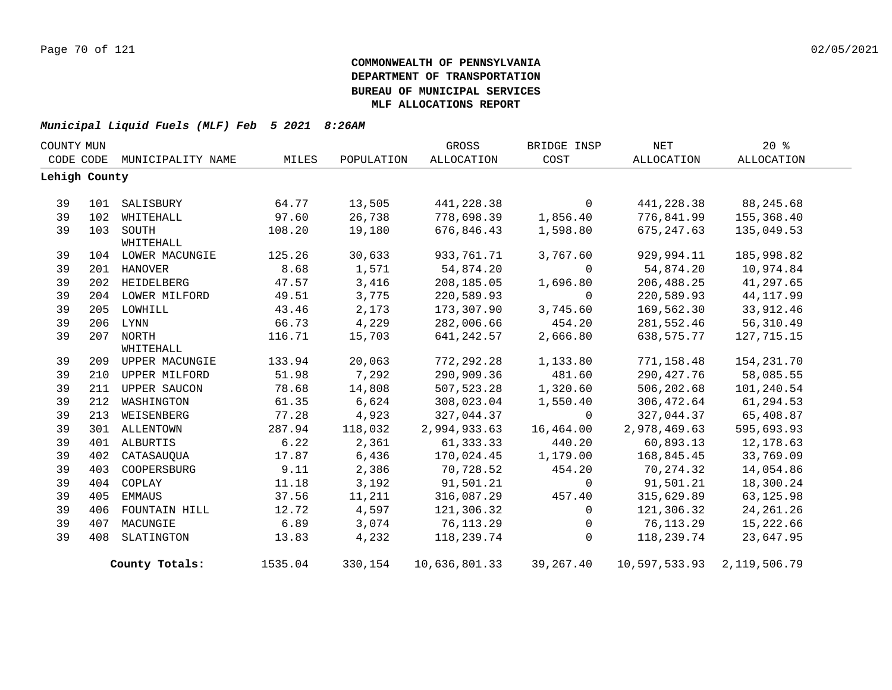| COUNTY MUN |               |                        |         |            | GROSS         | BRIDGE INSP | <b>NET</b>    | 20%          |  |
|------------|---------------|------------------------|---------|------------|---------------|-------------|---------------|--------------|--|
|            | CODE CODE     | MUNICIPALITY NAME      | MILES   | POPULATION | ALLOCATION    | COST        | ALLOCATION    | ALLOCATION   |  |
|            | Lehigh County |                        |         |            |               |             |               |              |  |
|            |               |                        |         |            |               |             |               |              |  |
| 39         | 101           | SALISBURY              | 64.77   | 13,505     | 441,228.38    | $\mathbf 0$ | 441,228.38    | 88,245.68    |  |
| 39         | 102           | WHITEHALL              | 97.60   | 26,738     | 778,698.39    | 1,856.40    | 776,841.99    | 155,368.40   |  |
| 39         |               | 103 SOUTH<br>WHITEHALL | 108.20  | 19,180     | 676,846.43    | 1,598.80    | 675,247.63    | 135,049.53   |  |
| 39         |               | 104 LOWER MACUNGIE     | 125.26  | 30,633     | 933,761.71    | 3,767.60    | 929,994.11    | 185,998.82   |  |
| 39         |               | 201 HANOVER            | 8.68    | 1,571      | 54,874.20     | $\Omega$    | 54,874.20     | 10,974.84    |  |
| 39         |               | 202 HEIDELBERG         | 47.57   | 3,416      | 208,185.05    | 1,696.80    | 206,488.25    | 41,297.65    |  |
| 39         |               | 204 LOWER MILFORD      | 49.51   | 3,775      | 220,589.93    | $\Omega$    | 220,589.93    | 44, 117.99   |  |
| 39         |               | 205 LOWHILL            | 43.46   | 2,173      | 173,307.90    | 3,745.60    | 169,562.30    | 33,912.46    |  |
| 39         |               | 206 LYNN               | 66.73   | 4,229      | 282,006.66    | 454.20      | 281,552.46    | 56,310.49    |  |
| 39         |               | 207 NORTH              | 116.71  | 15,703     | 641, 242.57   | 2,666.80    | 638,575.77    | 127,715.15   |  |
|            |               | WHITEHALL              |         |            |               |             |               |              |  |
| 39         |               | 209 UPPER MACUNGIE     | 133.94  | 20,063     | 772, 292.28   | 1,133.80    | 771,158.48    | 154, 231.70  |  |
| 39         | 210           | UPPER MILFORD          | 51.98   | 7,292      | 290,909.36    | 481.60      | 290, 427. 76  | 58,085.55    |  |
| 39         |               | 211 UPPER SAUCON       | 78.68   | 14,808     | 507,523.28    | 1,320.60    | 506,202.68    | 101,240.54   |  |
| 39         | 212           | WASHINGTON             | 61.35   | 6,624      | 308,023.04    | 1,550.40    | 306,472.64    | 61,294.53    |  |
| 39         | 213           | WEISENBERG             | 77.28   | 4,923      | 327,044.37    | $\mathbf 0$ | 327,044.37    | 65,408.87    |  |
| 39         |               | 301 ALLENTOWN          | 287.94  | 118,032    | 2,994,933.63  | 16,464.00   | 2,978,469.63  | 595,693.93   |  |
| 39         |               | 401 ALBURTIS           | 6.22    | 2,361      | 61,333.33     | 440.20      | 60,893.13     | 12,178.63    |  |
| 39         | 402           | CATASAUQUA             | 17.87   | 6,436      | 170,024.45    | 1,179.00    | 168,845.45    | 33,769.09    |  |
| 39         | 403           | COOPERSBURG            | 9.11    | 2,386      | 70,728.52     | 454.20      | 70, 274.32    | 14,054.86    |  |
| 39         | 404           | COPLAY                 | 11.18   | 3,192      | 91,501.21     | $\mathbf 0$ | 91,501.21     | 18,300.24    |  |
| 39         | 405           | EMMAUS                 | 37.56   | 11,211     | 316,087.29    | 457.40      | 315,629.89    | 63,125.98    |  |
| 39         | 406           | FOUNTAIN HILL          | 12.72   | 4,597      | 121,306.32    | $\mathbf 0$ | 121,306.32    | 24, 261. 26  |  |
| 39         | 407           | MACUNGIE               | 6.89    | 3,074      | 76,113.29     | 0           | 76,113.29     | 15,222.66    |  |
| 39         | 408           | SLATINGTON             | 13.83   | 4,232      | 118,239.74    | $\mathbf 0$ | 118,239.74    | 23,647.95    |  |
|            |               | County Totals:         | 1535.04 | 330,154    | 10,636,801.33 | 39,267.40   | 10,597,533.93 | 2,119,506.79 |  |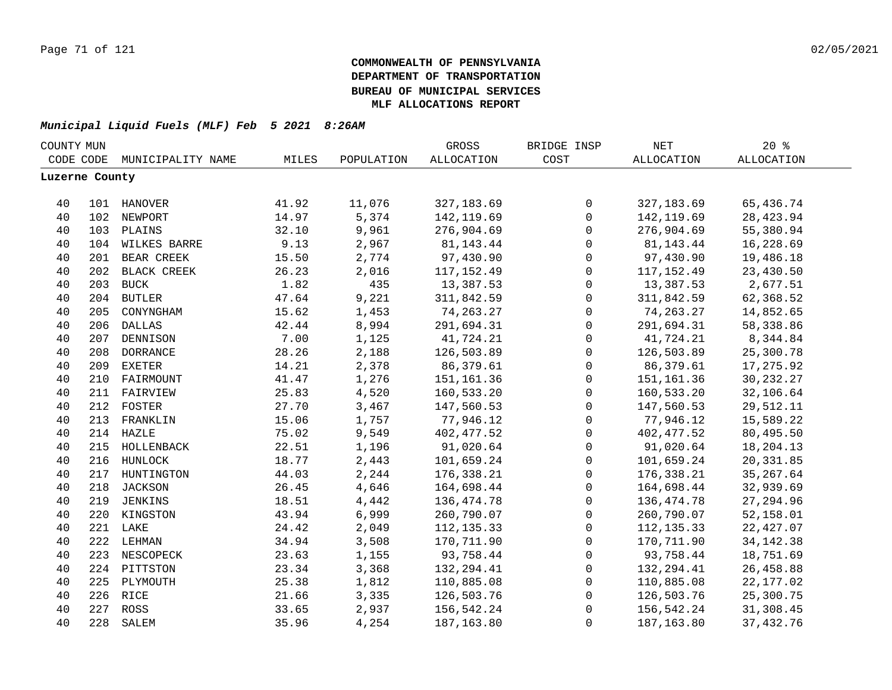| COUNTY MUN     |     |                   |       |            | GROSS             | BRIDGE INSP         | $\operatorname{NET}$ | 20%               |  |
|----------------|-----|-------------------|-------|------------|-------------------|---------------------|----------------------|-------------------|--|
| CODE CODE      |     | MUNICIPALITY NAME | MILES | POPULATION | <b>ALLOCATION</b> | COST                | <b>ALLOCATION</b>    | <b>ALLOCATION</b> |  |
| Luzerne County |     |                   |       |            |                   |                     |                      |                   |  |
|                |     |                   |       |            |                   |                     |                      |                   |  |
| 40             |     | 101 HANOVER       | 41.92 | 11,076     | 327, 183.69       | $\mathsf 0$         | 327, 183.69          | 65,436.74         |  |
| 40             |     | 102 NEWPORT       | 14.97 | 5,374      | 142, 119.69       | $\mathsf{O}$        | 142, 119.69          | 28, 423.94        |  |
| 40             |     | 103 PLAINS        | 32.10 | 9,961      | 276,904.69        | $\mathsf{O}$        | 276,904.69           | 55,380.94         |  |
| 40             |     | 104 WILKES BARRE  | 9.13  | 2,967      | 81,143.44         | $\mathsf{O}$        | 81,143.44            | 16,228.69         |  |
| 40             |     | 201 BEAR CREEK    | 15.50 | 2,774      | 97,430.90         | $\mathsf{O}$        | 97,430.90            | 19,486.18         |  |
| 40             |     | 202 BLACK CREEK   | 26.23 | 2,016      | 117,152.49        | 0                   | 117, 152.49          | 23,430.50         |  |
| 40             |     | 203 BUCK          | 1.82  | 435        | 13,387.53         | $\mathbf 0$         | 13,387.53            | 2,677.51          |  |
| 40             |     | 204 BUTLER        | 47.64 | 9,221      | 311,842.59        | $\mathsf{O}$        | 311,842.59           | 62,368.52         |  |
| 40             | 205 | CONYNGHAM         | 15.62 | 1,453      | 74, 263. 27       | $\mathsf{O}$        | 74, 263. 27          | 14,852.65         |  |
| 40             | 206 | <b>DALLAS</b>     | 42.44 | 8,994      | 291,694.31        | $\mathsf{O}$        | 291,694.31           | 58,338.86         |  |
| 40             | 207 | <b>DENNISON</b>   | 7.00  | 1,125      | 41,724.21         | $\mathbf 0$         | 41,724.21            | 8,344.84          |  |
| 40             | 208 | <b>DORRANCE</b>   | 28.26 | 2,188      | 126,503.89        | $\mathbf 0$         | 126,503.89           | 25,300.78         |  |
| 40             | 209 | <b>EXETER</b>     | 14.21 | 2,378      | 86,379.61         | $\mathbf{0}$        | 86,379.61            | 17,275.92         |  |
| 40             |     | 210 FAIRMOUNT     | 41.47 | 1,276      | 151,161.36        | $\mathsf 0$         | 151, 161.36          | 30,232.27         |  |
| 40             |     | 211 FAIRVIEW      | 25.83 | 4,520      | 160,533.20        | $\mathsf 0$         | 160,533.20           | 32,106.64         |  |
| 40             |     | 212 FOSTER        | 27.70 | 3,467      | 147,560.53        | $\mathsf 0$         | 147,560.53           | 29,512.11         |  |
| 40             |     | 213 FRANKLIN      | 15.06 | 1,757      | 77,946.12         | $\mathsf 0$         | 77,946.12            | 15,589.22         |  |
| 40             |     | 214 HAZLE         | 75.02 | 9,549      | 402, 477.52       | $\mathsf{O}\xspace$ | 402, 477.52          | 80,495.50         |  |
| 40             |     | 215 HOLLENBACK    | 22.51 | 1,196      | 91,020.64         | $\mathsf{O}\xspace$ | 91,020.64            | 18,204.13         |  |
| 40             |     | 216 HUNLOCK       | 18.77 | 2,443      | 101,659.24        | $\mathbf 0$         | 101,659.24           | 20,331.85         |  |
| 40             |     | 217 HUNTINGTON    | 44.03 | 2,244      | 176,338.21        | $\mathbf 0$         | 176,338.21           | 35, 267.64        |  |
| 40             |     | 218 JACKSON       | 26.45 | 4,646      | 164,698.44        | $\mathbf 0$         | 164,698.44           | 32,939.69         |  |
| 40             |     | 219 JENKINS       | 18.51 | 4,442      | 136,474.78        | $\mathbf 0$         | 136,474.78           | 27, 294.96        |  |
| 40             |     | 220 KINGSTON      | 43.94 | 6,999      | 260,790.07        | $\mathbf{0}$        | 260,790.07           | 52,158.01         |  |
| 40             |     | 221 LAKE          | 24.42 | 2,049      | 112, 135.33       | $\mathbf{0}$        | 112, 135.33          | 22,427.07         |  |
| 40             |     | 222 LEHMAN        | 34.94 | 3,508      | 170,711.90        | $\mathbf 0$         | 170,711.90           | 34, 142. 38       |  |
| 40             |     | 223 NESCOPECK     | 23.63 | 1,155      | 93,758.44         | $\mathbf 0$         | 93,758.44            | 18,751.69         |  |
| 40             |     | 224 PITTSTON      | 23.34 | 3,368      | 132, 294.41       | $\mathbf 0$         | 132,294.41           | 26,458.88         |  |
| 40             | 225 | PLYMOUTH          | 25.38 | 1,812      | 110,885.08        | $\mathsf 0$         | 110,885.08           | 22, 177.02        |  |
| 40             |     | 226 RICE          | 21.66 | 3,335      | 126,503.76        | 0                   | 126,503.76           | 25,300.75         |  |
| 40             |     | 227 ROSS          | 33.65 | 2,937      | 156,542.24        | $\mathsf 0$         | 156,542.24           | 31,308.45         |  |
| 40             | 228 | SALEM             | 35.96 | 4,254      | 187, 163.80       | $\mathsf 0$         | 187,163.80           | 37, 432.76        |  |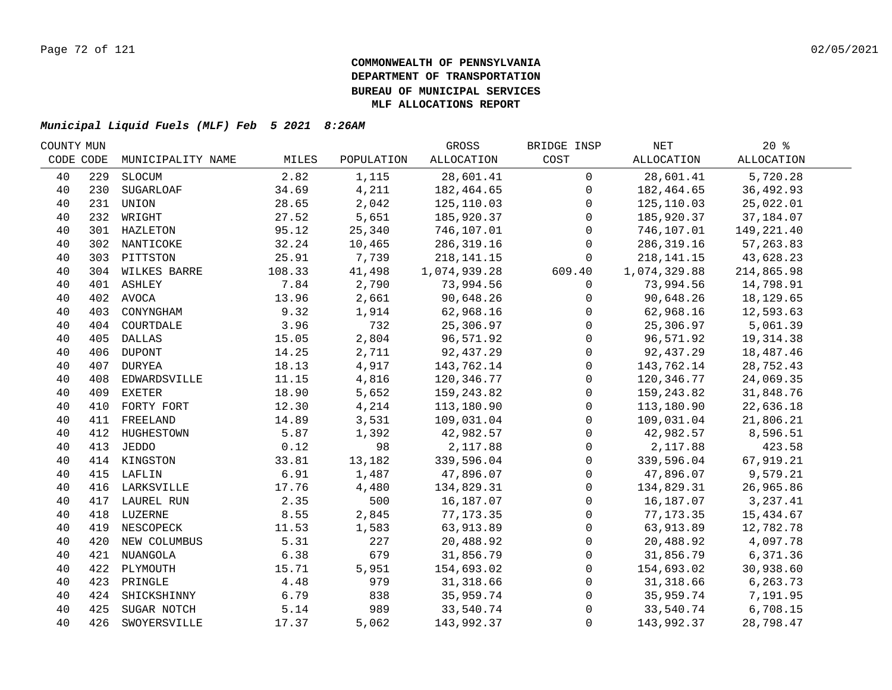| COUNTY MUN |     |                   |        |            | GROSS        | BRIDGE INSP         | NET          | $20*$             |  |
|------------|-----|-------------------|--------|------------|--------------|---------------------|--------------|-------------------|--|
| CODE CODE  |     | MUNICIPALITY NAME | MILES  | POPULATION | ALLOCATION   | COST                | ALLOCATION   | <b>ALLOCATION</b> |  |
| 40         | 229 | SLOCUM            | 2.82   | 1,115      | 28,601.41    | $\mathbf 0$         | 28,601.41    | 5,720.28          |  |
| 40         | 230 | <b>SUGARLOAF</b>  | 34.69  | 4,211      | 182,464.65   | $\mathbf 0$         | 182,464.65   | 36,492.93         |  |
| 40         | 231 | UNION             | 28.65  | 2,042      | 125, 110.03  | $\Omega$            | 125,110.03   | 25,022.01         |  |
| 40         |     | 232 WRIGHT        | 27.52  | 5,651      | 185,920.37   | $\mathbf 0$         | 185,920.37   | 37,184.07         |  |
| 40         |     | 301 HAZLETON      | 95.12  | 25,340     | 746,107.01   | $\mathbf 0$         | 746,107.01   | 149,221.40        |  |
| 40         |     | 302 NANTICOKE     | 32.24  | 10,465     | 286, 319.16  | $\mathbf 0$         | 286, 319.16  | 57, 263.83        |  |
| 40         |     | 303 PITTSTON      | 25.91  | 7,739      | 218, 141. 15 | $\Omega$            | 218, 141. 15 | 43,628.23         |  |
| 40         |     | 304 WILKES BARRE  | 108.33 | 41,498     | 1,074,939.28 | 609.40              | 1,074,329.88 | 214,865.98        |  |
| 40         |     | 401 ASHLEY        | 7.84   | 2,790      | 73,994.56    | $\mathbf 0$         | 73,994.56    | 14,798.91         |  |
| 40         |     | 402 AVOCA         | 13.96  | 2,661      | 90,648.26    | 0                   | 90,648.26    | 18,129.65         |  |
| 40         | 403 | CONYNGHAM         | 9.32   | 1,914      | 62,968.16    | $\mathbf 0$         | 62,968.16    | 12,593.63         |  |
| 40         | 404 | COURTDALE         | 3.96   | 732        | 25,306.97    | $\mathsf{O}$        | 25,306.97    | 5,061.39          |  |
| 40         | 405 | DALLAS            | 15.05  | 2,804      | 96,571.92    | $\mathbf 0$         | 96,571.92    | 19, 314.38        |  |
| 40         | 406 | <b>DUPONT</b>     | 14.25  | 2,711      | 92,437.29    | $\mathsf{O}$        | 92,437.29    | 18,487.46         |  |
| 40         |     | 407 DURYEA        | 18.13  | 4,917      | 143,762.14   | $\mathbf 0$         | 143,762.14   | 28,752.43         |  |
| 40         | 408 | EDWARDSVILLE      | 11.15  | 4,816      | 120,346.77   | $\mathbf{0}$        | 120,346.77   | 24,069.35         |  |
| 40         | 409 | <b>EXETER</b>     | 18.90  | 5,652      | 159,243.82   | $\mathbf 0$         | 159,243.82   | 31,848.76         |  |
| 40         |     | 410 FORTY FORT    | 12.30  | 4,214      | 113,180.90   | $\mathbf 0$         | 113,180.90   | 22,636.18         |  |
| 40         |     | 411 FREELAND      | 14.89  | 3,531      | 109,031.04   | $\mathbf 0$         | 109,031.04   | 21,806.21         |  |
| 40         |     | 412 HUGHESTOWN    | 5.87   | 1,392      | 42,982.57    | $\mathsf{O}$        | 42,982.57    | 8,596.51          |  |
| 40         |     | 413 JEDDO         | 0.12   | 98         | 2,117.88     | 0                   | 2,117.88     | 423.58            |  |
| 40         |     | 414 KINGSTON      | 33.81  | 13,182     | 339,596.04   | $\mathsf{O}\xspace$ | 339,596.04   | 67,919.21         |  |
| 40         |     | 415 LAFLIN        | 6.91   | 1,487      | 47,896.07    | $\mathbf 0$         | 47,896.07    | 9,579.21          |  |
| 40         |     | 416 LARKSVILLE    | 17.76  | 4,480      | 134,829.31   | $\mathbf 0$         | 134,829.31   | 26,965.86         |  |
| 40         |     | 417 LAUREL RUN    | 2.35   | 500        | 16,187.07    | $\mathbf 0$         | 16,187.07    | 3,237.41          |  |
| 40         |     | 418 LUZERNE       | 8.55   | 2,845      | 77, 173.35   | $\mathbf 0$         | 77,173.35    | 15,434.67         |  |
| 40         |     | 419 NESCOPECK     | 11.53  | 1,583      | 63,913.89    | $\mathbf 0$         | 63,913.89    | 12,782.78         |  |
| 40         |     | 420 NEW COLUMBUS  | 5.31   | 227        | 20,488.92    | $\mathbf{0}$        | 20,488.92    | 4,097.78          |  |
| 40         |     | 421 NUANGOLA      | 6.38   | 679        | 31,856.79    | $\mathbf 0$         | 31,856.79    | 6,371.36          |  |
| 40         | 422 | PLYMOUTH          | 15.71  | 5,951      | 154,693.02   | $\mathbf 0$         | 154,693.02   | 30,938.60         |  |
| 40         | 423 | PRINGLE           | 4.48   | 979        | 31,318.66    | $\mathbf 0$         | 31,318.66    | 6,263.73          |  |
| 40         | 424 | SHICKSHINNY       | 6.79   | 838        | 35,959.74    | $\mathsf{O}$        | 35,959.74    | 7,191.95          |  |
| 40         | 425 | SUGAR NOTCH       | 5.14   | 989        | 33,540.74    | $\mathsf{O}$        | 33,540.74    | 6,708.15          |  |
| 40         | 426 | SWOYERSVILLE      | 17.37  | 5,062      | 143,992.37   | $\Omega$            | 143,992.37   | 28,798.47         |  |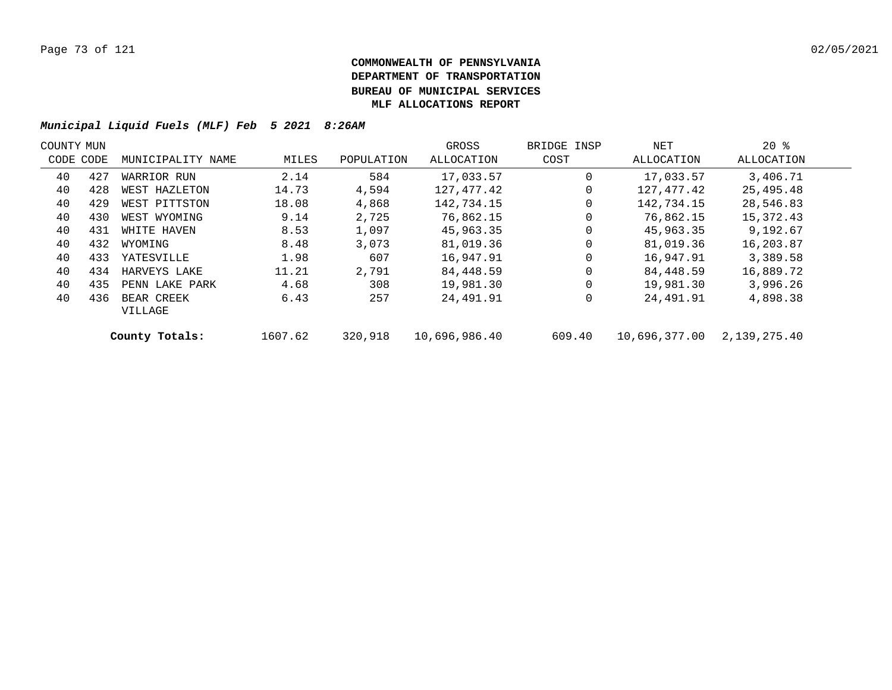| COUNTY MUN |     |                   |         |            | GROSS         | BRIDGE INSP | NET           | $20*$        |  |
|------------|-----|-------------------|---------|------------|---------------|-------------|---------------|--------------|--|
| CODE CODE  |     | MUNICIPALITY NAME | MILES   | POPULATION | ALLOCATION    | COST        | ALLOCATION    | ALLOCATION   |  |
| 40         | 427 | WARRIOR RUN       | 2.14    | 584        | 17,033.57     | $\Omega$    | 17,033.57     | 3,406.71     |  |
| 40         | 428 | WEST HAZLETON     | 14.73   | 4,594      | 127,477.42    | 0           | 127,477.42    | 25,495.48    |  |
| 40         | 429 | WEST PITTSTON     | 18.08   | 4,868      | 142,734.15    | 0           | 142,734.15    | 28,546.83    |  |
| 40         | 430 | WEST WYOMING      | 9.14    | 2,725      | 76,862.15     | 0           | 76,862.15     | 15,372.43    |  |
| 40         | 431 | WHITE HAVEN       | 8.53    | 1,097      | 45,963.35     | $\mathbf 0$ | 45,963.35     | 9,192.67     |  |
| 40         | 432 | WYOMING           | 8.48    | 3,073      | 81,019.36     | $\Omega$    | 81,019.36     | 16,203.87    |  |
| 40         | 433 | YATESVILLE        | 1.98    | 607        | 16,947.91     | $\mathbf 0$ | 16,947.91     | 3,389.58     |  |
| 40         | 434 | HARVEYS LAKE      | 11.21   | 2,791      | 84,448.59     | $\Omega$    | 84,448.59     | 16,889.72    |  |
| 40         | 435 | PENN LAKE PARK    | 4.68    | 308        | 19,981.30     | $\mathbf 0$ | 19,981.30     | 3,996.26     |  |
| 40         | 436 | BEAR CREEK        | 6.43    | 257        | 24,491.91     | 0           | 24,491.91     | 4,898.38     |  |
|            |     | VILLAGE           |         |            |               |             |               |              |  |
|            |     | County Totals:    | 1607.62 | 320,918    | 10,696,986.40 | 609.40      | 10,696,377.00 | 2,139,275.40 |  |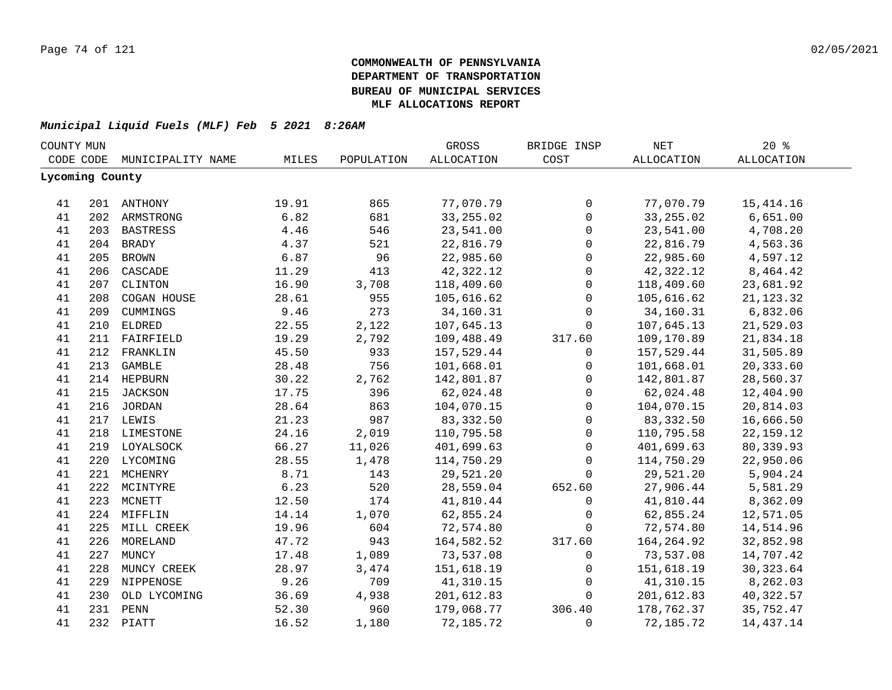| COUNTY MUN      |     |                   |       |            | GROSS      | BRIDGE INSP         | NET               | 20%               |  |
|-----------------|-----|-------------------|-------|------------|------------|---------------------|-------------------|-------------------|--|
| CODE CODE       |     | MUNICIPALITY NAME | MILES | POPULATION | ALLOCATION | COST                | <b>ALLOCATION</b> | <b>ALLOCATION</b> |  |
| Lycoming County |     |                   |       |            |            |                     |                   |                   |  |
|                 |     |                   |       |            |            |                     |                   |                   |  |
| 41              |     | 201 ANTHONY       | 19.91 | 865        | 77,070.79  | 0                   | 77,070.79         | 15, 414.16        |  |
| 41              |     | 202 ARMSTRONG     | 6.82  | 681        | 33, 255.02 | $\mathsf{O}\xspace$ | 33, 255.02        | 6,651.00          |  |
| 41              |     | 203 BASTRESS      | 4.46  | 546        | 23,541.00  | $\mathsf{O}\xspace$ | 23,541.00         | 4,708.20          |  |
| 41              |     | 204 BRADY         | 4.37  | 521        | 22,816.79  | $\mathsf{O}\xspace$ | 22,816.79         | 4,563.36          |  |
| 41              | 205 | <b>BROWN</b>      | 6.87  | 96         | 22,985.60  | $\mathbf 0$         | 22,985.60         | 4,597.12          |  |
| 41              | 206 | CASCADE           | 11.29 | 413        | 42,322.12  | $\mathbf 0$         | 42,322.12         | 8,464.42          |  |
| 41              | 207 | CLINTON           | 16.90 | 3,708      | 118,409.60 | $\mathsf{O}$        | 118,409.60        | 23,681.92         |  |
| 41              | 208 | COGAN HOUSE       | 28.61 | 955        | 105,616.62 | $\mathbf 0$         | 105,616.62        | 21, 123. 32       |  |
| 41              | 209 | CUMMINGS          | 9.46  | 273        | 34,160.31  | $\mathbf 0$         | 34,160.31         | 6,832.06          |  |
| 41              | 210 | <b>ELDRED</b>     | 22.55 | 2,122      | 107,645.13 | 0                   | 107,645.13        | 21,529.03         |  |
| 41              |     | 211 FAIRFIELD     | 19.29 | 2,792      | 109,488.49 | 317.60              | 109,170.89        | 21,834.18         |  |
| 41              | 212 | FRANKLIN          | 45.50 | 933        | 157,529.44 | 0                   | 157,529.44        | 31,505.89         |  |
| 41              | 213 | GAMBLE            | 28.48 | 756        | 101,668.01 | 0                   | 101,668.01        | 20,333.60         |  |
| 41              |     | 214 HEPBURN       | 30.22 | 2,762      | 142,801.87 | $\mathsf{O}$        | 142,801.87        | 28,560.37         |  |
| 41              | 215 | JACKSON           | 17.75 | 396        | 62,024.48  | $\mathbf 0$         | 62,024.48         | 12,404.90         |  |
| 41              |     | 216 JORDAN        | 28.64 | 863        | 104,070.15 | $\mathsf{O}$        | 104,070.15        | 20,814.03         |  |
| 41              |     | 217 LEWIS         | 21.23 | 987        | 83, 332.50 | $\mathsf{O}$        | 83, 332.50        | 16,666.50         |  |
| 41              |     | 218 LIMESTONE     | 24.16 | 2,019      | 110,795.58 | $\mathsf{O}$        | 110,795.58        | 22, 159. 12       |  |
| 41              |     | 219 LOYALSOCK     | 66.27 | 11,026     | 401,699.63 | $\mathsf{O}$        | 401,699.63        | 80,339.93         |  |
| 41              |     | 220 LYCOMING      | 28.55 | 1,478      | 114,750.29 | $\mathsf{O}$        | 114,750.29        | 22,950.06         |  |
| 41              |     | 221 MCHENRY       | 8.71  | 143        | 29,521.20  | $\Omega$            | 29,521.20         | 5,904.24          |  |
| 41              |     | 222 MCINTYRE      | 6.23  | 520        | 28,559.04  | 652.60              | 27,906.44         | 5,581.29          |  |
| 41              |     | 223 MCNETT        | 12.50 | 174        | 41,810.44  | $\mathsf{O}$        | 41,810.44         | 8,362.09          |  |
| 41              |     | 224 MIFFLIN       | 14.14 | 1,070      | 62,855.24  | $\mathsf{O}$        | 62,855.24         | 12,571.05         |  |
| 41              |     | 225 MILL CREEK    | 19.96 | 604        | 72,574.80  | $\Omega$            | 72,574.80         | 14,514.96         |  |
| 41              | 226 | MORELAND          | 47.72 | 943        | 164,582.52 | 317.60              | 164,264.92        | 32,852.98         |  |
| 41              | 227 | MUNCY             | 17.48 | 1,089      | 73,537.08  | 0                   | 73,537.08         | 14,707.42         |  |
| 41              | 228 | MUNCY CREEK       | 28.97 | 3,474      | 151,618.19 | $\mathbf 0$         | 151,618.19        | 30, 323.64        |  |
| 41              |     | 229 NIPPENOSE     | 9.26  | 709        | 41,310.15  | $\mathbf 0$         | 41,310.15         | 8,262.03          |  |
| 41              | 230 | OLD LYCOMING      | 36.69 | 4,938      | 201,612.83 | 0                   | 201,612.83        | 40,322.57         |  |
| 41              |     | 231 PENN          | 52.30 | 960        | 179,068.77 | 306.40              | 178,762.37        | 35,752.47         |  |
| 41              |     | 232 PIATT         | 16.52 | 1,180      | 72,185.72  | $\mathbf 0$         | 72,185.72         | 14, 437. 14       |  |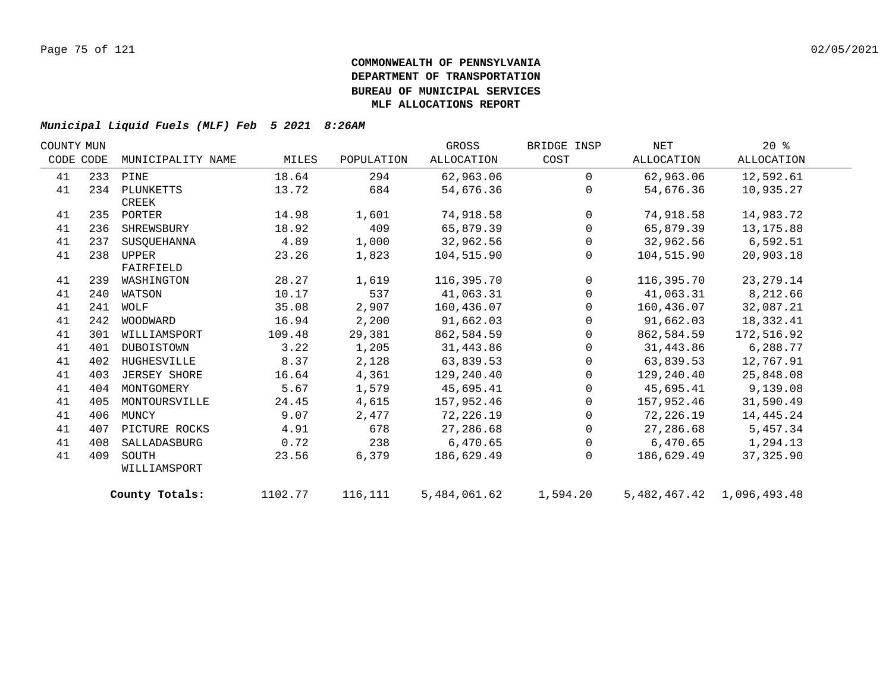| COUNTY MUN |           |                   |         |            | GROSS        | BRIDGE INSP    | NET        | $20*$                           |  |
|------------|-----------|-------------------|---------|------------|--------------|----------------|------------|---------------------------------|--|
|            | CODE CODE | MUNICIPALITY NAME | MILES   | POPULATION | ALLOCATION   | COST           | ALLOCATION | ALLOCATION                      |  |
| 41         |           | 233 PINE          | 18.64   | 294        | 62,963.06    | $\Omega$       | 62,963.06  | 12,592.61                       |  |
| 41         | 234       | PLUNKETTS         | 13.72   | 684        | 54,676.36    | $\Omega$       | 54,676.36  | 10,935.27                       |  |
|            |           | CREEK             |         |            |              |                |            |                                 |  |
| 41         |           | 235 PORTER        | 14.98   | 1,601      | 74,918.58    | $\mathbf 0$    | 74,918.58  | 14,983.72                       |  |
| 41         | 236       | SHREWSBURY        | 18.92   | 409        | 65,879.39    | $\mathbf 0$    | 65,879.39  | 13, 175.88                      |  |
| 41         | 237       | SUSOUEHANNA       | 4.89    | 1,000      | 32,962.56    | $\mathbf 0$    | 32,962.56  | 6,592.51                        |  |
| 41         | 238       | UPPER             | 23.26   | 1,823      | 104,515.90   | $\mathbf{0}$   | 104,515.90 | 20,903.18                       |  |
|            |           | FAIRFIELD         |         |            |              |                |            |                                 |  |
| 41         | 239       | WASHINGTON        | 28.27   | 1,619      | 116,395.70   | $\mathsf{O}$   | 116,395.70 | 23, 279. 14                     |  |
| 41         | 240       | WATSON            | 10.17   | 537        | 41,063.31    | $\mathbf 0$    | 41,063.31  | 8,212.66                        |  |
| 41         | 241       | WOLF              | 35.08   | 2,907      | 160,436.07   | $\mathbf 0$    | 160,436.07 | 32,087.21                       |  |
| 41         |           | 242 WOODWARD      | 16.94   | 2,200      | 91,662.03    | $\Omega$       | 91,662.03  | 18,332.41                       |  |
| 41         | 301       | WILLIAMSPORT      | 109.48  | 29,381     | 862,584.59   | $\Omega$       | 862,584.59 | 172,516.92                      |  |
| 41         | 401       | DUBOISTOWN        | 3.22    | 1,205      | 31,443.86    | $\mathbf 0$    | 31,443.86  | 6,288.77                        |  |
| 41         | 402       | HUGHESVILLE       | 8.37    | 2,128      | 63,839.53    | 0              | 63,839.53  | 12,767.91                       |  |
| 41         | 403       | JERSEY SHORE      | 16.64   | 4,361      | 129,240.40   | $\mathbf 0$    | 129,240.40 | 25,848.08                       |  |
| 41         | 404       | MONTGOMERY        | 5.67    | 1,579      | 45,695.41    | $\mathbf 0$    | 45,695.41  | 9,139.08                        |  |
| 41         | 405       | MONTOURSVILLE     | 24.45   | 4,615      | 157,952.46   | $\Omega$       | 157,952.46 | 31,590.49                       |  |
| 41         | 406       | MUNCY             | 9.07    | 2,477      | 72,226.19    | $\overline{0}$ | 72,226.19  | 14,445.24                       |  |
| 41         | 407       | PICTURE ROCKS     | 4.91    | 678        | 27,286.68    | 0              | 27,286.68  | 5,457.34                        |  |
| 41         | 408       | SALLADASBURG      | 0.72    | 238        | 6,470.65     | $\mathsf{O}$   | 6,470.65   | 1,294.13                        |  |
| 41         | 409       | SOUTH             | 23.56   | 6,379      | 186,629.49   | $\Omega$       | 186,629.49 | 37, 325.90                      |  |
|            |           | WILLIAMSPORT      |         |            |              |                |            |                                 |  |
|            |           | County Totals:    | 1102.77 | 116,111    | 5,484,061.62 | 1,594.20       |            | 5, 482, 467. 42 1, 096, 493. 48 |  |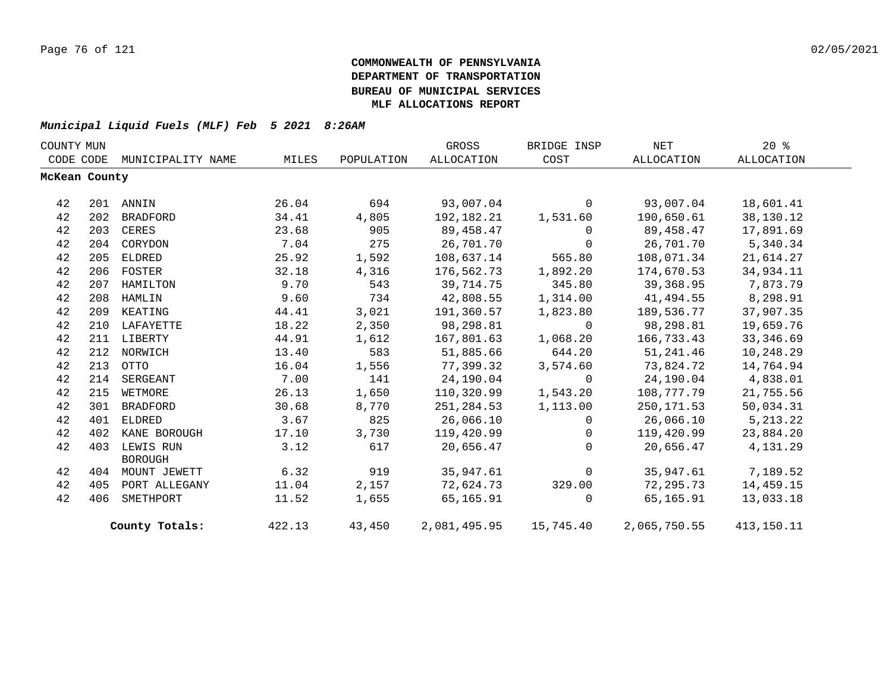| COUNTY MUN    |     |                   |        |            | GROSS      | BRIDGE INSP               | $\operatorname{NET}$ | $20*$      |  |
|---------------|-----|-------------------|--------|------------|------------|---------------------------|----------------------|------------|--|
| CODE CODE     |     | MUNICIPALITY NAME | MILES  | POPULATION | ALLOCATION | COST                      | ALLOCATION           | ALLOCATION |  |
| McKean County |     |                   |        |            |            |                           |                      |            |  |
|               |     |                   |        |            |            |                           |                      |            |  |
| 42            |     | 201 ANNIN         | 26.04  | 694        | 93,007.04  | $\mathbf{0}$              | 93,007.04            | 18,601.41  |  |
| 42            | 202 | <b>BRADFORD</b>   | 34.41  | 4,805      | 192,182.21 | 1,531.60                  | 190,650.61           | 38,130.12  |  |
| 42            | 203 | CERES             | 23.68  | 905        | 89,458.47  | $\Omega$                  | 89,458.47            | 17,891.69  |  |
| 42            | 204 | CORYDON           | 7.04   | 275        | 26,701.70  | $\mathbf 0$               | 26,701.70            | 5,340.34   |  |
| 42            | 205 | ELDRED            | 25.92  | 1,592      | 108,637.14 | 565.80                    | 108,071.34           | 21,614.27  |  |
| 42            |     | 206 FOSTER        | 32.18  | 4,316      | 176,562.73 | 1,892.20                  | 174,670.53           | 34,934.11  |  |
| 42            | 207 | HAMILTON          | 9.70   | 543        | 39,714.75  | 345.80                    | 39,368.95            | 7,873.79   |  |
| 42            | 208 | HAMLIN            | 9.60   | 734        | 42,808.55  | 1,314.00                  | 41,494.55            | 8,298.91   |  |
| 42            | 209 | KEATING           | 44.41  | 3,021      | 191,360.57 | 1,823.80                  | 189,536.77           | 37,907.35  |  |
| 42            | 210 | LAFAYETTE         | 18.22  | 2,350      | 98,298.81  | $\Omega$                  | 98,298.81            | 19,659.76  |  |
| 42            |     | 211 LIBERTY       | 44.91  | 1,612      | 167,801.63 | 1,068.20                  | 166,733.43           | 33,346.69  |  |
| 42            |     | 212 NORWICH       | 13.40  | 583        | 51,885.66  | 644.20                    | 51,241.46            | 10,248.29  |  |
| 42            | 213 | OTTO              | 16.04  | 1,556      | 77,399.32  | 3,574.60                  | 73,824.72            | 14,764.94  |  |
| 42            | 214 | SERGEANT          | 7.00   | 141        | 24,190.04  | $\overline{0}$            | 24,190.04            | 4,838.01   |  |
| 42            | 215 | WETMORE           | 26.13  | 1,650      | 110,320.99 | 1,543.20                  | 108,777.79           | 21,755.56  |  |
| 42            | 301 | BRADFORD          | 30.68  | 8,770      | 251,284.53 | 1,113.00                  | 250,171.53           | 50,034.31  |  |
| 42            | 401 | ELDRED            | 3.67   | 825        | 26,066.10  | $\Omega$                  | 26,066.10            | 5, 213. 22 |  |
| 42            | 402 | KANE BOROUGH      | 17.10  | 3,730      | 119,420.99 | $\mathbf 0$               | 119,420.99           | 23,884.20  |  |
| 42            | 403 | LEWIS RUN         | 3.12   | 617        | 20,656.47  | $\Omega$                  | 20,656.47            | 4,131.29   |  |
|               |     | <b>BOROUGH</b>    |        |            |            |                           |                      |            |  |
| 42            |     | 404 MOUNT JEWETT  | 6.32   | 919        | 35,947.61  | $\mathbf 0$               | 35,947.61            | 7,189.52   |  |
| 42            | 405 | PORT ALLEGANY     | 11.04  | 2,157      | 72,624.73  | 329.00                    | 72,295.73            | 14,459.15  |  |
| 42            | 406 | SMETHPORT         | 11.52  | 1,655      | 65,165.91  | $\Omega$                  | 65,165.91            | 13,033.18  |  |
|               |     | County Totals:    | 422.13 | 43,450     |            | 2,081,495.95    15,745.40 | 2,065,750.55         | 413,150.11 |  |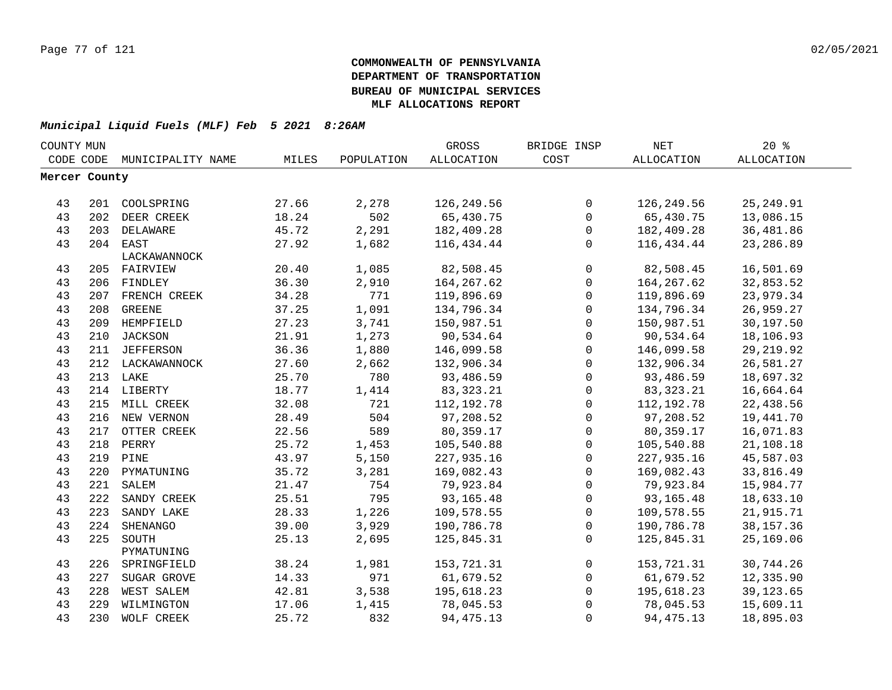| COUNTY MUN    |     |                             |       |            | GROSS        | BRIDGE INSP         | <b>NET</b>   | 20%         |  |
|---------------|-----|-----------------------------|-------|------------|--------------|---------------------|--------------|-------------|--|
|               |     | CODE CODE MUNICIPALITY NAME | MILES | POPULATION | ALLOCATION   | COST                | ALLOCATION   | ALLOCATION  |  |
| Mercer County |     |                             |       |            |              |                     |              |             |  |
|               |     |                             |       |            |              |                     |              |             |  |
| 43            |     | 201 COOLSPRING              | 27.66 | 2,278      | 126,249.56   | 0                   | 126,249.56   | 25, 249.91  |  |
| 43            |     | 202 DEER CREEK              | 18.24 | 502        | 65,430.75    | $\mathbf 0$         | 65,430.75    | 13,086.15   |  |
| 43            |     | 203 DELAWARE                | 45.72 | 2,291      | 182,409.28   | 0                   | 182,409.28   | 36,481.86   |  |
| 43            |     | 204 EAST                    | 27.92 | 1,682      | 116,434.44   | $\mathbf 0$         | 116,434.44   | 23,286.89   |  |
|               |     | LACKAWANNOCK                |       |            |              |                     |              |             |  |
| 43            |     | 205 FAIRVIEW                | 20.40 | 1,085      | 82,508.45    | $\mathbf 0$         | 82,508.45    | 16,501.69   |  |
| 43            |     | 206 FINDLEY                 | 36.30 | 2,910      | 164, 267.62  | $\mathsf{O}\xspace$ | 164, 267.62  | 32,853.52   |  |
| 43            |     | 207 FRENCH CREEK            | 34.28 | 771        | 119,896.69   | 0                   | 119,896.69   | 23,979.34   |  |
| 43            | 208 | GREENE                      | 37.25 | 1,091      | 134,796.34   | $\mathbf 0$         | 134,796.34   | 26,959.27   |  |
| 43            | 209 | HEMPFIELD                   | 27.23 | 3,741      | 150,987.51   | $\mathsf{O}$        | 150,987.51   | 30,197.50   |  |
| 43            | 210 | <b>JACKSON</b>              | 21.91 | 1,273      | 90,534.64    | $\mathsf{O}$        | 90,534.64    | 18,106.93   |  |
| 43            |     | 211 JEFFERSON               | 36.36 | 1,880      | 146,099.58   | $\mathbf 0$         | 146,099.58   | 29, 219.92  |  |
| 43            |     | 212 LACKAWANNOCK            | 27.60 | 2,662      | 132,906.34   | $\mathsf{O}$        | 132,906.34   | 26,581.27   |  |
| 43            |     | 213 LAKE                    | 25.70 | 780        | 93,486.59    | $\mathsf{O}$        | 93,486.59    | 18,697.32   |  |
| 43            |     | 214 LIBERTY                 | 18.77 | 1,414      | 83, 323. 21  | $\mathbf 0$         | 83, 323. 21  | 16,664.64   |  |
| 43            |     | 215 MILL CREEK              | 32.08 | 721        | 112, 192. 78 | $\mathsf{O}$        | 112, 192. 78 | 22,438.56   |  |
| 43            |     | 216 NEW VERNON              | 28.49 | 504        | 97,208.52    | $\mathsf{O}$        | 97,208.52    | 19,441.70   |  |
| 43            |     | 217 OTTER CREEK             | 22.56 | 589        | 80,359.17    | $\mathbf 0$         | 80,359.17    | 16,071.83   |  |
| 43            | 218 | PERRY                       | 25.72 | 1,453      | 105,540.88   | $\mathsf{O}$        | 105,540.88   | 21,108.18   |  |
| 43            |     | 219 PINE                    | 43.97 | 5,150      | 227,935.16   | 0                   | 227,935.16   | 45,587.03   |  |
| 43            |     | 220 PYMATUNING              | 35.72 | 3,281      | 169,082.43   | $\mathbf 0$         | 169,082.43   | 33,816.49   |  |
| 43            | 221 | SALEM                       | 21.47 | 754        | 79,923.84    | $\mathsf{O}$        | 79,923.84    | 15,984.77   |  |
| 43            | 222 | SANDY CREEK                 | 25.51 | 795        | 93,165.48    | $\mathbf 0$         | 93, 165. 48  | 18,633.10   |  |
| 43            | 223 | SANDY LAKE                  | 28.33 | 1,226      | 109,578.55   | $\mathbf 0$         | 109,578.55   | 21,915.71   |  |
| 43            | 224 | SHENANGO                    | 39.00 | 3,929      | 190,786.78   | $\mathbf 0$         | 190,786.78   | 38, 157. 36 |  |
| 43            | 225 | SOUTH                       | 25.13 | 2,695      | 125,845.31   | $\mathbf 0$         | 125,845.31   | 25,169.06   |  |
|               |     | PYMATUNING                  |       |            |              |                     |              |             |  |
| 43            | 226 | SPRINGFIELD                 | 38.24 | 1,981      | 153,721.31   | $\mathbf 0$         | 153,721.31   | 30,744.26   |  |
| 43            | 227 | SUGAR GROVE                 | 14.33 | 971        | 61,679.52    | $\mathbf 0$         | 61,679.52    | 12,335.90   |  |
| 43            | 228 | WEST SALEM                  | 42.81 | 3,538      | 195,618.23   | $\mathbf 0$         | 195,618.23   | 39, 123.65  |  |
| 43            | 229 | WILMINGTON                  | 17.06 | 1,415      | 78,045.53    | $\mathbf 0$         | 78,045.53    | 15,609.11   |  |
| 43            | 230 | WOLF CREEK                  | 25.72 | 832        | 94, 475. 13  | 0                   | 94, 475. 13  | 18,895.03   |  |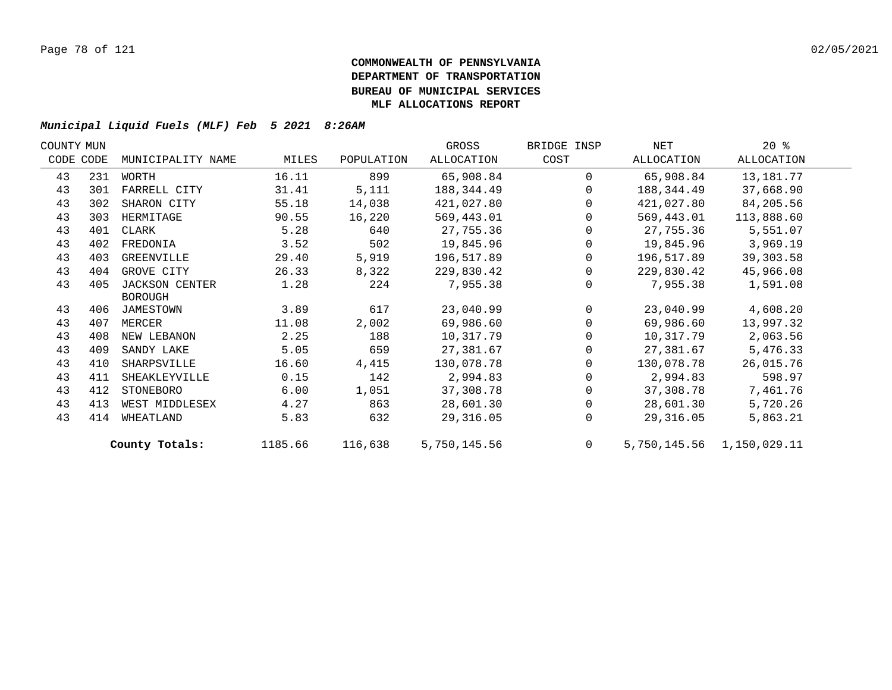| COUNTY MUN |           |                       |         |            | GROSS        | BRIDGE INSP | NET        | $20*$                     |  |
|------------|-----------|-----------------------|---------|------------|--------------|-------------|------------|---------------------------|--|
|            | CODE CODE | MUNICIPALITY NAME     | MILES   | POPULATION | ALLOCATION   | COST        | ALLOCATION | ALLOCATION                |  |
| 43         | 231       | WORTH                 | 16.11   | 899        | 65,908.84    | $\Omega$    | 65,908.84  | 13,181.77                 |  |
| 43         | 301       | FARRELL CITY          | 31.41   | 5,111      | 188,344.49   | $\Omega$    | 188,344.49 | 37,668.90                 |  |
| 43         | 302       | SHARON CITY           | 55.18   | 14,038     | 421,027.80   | $\Omega$    | 421,027.80 | 84,205.56                 |  |
| 43         | 303       | HERMITAGE             | 90.55   | 16,220     | 569,443.01   | $\Omega$    | 569,443.01 | 113,888.60                |  |
| 43         | 401       | CLARK                 | 5.28    | 640        | 27,755.36    | $\Omega$    | 27,755.36  | 5,551.07                  |  |
| 43         | 402       | FREDONIA              | 3.52    | 502        | 19,845.96    | 0           | 19,845.96  | 3,969.19                  |  |
| 43         | 403       | GREENVILLE            | 29.40   | 5,919      | 196,517.89   | $\Omega$    | 196,517.89 | 39, 303.58                |  |
| 43         | 404       | GROVE CITY            | 26.33   | 8,322      | 229,830.42   | $\Omega$    | 229,830.42 | 45,966.08                 |  |
| 43         | 405       | <b>JACKSON CENTER</b> | 1.28    | 224        | 7,955.38     | $\Omega$    | 7,955.38   | 1,591.08                  |  |
|            |           | <b>BOROUGH</b>        |         |            |              |             |            |                           |  |
| 43         |           | 406 JAMESTOWN         | 3.89    | 617        | 23,040.99    | $\Omega$    | 23,040.99  | 4,608.20                  |  |
| 43         | 407       | MERCER                | 11.08   | 2,002      | 69,986.60    | $\Omega$    | 69,986.60  | 13,997.32                 |  |
| 43         | 408       | NEW LEBANON           | 2.25    | 188        | 10,317.79    |             | 10,317.79  | 2,063.56                  |  |
| 43         | 409       | SANDY LAKE            | 5.05    | 659        | 27,381.67    | $\Omega$    | 27,381.67  | 5,476.33                  |  |
| 43         | 410       | SHARPSVILLE           | 16.60   | 4,415      | 130,078.78   | $\Omega$    | 130,078.78 | 26,015.76                 |  |
| 43         | 411       | SHEAKLEYVILLE         | 0.15    | 142        | 2,994.83     | $\Omega$    | 2,994.83   | 598.97                    |  |
| 43         | 412       | STONEBORO             | 6.00    | 1,051      | 37,308.78    | $\Omega$    | 37,308.78  | 7,461.76                  |  |
| 43         | 413       | WEST MIDDLESEX        | 4.27    | 863        | 28,601.30    | $\Omega$    | 28,601.30  | 5,720.26                  |  |
| 43         | 414       | WHEATLAND             | 5.83    | 632        | 29,316.05    | $\Omega$    | 29,316.05  | 5,863.21                  |  |
|            |           | County Totals:        | 1185.66 | 116,638    | 5,750,145.56 | $\Omega$    |            | 5,750,145.56 1,150,029.11 |  |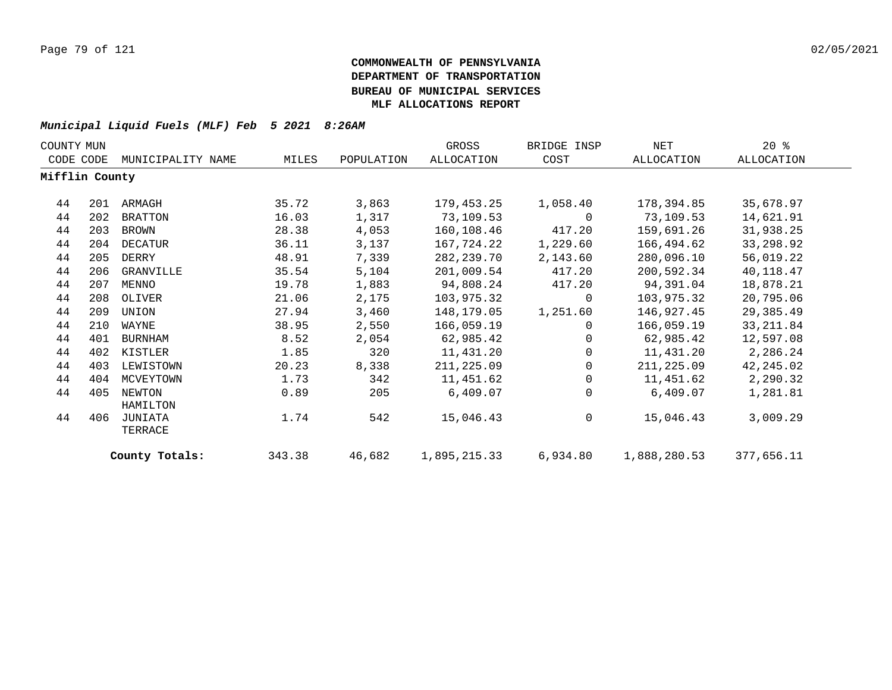| COUNTY MUN     |     |                    |        |            | GROSS        | BRIDGE INSP | NET          | $20*$      |
|----------------|-----|--------------------|--------|------------|--------------|-------------|--------------|------------|
| CODE CODE      |     | MUNICIPALITY NAME  | MILES  | POPULATION | ALLOCATION   | COST        | ALLOCATION   | ALLOCATION |
| Mifflin County |     |                    |        |            |              |             |              |            |
| 44             | 201 | ARMAGH             | 35.72  | 3,863      | 179,453.25   | 1,058.40    | 178,394.85   | 35,678.97  |
| 44             | 202 | <b>BRATTON</b>     | 16.03  | 1,317      | 73,109.53    | 0           | 73,109.53    | 14,621.91  |
| 44             | 203 | BROWN              | 28.38  | 4,053      | 160,108.46   | 417.20      | 159,691.26   | 31,938.25  |
| 44             | 204 | DECATUR            | 36.11  | 3,137      | 167,724.22   | 1,229.60    | 166,494.62   | 33,298.92  |
| 44             | 205 | DERRY              | 48.91  | 7,339      | 282,239.70   | 2,143.60    | 280,096.10   | 56,019.22  |
| 44             | 206 | GRANVILLE          | 35.54  | 5,104      | 201,009.54   | 417.20      | 200,592.34   | 40,118.47  |
| 44             | 207 | MENNO              | 19.78  | 1,883      | 94,808.24    | 417.20      | 94,391.04    | 18,878.21  |
| 44             | 208 | OLIVER             | 21.06  | 2,175      | 103,975.32   | 0           | 103,975.32   | 20,795.06  |
| 44             | 209 | UNION              | 27.94  | 3,460      | 148,179.05   | 1,251.60    | 146,927.45   | 29,385.49  |
| 44             | 210 | WAYNE              | 38.95  | 2,550      | 166,059.19   | $\Omega$    | 166,059.19   | 33, 211.84 |
| 44             | 401 | <b>BURNHAM</b>     | 8.52   | 2,054      | 62,985.42    | $\Omega$    | 62,985.42    | 12,597.08  |
| 44             | 402 | KISTLER            | 1.85   | 320        | 11,431.20    | $\Omega$    | 11,431.20    | 2,286.24   |
| 44             | 403 | LEWISTOWN          | 20.23  | 8,338      | 211,225.09   | $\Omega$    | 211,225.09   | 42,245.02  |
| 44             | 404 | MCVEYTOWN          | 1.73   | 342        | 11,451.62    | 0           | 11,451.62    | 2,290.32   |
| 44             | 405 | NEWTON<br>HAMILTON | 0.89   | 205        | 6,409.07     | 0           | 6,409.07     | 1,281.81   |
| 44             | 406 | JUNIATA<br>TERRACE | 1.74   | 542        | 15,046.43    | 0           | 15,046.43    | 3,009.29   |
|                |     | County Totals:     | 343.38 | 46,682     | 1,895,215.33 | 6,934.80    | 1,888,280.53 | 377,656.11 |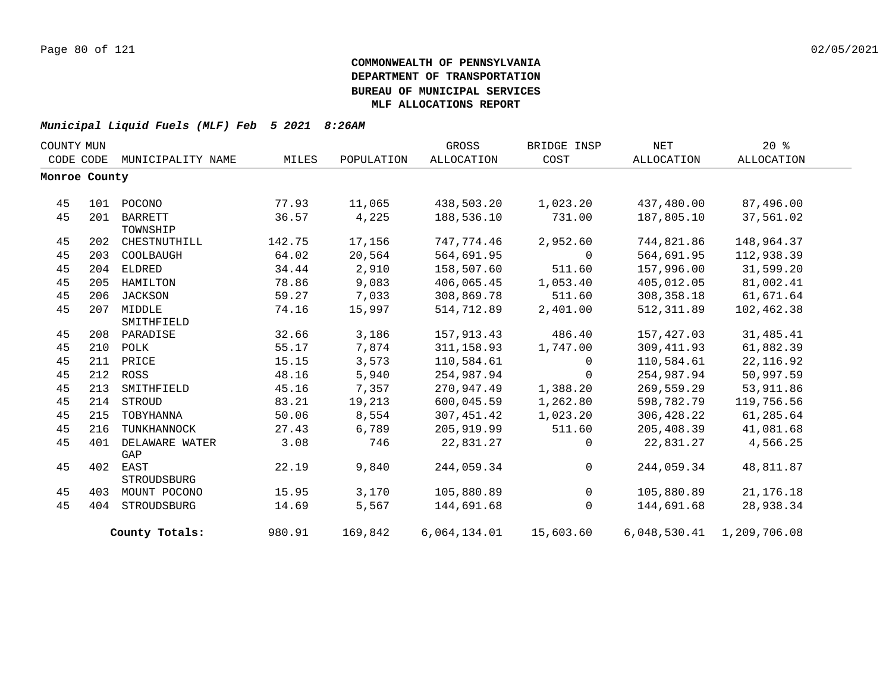| COUNTY MUN |               |                   |        |            | GROSS             | BRIDGE INSP    | NET         | $20*$                     |  |
|------------|---------------|-------------------|--------|------------|-------------------|----------------|-------------|---------------------------|--|
|            | CODE CODE     | MUNICIPALITY NAME | MILES  | POPULATION | <b>ALLOCATION</b> | COST           | ALLOCATION  | ALLOCATION                |  |
|            | Monroe County |                   |        |            |                   |                |             |                           |  |
|            |               |                   |        |            |                   |                |             |                           |  |
| 45         | 101           | POCONO            | 77.93  | 11,065     | 438,503.20        | 1,023.20       | 437,480.00  | 87,496.00                 |  |
| 45         | 201           | <b>BARRETT</b>    | 36.57  | 4,225      | 188,536.10        | 731.00         | 187,805.10  | 37,561.02                 |  |
|            |               | TOWNSHIP          |        |            |                   |                |             |                           |  |
| 45         | 202           | CHESTNUTHILL      | 142.75 | 17,156     | 747,774.46        | 2,952.60       | 744,821.86  | 148,964.37                |  |
| 45         | 203           | COOLBAUGH         | 64.02  | 20,564     | 564,691.95        | $\Omega$       | 564,691.95  | 112,938.39                |  |
| 45         | 204           | ELDRED            | 34.44  | 2,910      | 158,507.60        | 511.60         | 157,996.00  | 31,599.20                 |  |
| 45         | 205           | HAMILTON          | 78.86  | 9,083      | 406,065.45        | 1,053.40       | 405,012.05  | 81,002.41                 |  |
| 45         | 206           | JACKSON           | 59.27  | 7,033      | 308,869.78        | 511.60         | 308,358.18  | 61,671.64                 |  |
| 45         | 207           | MIDDLE            | 74.16  | 15,997     | 514,712.89        | 2,401.00       | 512, 311.89 | 102,462.38                |  |
|            |               | SMITHFIELD        |        |            |                   |                |             |                           |  |
| 45         | 208           | PARADISE          | 32.66  | 3,186      | 157,913.43        | 486.40         | 157,427.03  | 31,485.41                 |  |
| 45         | 210           | POLK              | 55.17  | 7,874      | 311,158.93        | 1,747.00       | 309, 411.93 | 61,882.39                 |  |
| 45         | 211           | PRICE             | 15.15  | 3,573      | 110,584.61        | $\Omega$       | 110,584.61  | 22, 116.92                |  |
| 45         | 212           | ROSS              | 48.16  | 5,940      | 254,987.94        | $\mathbf 0$    | 254,987.94  | 50,997.59                 |  |
| 45         | 213           | SMITHFIELD        | 45.16  | 7,357      | 270,947.49        | 1,388.20       | 269,559.29  | 53,911.86                 |  |
| 45         | 214           | STROUD            | 83.21  | 19,213     | 600,045.59        | 1,262.80       | 598,782.79  | 119,756.56                |  |
| 45         | 215           | TOBYHANNA         | 50.06  | 8,554      | 307,451.42        | 1,023.20       | 306,428.22  | 61,285.64                 |  |
| 45         | 216           | TUNKHANNOCK       | 27.43  | 6,789      | 205,919.99        | 511.60         | 205,408.39  | 41,081.68                 |  |
| 45         | 401           | DELAWARE WATER    | 3.08   | 746        | 22,831.27         | $\Omega$       | 22,831.27   | 4,566.25                  |  |
|            |               | GAP               |        |            |                   |                |             |                           |  |
| 45         | 402           | EAST              | 22.19  | 9,840      | 244,059.34        | $\Omega$       | 244,059.34  | 48,811.87                 |  |
|            |               | STROUDSBURG       |        |            |                   |                |             |                           |  |
| 45         | 403           | MOUNT POCONO      | 15.95  | 3,170      | 105,880.89        | $\overline{0}$ | 105,880.89  | 21, 176. 18               |  |
| 45         | 404           | STROUDSBURG       | 14.69  | 5,567      | 144,691.68        | $\Omega$       | 144,691.68  | 28,938.34                 |  |
|            |               | County Totals:    | 980.91 | 169,842    | 6,064,134.01      | 15,603.60      |             | 6,048,530.41 1,209,706.08 |  |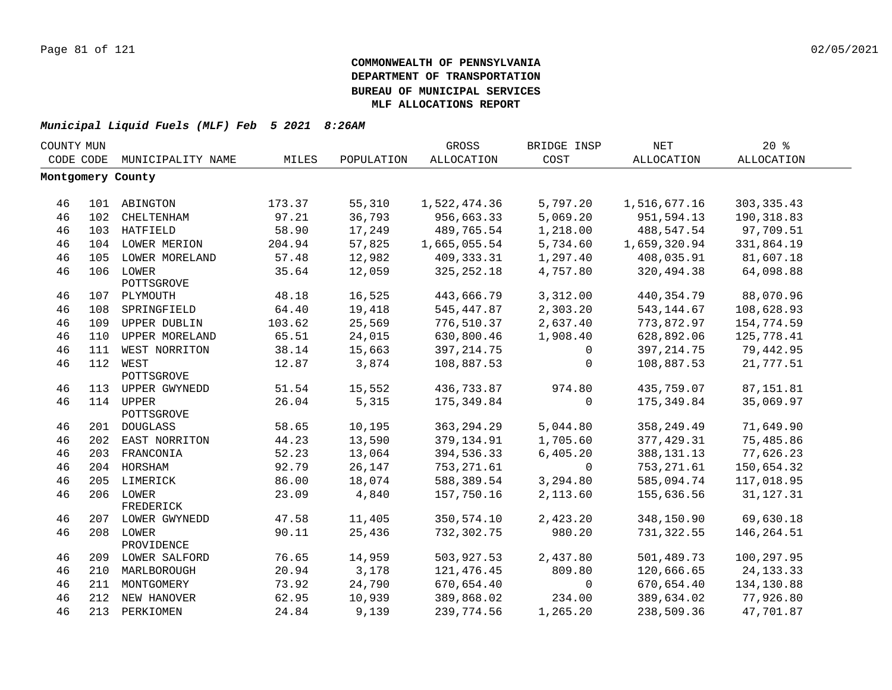| COUNTY MUN |     |                         |        |            | GROSS             | BRIDGE INSP | <b>NET</b>   | 20%         |  |
|------------|-----|-------------------------|--------|------------|-------------------|-------------|--------------|-------------|--|
| CODE CODE  |     | MUNICIPALITY NAME       | MILES  | POPULATION | <b>ALLOCATION</b> | COST        | ALLOCATION   | ALLOCATION  |  |
|            |     | Montgomery County       |        |            |                   |             |              |             |  |
|            |     |                         |        |            |                   |             |              |             |  |
| 46         |     | 101 ABINGTON            | 173.37 | 55,310     | 1,522,474.36      | 5,797.20    | 1,516,677.16 | 303, 335.43 |  |
| 46         | 102 | CHELTENHAM              | 97.21  | 36,793     | 956,663.33        | 5,069.20    | 951,594.13   | 190,318.83  |  |
| 46         |     | 103 HATFIELD            | 58.90  | 17,249     | 489,765.54        | 1,218.00    | 488,547.54   | 97,709.51   |  |
| 46         |     | 104 LOWER MERION        | 204.94 | 57,825     | 1,665,055.54      | 5,734.60    | 1,659,320.94 | 331,864.19  |  |
| 46         | 105 | LOWER MORELAND          | 57.48  | 12,982     | 409,333.31        | 1,297.40    | 408,035.91   | 81,607.18   |  |
| 46         | 106 | LOWER<br>POTTSGROVE     | 35.64  | 12,059     | 325, 252.18       | 4,757.80    | 320,494.38   | 64,098.88   |  |
| 46         |     | 107 PLYMOUTH            | 48.18  | 16,525     | 443,666.79        | 3,312.00    | 440, 354.79  | 88,070.96   |  |
| 46         | 108 | SPRINGFIELD             | 64.40  | 19,418     | 545,447.87        | 2,303.20    | 543,144.67   | 108,628.93  |  |
| 46         | 109 | UPPER DUBLIN            | 103.62 | 25,569     | 776,510.37        | 2,637.40    | 773,872.97   | 154,774.59  |  |
| 46         | 110 | UPPER MORELAND          | 65.51  | 24,015     | 630,800.46        | 1,908.40    | 628,892.06   | 125,778.41  |  |
| 46         | 111 | WEST NORRITON           | 38.14  | 15,663     | 397, 214.75       | 0           | 397, 214.75  | 79,442.95   |  |
| 46         |     | 112 WEST<br>POTTSGROVE  | 12.87  | 3,874      | 108,887.53        | $\mathbf 0$ | 108,887.53   | 21,777.51   |  |
| 46         |     | 113 UPPER GWYNEDD       | 51.54  | 15,552     | 436,733.87        | 974.80      | 435,759.07   | 87,151.81   |  |
| 46         |     | 114 UPPER<br>POTTSGROVE | 26.04  | 5,315      | 175, 349.84       | $\mathbf 0$ | 175,349.84   | 35,069.97   |  |
| 46         |     | 201 DOUGLASS            | 58.65  | 10,195     | 363, 294. 29      | 5,044.80    | 358, 249.49  | 71,649.90   |  |
| 46         |     | 202 EAST NORRITON       | 44.23  | 13,590     | 379,134.91        | 1,705.60    | 377, 429.31  | 75,485.86   |  |
| 46         |     | 203 FRANCONIA           | 52.23  | 13,064     | 394,536.33        | 6,405.20    | 388, 131. 13 | 77,626.23   |  |
| 46         |     | 204 HORSHAM             | 92.79  | 26,147     | 753, 271.61       | $\Omega$    | 753, 271.61  | 150,654.32  |  |
| 46         |     | 205 LIMERICK            | 86.00  | 18,074     | 588,389.54        | 3,294.80    | 585,094.74   | 117,018.95  |  |
| 46         |     | 206 LOWER<br>FREDERICK  | 23.09  | 4,840      | 157,750.16        | 2,113.60    | 155,636.56   | 31, 127. 31 |  |
| 46         |     | 207 LOWER GWYNEDD       | 47.58  | 11,405     | 350,574.10        | 2,423.20    | 348,150.90   | 69,630.18   |  |
| 46         |     | 208 LOWER<br>PROVIDENCE | 90.11  | 25,436     | 732,302.75        | 980.20      | 731,322.55   | 146, 264.51 |  |
| 46         |     | 209 LOWER SALFORD       | 76.65  | 14,959     | 503,927.53        | 2,437.80    | 501,489.73   | 100,297.95  |  |
| 46         |     | 210 MARLBOROUGH         | 20.94  | 3,178      | 121,476.45        | 809.80      | 120,666.65   | 24, 133. 33 |  |
| 46         |     | 211 MONTGOMERY          | 73.92  | 24,790     | 670,654.40        | 0           | 670,654.40   | 134,130.88  |  |
| 46         |     | 212 NEW HANOVER         | 62.95  | 10,939     | 389,868.02        | 234.00      | 389,634.02   | 77,926.80   |  |
| 46         |     | 213 PERKIOMEN           | 24.84  | 9,139      | 239,774.56        | 1,265.20    | 238,509.36   | 47,701.87   |  |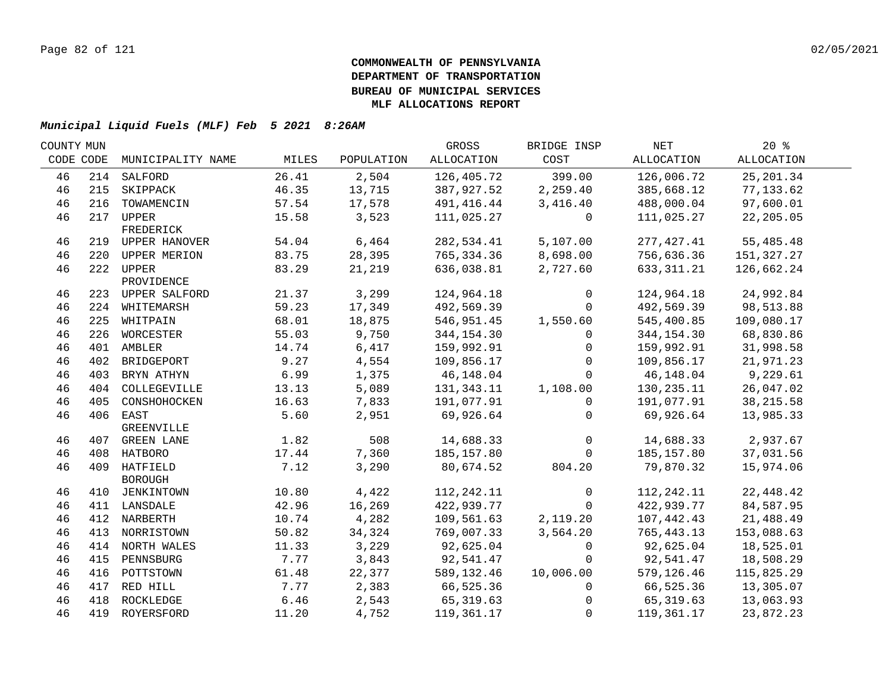| COUNTY MUN |     |                   |       |            | GROSS        | BRIDGE INSP  | NET          | $20*$      |  |
|------------|-----|-------------------|-------|------------|--------------|--------------|--------------|------------|--|
| CODE CODE  |     | MUNICIPALITY NAME | MILES | POPULATION | ALLOCATION   | COST         | ALLOCATION   | ALLOCATION |  |
| 46         |     | 214 SALFORD       | 26.41 | 2,504      | 126,405.72   | 399.00       | 126,006.72   | 25, 201.34 |  |
| 46         | 215 | SKIPPACK          | 46.35 | 13,715     | 387,927.52   | 2,259.40     | 385,668.12   | 77,133.62  |  |
| 46         | 216 | TOWAMENCIN        | 57.54 | 17,578     | 491, 416.44  | 3,416.40     | 488,000.04   | 97,600.01  |  |
| 46         |     | 217 UPPER         | 15.58 | 3,523      | 111,025.27   | $\mathbf{0}$ | 111,025.27   | 22, 205.05 |  |
|            |     | FREDERICK         |       |            |              |              |              |            |  |
| 46         |     | 219 UPPER HANOVER | 54.04 | 6,464      | 282,534.41   | 5,107.00     | 277,427.41   | 55,485.48  |  |
| 46         |     | 220 UPPER MERION  | 83.75 | 28,395     | 765, 334.36  | 8,698.00     | 756,636.36   | 151,327.27 |  |
| 46         |     | 222 UPPER         | 83.29 | 21,219     | 636,038.81   | 2,727.60     | 633, 311.21  | 126,662.24 |  |
|            |     | PROVIDENCE        |       |            |              |              |              |            |  |
| 46         |     | 223 UPPER SALFORD | 21.37 | 3,299      | 124,964.18   | 0            | 124,964.18   | 24,992.84  |  |
| 46         |     | 224 WHITEMARSH    | 59.23 | 17,349     | 492,569.39   | $\Omega$     | 492,569.39   | 98,513.88  |  |
| 46         |     | 225 WHITPAIN      | 68.01 | 18,875     | 546,951.45   | 1,550.60     | 545,400.85   | 109,080.17 |  |
| 46         | 226 | WORCESTER         | 55.03 | 9,750      | 344,154.30   | $\mathbf{0}$ | 344, 154.30  | 68,830.86  |  |
| 46         |     | 401 AMBLER        | 14.74 | 6,417      | 159,992.91   | $\Omega$     | 159,992.91   | 31,998.58  |  |
| 46         | 402 | BRIDGEPORT        | 9.27  | 4,554      | 109,856.17   | $\Omega$     | 109,856.17   | 21,971.23  |  |
| 46         | 403 | BRYN ATHYN        | 6.99  | 1,375      | 46,148.04    | $\Omega$     | 46,148.04    | 9,229.61   |  |
| 46         | 404 | COLLEGEVILLE      | 13.13 | 5,089      | 131,343.11   | 1,108.00     | 130,235.11   | 26,047.02  |  |
| 46         | 405 | CONSHOHOCKEN      | 16.63 | 7,833      | 191,077.91   | $\mathbf{0}$ | 191,077.91   | 38, 215.58 |  |
| 46         |     | 406 EAST          | 5.60  | 2,951      | 69,926.64    | $\Omega$     | 69,926.64    | 13,985.33  |  |
|            |     | GREENVILLE        |       |            |              |              |              |            |  |
| 46         |     | 407 GREEN LANE    | 1.82  | 508        | 14,688.33    | $\mathbf 0$  | 14,688.33    | 2,937.67   |  |
| 46         |     | 408 HATBORO       | 17.44 | 7,360      | 185, 157.80  | $\Omega$     | 185, 157.80  | 37,031.56  |  |
| 46         |     | 409 HATFIELD      | 7.12  | 3,290      | 80,674.52    | 804.20       | 79,870.32    | 15,974.06  |  |
|            |     | <b>BOROUGH</b>    |       |            |              |              |              |            |  |
| 46         |     | 410 JENKINTOWN    | 10.80 | 4,422      | 112, 242. 11 | $\mathbf 0$  | 112, 242. 11 | 22, 448.42 |  |
| 46         |     | 411 LANSDALE      | 42.96 | 16,269     | 422,939.77   | $\Omega$     | 422,939.77   | 84,587.95  |  |
| 46         |     | 412 NARBERTH      | 10.74 | 4,282      | 109,561.63   | 2,119.20     | 107,442.43   | 21,488.49  |  |
| 46         |     | 413 NORRISTOWN    | 50.82 | 34,324     | 769,007.33   | 3,564.20     | 765, 443.13  | 153,088.63 |  |
| 46         |     | 414 NORTH WALES   | 11.33 | 3,229      | 92,625.04    | 0            | 92,625.04    | 18,525.01  |  |
| 46         | 415 | PENNSBURG         | 7.77  | 3,843      | 92,541.47    | 0            | 92,541.47    | 18,508.29  |  |
| 46         | 416 | POTTSTOWN         | 61.48 | 22,377     | 589,132.46   | 10,006.00    | 579,126.46   | 115,825.29 |  |
| 46         | 417 | RED HILL          | 7.77  | 2,383      | 66,525.36    | 0            | 66,525.36    | 13,305.07  |  |
| 46         | 418 | ROCKLEDGE         | 6.46  | 2,543      | 65, 319.63   | $\Omega$     | 65, 319.63   | 13,063.93  |  |
| 46         |     | 419 ROYERSFORD    | 11.20 | 4,752      | 119,361.17   | $\Omega$     | 119,361.17   | 23,872.23  |  |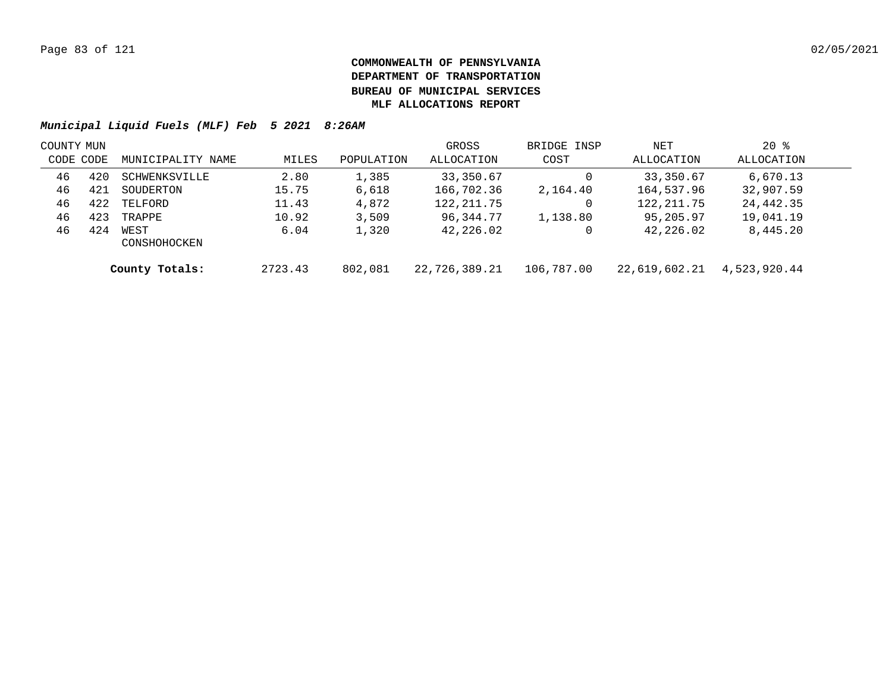| COUNTY MUN |     |                      |         |            | GROSS         | BRIDGE INSP | NET           | $20*$        |  |
|------------|-----|----------------------|---------|------------|---------------|-------------|---------------|--------------|--|
| CODE CODE  |     | MUNICIPALITY NAME    | MILES   | POPULATION | ALLOCATION    | COST        | ALLOCATION    | ALLOCATION   |  |
| 46         | 420 | SCHWENKSVILLE        | 2.80    | 1,385      | 33,350.67     |             | 33,350.67     | 6,670.13     |  |
| 46         | 421 | SOUDERTON            | 15.75   | 6,618      | 166,702.36    | 2,164.40    | 164,537.96    | 32,907.59    |  |
| 46         | 422 | TELFORD              | 11.43   | 4,872      | 122, 211.75   |             | 122, 211.75   | 24,442.35    |  |
| 46         | 423 | TRAPPE               | 10.92   | 3,509      | 96,344.77     | 1,138.80    | 95,205.97     | 19,041.19    |  |
| 46         | 424 | WEST<br>CONSHOHOCKEN | 6.04    | 1,320      | 42,226.02     |             | 42,226.02     | 8,445.20     |  |
|            |     | County Totals:       | 2723.43 | 802,081    | 22,726,389.21 | 106,787.00  | 22,619,602.21 | 4,523,920.44 |  |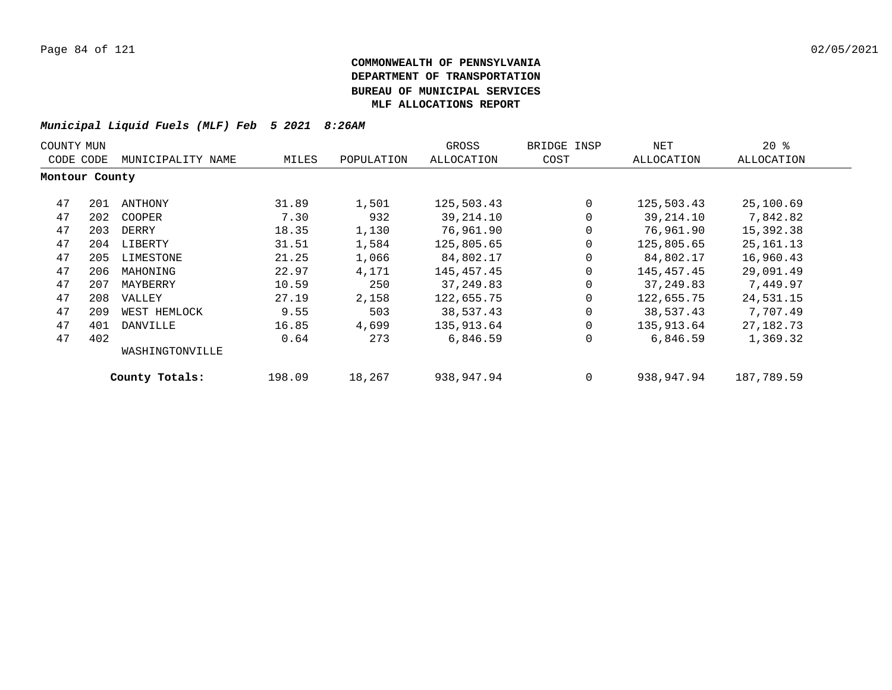| COUNTY MUN     |     |                   |        |            | GROSS      | BRIDGE INSP | NET        | $20*$       |
|----------------|-----|-------------------|--------|------------|------------|-------------|------------|-------------|
| CODE CODE      |     | MUNICIPALITY NAME | MILES  | POPULATION | ALLOCATION | COST        | ALLOCATION | ALLOCATION  |
| Montour County |     |                   |        |            |            |             |            |             |
| 47             | 201 | ANTHONY           | 31.89  | 1,501      | 125,503.43 | $\Omega$    | 125,503.43 | 25,100.69   |
| 47             | 202 | COOPER            | 7.30   | 932        | 39,214.10  | 0           | 39,214.10  | 7,842.82    |
| 47             | 203 | DERRY             | 18.35  | 1,130      | 76,961.90  | 0           | 76,961.90  | 15,392.38   |
| 47             | 204 | LIBERTY           | 31.51  | 1,584      | 125,805.65 | 0           | 125,805.65 | 25, 161. 13 |
| 47             | 205 | LIMESTONE         | 21.25  | 1,066      | 84,802.17  | 0           | 84,802.17  | 16,960.43   |
| 47             | 206 | MAHONING          | 22.97  | 4,171      | 145,457.45 | 0           | 145,457.45 | 29,091.49   |
| 47             | 207 | MAYBERRY          | 10.59  | 250        | 37,249.83  | 0           | 37,249.83  | 7,449.97    |
| 47             | 208 | VALLEY            | 27.19  | 2,158      | 122,655.75 | 0           | 122,655.75 | 24,531.15   |
| 47             | 209 | WEST HEMLOCK      | 9.55   | 503        | 38,537.43  | 0           | 38,537.43  | 7,707.49    |
| 47             | 401 | DANVILLE          | 16.85  | 4,699      | 135,913.64 | 0           | 135,913.64 | 27,182.73   |
| 47             | 402 |                   | 0.64   | 273        | 6,846.59   | 0           | 6,846.59   | 1,369.32    |
|                |     | WASHINGTONVILLE   |        |            |            |             |            |             |
|                |     | County Totals:    | 198.09 | 18,267     | 938,947.94 | 0           | 938,947.94 | 187,789.59  |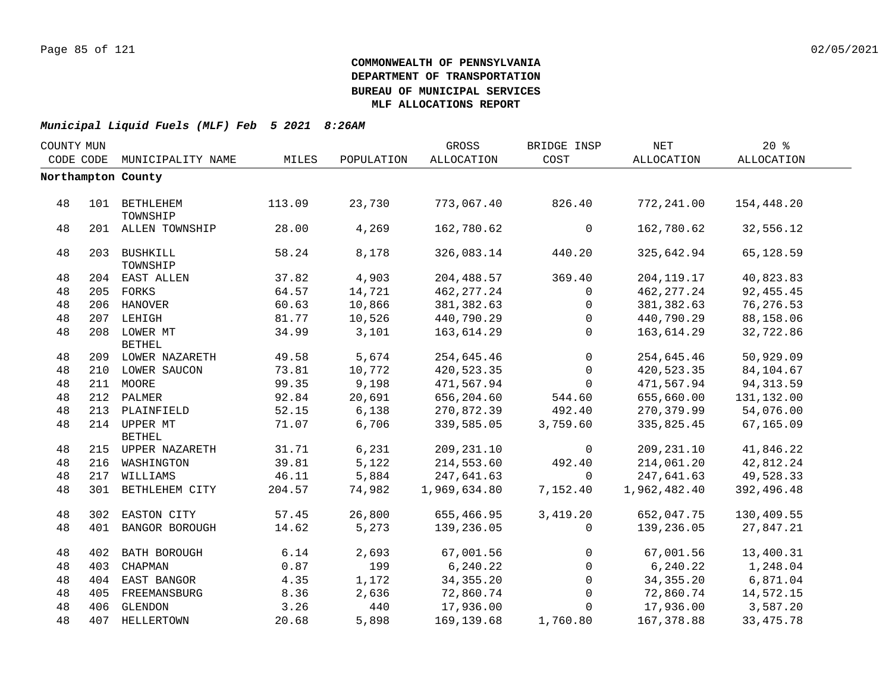| COUNTY MUN |           |                               |        |            | GROSS        | BRIDGE INSP  | $\operatorname{NET}$ | 20%         |  |
|------------|-----------|-------------------------------|--------|------------|--------------|--------------|----------------------|-------------|--|
|            | CODE CODE | MUNICIPALITY NAME             | MILES  | POPULATION | ALLOCATION   | COST         | ALLOCATION           | ALLOCATION  |  |
|            |           | Northampton County            |        |            |              |              |                      |             |  |
|            |           |                               |        |            |              |              |                      |             |  |
| 48         |           | 101 BETHLEHEM<br>TOWNSHIP     | 113.09 | 23,730     | 773,067.40   | 826.40       | 772,241.00           | 154,448.20  |  |
| 48         |           | 201 ALLEN TOWNSHIP            | 28.00  | 4,269      | 162,780.62   | $\mathsf{O}$ | 162,780.62           | 32,556.12   |  |
| 48         |           | 203 BUSHKILL<br>TOWNSHIP      | 58.24  | 8,178      | 326,083.14   | 440.20       | 325,642.94           | 65,128.59   |  |
| 48         |           | 204 EAST ALLEN                | 37.82  | 4,903      | 204,488.57   | 369.40       | 204, 119. 17         | 40,823.83   |  |
| 48         |           | 205 FORKS                     | 64.57  | 14,721     | 462, 277.24  | $\mathbf{0}$ | 462, 277.24          | 92, 455.45  |  |
| 48         |           | 206 HANOVER                   | 60.63  | 10,866     | 381,382.63   | 0            | 381, 382.63          | 76, 276.53  |  |
| 48         |           | 207 LEHIGH                    | 81.77  | 10,526     | 440,790.29   | $\mathbf{0}$ | 440,790.29           | 88,158.06   |  |
| 48         |           | 208 LOWER MT<br><b>BETHEL</b> | 34.99  | 3,101      | 163,614.29   | $\mathbf 0$  | 163,614.29           | 32,722.86   |  |
| 48         |           | 209 LOWER NAZARETH            | 49.58  | 5,674      | 254,645.46   | $\mathbf 0$  | 254,645.46           | 50,929.09   |  |
| 48         |           | 210 LOWER SAUCON              | 73.81  | 10,772     | 420,523.35   | $\Omega$     | 420,523.35           | 84,104.67   |  |
| 48         |           | 211 MOORE                     | 99.35  | 9,198      | 471,567.94   | $\Omega$     | 471,567.94           | 94, 313.59  |  |
| 48         |           | 212 PALMER                    | 92.84  | 20,691     | 656,204.60   | 544.60       | 655,660.00           | 131,132.00  |  |
| 48         |           | 213 PLAINFIELD                | 52.15  | 6,138      | 270,872.39   | 492.40       | 270,379.99           | 54,076.00   |  |
| 48         |           | 214 UPPER MT<br><b>BETHEL</b> | 71.07  | 6,706      | 339,585.05   | 3,759.60     | 335,825.45           | 67,165.09   |  |
| 48         |           | 215 UPPER NAZARETH            | 31.71  | 6,231      | 209,231.10   | 0            | 209, 231.10          | 41,846.22   |  |
| 48         |           | 216 WASHINGTON                | 39.81  | 5,122      | 214,553.60   | 492.40       | 214,061.20           | 42,812.24   |  |
| 48         |           | 217 WILLIAMS                  | 46.11  | 5,884      | 247,641.63   | $\Omega$     | 247,641.63           | 49,528.33   |  |
| 48         |           | 301 BETHLEHEM CITY            | 204.57 | 74,982     | 1,969,634.80 | 7,152.40     | 1,962,482.40         | 392,496.48  |  |
| 48         |           | 302 EASTON CITY               | 57.45  | 26,800     | 655,466.95   | 3,419.20     | 652,047.75           | 130,409.55  |  |
| 48         |           | 401 BANGOR BOROUGH            | 14.62  | 5,273      | 139,236.05   | $\mathbf{0}$ | 139,236.05           | 27,847.21   |  |
| 48         |           | 402 BATH BOROUGH              | 6.14   | 2,693      | 67,001.56    | $\mathbf 0$  | 67,001.56            | 13,400.31   |  |
| 48         | 403       | CHAPMAN                       | 0.87   | 199        | 6, 240.22    | 0            | 6, 240.22            | 1,248.04    |  |
| 48         |           | 404 EAST BANGOR               | 4.35   | 1,172      | 34, 355. 20  | $\mathbf{0}$ | 34, 355. 20          | 6,871.04    |  |
| 48         |           | 405 FREEMANSBURG              | 8.36   | 2,636      | 72,860.74    | $\mathbf{0}$ | 72,860.74            | 14,572.15   |  |
| 48         |           | 406 GLENDON                   | 3.26   | 440        | 17,936.00    | $\Omega$     | 17,936.00            | 3,587.20    |  |
| 48         |           | 407 HELLERTOWN                | 20.68  | 5,898      | 169, 139.68  | 1,760.80     | 167,378.88           | 33, 475. 78 |  |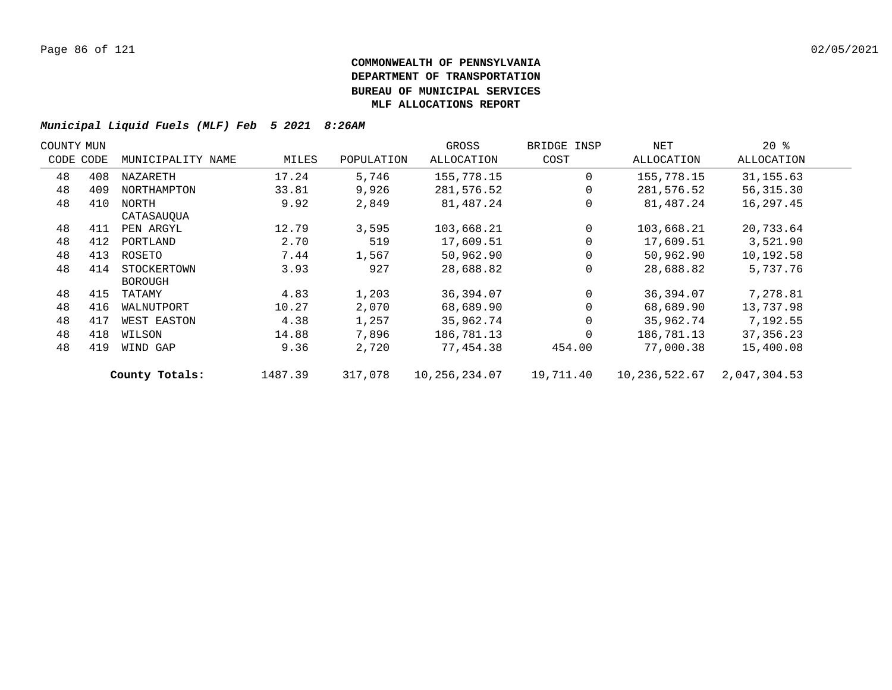| COUNTY MUN |     |                   |         |            | GROSS             | BRIDGE INSP | NET           | $20*$        |  |
|------------|-----|-------------------|---------|------------|-------------------|-------------|---------------|--------------|--|
| CODE CODE  |     | MUNICIPALITY NAME | MILES   | POPULATION | <b>ALLOCATION</b> | COST        | ALLOCATION    | ALLOCATION   |  |
| 48         | 408 | NAZARETH          | 17.24   | 5,746      | 155,778.15        | $\Omega$    | 155,778.15    | 31, 155.63   |  |
| 48         | 409 | NORTHAMPTON       | 33.81   | 9,926      | 281,576.52        | $\Omega$    | 281,576.52    | 56, 315.30   |  |
| 48         | 410 | NORTH             | 9.92    | 2,849      | 81,487.24         | $\Omega$    | 81,487.24     | 16,297.45    |  |
|            |     | CATASAUOUA        |         |            |                   |             |               |              |  |
| 48         | 411 | PEN ARGYL         | 12.79   | 3,595      | 103,668.21        | $\Omega$    | 103,668.21    | 20,733.64    |  |
| 48         | 412 | PORTLAND          | 2.70    | 519        | 17,609.51         |             | 17,609.51     | 3,521.90     |  |
| 48         | 413 | ROSETO            | 7.44    | 1,567      | 50,962.90         |             | 50,962.90     | 10,192.58    |  |
| 48         | 414 | STOCKERTOWN       | 3.93    | 927        | 28,688.82         | $\Omega$    | 28,688.82     | 5,737.76     |  |
|            |     | <b>BOROUGH</b>    |         |            |                   |             |               |              |  |
| 48         | 415 | TATAMY            | 4.83    | 1,203      | 36,394.07         | $\Omega$    | 36,394.07     | 7,278.81     |  |
| 48         | 416 | WALNUTPORT        | 10.27   | 2,070      | 68,689.90         | $\Omega$    | 68,689.90     | 13,737.98    |  |
| 48         | 417 | WEST EASTON       | 4.38    | 1,257      | 35,962.74         | $\Omega$    | 35,962.74     | 7,192.55     |  |
| 48         | 418 | WILSON            | 14.88   | 7,896      | 186,781.13        | $\Omega$    | 186,781.13    | 37, 356. 23  |  |
| 48         | 419 | WIND GAP          | 9.36    | 2,720      | 77,454.38         | 454.00      | 77,000.38     | 15,400.08    |  |
|            |     | County Totals:    | 1487.39 | 317,078    | 10,256,234.07     | 19,711.40   | 10,236,522.67 | 2,047,304.53 |  |
|            |     |                   |         |            |                   |             |               |              |  |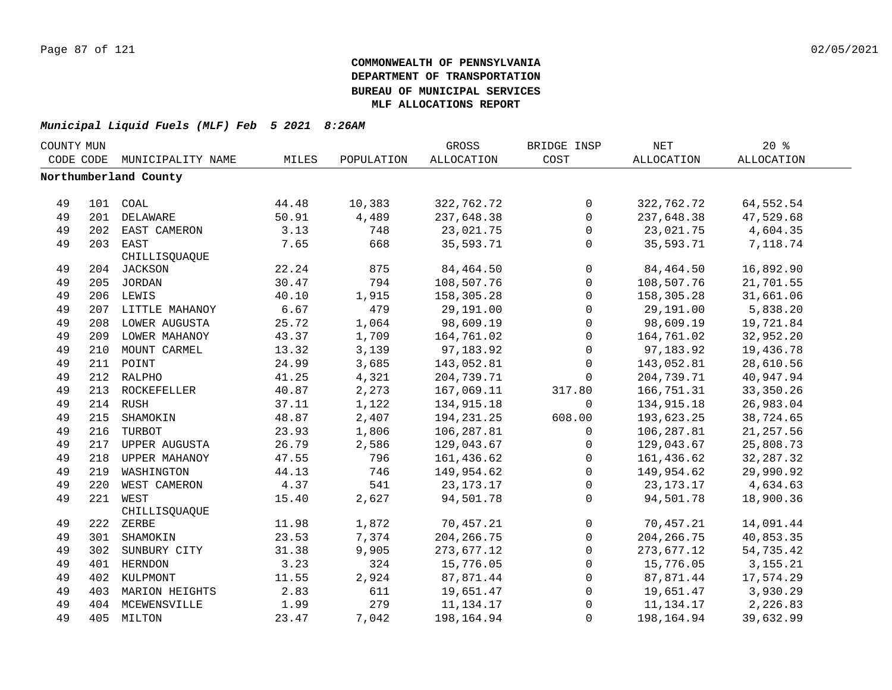| COUNTY MUN |     |                       |       | GROSS      | BRIDGE INSP  | <b>NET</b>   | $20*$       |                   |  |
|------------|-----|-----------------------|-------|------------|--------------|--------------|-------------|-------------------|--|
| CODE CODE  |     | MUNICIPALITY NAME     | MILES | POPULATION | ALLOCATION   | COST         | ALLOCATION  | <b>ALLOCATION</b> |  |
|            |     | Northumberland County |       |            |              |              |             |                   |  |
|            |     |                       |       |            |              |              |             |                   |  |
| 49         |     | 101 COAL              | 44.48 | 10,383     | 322,762.72   | $\mathsf{O}$ | 322,762.72  | 64,552.54         |  |
| 49         |     | 201 DELAWARE          | 50.91 | 4,489      | 237,648.38   | $\mathsf{O}$ | 237,648.38  | 47,529.68         |  |
| 49         |     | 202 EAST CAMERON      | 3.13  | 748        | 23,021.75    | 0            | 23,021.75   | 4,604.35          |  |
| 49         |     | 203 EAST              | 7.65  | 668        | 35,593.71    | $\mathbf 0$  | 35,593.71   | 7,118.74          |  |
|            |     | CHILLISQUAQUE         |       |            |              |              |             |                   |  |
| 49         |     | 204 JACKSON           | 22.24 | 875        | 84,464.50    | $\mathsf{O}$ | 84,464.50   | 16,892.90         |  |
| 49         |     | 205 JORDAN            | 30.47 | 794        | 108,507.76   | $\mathbf 0$  | 108,507.76  | 21,701.55         |  |
| 49         |     | 206 LEWIS             | 40.10 | 1,915      | 158,305.28   | $\mathsf{O}$ | 158,305.28  | 31,661.06         |  |
| 49         |     | 207 LITTLE MAHANOY    | 6.67  | 479        | 29,191.00    | $\mathsf{O}$ | 29,191.00   | 5,838.20          |  |
| 49         | 208 | LOWER AUGUSTA         | 25.72 | 1,064      | 98,609.19    | $\mathbf 0$  | 98,609.19   | 19,721.84         |  |
| 49         | 209 | LOWER MAHANOY         | 43.37 | 1,709      | 164,761.02   | $\mathbf 0$  | 164,761.02  | 32,952.20         |  |
| 49         | 210 | MOUNT CARMEL          | 13.32 | 3,139      | 97,183.92    | $\mathbf 0$  | 97,183.92   | 19,436.78         |  |
| 49         |     | 211 POINT             | 24.99 | 3,685      | 143,052.81   | 0            | 143,052.81  | 28,610.56         |  |
| 49         |     | 212 RALPHO            | 41.25 | 4,321      | 204,739.71   | $\mathbf 0$  | 204,739.71  | 40,947.94         |  |
| 49         |     | 213 ROCKEFELLER       | 40.87 | 2,273      | 167,069.11   | 317.80       | 166,751.31  | 33, 350. 26       |  |
| 49         |     | 214 RUSH              | 37.11 | 1,122      | 134,915.18   | 0            | 134,915.18  | 26,983.04         |  |
| 49         |     | 215 SHAMOKIN          | 48.87 | 2,407      | 194, 231. 25 | 608.00       | 193,623.25  | 38,724.65         |  |
| 49         |     | 216 TURBOT            | 23.93 | 1,806      | 106,287.81   | $\mathbf 0$  | 106,287.81  | 21, 257.56        |  |
| 49         |     | 217 UPPER AUGUSTA     | 26.79 | 2,586      | 129,043.67   | 0            | 129,043.67  | 25,808.73         |  |
| 49         |     | 218 UPPER MAHANOY     | 47.55 | 796        | 161,436.62   | $\mathsf{O}$ | 161,436.62  | 32, 287.32        |  |
| 49         |     | 219 WASHINGTON        | 44.13 | 746        | 149,954.62   | $\mathbf 0$  | 149,954.62  | 29,990.92         |  |
| 49         | 220 | WEST CAMERON          | 4.37  | 541        | 23, 173. 17  | $\mathbf 0$  | 23, 173. 17 | 4,634.63          |  |
| 49         |     | 221 WEST              | 15.40 | 2,627      | 94,501.78    | $\Omega$     | 94,501.78   | 18,900.36         |  |
|            |     | CHILLISQUAQUE         |       |            |              |              |             |                   |  |
| 49         |     | 222 ZERBE             | 11.98 | 1,872      | 70,457.21    | $\mathbf 0$  | 70,457.21   | 14,091.44         |  |
| 49         |     | 301 SHAMOKIN          | 23.53 | 7,374      | 204, 266.75  | $\mathbf 0$  | 204, 266.75 | 40,853.35         |  |
| 49         |     | 302 SUNBURY CITY      | 31.38 | 9,905      | 273,677.12   | $\mathbf 0$  | 273,677.12  | 54,735.42         |  |
| 49         |     | 401 HERNDON           | 3.23  | 324        | 15,776.05    | $\mathbf 0$  | 15,776.05   | 3, 155. 21        |  |
| 49         |     | 402 KULPMONT          | 11.55 | 2,924      | 87,871.44    | 0            | 87,871.44   | 17,574.29         |  |
| 49         | 403 | MARION HEIGHTS        | 2.83  | 611        | 19,651.47    | $\mathsf{O}$ | 19,651.47   | 3,930.29          |  |
| 49         |     | 404 MCEWENSVILLE      | 1.99  | 279        | 11, 134. 17  | $\mathbf 0$  | 11,134.17   | 2,226.83          |  |
| 49         |     | 405 MILTON            | 23.47 | 7,042      | 198,164.94   | $\Omega$     | 198,164.94  | 39,632.99         |  |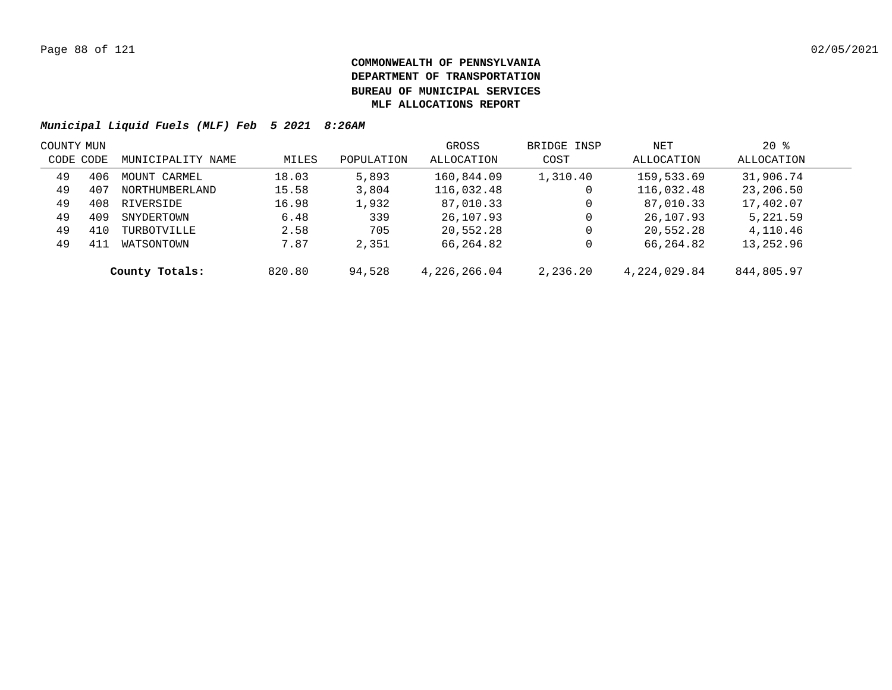| COUNTY MUN |                   |                   |        |            | GROSS        | BRIDGE INSP | NET            | $20*$      |  |
|------------|-------------------|-------------------|--------|------------|--------------|-------------|----------------|------------|--|
| CODE CODE  |                   | MUNICIPALITY NAME | MILES  | POPULATION | ALLOCATION   | COST        | ALLOCATION     | ALLOCATION |  |
| 49         | 406               | MOUNT CARMEL      | 18.03  | 5,893      | 160,844.09   | 1,310.40    | 159,533.69     | 31,906.74  |  |
| 49         | 407               | NORTHUMBERLAND    | 15.58  | 3,804      | 116,032.48   | 0           | 116,032.48     | 23,206.50  |  |
| 49         | 408               | RIVERSIDE         | 16.98  | 1,932      | 87,010.33    | 0           | 87,010.33      | 17,402.07  |  |
| 49         | 409<br>SNYDERTOWN |                   | 6.48   | 339        | 26,107.93    | 0           | 26,107.93      | 5,221.59   |  |
| 49         | 410               | TURBOTVILLE       | 2.58   | 705        | 20,552.28    | 0           | 20,552.28      | 4,110.46   |  |
| 49         | 411               | WATSONTOWN        | 7.87   | 2,351      | 66,264.82    |             | 66,264.82      | 13,252.96  |  |
|            |                   | County Totals:    | 820.80 | 94,528     | 4,226,266.04 | 2,236.20    | 4, 224, 029.84 | 844,805.97 |  |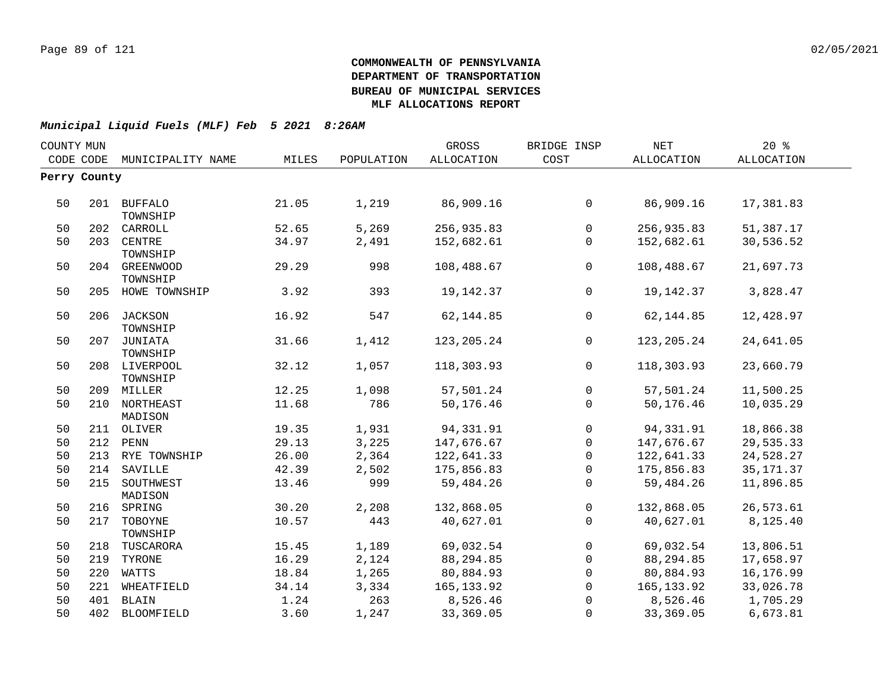|                         |                                                                                                                                                                                                                                                                                                                                                      |            | GROSS             | BRIDGE INSP  | NET          | $20*$             |  |
|-------------------------|------------------------------------------------------------------------------------------------------------------------------------------------------------------------------------------------------------------------------------------------------------------------------------------------------------------------------------------------------|------------|-------------------|--------------|--------------|-------------------|--|
|                         | MILES                                                                                                                                                                                                                                                                                                                                                | POPULATION | <b>ALLOCATION</b> | COST         | ALLOCATION   | <b>ALLOCATION</b> |  |
|                         |                                                                                                                                                                                                                                                                                                                                                      |            |                   |              |              |                   |  |
|                         |                                                                                                                                                                                                                                                                                                                                                      |            |                   |              |              |                   |  |
|                         | 21.05                                                                                                                                                                                                                                                                                                                                                | 1,219      | 86,909.16         | $\mathbf 0$  | 86,909.16    | 17,381.83         |  |
| CARROLL                 | 52.65                                                                                                                                                                                                                                                                                                                                                | 5,269      | 256,935.83        | $\Omega$     | 256,935.83   | 51,387.17         |  |
| CENTRE<br>TOWNSHIP      | 34.97                                                                                                                                                                                                                                                                                                                                                | 2,491      | 152,682.61        | $\mathbf 0$  | 152,682.61   | 30,536.52         |  |
| TOWNSHIP                | 29.29                                                                                                                                                                                                                                                                                                                                                | 998        | 108,488.67        | $\mathbf 0$  | 108,488.67   | 21,697.73         |  |
|                         | 3.92                                                                                                                                                                                                                                                                                                                                                 | 393        | 19, 142.37        | $\mathbf 0$  | 19, 142.37   | 3,828.47          |  |
| TOWNSHIP                | 16.92                                                                                                                                                                                                                                                                                                                                                | 547        | 62, 144.85        | $\Omega$     | 62, 144.85   | 12,428.97         |  |
| TOWNSHIP                | 31.66                                                                                                                                                                                                                                                                                                                                                | 1,412      | 123, 205. 24      | $\mathbf 0$  | 123, 205. 24 | 24,641.05         |  |
| TOWNSHIP                | 32.12                                                                                                                                                                                                                                                                                                                                                | 1,057      | 118,303.93        | $\mathbf 0$  | 118,303.93   | 23,660.79         |  |
|                         | 12.25                                                                                                                                                                                                                                                                                                                                                | 1,098      | 57,501.24         | $\mathbf 0$  | 57,501.24    | 11,500.25         |  |
|                         | 11.68                                                                                                                                                                                                                                                                                                                                                | 786        | 50,176.46         | $\Omega$     | 50,176.46    | 10,035.29         |  |
|                         | 19.35                                                                                                                                                                                                                                                                                                                                                | 1,931      | 94, 331.91        | $\mathbf{0}$ | 94,331.91    | 18,866.38         |  |
|                         | 29.13                                                                                                                                                                                                                                                                                                                                                | 3,225      | 147,676.67        | $\mathsf{O}$ | 147,676.67   | 29,535.33         |  |
|                         | 26.00                                                                                                                                                                                                                                                                                                                                                | 2,364      | 122,641.33        | $\mathbf 0$  | 122,641.33   | 24,528.27         |  |
| SAVILLE                 | 42.39                                                                                                                                                                                                                                                                                                                                                | 2,502      | 175,856.83        | $\Omega$     | 175,856.83   | 35, 171.37        |  |
| SOUTHWEST<br>MADISON    | 13.46                                                                                                                                                                                                                                                                                                                                                | 999        | 59,484.26         | $\Omega$     | 59,484.26    | 11,896.85         |  |
| SPRING                  | 30.20                                                                                                                                                                                                                                                                                                                                                | 2,208      | 132,868.05        | 0            | 132,868.05   | 26,573.61         |  |
| TOBOYNE                 | 10.57                                                                                                                                                                                                                                                                                                                                                | 443        | 40,627.01         | $\Omega$     | 40,627.01    | 8,125.40          |  |
| TUSCARORA               | 15.45                                                                                                                                                                                                                                                                                                                                                | 1,189      | 69,032.54         | $\mathbf 0$  | 69,032.54    | 13,806.51         |  |
| TYRONE                  | 16.29                                                                                                                                                                                                                                                                                                                                                | 2,124      | 88,294.85         | $\mathbf 0$  | 88,294.85    | 17,658.97         |  |
| WATTS                   | 18.84                                                                                                                                                                                                                                                                                                                                                | 1,265      | 80,884.93         | $\mathbf 0$  | 80,884.93    | 16,176.99         |  |
| WHEATFIELD              | 34.14                                                                                                                                                                                                                                                                                                                                                | 3,334      | 165, 133.92       | $\Omega$     | 165, 133.92  | 33,026.78         |  |
| BLAIN                   | 1.24                                                                                                                                                                                                                                                                                                                                                 | 263        | 8,526.46          | $\Omega$     | 8,526.46     | 1,705.29          |  |
|                         | 3.60                                                                                                                                                                                                                                                                                                                                                 | 1,247      | 33,369.05         | $\mathbf{0}$ | 33, 369.05   | 6,673.81          |  |
| COUNTY MUN<br>CODE CODE | MUNICIPALITY NAME<br>Perry County<br>201 BUFFALO<br>TOWNSHIP<br>202<br>203<br>204 GREENWOOD<br>205 HOWE TOWNSHIP<br>206 JACKSON<br>207 JUNIATA<br>208 LIVERPOOL<br>209 MILLER<br>210 NORTHEAST<br>MADISON<br>211 OLIVER<br>212 PENN<br>213 RYE TOWNSHIP<br>214<br>215<br>216<br>217<br>TOWNSHIP<br>218<br>219<br>220<br>221<br>401<br>402 BLOOMFIELD |            |                   |              |              |                   |  |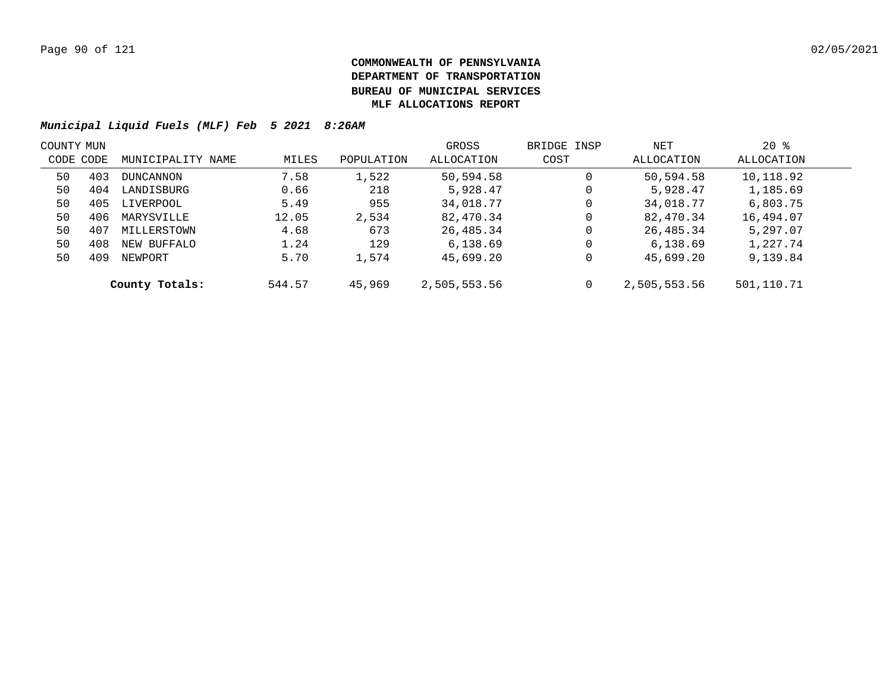|           | COUNTY MUN |                   |        |            | GROSS        | BRIDGE INSP | NET          | $20*$      |  |
|-----------|------------|-------------------|--------|------------|--------------|-------------|--------------|------------|--|
| CODE CODE |            | MUNICIPALITY NAME | MILES  | POPULATION | ALLOCATION   | COST        | ALLOCATION   | ALLOCATION |  |
| 50        | 403        | DUNCANNON         | 7.58   | 1,522      | 50,594.58    | 0           | 50,594.58    | 10,118.92  |  |
| 50        | 404        | LANDISBURG        | 0.66   | 218        | 5,928.47     | 0           | 5,928.47     | 1,185.69   |  |
| 50        | 405        | LIVERPOOL         | 5.49   | 955        | 34,018.77    | 0           | 34,018.77    | 6,803.75   |  |
| 50        | 406        | MARYSVILLE        | 12.05  | 2,534      | 82,470.34    | 0           | 82,470.34    | 16,494.07  |  |
| 50        | 407        | MILLERSTOWN       | 4.68   | 673        | 26,485.34    | 0           | 26,485.34    | 5,297.07   |  |
| 50        | 408        | NEW BUFFALO       | 1.24   | 129        | 6,138.69     | 0           | 6,138.69     | 1,227.74   |  |
| 50        | 409        | NEWPORT           | 5.70   | 1,574      | 45,699.20    | 0           | 45,699.20    | 9,139.84   |  |
|           |            | County Totals:    | 544.57 | 45,969     | 2,505,553.56 | 0           | 2,505,553.56 | 501,110.71 |  |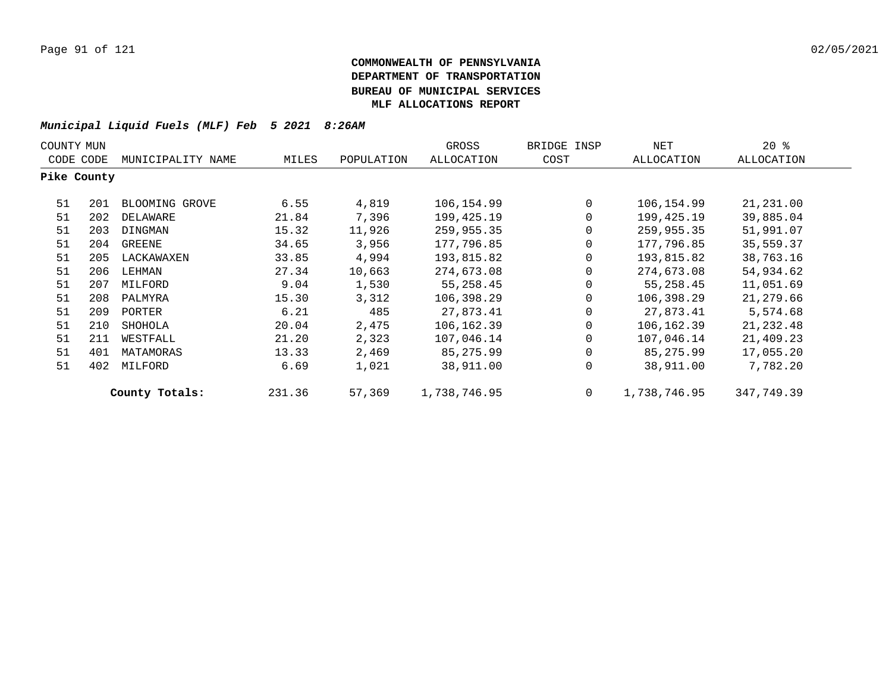| COUNTY MUN  |     |                   |        |            | GROSS        | BRIDGE INSP | NET          | 20%        |
|-------------|-----|-------------------|--------|------------|--------------|-------------|--------------|------------|
| CODE CODE   |     | MUNICIPALITY NAME | MILES  | POPULATION | ALLOCATION   | COST        | ALLOCATION   | ALLOCATION |
| Pike County |     |                   |        |            |              |             |              |            |
| 51          | 201 | BLOOMING GROVE    | 6.55   | 4,819      | 106,154.99   | $\mathbf 0$ | 106,154.99   | 21,231.00  |
| 51          | 202 | DELAWARE          | 21.84  | 7,396      | 199,425.19   | 0           | 199,425.19   | 39,885.04  |
| 51          | 203 | DINGMAN           | 15.32  | 11,926     | 259,955.35   | 0           | 259,955.35   | 51,991.07  |
| 51          | 204 | GREENE            | 34.65  | 3,956      | 177,796.85   | 0           | 177,796.85   | 35,559.37  |
| 51          | 205 | LACKAWAXEN        | 33.85  | 4,994      | 193,815.82   | 0           | 193,815.82   | 38,763.16  |
| 51          | 206 | LEHMAN            | 27.34  | 10,663     | 274,673.08   | 0           | 274,673.08   | 54,934.62  |
| 51          | 207 | MILFORD           | 9.04   | 1,530      | 55,258.45    | 0           | 55,258.45    | 11,051.69  |
| 51          | 208 | PALMYRA           | 15.30  | 3,312      | 106,398.29   | 0           | 106,398.29   | 21,279.66  |
| 51          | 209 | PORTER            | 6.21   | 485        | 27,873.41    | 0           | 27,873.41    | 5,574.68   |
| 51          | 210 | SHOHOLA           | 20.04  | 2,475      | 106,162.39   | $\Omega$    | 106,162.39   | 21,232.48  |
| 51          | 211 | WESTFALL          | 21.20  | 2,323      | 107,046.14   | $\Omega$    | 107,046.14   | 21,409.23  |
| 51          | 401 | MATAMORAS         | 13.33  | 2,469      | 85,275.99    | 0           | 85,275.99    | 17,055.20  |
| 51          | 402 | MILFORD           | 6.69   | 1,021      | 38,911.00    | 0           | 38,911.00    | 7,782.20   |
|             |     | County Totals:    | 231.36 | 57,369     | 1,738,746.95 | 0           | 1,738,746.95 | 347,749.39 |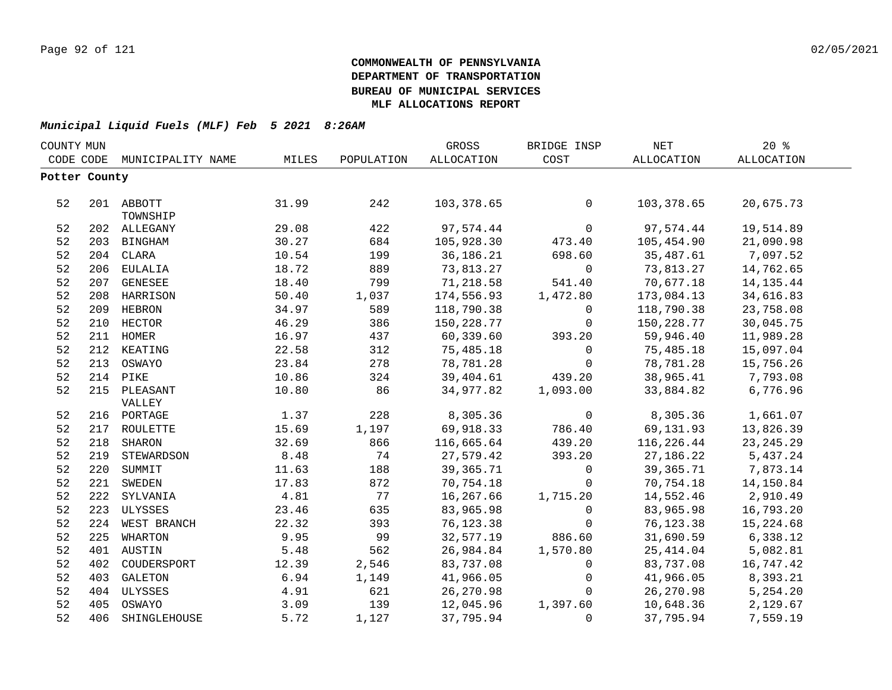|               | COUNTY MUN |                   |       |            | GROSS       | BRIDGE INSP | <b>NET</b>  | 20%         |
|---------------|------------|-------------------|-------|------------|-------------|-------------|-------------|-------------|
| CODE CODE     |            | MUNICIPALITY NAME | MILES | POPULATION | ALLOCATION  | COST        | ALLOCATION  | ALLOCATION  |
| Potter County |            |                   |       |            |             |             |             |             |
|               |            |                   |       |            |             |             |             |             |
| 52            |            | 201 ABBOTT        | 31.99 | 242        | 103,378.65  | 0           | 103,378.65  | 20,675.73   |
|               |            | TOWNSHIP          |       |            |             |             |             |             |
| 52            |            | 202 ALLEGANY      | 29.08 | 422        | 97,574.44   | $\mathbf 0$ | 97,574.44   | 19,514.89   |
| 52            |            | 203 BINGHAM       | 30.27 | 684        | 105,928.30  | 473.40      | 105,454.90  | 21,090.98   |
| 52            |            | 204 CLARA         | 10.54 | 199        | 36,186.21   | 698.60      | 35,487.61   | 7,097.52    |
| 52            |            | 206 EULALIA       | 18.72 | 889        | 73,813.27   | 0           | 73,813.27   | 14,762.65   |
| 52            |            | 207 GENESEE       | 18.40 | 799        | 71,218.58   | 541.40      | 70,677.18   | 14, 135. 44 |
| 52            |            | 208 HARRISON      | 50.40 | 1,037      | 174,556.93  | 1,472.80    | 173,084.13  | 34,616.83   |
| 52            |            | 209 HEBRON        | 34.97 | 589        | 118,790.38  | 0           | 118,790.38  | 23,758.08   |
| 52            |            | 210 HECTOR        | 46.29 | 386        | 150,228.77  | 0           | 150,228.77  | 30,045.75   |
| 52            |            | 211 HOMER         | 16.97 | 437        | 60,339.60   | 393.20      | 59,946.40   | 11,989.28   |
| 52            |            | 212 KEATING       | 22.58 | 312        | 75,485.18   | 0           | 75,485.18   | 15,097.04   |
| 52            | 213        | OSWAYO            | 23.84 | 278        | 78,781.28   | 0           | 78,781.28   | 15,756.26   |
| 52            | 214        | PIKE              | 10.86 | 324        | 39,404.61   | 439.20      | 38,965.41   | 7,793.08    |
| 52            |            | 215 PLEASANT      | 10.80 | 86         | 34,977.82   | 1,093.00    | 33,884.82   | 6,776.96    |
|               |            | VALLEY            |       |            |             |             |             |             |
| 52            |            | 216 PORTAGE       | 1.37  | 228        | 8,305.36    | 0           | 8,305.36    | 1,661.07    |
| 52            |            | 217 ROULETTE      | 15.69 | 1,197      | 69,918.33   | 786.40      | 69,131.93   | 13,826.39   |
| 52            | 218        | SHARON            | 32.69 | 866        | 116,665.64  | 439.20      | 116,226.44  | 23, 245. 29 |
| 52            |            | 219 STEWARDSON    | 8.48  | 74         | 27,579.42   | 393.20      | 27, 186. 22 | 5,437.24    |
| 52            |            | 220 SUMMIT        | 11.63 | 188        | 39, 365. 71 | 0           | 39,365.71   | 7,873.14    |
| 52            |            | 221 SWEDEN        | 17.83 | 872        | 70,754.18   | $\mathbf 0$ | 70,754.18   | 14,150.84   |
| 52            |            | 222 SYLVANIA      | 4.81  | 77         | 16,267.66   | 1,715.20    | 14,552.46   | 2,910.49    |
| 52            |            | 223 ULYSSES       | 23.46 | 635        | 83,965.98   | 0           | 83,965.98   | 16,793.20   |
| 52            |            | 224 WEST BRANCH   | 22.32 | 393        | 76,123.38   | $\mathbf 0$ | 76,123.38   | 15,224.68   |
| 52            |            | 225 WHARTON       | 9.95  | 99         | 32,577.19   | 886.60      | 31,690.59   | 6,338.12    |
| 52            |            | 401 AUSTIN        | 5.48  | 562        | 26,984.84   | 1,570.80    | 25, 414.04  | 5,082.81    |
| 52            |            | 402 COUDERSPORT   | 12.39 | 2,546      | 83,737.08   | $\mathbf 0$ | 83,737.08   | 16,747.42   |
| 52            |            | 403 GALETON       | 6.94  | 1,149      | 41,966.05   | 0           | 41,966.05   | 8,393.21    |
| 52            |            | 404 ULYSSES       | 4.91  | 621        | 26,270.98   | 0           | 26,270.98   | 5,254.20    |
| 52            |            | 405 OSWAYO        | 3.09  | 139        | 12,045.96   | 1,397.60    | 10,648.36   | 2,129.67    |
| 52            |            | 406 SHINGLEHOUSE  | 5.72  | 1,127      | 37,795.94   | $\mathbf 0$ | 37,795.94   | 7,559.19    |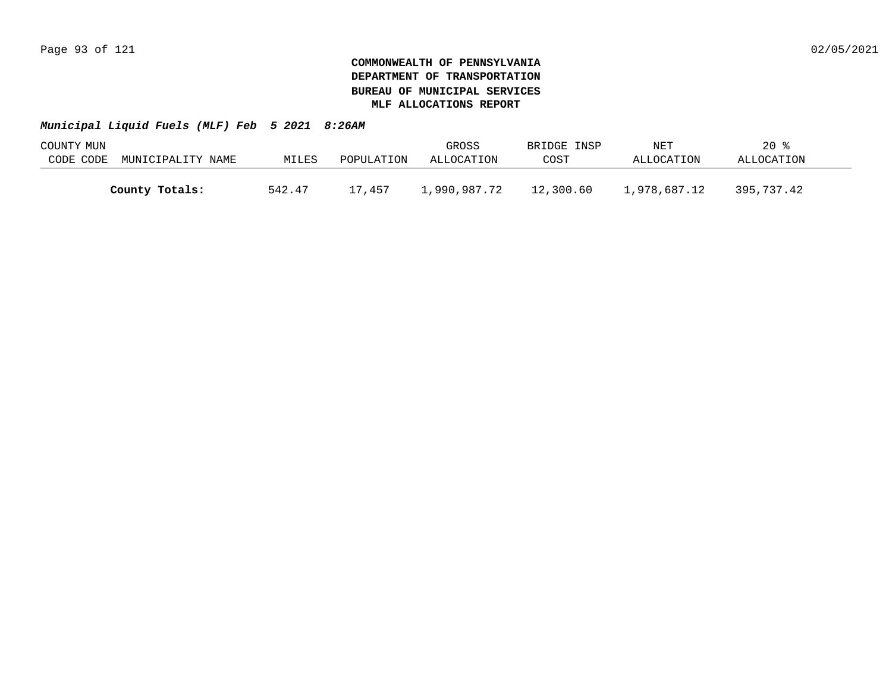| COUNTY MUN |                   |        |            | GROSS        | BRIDGE INSP | NET          | $20*$      |  |
|------------|-------------------|--------|------------|--------------|-------------|--------------|------------|--|
| CODE CODE  | MUNICIPALITY NAME | MILES  | POPULATION | ALLOCATION   | COST        | ALLOCATION   | ALLOCATION |  |
|            |                   |        |            |              |             |              |            |  |
|            | County Totals:    | 542.47 | 17,457     | 1,990,987.72 | 12,300.60   | 1,978,687.12 | 395,737.42 |  |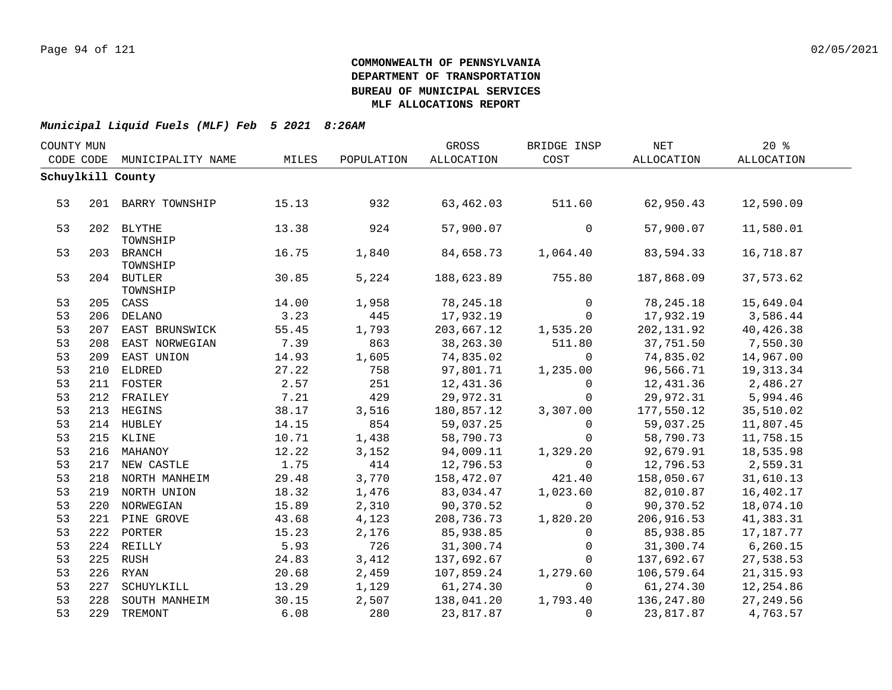| GROSS<br>COUNTY MUN<br>BRIDGE INSP<br>NET |     | 20%                    |       |            |             |             |            |            |  |
|-------------------------------------------|-----|------------------------|-------|------------|-------------|-------------|------------|------------|--|
| CODE CODE                                 |     | MUNICIPALITY NAME      | MILES | POPULATION | ALLOCATION  | COST        | ALLOCATION | ALLOCATION |  |
|                                           |     | Schuylkill County      |       |            |             |             |            |            |  |
|                                           |     |                        |       |            |             |             |            |            |  |
| 53                                        |     | 201 BARRY TOWNSHIP     | 15.13 | 932        | 63,462.03   | 511.60      | 62,950.43  | 12,590.09  |  |
|                                           |     |                        |       |            |             |             |            |            |  |
| 53                                        |     | 202 BLYTHE             | 13.38 | 924        | 57,900.07   | 0           | 57,900.07  | 11,580.01  |  |
|                                           |     | TOWNSHIP               |       |            |             |             |            |            |  |
| 53                                        |     | 203 BRANCH             | 16.75 | 1,840      | 84,658.73   | 1,064.40    | 83,594.33  | 16,718.87  |  |
| 53                                        |     | TOWNSHIP<br>204 BUTLER | 30.85 | 5,224      | 188,623.89  | 755.80      | 187,868.09 | 37,573.62  |  |
|                                           |     | TOWNSHIP               |       |            |             |             |            |            |  |
| 53                                        |     | 205 CASS               | 14.00 | 1,958      | 78, 245. 18 | $\Omega$    | 78,245.18  | 15,649.04  |  |
| 53                                        |     | 206 DELANO             | 3.23  | 445        | 17,932.19   | $\mathbf 0$ | 17,932.19  | 3,586.44   |  |
| 53                                        |     | 207 EAST BRUNSWICK     | 55.45 | 1,793      | 203,667.12  | 1,535.20    | 202,131.92 | 40,426.38  |  |
| 53                                        |     | 208 EAST NORWEGIAN     | 7.39  | 863        | 38,263.30   | 511.80      | 37,751.50  | 7,550.30   |  |
| 53                                        |     | 209 EAST UNION         | 14.93 | 1,605      | 74,835.02   | $\mathbf 0$ | 74,835.02  | 14,967.00  |  |
| 53                                        |     | 210 ELDRED             | 27.22 | 758        | 97,801.71   | 1,235.00    | 96,566.71  | 19,313.34  |  |
| 53                                        |     | 211 FOSTER             | 2.57  | 251        | 12,431.36   | $\mathbf 0$ | 12,431.36  | 2,486.27   |  |
| 53                                        |     | 212 FRAILEY            | 7.21  | 429        | 29,972.31   | $\mathbf 0$ | 29,972.31  | 5,994.46   |  |
| 53                                        |     | 213 HEGINS             | 38.17 | 3,516      | 180,857.12  | 3,307.00    | 177,550.12 | 35,510.02  |  |
| 53                                        |     | 214 HUBLEY             | 14.15 | 854        | 59,037.25   | $\Omega$    | 59,037.25  | 11,807.45  |  |
| 53                                        |     | 215 KLINE              | 10.71 | 1,438      | 58,790.73   | $\mathbf 0$ | 58,790.73  | 11,758.15  |  |
| 53                                        |     | 216 MAHANOY            | 12.22 | 3,152      | 94,009.11   | 1,329.20    | 92,679.91  | 18,535.98  |  |
| 53                                        |     | 217 NEW CASTLE         | 1.75  | 414        | 12,796.53   | $\mathbf 0$ | 12,796.53  | 2,559.31   |  |
| 53                                        |     | 218 NORTH MANHEIM      | 29.48 | 3,770      | 158,472.07  | 421.40      | 158,050.67 | 31,610.13  |  |
| 53                                        |     | 219 NORTH UNION        | 18.32 | 1,476      | 83,034.47   | 1,023.60    | 82,010.87  | 16,402.17  |  |
| 53                                        |     | 220 NORWEGIAN          | 15.89 | 2,310      | 90,370.52   | $\mathbf 0$ | 90,370.52  | 18,074.10  |  |
| 53                                        |     | 221 PINE GROVE         | 43.68 | 4,123      | 208,736.73  | 1,820.20    | 206,916.53 | 41,383.31  |  |
| 53                                        |     | 222 PORTER             | 15.23 | 2,176      | 85,938.85   | $\Omega$    | 85,938.85  | 17,187.77  |  |
| 53                                        |     | 224 REILLY             | 5.93  | 726        | 31,300.74   | $\mathbf 0$ | 31,300.74  | 6, 260.15  |  |
| 53                                        |     | 225 RUSH               | 24.83 | 3,412      | 137,692.67  | $\Omega$    | 137,692.67 | 27,538.53  |  |
| 53                                        |     | 226 RYAN               | 20.68 | 2,459      | 107,859.24  | 1,279.60    | 106,579.64 | 21, 315.93 |  |
| 53                                        | 227 | SCHUYLKILL             | 13.29 | 1,129      | 61,274.30   | $\Omega$    | 61, 274.30 | 12,254.86  |  |
| 53                                        |     | 228 SOUTH MANHEIM      | 30.15 | 2,507      | 138,041.20  | 1,793.40    | 136,247.80 | 27,249.56  |  |
| 53                                        |     | 229 TREMONT            | 6.08  | 280        | 23,817.87   | $\Omega$    | 23,817.87  | 4,763.57   |  |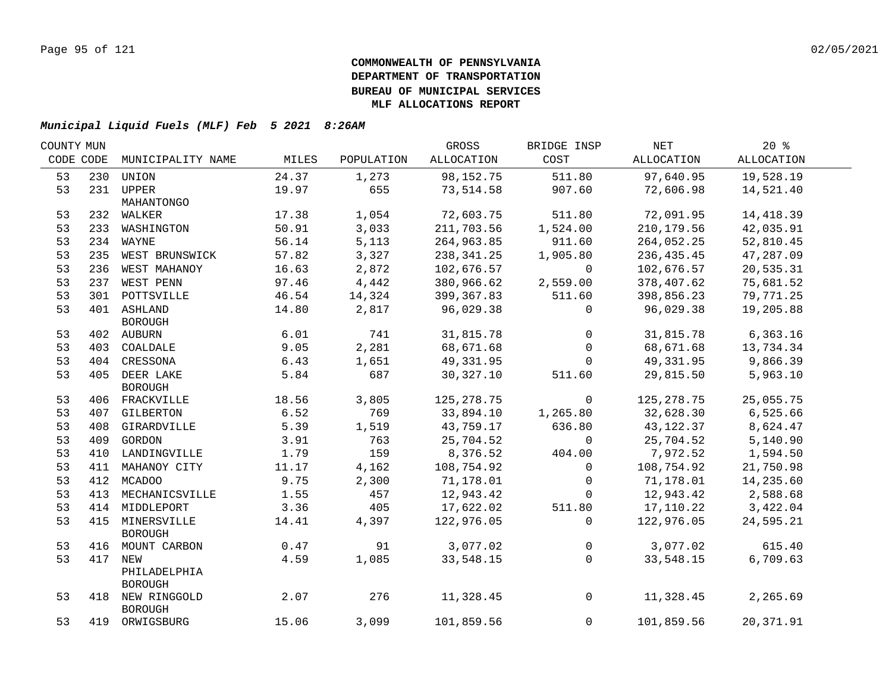| CODE CODE<br>MILES<br>ALLOCATION<br>COST<br>ALLOCATION<br>ALLOCATION<br>MUNICIPALITY NAME<br>POPULATION<br>24.37<br>98,152.75<br>511.80<br>97,640.95<br>19,528.19<br>53<br>230<br>UNION<br>1,273<br>53<br>231 UPPER<br>19.97<br>655<br>907.60<br>73,514.58<br>72,606.98<br>14,521.40<br>MAHANTONGO<br>1,054<br>511.80<br>53<br>17.38<br>72,603.75<br>72,091.95<br>14,418.39<br>232 WALKER<br>53<br>50.91<br>3,033<br>42,035.91<br>211,703.56<br>1,524.00<br>210, 179.56<br>233 WASHINGTON<br>53<br>56.14<br>5,113<br>911.60<br>234 WAYNE<br>264,963.85<br>264,052.25<br>52,810.45<br>53<br>57.82<br>3,327<br>235 WEST BRUNSWICK<br>1,905.80<br>47,287.09<br>238,341.25<br>236,435.45<br>2,872<br>53<br>16.63<br>102,676.57<br>236 WEST MAHANOY<br>$\overline{0}$<br>102,676.57<br>20,535.31<br>53<br>97.46<br>4,442<br>380,966.62<br>75,681.52<br>237 WEST PENN<br>2,559.00<br>378,407.62<br>53<br>46.54<br>14,324<br>511.60<br>301 POTTSVILLE<br>399,367.83<br>398,856.23<br>79,771.25<br>53<br>14.80<br>401 ASHLAND<br>2,817<br>96,029.38<br>96,029.38<br>19,205.88<br>$\mathsf{O}$<br>BOROUGH<br>6.01<br>741<br>53<br>31,815.78<br>31,815.78<br>6,363.16<br>402 AUBURN<br>$\overline{0}$<br>68,671.68 13,734.34<br>9.05<br>2,281<br>53<br>68,671.68<br>403 COALDALE<br>$\overline{0}$<br>53<br>404 CRESSONA<br>6.43<br>1,651<br>49,331.95<br>9,866.39<br>49,331.95<br>$\overline{0}$<br>53<br>405 DEER LAKE<br>5.84<br>687<br>5,963.10<br>30,327.10<br>511.60<br>29,815.50<br><b>BOROUGH</b><br>53<br>18.56<br>3,805<br>125, 278.75<br>25,055.75<br>125,278.75<br>$\overline{0}$<br>406 FRACKVILLE<br>33,894.10<br>53<br>6.52<br>769<br>32,628.30<br>6,525.66<br>1,265.80<br>407 GILBERTON<br>5.39<br>1,519<br>636.80<br>43, 122.37<br>8,624.47<br>53<br>43,759.17<br>408 GIRARDVILLE<br>53<br>409 GORDON<br>3.91<br>763<br>25,704.52<br>25,704.52<br>5,140.90<br>$\overline{0}$ | COUNTY MUN |      |     | GROSS    | BRIDGE INSP | NET      | 20%      |  |
|-------------------------------------------------------------------------------------------------------------------------------------------------------------------------------------------------------------------------------------------------------------------------------------------------------------------------------------------------------------------------------------------------------------------------------------------------------------------------------------------------------------------------------------------------------------------------------------------------------------------------------------------------------------------------------------------------------------------------------------------------------------------------------------------------------------------------------------------------------------------------------------------------------------------------------------------------------------------------------------------------------------------------------------------------------------------------------------------------------------------------------------------------------------------------------------------------------------------------------------------------------------------------------------------------------------------------------------------------------------------------------------------------------------------------------------------------------------------------------------------------------------------------------------------------------------------------------------------------------------------------------------------------------------------------------------------------------------------------------------------------------------------------------------------------------------------------------------------------------------------------------------|------------|------|-----|----------|-------------|----------|----------|--|
|                                                                                                                                                                                                                                                                                                                                                                                                                                                                                                                                                                                                                                                                                                                                                                                                                                                                                                                                                                                                                                                                                                                                                                                                                                                                                                                                                                                                                                                                                                                                                                                                                                                                                                                                                                                                                                                                                     |            |      |     |          |             |          |          |  |
|                                                                                                                                                                                                                                                                                                                                                                                                                                                                                                                                                                                                                                                                                                                                                                                                                                                                                                                                                                                                                                                                                                                                                                                                                                                                                                                                                                                                                                                                                                                                                                                                                                                                                                                                                                                                                                                                                     |            |      |     |          |             |          |          |  |
|                                                                                                                                                                                                                                                                                                                                                                                                                                                                                                                                                                                                                                                                                                                                                                                                                                                                                                                                                                                                                                                                                                                                                                                                                                                                                                                                                                                                                                                                                                                                                                                                                                                                                                                                                                                                                                                                                     |            |      |     |          |             |          |          |  |
|                                                                                                                                                                                                                                                                                                                                                                                                                                                                                                                                                                                                                                                                                                                                                                                                                                                                                                                                                                                                                                                                                                                                                                                                                                                                                                                                                                                                                                                                                                                                                                                                                                                                                                                                                                                                                                                                                     |            |      |     |          |             |          |          |  |
|                                                                                                                                                                                                                                                                                                                                                                                                                                                                                                                                                                                                                                                                                                                                                                                                                                                                                                                                                                                                                                                                                                                                                                                                                                                                                                                                                                                                                                                                                                                                                                                                                                                                                                                                                                                                                                                                                     |            |      |     |          |             |          |          |  |
|                                                                                                                                                                                                                                                                                                                                                                                                                                                                                                                                                                                                                                                                                                                                                                                                                                                                                                                                                                                                                                                                                                                                                                                                                                                                                                                                                                                                                                                                                                                                                                                                                                                                                                                                                                                                                                                                                     |            |      |     |          |             |          |          |  |
|                                                                                                                                                                                                                                                                                                                                                                                                                                                                                                                                                                                                                                                                                                                                                                                                                                                                                                                                                                                                                                                                                                                                                                                                                                                                                                                                                                                                                                                                                                                                                                                                                                                                                                                                                                                                                                                                                     |            |      |     |          |             |          |          |  |
|                                                                                                                                                                                                                                                                                                                                                                                                                                                                                                                                                                                                                                                                                                                                                                                                                                                                                                                                                                                                                                                                                                                                                                                                                                                                                                                                                                                                                                                                                                                                                                                                                                                                                                                                                                                                                                                                                     |            |      |     |          |             |          |          |  |
|                                                                                                                                                                                                                                                                                                                                                                                                                                                                                                                                                                                                                                                                                                                                                                                                                                                                                                                                                                                                                                                                                                                                                                                                                                                                                                                                                                                                                                                                                                                                                                                                                                                                                                                                                                                                                                                                                     |            |      |     |          |             |          |          |  |
|                                                                                                                                                                                                                                                                                                                                                                                                                                                                                                                                                                                                                                                                                                                                                                                                                                                                                                                                                                                                                                                                                                                                                                                                                                                                                                                                                                                                                                                                                                                                                                                                                                                                                                                                                                                                                                                                                     |            |      |     |          |             |          |          |  |
|                                                                                                                                                                                                                                                                                                                                                                                                                                                                                                                                                                                                                                                                                                                                                                                                                                                                                                                                                                                                                                                                                                                                                                                                                                                                                                                                                                                                                                                                                                                                                                                                                                                                                                                                                                                                                                                                                     |            |      |     |          |             |          |          |  |
|                                                                                                                                                                                                                                                                                                                                                                                                                                                                                                                                                                                                                                                                                                                                                                                                                                                                                                                                                                                                                                                                                                                                                                                                                                                                                                                                                                                                                                                                                                                                                                                                                                                                                                                                                                                                                                                                                     |            |      |     |          |             |          |          |  |
|                                                                                                                                                                                                                                                                                                                                                                                                                                                                                                                                                                                                                                                                                                                                                                                                                                                                                                                                                                                                                                                                                                                                                                                                                                                                                                                                                                                                                                                                                                                                                                                                                                                                                                                                                                                                                                                                                     |            |      |     |          |             |          |          |  |
|                                                                                                                                                                                                                                                                                                                                                                                                                                                                                                                                                                                                                                                                                                                                                                                                                                                                                                                                                                                                                                                                                                                                                                                                                                                                                                                                                                                                                                                                                                                                                                                                                                                                                                                                                                                                                                                                                     |            |      |     |          |             |          |          |  |
|                                                                                                                                                                                                                                                                                                                                                                                                                                                                                                                                                                                                                                                                                                                                                                                                                                                                                                                                                                                                                                                                                                                                                                                                                                                                                                                                                                                                                                                                                                                                                                                                                                                                                                                                                                                                                                                                                     |            |      |     |          |             |          |          |  |
|                                                                                                                                                                                                                                                                                                                                                                                                                                                                                                                                                                                                                                                                                                                                                                                                                                                                                                                                                                                                                                                                                                                                                                                                                                                                                                                                                                                                                                                                                                                                                                                                                                                                                                                                                                                                                                                                                     |            |      |     |          |             |          |          |  |
|                                                                                                                                                                                                                                                                                                                                                                                                                                                                                                                                                                                                                                                                                                                                                                                                                                                                                                                                                                                                                                                                                                                                                                                                                                                                                                                                                                                                                                                                                                                                                                                                                                                                                                                                                                                                                                                                                     |            |      |     |          |             |          |          |  |
|                                                                                                                                                                                                                                                                                                                                                                                                                                                                                                                                                                                                                                                                                                                                                                                                                                                                                                                                                                                                                                                                                                                                                                                                                                                                                                                                                                                                                                                                                                                                                                                                                                                                                                                                                                                                                                                                                     |            |      |     |          |             |          |          |  |
|                                                                                                                                                                                                                                                                                                                                                                                                                                                                                                                                                                                                                                                                                                                                                                                                                                                                                                                                                                                                                                                                                                                                                                                                                                                                                                                                                                                                                                                                                                                                                                                                                                                                                                                                                                                                                                                                                     |            |      |     |          |             |          |          |  |
|                                                                                                                                                                                                                                                                                                                                                                                                                                                                                                                                                                                                                                                                                                                                                                                                                                                                                                                                                                                                                                                                                                                                                                                                                                                                                                                                                                                                                                                                                                                                                                                                                                                                                                                                                                                                                                                                                     |            |      |     |          |             |          |          |  |
|                                                                                                                                                                                                                                                                                                                                                                                                                                                                                                                                                                                                                                                                                                                                                                                                                                                                                                                                                                                                                                                                                                                                                                                                                                                                                                                                                                                                                                                                                                                                                                                                                                                                                                                                                                                                                                                                                     |            |      |     |          |             |          |          |  |
|                                                                                                                                                                                                                                                                                                                                                                                                                                                                                                                                                                                                                                                                                                                                                                                                                                                                                                                                                                                                                                                                                                                                                                                                                                                                                                                                                                                                                                                                                                                                                                                                                                                                                                                                                                                                                                                                                     |            |      |     |          |             |          |          |  |
| 410 LANDINGVILLE                                                                                                                                                                                                                                                                                                                                                                                                                                                                                                                                                                                                                                                                                                                                                                                                                                                                                                                                                                                                                                                                                                                                                                                                                                                                                                                                                                                                                                                                                                                                                                                                                                                                                                                                                                                                                                                                    | 53         | 1.79 | 159 | 8,376.52 | 404.00      | 7,972.52 | 1,594.50 |  |
| 53<br>411 MAHANOY CITY<br>4,162<br>108,754.92<br>11.17<br>108,754.92<br>21,750.98<br>$\overline{0}$                                                                                                                                                                                                                                                                                                                                                                                                                                                                                                                                                                                                                                                                                                                                                                                                                                                                                                                                                                                                                                                                                                                                                                                                                                                                                                                                                                                                                                                                                                                                                                                                                                                                                                                                                                                 |            |      |     |          |             |          |          |  |
| 53<br>9.75<br>2,300<br>71,178.01<br>71,178.01<br>412 MCADOO<br>14,235.60<br>$\overline{0}$                                                                                                                                                                                                                                                                                                                                                                                                                                                                                                                                                                                                                                                                                                                                                                                                                                                                                                                                                                                                                                                                                                                                                                                                                                                                                                                                                                                                                                                                                                                                                                                                                                                                                                                                                                                          |            |      |     |          |             |          |          |  |
| 53<br>1.55<br>457<br>MECHANICSVILLE<br>12,943.42<br>12,943.42<br>2,588.68<br>413<br>$\overline{0}$                                                                                                                                                                                                                                                                                                                                                                                                                                                                                                                                                                                                                                                                                                                                                                                                                                                                                                                                                                                                                                                                                                                                                                                                                                                                                                                                                                                                                                                                                                                                                                                                                                                                                                                                                                                  |            |      |     |          |             |          |          |  |
| 53<br>3.36<br>405<br>414 MIDDLEPORT<br>17,622.02<br>511.80<br>17,110.22<br>3,422.04                                                                                                                                                                                                                                                                                                                                                                                                                                                                                                                                                                                                                                                                                                                                                                                                                                                                                                                                                                                                                                                                                                                                                                                                                                                                                                                                                                                                                                                                                                                                                                                                                                                                                                                                                                                                 |            |      |     |          |             |          |          |  |
| 53<br>415 MINERSVILLE<br>14.41<br>4,397<br>122,976.05<br>$\Omega$<br>122,976.05<br>24,595.21                                                                                                                                                                                                                                                                                                                                                                                                                                                                                                                                                                                                                                                                                                                                                                                                                                                                                                                                                                                                                                                                                                                                                                                                                                                                                                                                                                                                                                                                                                                                                                                                                                                                                                                                                                                        |            |      |     |          |             |          |          |  |
| <b>BOROUGH</b>                                                                                                                                                                                                                                                                                                                                                                                                                                                                                                                                                                                                                                                                                                                                                                                                                                                                                                                                                                                                                                                                                                                                                                                                                                                                                                                                                                                                                                                                                                                                                                                                                                                                                                                                                                                                                                                                      |            |      |     |          |             |          |          |  |
| 0.47<br>53<br>91<br>3,077.02<br>3,077.02<br>615.40<br>416<br>MOUNT CARBON<br>$\overline{0}$                                                                                                                                                                                                                                                                                                                                                                                                                                                                                                                                                                                                                                                                                                                                                                                                                                                                                                                                                                                                                                                                                                                                                                                                                                                                                                                                                                                                                                                                                                                                                                                                                                                                                                                                                                                         |            |      |     |          |             |          |          |  |
| 53<br>4.59<br>6,709.63<br>417<br>NEW<br>1,085<br>33,548.15<br>$\Omega$<br>33,548.15                                                                                                                                                                                                                                                                                                                                                                                                                                                                                                                                                                                                                                                                                                                                                                                                                                                                                                                                                                                                                                                                                                                                                                                                                                                                                                                                                                                                                                                                                                                                                                                                                                                                                                                                                                                                 |            |      |     |          |             |          |          |  |
| PHILADELPHIA                                                                                                                                                                                                                                                                                                                                                                                                                                                                                                                                                                                                                                                                                                                                                                                                                                                                                                                                                                                                                                                                                                                                                                                                                                                                                                                                                                                                                                                                                                                                                                                                                                                                                                                                                                                                                                                                        |            |      |     |          |             |          |          |  |
| <b>BOROUGH</b><br>53<br>2.07<br>276<br>$\mathsf{O}$<br>11,328.45<br>11,328.45<br>2,265.69                                                                                                                                                                                                                                                                                                                                                                                                                                                                                                                                                                                                                                                                                                                                                                                                                                                                                                                                                                                                                                                                                                                                                                                                                                                                                                                                                                                                                                                                                                                                                                                                                                                                                                                                                                                           |            |      |     |          |             |          |          |  |
| 418 NEW RINGGOLD<br><b>BOROUGH</b>                                                                                                                                                                                                                                                                                                                                                                                                                                                                                                                                                                                                                                                                                                                                                                                                                                                                                                                                                                                                                                                                                                                                                                                                                                                                                                                                                                                                                                                                                                                                                                                                                                                                                                                                                                                                                                                  |            |      |     |          |             |          |          |  |
| 53<br>101,859.56<br>15.06<br>3,099<br>$\mathbf{0}$<br>101,859.56<br>20,371.91<br>419 ORWIGSBURG                                                                                                                                                                                                                                                                                                                                                                                                                                                                                                                                                                                                                                                                                                                                                                                                                                                                                                                                                                                                                                                                                                                                                                                                                                                                                                                                                                                                                                                                                                                                                                                                                                                                                                                                                                                     |            |      |     |          |             |          |          |  |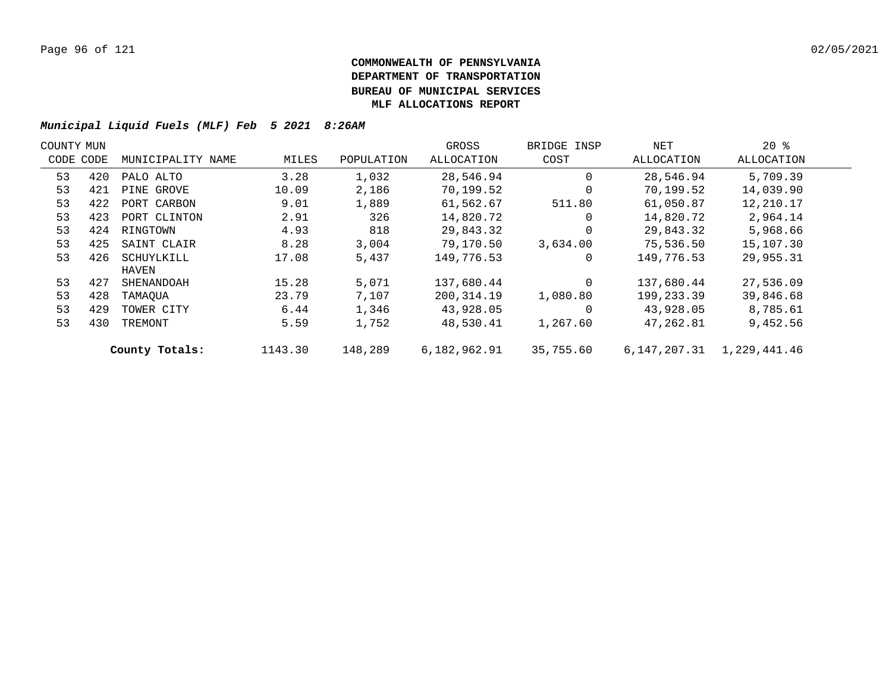| COUNTY MUN |     |                   |         |            | GROSS        | BRIDGE INSP | NET          | $20*$        |  |
|------------|-----|-------------------|---------|------------|--------------|-------------|--------------|--------------|--|
| CODE CODE  |     | MUNICIPALITY NAME | MILES   | POPULATION | ALLOCATION   | COST        | ALLOCATION   | ALLOCATION   |  |
| 53         | 420 | PALO ALTO         | 3.28    | 1,032      | 28,546.94    | $\Omega$    | 28,546.94    | 5,709.39     |  |
| 53         | 421 | PINE GROVE        | 10.09   | 2,186      | 70,199.52    | $\Omega$    | 70,199.52    | 14,039.90    |  |
| 53         | 422 | PORT CARBON       | 9.01    | 1,889      | 61,562.67    | 511.80      | 61,050.87    | 12,210.17    |  |
| 53         | 423 | PORT CLINTON      | 2.91    | 326        | 14,820.72    | $\Omega$    | 14,820.72    | 2,964.14     |  |
| 53         | 424 | RINGTOWN          | 4.93    | 818        | 29,843.32    | $\Omega$    | 29,843.32    | 5,968.66     |  |
| 53         | 425 | SAINT CLAIR       | 8.28    | 3,004      | 79,170.50    | 3,634.00    | 75,536.50    | 15,107.30    |  |
| 53         | 426 | SCHUYLKILL        | 17.08   | 5,437      | 149,776.53   | 0           | 149,776.53   | 29,955.31    |  |
|            |     | HAVEN             |         |            |              |             |              |              |  |
| 53         | 427 | SHENANDOAH        | 15.28   | 5,071      | 137,680.44   | $\Omega$    | 137,680.44   | 27,536.09    |  |
| 53         | 428 | TAMAOUA           | 23.79   | 7,107      | 200,314.19   | 1,080.80    | 199,233.39   | 39,846.68    |  |
| 53         | 429 | TOWER CITY        | 6.44    | 1,346      | 43,928.05    | $\Omega$    | 43,928.05    | 8,785.61     |  |
| 53         | 430 | TREMONT           | 5.59    | 1,752      | 48,530.41    | 1,267.60    | 47,262.81    | 9,452.56     |  |
|            |     | County Totals:    | 1143.30 | 148,289    | 6,182,962.91 | 35,755.60   | 6,147,207.31 | 1,229,441.46 |  |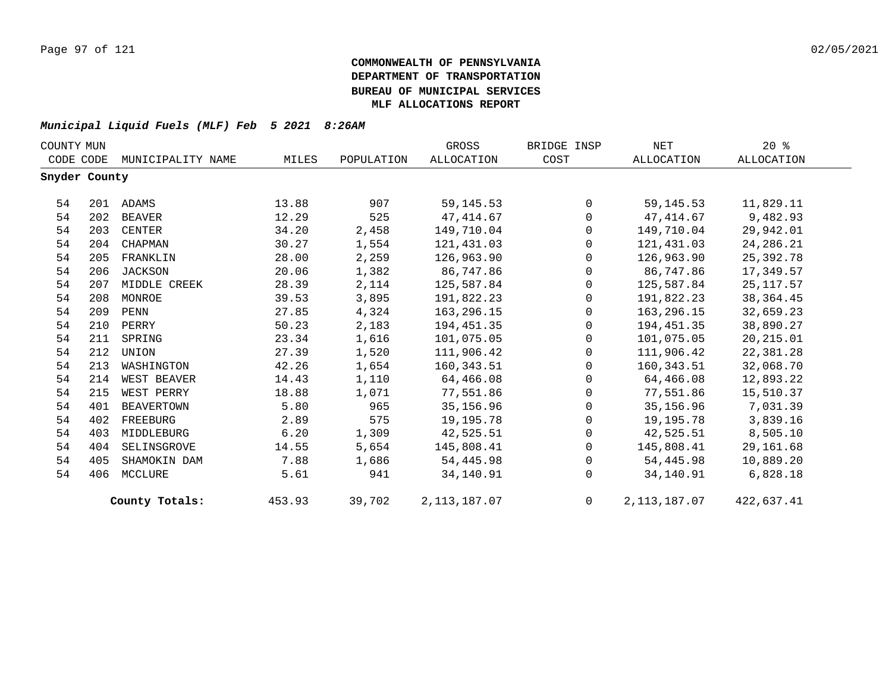| COUNTY MUN    |     |                   |        |            | GROSS             | BRIDGE INSP    | NET            | $20*$       |
|---------------|-----|-------------------|--------|------------|-------------------|----------------|----------------|-------------|
| CODE CODE     |     | MUNICIPALITY NAME | MILES  | POPULATION | <b>ALLOCATION</b> | COST           | ALLOCATION     | ALLOCATION  |
| Snyder County |     |                   |        |            |                   |                |                |             |
| 54            |     | 201 ADAMS         | 13.88  | 907        | 59, 145. 53       | $\Omega$       | 59, 145. 53    | 11,829.11   |
| 54            | 202 | BEAVER            | 12.29  | 525        | 47,414.67         | $\mathbf 0$    | 47,414.67      | 9,482.93    |
| 54            | 203 | CENTER            | 34.20  | 2,458      | 149,710.04        | $\mathbf 0$    | 149,710.04     | 29,942.01   |
| 54            | 204 | CHAPMAN           | 30.27  | 1,554      | 121,431.03        | $\Omega$       | 121,431.03     | 24, 286. 21 |
| 54            | 205 | FRANKLIN          | 28.00  | 2,259      | 126,963.90        | $\Omega$       | 126,963.90     | 25,392.78   |
| 54            | 206 | <b>JACKSON</b>    | 20.06  | 1,382      | 86,747.86         | $\mathbf 0$    | 86,747.86      | 17,349.57   |
| 54            | 207 | MIDDLE CREEK      | 28.39  | 2,114      | 125,587.84        | $\mathbf 0$    | 125,587.84     | 25, 117.57  |
| 54            | 208 | MONROE            | 39.53  | 3,895      | 191,822.23        | $\mathbf 0$    | 191,822.23     | 38, 364.45  |
| 54            | 209 | PENN              | 27.85  | 4,324      | 163,296.15        | $\Omega$       | 163,296.15     | 32,659.23   |
| 54            | 210 | PERRY             | 50.23  | 2,183      | 194,451.35        | $\mathbf 0$    | 194,451.35     | 38,890.27   |
| 54            | 211 | SPRING            | 23.34  | 1,616      | 101,075.05        | $\mathbf 0$    | 101,075.05     | 20, 215.01  |
| 54            | 212 | UNION             | 27.39  | 1,520      | 111,906.42        | $\mathbf 0$    | 111,906.42     | 22,381.28   |
| 54            | 213 | WASHINGTON        | 42.26  | 1,654      | 160,343.51        | $\Omega$       | 160,343.51     | 32,068.70   |
| 54            | 214 | WEST BEAVER       | 14.43  | 1,110      | 64,466.08         | $\mathbf 0$    | 64,466.08      | 12,893.22   |
| 54            | 215 | WEST PERRY        | 18.88  | 1,071      | 77,551.86         | $\mathbf 0$    | 77,551.86      | 15,510.37   |
| 54            | 401 | <b>BEAVERTOWN</b> | 5.80   | 965        | 35,156.96         | $\mathbf 0$    | 35,156.96      | 7,031.39    |
| 54            | 402 | FREEBURG          | 2.89   | 575        | 19,195.78         | $\Omega$       | 19,195.78      | 3,839.16    |
| 54            | 403 | MIDDLEBURG        | 6.20   | 1,309      | 42,525.51         | $\mathbf 0$    | 42,525.51      | 8,505.10    |
| 54            | 404 | SELINSGROVE       | 14.55  | 5,654      | 145,808.41        | $\mathbf 0$    | 145,808.41     | 29,161.68   |
| 54            | 405 | SHAMOKIN DAM      | 7.88   | 1,686      | 54,445.98         | $\mathbf 0$    | 54,445.98      | 10,889.20   |
| 54            | 406 | MCCLURE           | 5.61   | 941        | 34,140.91         | $\Omega$       | 34,140.91      | 6,828.18    |
|               |     | County Totals:    | 453.93 | 39,702     | 2, 113, 187.07    | $\overline{0}$ | 2, 113, 187.07 | 422,637.41  |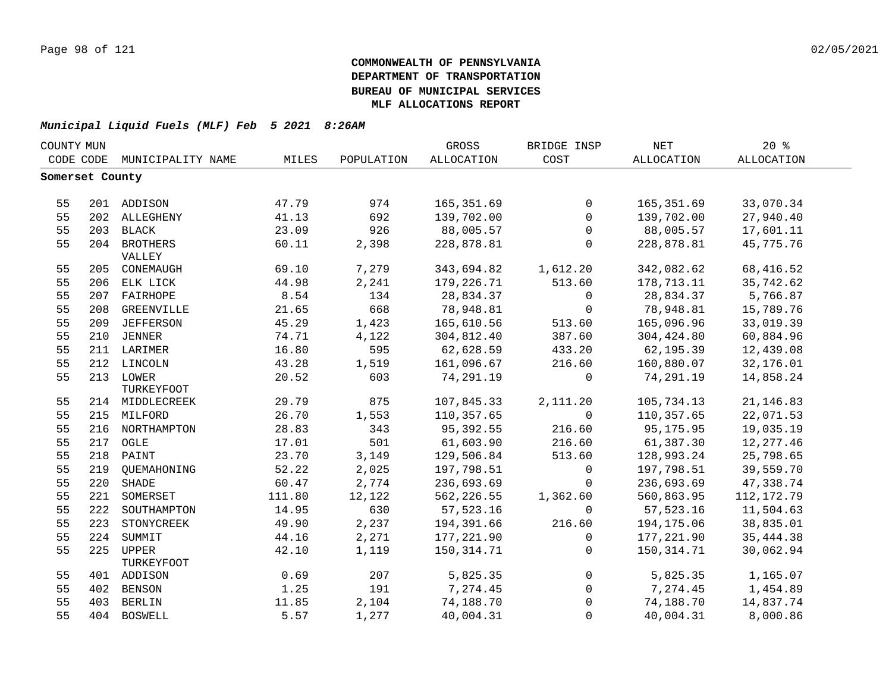| COUNTY MUN      |     |                   |        |            | GROSS        | BRIDGE INSP  | <b>NET</b> | 20%               |  |
|-----------------|-----|-------------------|--------|------------|--------------|--------------|------------|-------------------|--|
| CODE CODE       |     | MUNICIPALITY NAME | MILES  | POPULATION | ALLOCATION   | COST         | ALLOCATION | <b>ALLOCATION</b> |  |
| Somerset County |     |                   |        |            |              |              |            |                   |  |
|                 |     |                   |        |            |              |              |            |                   |  |
| 55              |     | 201 ADDISON       | 47.79  | 974        | 165,351.69   | $\mathbf 0$  | 165,351.69 | 33,070.34         |  |
| 55              |     | 202 ALLEGHENY     | 41.13  | 692        | 139,702.00   | $\mathbf 0$  | 139,702.00 | 27,940.40         |  |
| 55              |     | 203 BLACK         | 23.09  | 926        | 88,005.57    | $\mathbf 0$  | 88,005.57  | 17,601.11         |  |
| 55              |     | 204 BROTHERS      | 60.11  | 2,398      | 228,878.81   | $\Omega$     | 228,878.81 | 45,775.76         |  |
|                 |     | VALLEY            |        |            |              |              |            |                   |  |
| 55              |     | 205 CONEMAUGH     | 69.10  | 7,279      | 343,694.82   | 1,612.20     | 342,082.62 | 68,416.52         |  |
| 55              |     | 206 ELK LICK      | 44.98  | 2,241      | 179,226.71   | 513.60       | 178,713.11 | 35,742.62         |  |
| 55              |     | 207 FAIRHOPE      | 8.54   | 134        | 28,834.37    | $\mathbf 0$  | 28,834.37  | 5,766.87          |  |
| 55              | 208 | GREENVILLE        | 21.65  | 668        | 78,948.81    | $\Omega$     | 78,948.81  | 15,789.76         |  |
| 55              | 209 | JEFFERSON         | 45.29  | 1,423      | 165,610.56   | 513.60       | 165,096.96 | 33,019.39         |  |
| 55              |     | 210 JENNER        | 74.71  | 4,122      | 304,812.40   | 387.60       | 304,424.80 | 60,884.96         |  |
| 55              |     | 211 LARIMER       | 16.80  | 595        | 62,628.59    | 433.20       | 62,195.39  | 12,439.08         |  |
| 55              |     | 212 LINCOLN       | 43.28  | 1,519      | 161,096.67   | 216.60       | 160,880.07 | 32,176.01         |  |
| 55              |     | 213 LOWER         | 20.52  | 603        | 74,291.19    | $\mathbf 0$  | 74,291.19  | 14,858.24         |  |
|                 |     | <b>TURKEYFOOT</b> |        |            |              |              |            |                   |  |
| 55              |     | 214 MIDDLECREEK   | 29.79  | 875        | 107,845.33   | 2,111.20     | 105,734.13 | 21, 146.83        |  |
| 55              |     | 215 MILFORD       | 26.70  | 1,553      | 110,357.65   | $\Omega$     | 110,357.65 | 22,071.53         |  |
| 55              |     | 216 NORTHAMPTON   | 28.83  | 343        | 95,392.55    | 216.60       | 95, 175.95 | 19,035.19         |  |
| 55              |     | 217 OGLE          | 17.01  | 501        | 61,603.90    | 216.60       | 61,387.30  | 12, 277.46        |  |
| 55              |     | 218 PAINT         | 23.70  | 3,149      | 129,506.84   | 513.60       | 128,993.24 | 25,798.65         |  |
| 55              |     | 219 QUEMAHONING   | 52.22  | 2,025      | 197,798.51   | $\mathsf{O}$ | 197,798.51 | 39,559.70         |  |
| 55              | 220 | SHADE             | 60.47  | 2,774      | 236,693.69   | $\Omega$     | 236,693.69 | 47,338.74         |  |
| 55              | 221 | SOMERSET          | 111.80 | 12,122     | 562, 226.55  | 1,362.60     | 560,863.95 | 112, 172.79       |  |
| 55              | 222 | SOUTHAMPTON       | 14.95  | 630        | 57,523.16    | $\Omega$     | 57,523.16  | 11,504.63         |  |
| 55              | 223 | STONYCREEK        | 49.90  | 2,237      | 194,391.66   | 216.60       | 194,175.06 | 38,835.01         |  |
| 55              | 224 | SUMMIT            | 44.16  | 2,271      | 177,221.90   | $\mathbf 0$  | 177,221.90 | 35, 444.38        |  |
| 55              |     | 225 UPPER         | 42.10  | 1,119      | 150, 314. 71 | $\Omega$     | 150,314.71 | 30,062.94         |  |
|                 |     | TURKEYFOOT        |        |            |              |              |            |                   |  |
| 55              |     | 401 ADDISON       | 0.69   | 207        | 5,825.35     | $\Omega$     | 5,825.35   | 1,165.07          |  |
| 55              |     | 402 BENSON        | 1.25   | 191        | 7,274.45     | $\mathbf 0$  | 7,274.45   | 1,454.89          |  |
| 55              |     | 403 BERLIN        | 11.85  | 2,104      | 74,188.70    | $\Omega$     | 74,188.70  | 14,837.74         |  |
| 55              |     | 404 BOSWELL       | 5.57   | 1,277      | 40,004.31    | $\Omega$     | 40,004.31  | 8,000.86          |  |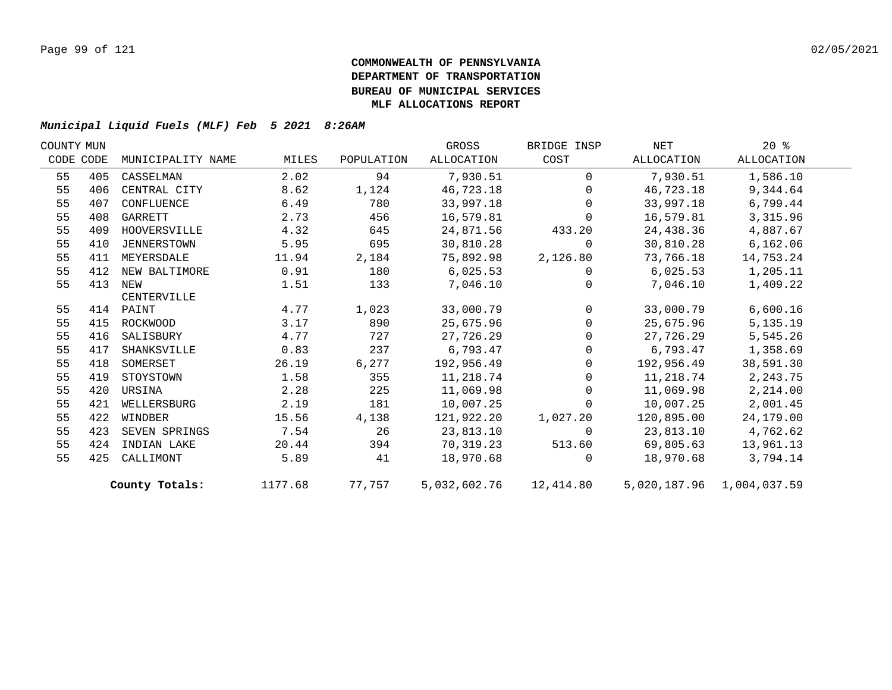| COUNTY MUN |           |                   |         |            | GROSS      | BRIDGE INSP    | NET        | $20*$                     |  |
|------------|-----------|-------------------|---------|------------|------------|----------------|------------|---------------------------|--|
|            | CODE CODE | MUNICIPALITY NAME | MILES   | POPULATION | ALLOCATION | COST           | ALLOCATION | ALLOCATION                |  |
| 55         | 405       | CASSELMAN         | 2.02    | 94         | 7,930.51   | $\mathbf 0$    | 7,930.51   | 1,586.10                  |  |
| 55         | 406       | CENTRAL CITY      | 8.62    | 1,124      | 46,723.18  | $\Omega$       | 46,723.18  | 9,344.64                  |  |
| 55         | 407       | CONFLUENCE        | 6.49    | 780        | 33,997.18  | $\Omega$       | 33,997.18  | 6,799.44                  |  |
| 55         | 408       | GARRETT           | 2.73    | 456        | 16,579.81  | $\Omega$       | 16,579.81  | 3,315.96                  |  |
| 55         | 409       | HOOVERSVILLE      | 4.32    | 645        | 24,871.56  | 433.20         | 24,438.36  | 4,887.67                  |  |
| 55         | 410       | JENNERSTOWN       | 5.95    | 695        | 30,810.28  | $\mathbf 0$    | 30,810.28  | 6,162.06                  |  |
| 55         | 411       | MEYERSDALE        | 11.94   | 2,184      | 75,892.98  | 2,126.80       | 73,766.18  | 14,753.24                 |  |
| 55         | 412       | NEW BALTIMORE     | 0.91    | 180        | 6,025.53   | $\mathbf 0$    | 6,025.53   | 1,205.11                  |  |
| 55         | 413       | NEW               | 1.51    | 133        | 7,046.10   | $\Omega$       | 7,046.10   | 1,409.22                  |  |
|            |           | CENTERVILLE       |         |            |            |                |            |                           |  |
| 55         |           | 414 PAINT         | 4.77    | 1,023      | 33,000.79  | $\overline{0}$ | 33,000.79  | 6,600.16                  |  |
| 55         | 415       | ROCKWOOD          | 3.17    | 890        | 25,675.96  | $\overline{0}$ | 25,675.96  | 5,135.19                  |  |
| 55         | 416       | SALISBURY         | 4.77    | 727        | 27,726.29  | $\mathsf{O}$   | 27,726.29  | 5,545.26                  |  |
| 55         | 417       | SHANKSVILLE       | 0.83    | 237        | 6,793.47   | $\Omega$       | 6,793.47   | 1,358.69                  |  |
| 55         | 418       | SOMERSET          | 26.19   | 6,277      | 192,956.49 | $\overline{0}$ | 192,956.49 | 38,591.30                 |  |
| 55         | 419       | STOYSTOWN         | 1.58    | 355        | 11,218.74  | $\mathbf 0$    | 11,218.74  | 2, 243.75                 |  |
| 55         | 420       | URSINA            | 2.28    | 225        | 11,069.98  | $\mathbf 0$    | 11,069.98  | 2,214.00                  |  |
| 55         | 421       | WELLERSBURG       | 2.19    | 181        | 10,007.25  | $\mathbf 0$    | 10,007.25  | 2,001.45                  |  |
| 55         | 422       | WINDBER           | 15.56   | 4,138      | 121,922.20 | 1,027.20       | 120,895.00 | 24,179.00                 |  |
| 55         | 423       | SEVEN SPRINGS     | 7.54    | 26         | 23,813.10  | $\mathbf 0$    | 23,813.10  | 4,762.62                  |  |
| 55         | 424       | INDIAN LAKE       | 20.44   | 394        | 70,319.23  | 513.60         | 69,805.63  | 13,961.13                 |  |
| 55         | 425       | CALLIMONT         | 5.89    | 41         | 18,970.68  | $\Omega$       | 18,970.68  | 3,794.14                  |  |
|            |           | County Totals:    | 1177.68 | 77,757     |            |                |            | 5,020,187.96 1,004,037.59 |  |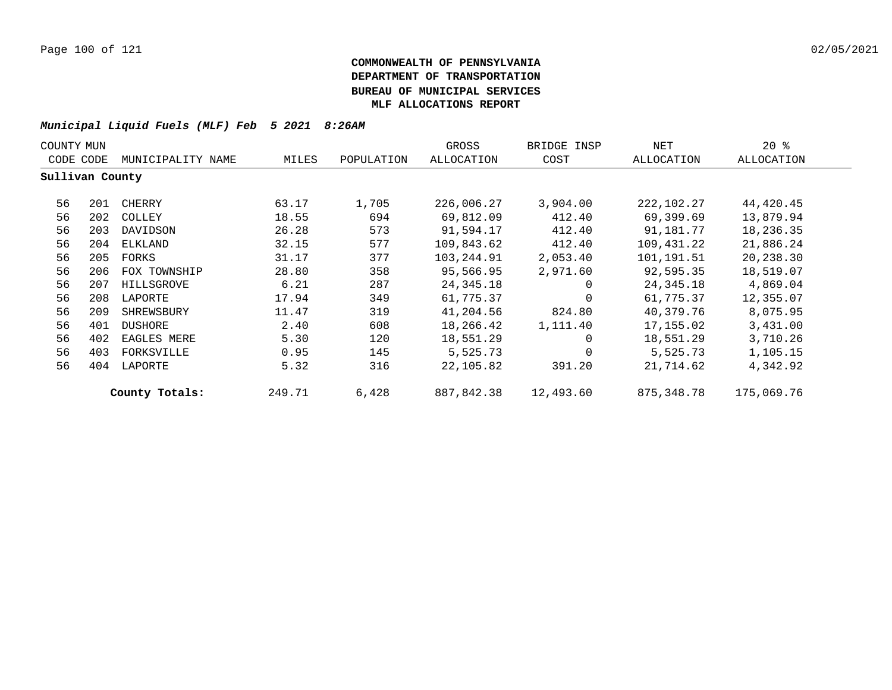| COUNTY MUN |                 |                   |        |            | GROSS       | BRIDGE INSP | NET        | $20*$      |
|------------|-----------------|-------------------|--------|------------|-------------|-------------|------------|------------|
| CODE CODE  |                 | MUNICIPALITY NAME | MILES  | POPULATION | ALLOCATION  | COST        | ALLOCATION | ALLOCATION |
|            | Sullivan County |                   |        |            |             |             |            |            |
| 56         | 201             | CHERRY            | 63.17  | 1,705      | 226,006.27  | 3,904.00    | 222,102.27 | 44,420.45  |
| 56         | 202             | COLLEY            | 18.55  | 694        | 69,812.09   | 412.40      | 69,399.69  | 13,879.94  |
| 56         | 203             | DAVIDSON          | 26.28  | 573        | 91,594.17   | 412.40      | 91,181.77  | 18,236.35  |
| 56         | 204             | ELKLAND           | 32.15  | 577        | 109,843.62  | 412.40      | 109,431.22 | 21,886.24  |
| 56         | 205             | FORKS             | 31.17  | 377        | 103,244.91  | 2,053.40    | 101,191.51 | 20,238.30  |
| 56         | 206             | FOX TOWNSHIP      | 28.80  | 358        | 95,566.95   | 2,971.60    | 92,595.35  | 18,519.07  |
| 56         | 207             | HILLSGROVE        | 6.21   | 287        | 24, 345. 18 | $\Omega$    | 24,345.18  | 4,869.04   |
| 56         | 208             | LAPORTE           | 17.94  | 349        | 61,775.37   | $\Omega$    | 61,775.37  | 12,355.07  |
| 56         | 209             | SHREWSBURY        | 11.47  | 319        | 41,204.56   | 824.80      | 40,379.76  | 8,075.95   |
| 56         | 401             | DUSHORE           | 2.40   | 608        | 18,266.42   | 1,111.40    | 17,155.02  | 3,431.00   |
| 56         | 402             | EAGLES MERE       | 5.30   | 120        | 18,551.29   | $\mathbf 0$ | 18,551.29  | 3,710.26   |
| 56         | 403             | FORKSVILLE        | 0.95   | 145        | 5,525.73    | $\mathbf 0$ | 5,525.73   | 1,105.15   |
| 56         | 404             | LAPORTE           | 5.32   | 316        | 22,105.82   | 391.20      | 21,714.62  | 4,342.92   |
|            |                 | County Totals:    | 249.71 | 6,428      | 887,842.38  | 12,493.60   | 875,348.78 | 175,069.76 |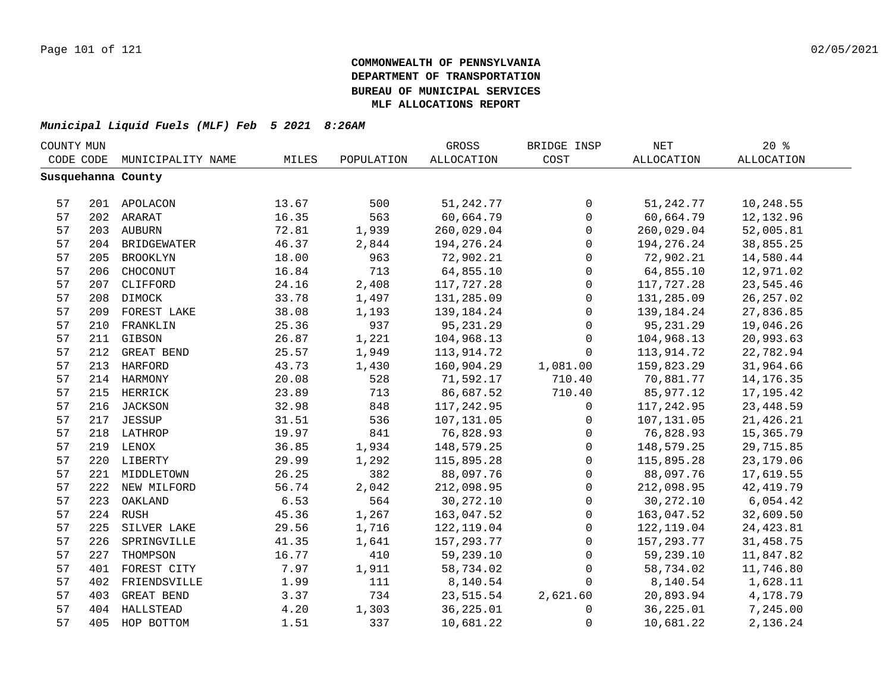|    | COUNTY MUN |                    |       |            | GROSS        | BRIDGE INSP         | $\operatorname{NET}$ | 20%        |  |
|----|------------|--------------------|-------|------------|--------------|---------------------|----------------------|------------|--|
|    | CODE CODE  | MUNICIPALITY NAME  | MILES | POPULATION | ALLOCATION   | COST                | <b>ALLOCATION</b>    | ALLOCATION |  |
|    |            | Susquehanna County |       |            |              |                     |                      |            |  |
|    |            |                    |       |            |              |                     |                      |            |  |
| 57 |            | 201 APOLACON       | 13.67 | 500        | 51, 242. 77  | 0                   | 51, 242. 77          | 10,248.55  |  |
| 57 |            | 202 ARARAT         | 16.35 | 563        | 60,664.79    | $\mathsf{O}$        | 60,664.79            | 12,132.96  |  |
| 57 |            | 203 AUBURN         | 72.81 | 1,939      | 260,029.04   | $\mathsf{O}\xspace$ | 260,029.04           | 52,005.81  |  |
| 57 |            | 204 BRIDGEWATER    | 46.37 | 2,844      | 194, 276. 24 | $\mathsf{O}$        | 194, 276. 24         | 38,855.25  |  |
| 57 | 205        | BROOKLYN           | 18.00 | 963        | 72,902.21    | $\mathsf{O}$        | 72,902.21            | 14,580.44  |  |
| 57 | 206        | CHOCONUT           | 16.84 | 713        | 64,855.10    | $\mathsf{O}$        | 64,855.10            | 12,971.02  |  |
| 57 | 207        | CLIFFORD           | 24.16 | 2,408      | 117,727.28   | $\mathbf 0$         | 117,727.28           | 23,545.46  |  |
| 57 | 208        | DIMOCK             | 33.78 | 1,497      | 131,285.09   | $\mathbf 0$         | 131,285.09           | 26, 257.02 |  |
| 57 | 209        | FOREST LAKE        | 38.08 | 1,193      | 139,184.24   | $\Omega$            | 139,184.24           | 27,836.85  |  |
| 57 | 210        | FRANKLIN           | 25.36 | 937        | 95,231.29    | $\mathbf 0$         | 95,231.29            | 19,046.26  |  |
| 57 | 211        | GIBSON             | 26.87 | 1,221      | 104,968.13   | 0                   | 104,968.13           | 20,993.63  |  |
| 57 | 212        | GREAT BEND         | 25.57 | 1,949      | 113,914.72   | $\mathbf 0$         | 113,914.72           | 22,782.94  |  |
| 57 |            | 213 HARFORD        | 43.73 | 1,430      | 160,904.29   | 1,081.00            | 159,823.29           | 31,964.66  |  |
| 57 |            | 214 HARMONY        | 20.08 | 528        | 71,592.17    | 710.40              | 70,881.77            | 14, 176.35 |  |
| 57 |            | 215 HERRICK        | 23.89 | 713        | 86,687.52    | 710.40              | 85,977.12            | 17, 195.42 |  |
| 57 |            | 216 JACKSON        | 32.98 | 848        | 117,242.95   | 0                   | 117,242.95           | 23, 448.59 |  |
| 57 |            | 217 JESSUP         | 31.51 | 536        | 107,131.05   | 0                   | 107,131.05           | 21, 426.21 |  |
| 57 |            | 218 LATHROP        | 19.97 | 841        | 76,828.93    | $\mathbf 0$         | 76,828.93            | 15,365.79  |  |
| 57 |            | 219 LENOX          | 36.85 | 1,934      | 148,579.25   | 0                   | 148,579.25           | 29,715.85  |  |
| 57 |            | 220 LIBERTY        | 29.99 | 1,292      | 115,895.28   | $\mathbf 0$         | 115,895.28           | 23, 179.06 |  |
| 57 |            | 221 MIDDLETOWN     | 26.25 | 382        | 88,097.76    | $\mathbf 0$         | 88,097.76            | 17,619.55  |  |
| 57 |            | 222 NEW MILFORD    | 56.74 | 2,042      | 212,098.95   | $\mathbf{0}$        | 212,098.95           | 42, 419.79 |  |
| 57 | 223        | OAKLAND            | 6.53  | 564        | 30, 272.10   | $\mathbf 0$         | 30, 272.10           | 6,054.42   |  |
| 57 |            | 224 RUSH           | 45.36 | 1,267      | 163,047.52   | $\mathbf 0$         | 163,047.52           | 32,609.50  |  |
| 57 | 225        | SILVER LAKE        | 29.56 | 1,716      | 122,119.04   | $\mathbf 0$         | 122, 119.04          | 24, 423.81 |  |
| 57 | 226        | SPRINGVILLE        | 41.35 | 1,641      | 157, 293. 77 | $\mathbf 0$         | 157,293.77           | 31,458.75  |  |
| 57 | 227        | THOMPSON           | 16.77 | 410        | 59,239.10    | $\Omega$            | 59,239.10            | 11,847.82  |  |
| 57 | 401        | FOREST CITY        | 7.97  | 1,911      | 58,734.02    | $\mathbf 0$         | 58,734.02            | 11,746.80  |  |
| 57 | 402        | FRIENDSVILLE       | 1.99  | 111        | 8,140.54     | $\Omega$            | 8,140.54             | 1,628.11   |  |
| 57 | 403        | GREAT BEND         | 3.37  | 734        | 23,515.54    | 2,621.60            | 20,893.94            | 4,178.79   |  |
| 57 |            | 404 HALLSTEAD      | 4.20  | 1,303      | 36, 225.01   | 0                   | 36,225.01            | 7,245.00   |  |
| 57 | 405        | HOP BOTTOM         | 1.51  | 337        | 10,681.22    | $\mathsf 0$         | 10,681.22            | 2,136.24   |  |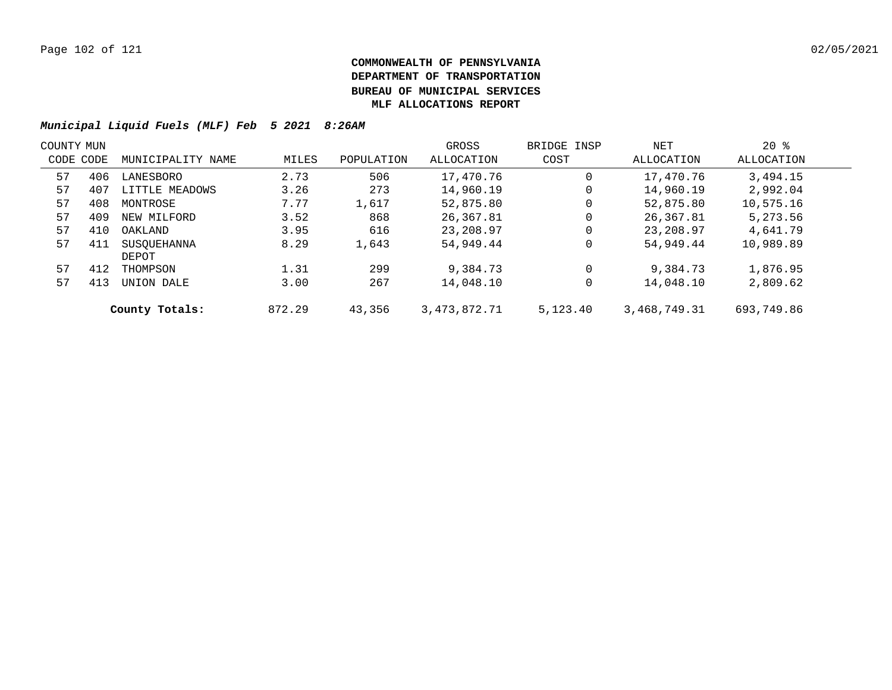| COUNTY MUN |     |                   |        |            | GROSS           | BRIDGE INSP | NET          | $20*$      |  |
|------------|-----|-------------------|--------|------------|-----------------|-------------|--------------|------------|--|
| CODE CODE  |     | MUNICIPALITY NAME | MILES  | POPULATION | ALLOCATION      | COST        | ALLOCATION   | ALLOCATION |  |
| 57         | 406 | LANESBORO         | 2.73   | 506        | 17,470.76       | 0           | 17,470.76    | 3,494.15   |  |
| 57         | 407 | LITTLE MEADOWS    | 3.26   | 273        | 14,960.19       | 0           | 14,960.19    | 2,992.04   |  |
| 57         | 408 | MONTROSE          | 7.77   | 1,617      | 52,875.80       | 0           | 52,875.80    | 10,575.16  |  |
| 57         | 409 | NEW MILFORD       | 3.52   | 868        | 26,367.81       | 0           | 26,367.81    | 5,273.56   |  |
| 57         | 410 | OAKLAND           | 3.95   | 616        | 23,208.97       | 0           | 23,208.97    | 4,641.79   |  |
| 57         | 411 | SUSOUEHANNA       | 8.29   | 1,643      | 54,949.44       | 0           | 54,949.44    | 10,989.89  |  |
|            |     | DEPOT             |        |            |                 |             |              |            |  |
| 57         | 412 | THOMPSON          | 1.31   | 299        | 9,384.73        | $\mathbf 0$ | 9,384.73     | 1,876.95   |  |
| 57         | 413 | UNION DALE        | 3.00   | 267        | 14,048.10       | 0           | 14,048.10    | 2,809.62   |  |
|            |     | County Totals:    | 872.29 | 43,356     | 3, 473, 872, 71 | 5,123.40    | 3,468,749.31 | 693,749.86 |  |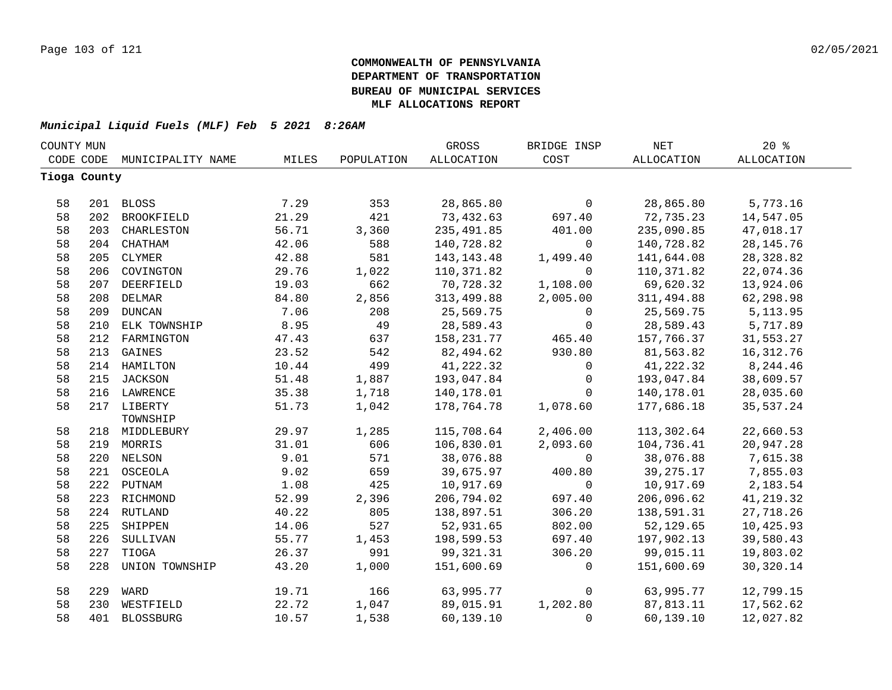| COUNTY MUN |              |                   |       |            | GROSS        | BRIDGE INSP  | <b>NET</b>  | 20%               |  |
|------------|--------------|-------------------|-------|------------|--------------|--------------|-------------|-------------------|--|
|            | CODE CODE    | MUNICIPALITY NAME | MILES | POPULATION | ALLOCATION   | COST         | ALLOCATION  | <b>ALLOCATION</b> |  |
|            | Tioga County |                   |       |            |              |              |             |                   |  |
|            |              |                   |       |            |              |              |             |                   |  |
| 58         |              | 201 BLOSS         | 7.29  | 353        | 28,865.80    | $\mathbf 0$  | 28,865.80   | 5,773.16          |  |
| 58         | 202          | BROOKFIELD        | 21.29 | 421        | 73,432.63    | 697.40       | 72,735.23   | 14,547.05         |  |
| 58         | 203          | CHARLESTON        | 56.71 | 3,360      | 235, 491.85  | 401.00       | 235,090.85  | 47,018.17         |  |
| 58         | 204          | CHATHAM           | 42.06 | 588        | 140,728.82   | 0            | 140,728.82  | 28, 145. 76       |  |
| 58         | 205          | CLYMER            | 42.88 | 581        | 143, 143. 48 | 1,499.40     | 141,644.08  | 28, 328.82        |  |
| 58         | 206          | COVINGTON         | 29.76 | 1,022      | 110,371.82   | $\mathbf{0}$ | 110,371.82  | 22,074.36         |  |
| 58         | 207          | DEERFIELD         | 19.03 | 662        | 70,728.32    | 1,108.00     | 69,620.32   | 13,924.06         |  |
| 58         | 208          | <b>DELMAR</b>     | 84.80 | 2,856      | 313,499.88   | 2,005.00     | 311,494.88  | 62,298.98         |  |
| 58         | 209          | <b>DUNCAN</b>     | 7.06  | 208        | 25,569.75    | $\mathsf{O}$ | 25,569.75   | 5, 113.95         |  |
| 58         | 210          | ELK TOWNSHIP      | 8.95  | 49         | 28,589.43    | $\mathbf 0$  | 28,589.43   | 5,717.89          |  |
| 58         | 212          | FARMINGTON        | 47.43 | 637        | 158, 231. 77 | 465.40       | 157,766.37  | 31,553.27         |  |
| 58         | 213          | GAINES            | 23.52 | 542        | 82,494.62    | 930.80       | 81,563.82   | 16, 312.76        |  |
| 58         |              | 214 HAMILTON      | 10.44 | 499        | 41,222.32    | $\mathbf 0$  | 41,222.32   | 8,244.46          |  |
| 58         |              | 215 JACKSON       | 51.48 | 1,887      | 193,047.84   | $\mathbf 0$  | 193,047.84  | 38,609.57         |  |
| 58         |              | 216 LAWRENCE      | 35.38 | 1,718      | 140,178.01   | $\mathbf 0$  | 140,178.01  | 28,035.60         |  |
| 58         |              | 217 LIBERTY       | 51.73 | 1,042      | 178,764.78   | 1,078.60     | 177,686.18  | 35,537.24         |  |
|            |              | TOWNSHIP          |       |            |              |              |             |                   |  |
| 58         |              | 218 MIDDLEBURY    | 29.97 | 1,285      | 115,708.64   | 2,406.00     | 113,302.64  | 22,660.53         |  |
| 58         |              | 219 MORRIS        | 31.01 | 606        | 106,830.01   | 2,093.60     | 104,736.41  | 20,947.28         |  |
| 58         |              | 220 NELSON        | 9.01  | 571        | 38,076.88    | $\mathsf{O}$ | 38,076.88   | 7,615.38          |  |
| 58         |              | 221 OSCEOLA       | 9.02  | 659        | 39,675.97    | 400.80       | 39, 275. 17 | 7,855.03          |  |
| 58         |              | 222 PUTNAM        | 1.08  | 425        | 10,917.69    | $\mathbf 0$  | 10,917.69   | 2,183.54          |  |
| 58         |              | 223 RICHMOND      | 52.99 | 2,396      | 206,794.02   | 697.40       | 206,096.62  | 41, 219.32        |  |
| 58         |              | 224 RUTLAND       | 40.22 | 805        | 138,897.51   | 306.20       | 138,591.31  | 27,718.26         |  |
| 58         | 225          | SHIPPEN           | 14.06 | 527        | 52,931.65    | 802.00       | 52,129.65   | 10,425.93         |  |
| 58         | 226          | SULLIVAN          | 55.77 | 1,453      | 198,599.53   | 697.40       | 197,902.13  | 39,580.43         |  |
| 58         | 227          | TIOGA             | 26.37 | 991        | 99,321.31    | 306.20       | 99,015.11   | 19,803.02         |  |
| 58         | 228          | UNION TOWNSHIP    | 43.20 | 1,000      | 151,600.69   | 0            | 151,600.69  | 30,320.14         |  |
| 58         | 229          | WARD              | 19.71 | 166        | 63,995.77    | $\mathbf 0$  | 63,995.77   | 12,799.15         |  |
| 58         | 230          | WESTFIELD         | 22.72 | 1,047      | 89,015.91    | 1,202.80     | 87,813.11   | 17,562.62         |  |
| 58         | 401          | <b>BLOSSBURG</b>  | 10.57 | 1,538      | 60,139.10    | $\mathbf 0$  | 60,139.10   | 12,027.82         |  |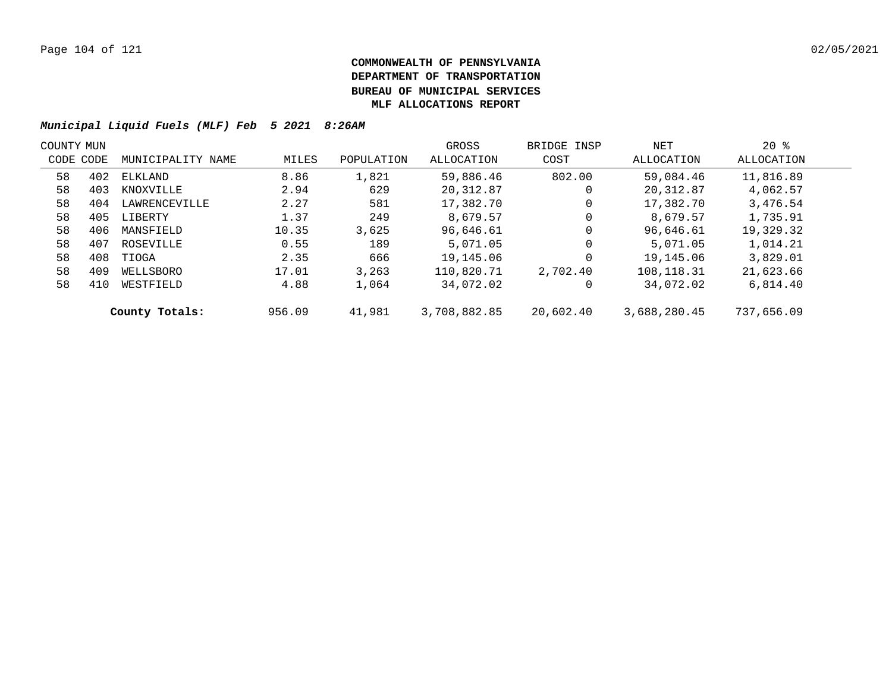| COUNTY MUN |           |                   |        |            | GROSS        | BRIDGE INSP | NET          | $20*$      |  |
|------------|-----------|-------------------|--------|------------|--------------|-------------|--------------|------------|--|
|            | CODE CODE | MUNICIPALITY NAME | MILES  | POPULATION | ALLOCATION   | COST        | ALLOCATION   | ALLOCATION |  |
| 58         | 402       | ELKLAND           | 8.86   | 1,821      | 59,886.46    | 802.00      | 59,084.46    | 11,816.89  |  |
| 58         | 403       | KNOXVILLE         | 2.94   | 629        | 20,312.87    | 0           | 20,312.87    | 4,062.57   |  |
| 58         | 404       | LAWRENCEVILLE     | 2.27   | 581        | 17,382.70    | 0           | 17,382.70    | 3,476.54   |  |
| 58         | 405       | LIBERTY           | 1.37   | 249        | 8,679.57     | 0           | 8,679.57     | 1,735.91   |  |
| 58         | 406       | MANSFIELD         | 10.35  | 3,625      | 96,646.61    | 0           | 96,646.61    | 19,329.32  |  |
| 58         | 407       | ROSEVILLE         | 0.55   | 189        | 5,071.05     | 0           | 5,071.05     | 1,014.21   |  |
| 58         | 408       | TIOGA             | 2.35   | 666        | 19,145.06    | 0           | 19,145.06    | 3,829.01   |  |
| 58         | 409       | WELLSBORO         | 17.01  | 3,263      | 110,820.71   | 2,702.40    | 108,118.31   | 21,623.66  |  |
| 58         | 410       | WESTFIELD         | 4.88   | 1,064      | 34,072.02    | 0           | 34,072.02    | 6,814.40   |  |
|            |           | County Totals:    | 956.09 | 41,981     | 3,708,882.85 | 20,602.40   | 3,688,280.45 | 737,656.09 |  |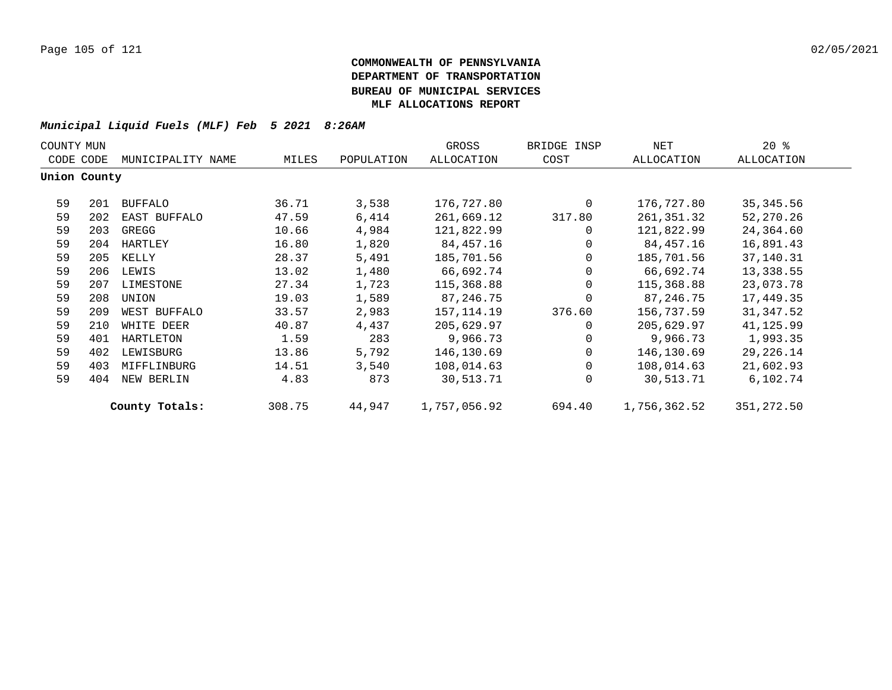| COUNTY MUN |              |                   |        |            | GROSS        | BRIDGE INSP    | NET          | 20%         |  |
|------------|--------------|-------------------|--------|------------|--------------|----------------|--------------|-------------|--|
|            | CODE CODE    | MUNICIPALITY NAME | MILES  | POPULATION | ALLOCATION   | COST           | ALLOCATION   | ALLOCATION  |  |
|            | Union County |                   |        |            |              |                |              |             |  |
| 59         | 201          | <b>BUFFALO</b>    | 36.71  | 3,538      | 176,727.80   | $\Omega$       | 176,727.80   | 35, 345.56  |  |
| 59         | 202          | EAST BUFFALO      | 47.59  | 6,414      | 261,669.12   | 317.80         | 261,351.32   | 52,270.26   |  |
| 59         | 203          | GREGG             | 10.66  | 4,984      | 121,822.99   | $\mathbf{0}$   | 121,822.99   | 24,364.60   |  |
| 59         | 204          | HARTLEY           | 16.80  | 1,820      | 84,457.16    | $\overline{0}$ | 84,457.16    | 16,891.43   |  |
| 59         | 205          | KELLY             | 28.37  | 5,491      | 185,701.56   | $\overline{0}$ | 185,701.56   | 37,140.31   |  |
| 59         | 206          | LEWIS             | 13.02  | 1,480      | 66,692.74    | $\overline{0}$ | 66,692.74    | 13,338.55   |  |
| 59         | 207          | LIMESTONE         | 27.34  | 1,723      | 115,368.88   | $\Omega$       | 115,368.88   | 23,073.78   |  |
| 59         | 208          | UNION             | 19.03  | 1,589      | 87,246.75    | $\Omega$       | 87,246.75    | 17,449.35   |  |
| 59         | 209          | WEST BUFFALO      | 33.57  | 2,983      | 157,114.19   | 376.60         | 156,737.59   | 31,347.52   |  |
| 59         | 210          | WHITE DEER        | 40.87  | 4,437      | 205,629.97   | $\Omega$       | 205,629.97   | 41,125.99   |  |
| 59         | 401          | HARTLETON         | 1.59   | 283        | 9,966.73     | $\Omega$       | 9,966.73     | 1,993.35    |  |
| 59         | 402          | LEWISBURG         | 13.86  | 5,792      | 146,130.69   | $\overline{0}$ | 146,130.69   | 29,226.14   |  |
| 59         | 403          | MIFFLINBURG       | 14.51  | 3,540      | 108,014.63   | $\Omega$       | 108,014.63   | 21,602.93   |  |
| 59         | 404          | NEW BERLIN        | 4.83   | 873        | 30,513.71    | $\Omega$       | 30,513.71    | 6,102.74    |  |
|            |              | County Totals:    | 308.75 | 44,947     | 1,757,056.92 | 694.40         | 1,756,362.52 | 351, 272.50 |  |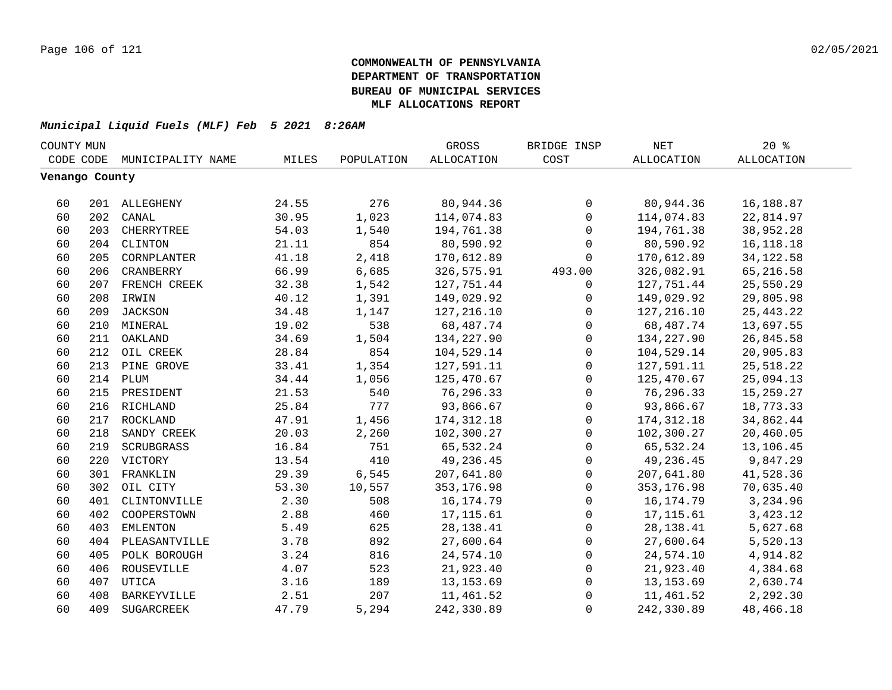| COUNTY MUN     |     |                    |       |            | GROSS             | BRIDGE INSP         | NET         | $20*$             |  |
|----------------|-----|--------------------|-------|------------|-------------------|---------------------|-------------|-------------------|--|
| CODE CODE      |     | MUNICIPALITY NAME  | MILES | POPULATION | <b>ALLOCATION</b> | COST                | ALLOCATION  | <b>ALLOCATION</b> |  |
| Venango County |     |                    |       |            |                   |                     |             |                   |  |
|                |     |                    |       |            |                   |                     |             |                   |  |
| 60             |     | 201 ALLEGHENY      | 24.55 | 276        | 80,944.36         | $\mathsf{O}$        | 80,944.36   | 16,188.87         |  |
| 60             | 202 | CANAL              | 30.95 | 1,023      | 114,074.83        | $\mathbf 0$         | 114,074.83  | 22,814.97         |  |
| 60             | 203 | CHERRYTREE         | 54.03 | 1,540      | 194,761.38        | $\mathbf 0$         | 194,761.38  | 38,952.28         |  |
| 60             | 204 | CLINTON            | 21.11 | 854        | 80,590.92         | $\Omega$            | 80,590.92   | 16, 118. 18       |  |
| 60             | 205 | CORNPLANTER        | 41.18 | 2,418      | 170,612.89        | $\mathbf 0$         | 170,612.89  | 34, 122.58        |  |
| 60             | 206 | CRANBERRY          | 66.99 | 6,685      | 326,575.91        | 493.00              | 326,082.91  | 65,216.58         |  |
| 60             | 207 | FRENCH CREEK       | 32.38 | 1,542      | 127,751.44        | 0                   | 127,751.44  | 25,550.29         |  |
| 60             |     | 208 IRWIN          | 40.12 | 1,391      | 149,029.92        | 0                   | 149,029.92  | 29,805.98         |  |
| 60             |     | 209 JACKSON        | 34.48 | 1,147      | 127,216.10        | $\mathsf{O}$        | 127, 216.10 | 25, 443. 22       |  |
| 60             |     | 210 MINERAL        | 19.02 | 538        | 68,487.74         | $\mathbf 0$         | 68,487.74   | 13,697.55         |  |
| 60             | 211 | OAKLAND            | 34.69 | 1,504      | 134,227.90        | $\mathsf{O}$        | 134,227.90  | 26,845.58         |  |
| 60             | 212 | OIL CREEK          | 28.84 | 854        | 104,529.14        | $\mathsf{O}$        | 104,529.14  | 20,905.83         |  |
| 60             | 213 | PINE GROVE         | 33.41 | 1,354      | 127,591.11        | $\mathsf{O}$        | 127,591.11  | 25,518.22         |  |
| 60             | 214 | PLUM               | 34.44 | 1,056      | 125,470.67        | 0                   | 125,470.67  | 25,094.13         |  |
| 60             | 215 | PRESIDENT          | 21.53 | 540        | 76,296.33         | 0                   | 76,296.33   | 15,259.27         |  |
| 60             |     | 216 RICHLAND       | 25.84 | 777        | 93,866.67         | $\mathsf{O}\xspace$ | 93,866.67   | 18,773.33         |  |
| 60             | 217 | ROCKLAND           | 47.91 | 1,456      | 174, 312.18       | $\mathsf{O}$        | 174, 312.18 | 34,862.44         |  |
| 60             | 218 | SANDY CREEK        | 20.03 | 2,260      | 102,300.27        | $\mathbf 0$         | 102,300.27  | 20,460.05         |  |
| 60             | 219 | SCRUBGRASS         | 16.84 | 751        | 65,532.24         | $\mathbf 0$         | 65,532.24   | 13,106.45         |  |
| 60             | 220 | VICTORY            | 13.54 | 410        | 49,236.45         | $\mathsf{O}$        | 49,236.45   | 9,847.29          |  |
| 60             | 301 | FRANKLIN           | 29.39 | 6,545      | 207,641.80        | $\mathsf{O}$        | 207,641.80  | 41,528.36         |  |
| 60             | 302 | OIL CITY           | 53.30 | 10,557     | 353,176.98        | $\mathbf 0$         | 353, 176.98 | 70,635.40         |  |
| 60             | 401 | CLINTONVILLE       | 2.30  | 508        | 16, 174. 79       | $\mathbf 0$         | 16,174.79   | 3,234.96          |  |
| 60             | 402 | COOPERSTOWN        | 2.88  | 460        | 17, 115.61        | $\mathbf 0$         | 17, 115.61  | 3,423.12          |  |
| 60             | 403 | <b>EMLENTON</b>    | 5.49  | 625        | 28, 138.41        | $\mathsf{O}$        | 28, 138. 41 | 5,627.68          |  |
| 60             | 404 | PLEASANTVILLE      | 3.78  | 892        | 27,600.64         | $\mathbf 0$         | 27,600.64   | 5,520.13          |  |
| 60             | 405 | POLK BOROUGH       | 3.24  | 816        | 24,574.10         | $\mathsf{O}$        | 24,574.10   | 4,914.82          |  |
| 60             | 406 | ROUSEVILLE         | 4.07  | 523        | 21,923.40         | $\mathsf{O}$        | 21,923.40   | 4,384.68          |  |
| 60             | 407 | UTICA              | 3.16  | 189        | 13, 153.69        | $\mathsf{O}$        | 13,153.69   | 2,630.74          |  |
| 60             | 408 | <b>BARKEYVILLE</b> | 2.51  | 207        | 11,461.52         | 0                   | 11,461.52   | 2,292.30          |  |
| 60             | 409 | SUGARCREEK         | 47.79 | 5,294      | 242,330.89        | $\mathbf 0$         | 242,330.89  | 48,466.18         |  |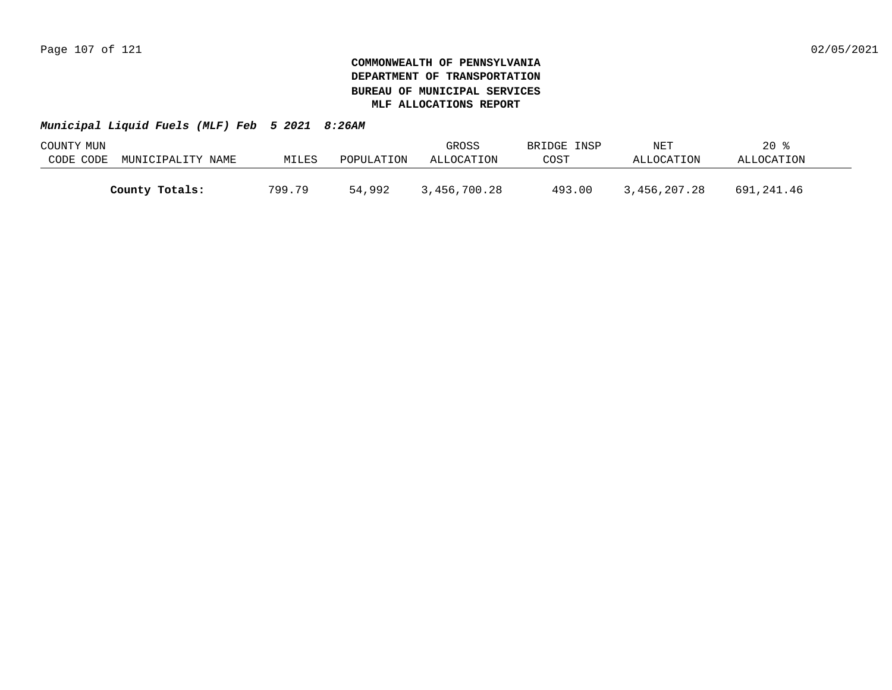| COUNTY MUN |                   |        |            | GROSS        | BRIDGE INSP | NET          | $20*$      |  |
|------------|-------------------|--------|------------|--------------|-------------|--------------|------------|--|
| CODE CODE  | MUNICIPALITY NAME | MILES  | POPULATION | ALLOCATION   | COST        | ALLOCATION   | ALLOCATION |  |
|            |                   |        |            |              |             |              |            |  |
|            | County Totals:    | 799.79 | 54,992     | 3,456,700.28 | 493.00      | 3,456,207.28 | 691,241.46 |  |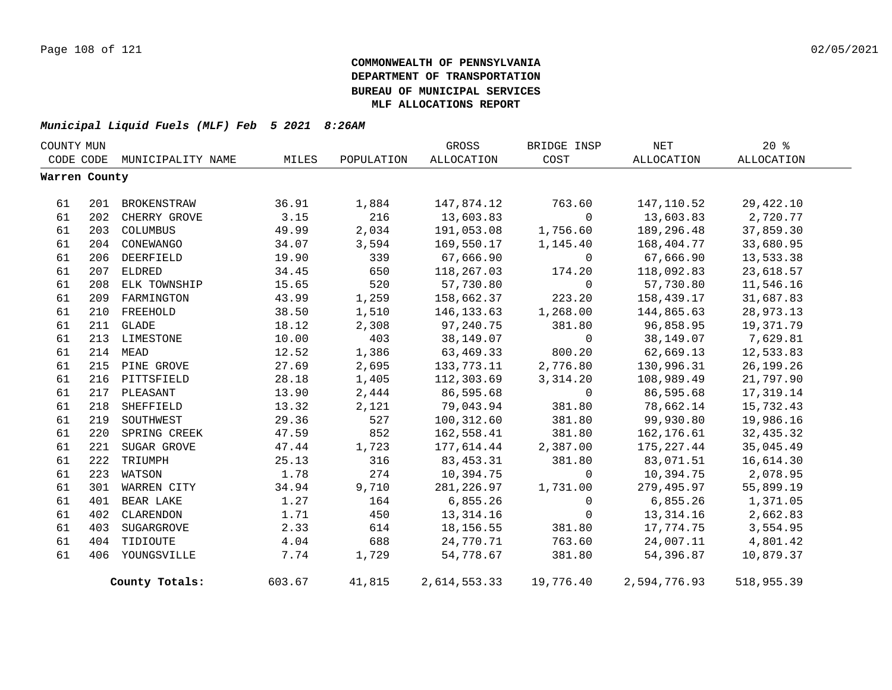| COUNTY MUN    |     |                             |        |            | GROSS        | BRIDGE INSP    | NET          | $20*$      |
|---------------|-----|-----------------------------|--------|------------|--------------|----------------|--------------|------------|
|               |     | CODE CODE MUNICIPALITY NAME | MILES  | POPULATION | ALLOCATION   | COST           | ALLOCATION   | ALLOCATION |
| Warren County |     |                             |        |            |              |                |              |            |
| 61            |     | 201 BROKENSTRAW             | 36.91  | 1,884      | 147,874.12   | 763.60         | 147,110.52   | 29,422.10  |
| 61            |     | 202 CHERRY GROVE            | 3.15   | 216        | 13,603.83    | $\mathbf 0$    | 13,603.83    | 2,720.77   |
| 61            |     | 203 COLUMBUS                | 49.99  | 2,034      | 191,053.08   | 1,756.60       | 189,296.48   | 37,859.30  |
| 61            |     | 204 CONEWANGO               | 34.07  | 3,594      | 169,550.17   | 1,145.40       | 168,404.77   | 33,680.95  |
| 61            | 206 | DEERFIELD                   | 19.90  | 339        | 67,666.90    | $\overline{0}$ | 67,666.90    | 13,533.38  |
| 61            |     | 207 ELDRED                  | 34.45  | 650        | 118,267.03   | 174.20         | 118,092.83   | 23,618.57  |
| 61            | 208 | ELK TOWNSHIP                | 15.65  | 520        | 57,730.80    | $\overline{0}$ | 57,730.80    | 11,546.16  |
| 61            | 209 | FARMINGTON                  | 43.99  | 1,259      | 158,662.37   | 223.20         | 158,439.17   | 31,687.83  |
| 61            | 210 | FREEHOLD                    | 38.50  | 1,510      | 146,133.63   | 1,268.00       | 144,865.63   | 28,973.13  |
| 61            |     | 211 GLADE                   | 18.12  | 2,308      | 97,240.75    | 381.80         | 96,858.95    | 19,371.79  |
| 61            |     | 213 LIMESTONE               | 10.00  | 403        | 38,149.07    | $\overline{0}$ | 38,149.07    | 7,629.81   |
| 61            | 214 | MEAD                        | 12.52  | 1,386      | 63,469.33    | 800.20         | 62,669.13    | 12,533.83  |
| 61            |     | 215 PINE GROVE              | 27.69  | 2,695      | 133,773.11   | 2,776.80       | 130,996.31   | 26,199.26  |
| 61            |     | 216 PITTSFIELD              | 28.18  | 1,405      | 112,303.69   | 3,314.20       | 108,989.49   | 21,797.90  |
| 61            |     | 217 PLEASANT                | 13.90  | 2,444      | 86,595.68    | $\overline{0}$ | 86,595.68    | 17,319.14  |
| 61            | 218 | SHEFFIELD                   | 13.32  | 2,121      | 79,043.94    | 381.80         | 78,662.14    | 15,732.43  |
| 61            | 219 | SOUTHWEST                   | 29.36  | 527        | 100,312.60   | 381.80         | 99,930.80    | 19,986.16  |
| 61            | 220 | SPRING CREEK                | 47.59  | 852        | 162,558.41   | 381.80         | 162,176.61   | 32,435.32  |
| 61            | 221 | SUGAR GROVE                 | 47.44  | 1,723      | 177,614.44   | 2,387.00       | 175, 227.44  | 35,045.49  |
| 61            | 222 | TRIUMPH                     | 25.13  | 316        | 83,453.31    | 381.80         | 83,071.51    | 16,614.30  |
| 61            | 223 | WATSON                      | 1.78   | 274        | 10,394.75    | $\overline{0}$ | 10,394.75    | 2,078.95   |
| 61            | 301 | WARREN CITY                 | 34.94  | 9,710      | 281,226.97   | 1,731.00       | 279,495.97   | 55,899.19  |
| 61            | 401 | BEAR LAKE                   | 1.27   | 164        | 6,855.26     | $\overline{0}$ | 6,855.26     | 1,371.05   |
| 61            | 402 | CLARENDON                   | 1.71   | 450        | 13, 314. 16  | $\overline{0}$ | 13,314.16    | 2,662.83   |
| 61            | 403 | SUGARGROVE                  | 2.33   | 614        | 18, 156.55   | 381.80         | 17,774.75    | 3,554.95   |
| 61            | 404 | TIDIOUTE                    | 4.04   | 688        | 24,770.71    | 763.60         | 24,007.11    | 4,801.42   |
| 61            | 406 | YOUNGSVILLE                 | 7.74   | 1,729      | 54,778.67    | 381.80         | 54,396.87    | 10,879.37  |
|               |     | County Totals:              | 603.67 | 41,815     | 2,614,553.33 | 19,776.40      | 2,594,776.93 | 518,955.39 |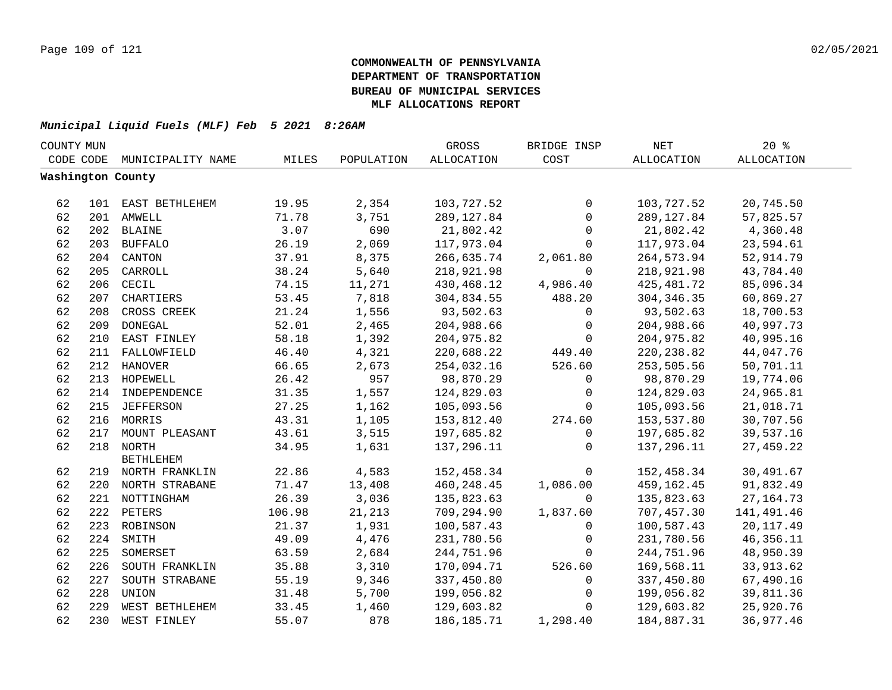| COUNTY MUN |     |                    |        |            | GROSS             | BRIDGE INSP  | <b>NET</b>   | $20*$             |  |
|------------|-----|--------------------|--------|------------|-------------------|--------------|--------------|-------------------|--|
| CODE CODE  |     | MUNICIPALITY NAME  | MILES  | POPULATION | <b>ALLOCATION</b> | COST         | ALLOCATION   | <b>ALLOCATION</b> |  |
|            |     | Washington County  |        |            |                   |              |              |                   |  |
|            |     |                    |        |            |                   |              |              |                   |  |
| 62         |     | 101 EAST BETHLEHEM | 19.95  | 2,354      | 103,727.52        | $\mathbf 0$  | 103,727.52   | 20,745.50         |  |
| 62         |     | 201 AMWELL         | 71.78  | 3,751      | 289, 127.84       | 0            | 289, 127.84  | 57,825.57         |  |
| 62         |     | 202 BLAINE         | 3.07   | 690        | 21,802.42         | $\mathsf{O}$ | 21,802.42    | 4,360.48          |  |
| 62         |     | 203 BUFFALO        | 26.19  | 2,069      | 117,973.04        | $\mathbf 0$  | 117,973.04   | 23,594.61         |  |
| 62         |     | 204 CANTON         | 37.91  | 8,375      | 266,635.74        | 2,061.80     | 264, 573.94  | 52,914.79         |  |
| 62         | 205 | CARROLL            | 38.24  | 5,640      | 218,921.98        | $\Omega$     | 218,921.98   | 43,784.40         |  |
| 62         | 206 | CECIL              | 74.15  | 11,271     | 430,468.12        | 4,986.40     | 425, 481.72  | 85,096.34         |  |
| 62         | 207 | CHARTIERS          | 53.45  | 7,818      | 304,834.55        | 488.20       | 304, 346.35  | 60,869.27         |  |
| 62         | 208 | CROSS CREEK        | 21.24  | 1,556      | 93,502.63         | $\mathbf 0$  | 93,502.63    | 18,700.53         |  |
| 62         | 209 | <b>DONEGAL</b>     | 52.01  | 2,465      | 204,988.66        | $\mathbf 0$  | 204,988.66   | 40,997.73         |  |
| 62         | 210 | EAST FINLEY        | 58.18  | 1,392      | 204,975.82        | $\mathbf 0$  | 204,975.82   | 40,995.16         |  |
| 62         | 211 | FALLOWFIELD        | 46.40  | 4,321      | 220,688.22        | 449.40       | 220, 238.82  | 44,047.76         |  |
| 62         |     | 212 HANOVER        | 66.65  | 2,673      | 254,032.16        | 526.60       | 253,505.56   | 50,701.11         |  |
| 62         |     | 213 HOPEWELL       | 26.42  | 957        | 98,870.29         | 0            | 98,870.29    | 19,774.06         |  |
| 62         |     | 214 INDEPENDENCE   | 31.35  | 1,557      | 124,829.03        | 0            | 124,829.03   | 24,965.81         |  |
| 62         |     | 215 JEFFERSON      | 27.25  | 1,162      | 105,093.56        | $\mathbf 0$  | 105,093.56   | 21,018.71         |  |
| 62         |     | 216 MORRIS         | 43.31  | 1,105      | 153,812.40        | 274.60       | 153,537.80   | 30,707.56         |  |
| 62         | 217 | MOUNT PLEASANT     | 43.61  | 3,515      | 197,685.82        | $\mathbf 0$  | 197,685.82   | 39,537.16         |  |
| 62         |     | 218 NORTH          | 34.95  | 1,631      | 137,296.11        | $\Omega$     | 137,296.11   | 27,459.22         |  |
|            |     | <b>BETHLEHEM</b>   |        |            |                   |              |              |                   |  |
| 62         |     | 219 NORTH FRANKLIN | 22.86  | 4,583      | 152,458.34        | $\mathbf 0$  | 152,458.34   | 30,491.67         |  |
| 62         |     | 220 NORTH STRABANE | 71.47  | 13,408     | 460, 248.45       | 1,086.00     | 459, 162. 45 | 91,832.49         |  |
| 62         |     | 221 NOTTINGHAM     | 26.39  | 3,036      | 135,823.63        | $\Omega$     | 135,823.63   | 27, 164. 73       |  |
| 62         |     | 222 PETERS         | 106.98 | 21,213     | 709,294.90        | 1,837.60     | 707,457.30   | 141,491.46        |  |
| 62         |     | 223 ROBINSON       | 21.37  | 1,931      | 100,587.43        | $\mathbf 0$  | 100,587.43   | 20, 117.49        |  |
| 62         | 224 | SMITH              | 49.09  | 4,476      | 231,780.56        | $\mathbf 0$  | 231,780.56   | 46, 356. 11       |  |
| 62         | 225 | SOMERSET           | 63.59  | 2,684      | 244,751.96        | $\Omega$     | 244,751.96   | 48,950.39         |  |
| 62         | 226 | SOUTH FRANKLIN     | 35.88  | 3,310      | 170,094.71        | 526.60       | 169,568.11   | 33,913.62         |  |
| 62         | 227 | SOUTH STRABANE     | 55.19  | 9,346      | 337,450.80        | 0            | 337,450.80   | 67,490.16         |  |
| 62         | 228 | UNION              | 31.48  | 5,700      | 199,056.82        | $\mathbf 0$  | 199,056.82   | 39,811.36         |  |
| 62         | 229 | WEST BETHLEHEM     | 33.45  | 1,460      | 129,603.82        | $\Omega$     | 129,603.82   | 25,920.76         |  |
| 62         | 230 | WEST FINLEY        | 55.07  | 878        | 186, 185. 71      | 1,298.40     | 184,887.31   | 36,977.46         |  |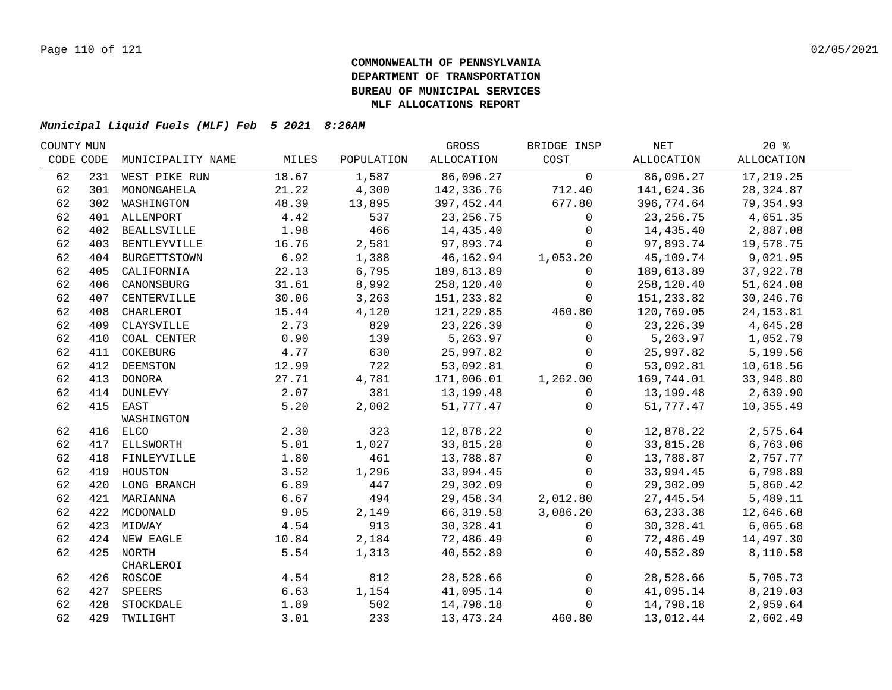| COUNTY MUN |     |                   |       |            | GROSS       | BRIDGE INSP    | NET         | $20*$      |
|------------|-----|-------------------|-------|------------|-------------|----------------|-------------|------------|
| CODE CODE  |     | MUNICIPALITY NAME | MILES | POPULATION | ALLOCATION  | COST           | ALLOCATION  | ALLOCATION |
| 62         |     | 231 WEST PIKE RUN | 18.67 | 1,587      | 86,096.27   | $\mathbf 0$    | 86,096.27   | 17,219.25  |
| 62         | 301 | MONONGAHELA       | 21.22 | 4,300      | 142,336.76  | 712.40         | 141,624.36  | 28, 324.87 |
| 62         | 302 | WASHINGTON        | 48.39 | 13,895     | 397,452.44  | 677.80         | 396,774.64  | 79,354.93  |
| 62         |     | 401 ALLENPORT     | 4.42  | 537        | 23, 256. 75 | $\mathbf 0$    | 23, 256. 75 | 4,651.35   |
| 62         |     | 402 BEALLSVILLE   | 1.98  | 466        | 14,435.40   | $\mathbf 0$    | 14,435.40   | 2,887.08   |
| 62         |     | 403 BENTLEYVILLE  | 16.76 | 2,581      | 97,893.74   | $\mathbf 0$    | 97,893.74   | 19,578.75  |
| 62         |     | 404 BURGETTSTOWN  | 6.92  | 1,388      | 46,162.94   | 1,053.20       | 45,109.74   | 9,021.95   |
| 62         | 405 | CALIFORNIA        | 22.13 | 6,795      | 189,613.89  | 0              | 189,613.89  | 37,922.78  |
| 62         | 406 | CANONSBURG        | 31.61 | 8,992      | 258,120.40  | $\mathbf 0$    | 258,120.40  | 51,624.08  |
| 62         | 407 | CENTERVILLE       | 30.06 | 3,263      | 151,233.82  | $\Omega$       | 151,233.82  | 30, 246.76 |
| 62         | 408 | CHARLEROI         | 15.44 | 4,120      | 121,229.85  | 460.80         | 120,769.05  | 24, 153.81 |
| 62         | 409 | CLAYSVILLE        | 2.73  | 829        | 23, 226.39  | $\Omega$       | 23, 226.39  | 4,645.28   |
| 62         | 410 | COAL CENTER       | 0.90  | 139        | 5,263.97    | $\mathbf 0$    | 5,263.97    | 1,052.79   |
| 62         | 411 | COKEBURG          | 4.77  | 630        | 25,997.82   | $\Omega$       | 25,997.82   | 5,199.56   |
| 62         | 412 | DEEMSTON          | 12.99 | 722        | 53,092.81   | $\Omega$       | 53,092.81   | 10,618.56  |
| 62         |     | 413 DONORA        | 27.71 | 4,781      | 171,006.01  | 1,262.00       | 169,744.01  | 33,948.80  |
| 62         |     | 414 DUNLEVY       | 2.07  | 381        | 13,199.48   | $\mathbf 0$    | 13,199.48   | 2,639.90   |
| 62         |     | 415 EAST          | 5.20  | 2,002      | 51,777.47   | 0              | 51,777.47   | 10,355.49  |
|            |     | WASHINGTON        |       |            |             |                |             |            |
| 62         |     | 416 ELCO          | 2.30  | 323        | 12,878.22   | $\mathbf 0$    | 12,878.22   | 2,575.64   |
| 62         |     | 417 ELLSWORTH     | 5.01  | 1,027      | 33,815.28   | $\mathbf 0$    | 33,815.28   | 6,763.06   |
| 62         |     | 418 FINLEYVILLE   | 1.80  | 461        | 13,788.87   | $\mathbf 0$    | 13,788.87   | 2,757.77   |
| 62         |     | 419 HOUSTON       | 3.52  | 1,296      | 33,994.45   | $\mathbf 0$    | 33,994.45   | 6,798.89   |
| 62         |     | 420 LONG BRANCH   | 6.89  | 447        | 29,302.09   | $\mathbf 0$    | 29,302.09   | 5,860.42   |
| 62         |     | 421 MARIANNA      | 6.67  | 494        | 29,458.34   | 2,012.80       | 27,445.54   | 5,489.11   |
| 62         |     | 422 MCDONALD      | 9.05  | 2,149      | 66, 319.58  | 3,086.20       | 63, 233. 38 | 12,646.68  |
| 62         |     | 423 MIDWAY        | 4.54  | 913        | 30,328.41   | $\mathbf{0}$   | 30,328.41   | 6,065.68   |
| 62         |     | 424 NEW EAGLE     | 10.84 | 2,184      | 72,486.49   | $\mathbf 0$    | 72,486.49   | 14,497.30  |
| 62         |     | 425 NORTH         | 5.54  | 1,313      | 40,552.89   | $\mathbf 0$    | 40,552.89   | 8,110.58   |
|            |     | CHARLEROI         |       |            |             |                |             |            |
| 62         |     | 426 ROSCOE        | 4.54  | 812        | 28,528.66   | $\overline{0}$ | 28,528.66   | 5,705.73   |
| 62         | 427 | SPEERS            | 6.63  | 1,154      | 41,095.14   | $\overline{0}$ | 41,095.14   | 8,219.03   |
| 62         | 428 | STOCKDALE         | 1.89  | 502        | 14,798.18   | $\mathbf 0$    | 14,798.18   | 2,959.64   |
| 62         |     | 429 TWILIGHT      | 3.01  | 233        | 13, 473. 24 | 460.80         | 13,012.44   | 2,602.49   |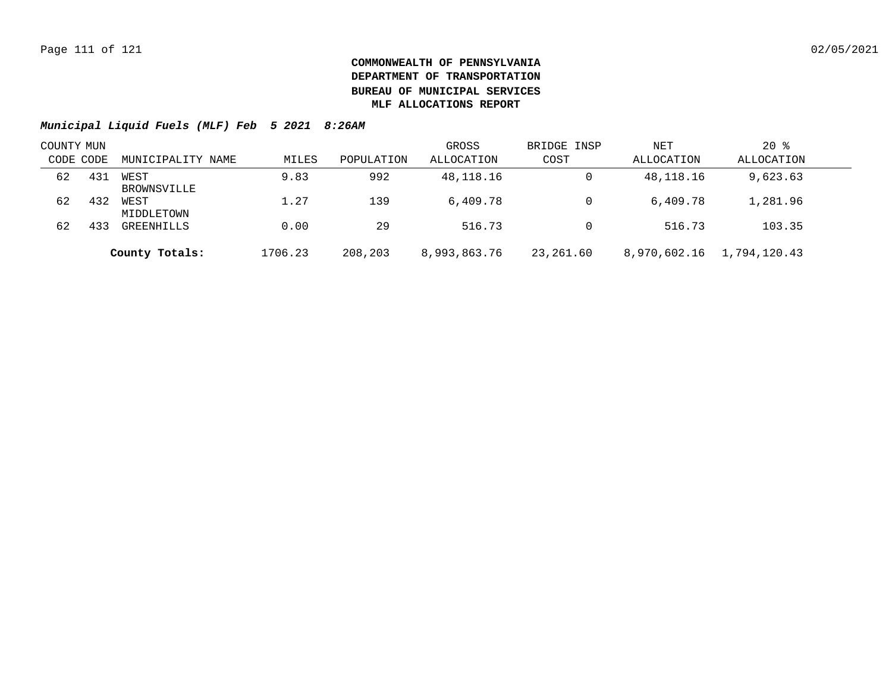| COUNTY MUN |     |                     |         |            | GROSS        | BRIDGE INSP | NET          | $20$ %       |  |
|------------|-----|---------------------|---------|------------|--------------|-------------|--------------|--------------|--|
| CODE CODE  |     | MUNICIPALITY NAME   | MILES   | POPULATION | ALLOCATION   | COST        | ALLOCATION   | ALLOCATION   |  |
| 62         | 431 | WEST<br>BROWNSVILLE | 9.83    | 992        | 48,118.16    | 0           | 48,118.16    | 9,623.63     |  |
| 62         | 432 | WEST<br>MIDDLETOWN  | 1.27    | 139        | 6.409.78     |             | 6,409.78     | 1,281.96     |  |
| 62         | 433 | GREENHILLS          | 0.00    | 29         | 516.73       |             | 516.73       | 103.35       |  |
|            |     | County Totals:      | 1706.23 | 208,203    | 8,993,863.76 | 23,261.60   | 8,970,602.16 | 1,794,120.43 |  |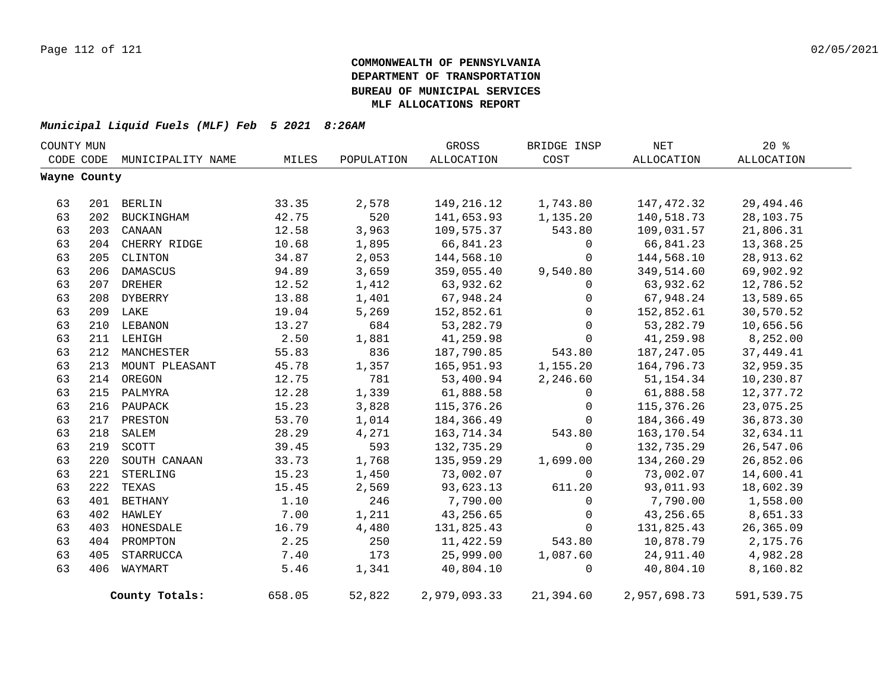| COUNTY MUN |              |                   |        |            | GROSS        | BRIDGE INSP | <b>NET</b>   | $20*$      |  |
|------------|--------------|-------------------|--------|------------|--------------|-------------|--------------|------------|--|
|            | CODE CODE    | MUNICIPALITY NAME | MILES  | POPULATION | ALLOCATION   | COST        | ALLOCATION   | ALLOCATION |  |
|            | Wayne County |                   |        |            |              |             |              |            |  |
|            |              |                   |        |            |              |             |              |            |  |
| 63         |              | 201 BERLIN        | 33.35  | 2,578      | 149,216.12   | 1,743.80    | 147,472.32   | 29, 494.46 |  |
| 63         | 202          | BUCKINGHAM        | 42.75  | 520        | 141,653.93   | 1,135.20    | 140,518.73   | 28,103.75  |  |
| 63         | 203          | CANAAN            | 12.58  | 3,963      | 109,575.37   | 543.80      | 109,031.57   | 21,806.31  |  |
| 63         | 204          | CHERRY RIDGE      | 10.68  | 1,895      | 66,841.23    | $\mathbf 0$ | 66,841.23    | 13,368.25  |  |
| 63         | 205          | CLINTON           | 34.87  | 2,053      | 144,568.10   | $\mathbf 0$ | 144,568.10   | 28,913.62  |  |
| 63         | 206          | DAMASCUS          | 94.89  | 3,659      | 359,055.40   | 9,540.80    | 349,514.60   | 69,902.92  |  |
| 63         | 207          | DREHER            | 12.52  | 1,412      | 63,932.62    | 0           | 63,932.62    | 12,786.52  |  |
| 63         |              | 208 DYBERRY       | 13.88  | 1,401      | 67,948.24    | 0           | 67,948.24    | 13,589.65  |  |
| 63         |              | 209 LAKE          | 19.04  | 5,269      | 152,852.61   | 0           | 152,852.61   | 30,570.52  |  |
| 63         | 210          | LEBANON           | 13.27  | 684        | 53, 282. 79  | $\mathbf 0$ | 53, 282. 79  | 10,656.56  |  |
| 63         |              | 211 LEHIGH        | 2.50   | 1,881      | 41,259.98    | 0           | 41,259.98    | 8,252.00   |  |
| 63         | 212          | MANCHESTER        | 55.83  | 836        | 187,790.85   | 543.80      | 187, 247.05  | 37, 449.41 |  |
| 63         | 213          | MOUNT PLEASANT    | 45.78  | 1,357      | 165,951.93   | 1,155.20    | 164,796.73   | 32,959.35  |  |
| 63         |              | 214 OREGON        | 12.75  | 781        | 53,400.94    | 2,246.60    | 51, 154.34   | 10,230.87  |  |
| 63         |              | 215 PALMYRA       | 12.28  | 1,339      | 61,888.58    | 0           | 61,888.58    | 12,377.72  |  |
| 63         | 216          | PAUPACK           | 15.23  | 3,828      | 115,376.26   | 0           | 115,376.26   | 23,075.25  |  |
| 63         | 217          | PRESTON           | 53.70  | 1,014      | 184,366.49   | $\mathbf 0$ | 184,366.49   | 36,873.30  |  |
| 63         | 218          | SALEM             | 28.29  | 4,271      | 163,714.34   | 543.80      | 163,170.54   | 32,634.11  |  |
| 63         | 219          | SCOTT             | 39.45  | 593        | 132,735.29   | $\mathbf 0$ | 132,735.29   | 26,547.06  |  |
| 63         | 220          | SOUTH CANAAN      | 33.73  | 1,768      | 135,959.29   | 1,699.00    | 134,260.29   | 26,852.06  |  |
| 63         | 221          | STERLING          | 15.23  | 1,450      | 73,002.07    | $\mathbf 0$ | 73,002.07    | 14,600.41  |  |
| 63         | 222          | TEXAS             | 15.45  | 2,569      | 93,623.13    | 611.20      | 93,011.93    | 18,602.39  |  |
| 63         | 401          | BETHANY           | 1.10   | 246        | 7,790.00     | $\mathbf 0$ | 7,790.00     | 1,558.00   |  |
| 63         | 402          | HAWLEY            | 7.00   | 1,211      | 43,256.65    | 0           | 43,256.65    | 8,651.33   |  |
| 63         | 403          | HONESDALE         | 16.79  | 4,480      | 131,825.43   | $\mathbf 0$ | 131,825.43   | 26,365.09  |  |
| 63         | 404          | PROMPTON          | 2.25   | 250        | 11,422.59    | 543.80      | 10,878.79    | 2,175.76   |  |
| 63         | 405          | STARRUCCA         | 7.40   | 173        | 25,999.00    | 1,087.60    | 24,911.40    | 4,982.28   |  |
| 63         | 406          | WAYMART           | 5.46   | 1,341      | 40,804.10    | 0           | 40,804.10    | 8,160.82   |  |
|            |              | County Totals:    | 658.05 | 52,822     | 2,979,093.33 | 21,394.60   | 2,957,698.73 | 591,539.75 |  |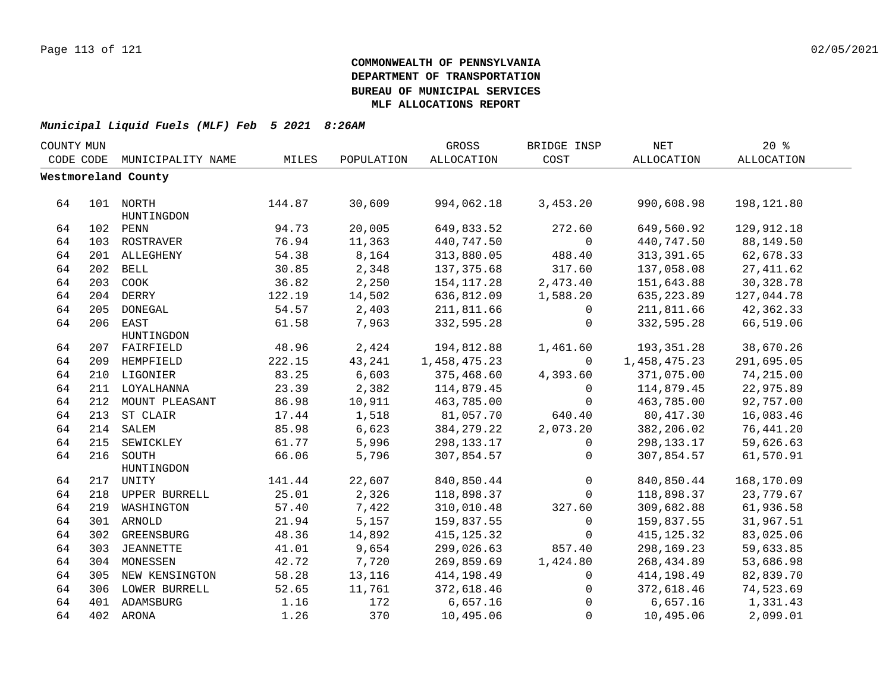| COUNTY MUN |     |                     |        |            | GROSS        | BRIDGE INSP  | NET          | 20%        |  |
|------------|-----|---------------------|--------|------------|--------------|--------------|--------------|------------|--|
| CODE CODE  |     | MUNICIPALITY NAME   | MILES  | POPULATION | ALLOCATION   | COST         | ALLOCATION   | ALLOCATION |  |
|            |     | Westmoreland County |        |            |              |              |              |            |  |
|            |     |                     |        |            |              |              |              |            |  |
| 64         |     | 101 NORTH           | 144.87 | 30,609     | 994,062.18   | 3,453.20     | 990,608.98   | 198,121.80 |  |
|            |     | HUNTINGDON          |        |            |              |              |              |            |  |
| 64         |     | 102 PENN            | 94.73  | 20,005     | 649,833.52   | 272.60       | 649,560.92   | 129,912.18 |  |
| 64         |     | 103 ROSTRAVER       | 76.94  | 11,363     | 440,747.50   | $\mathsf{O}$ | 440,747.50   | 88,149.50  |  |
| 64         |     | 201 ALLEGHENY       | 54.38  | 8,164      | 313,880.05   | 488.40       | 313, 391.65  | 62,678.33  |  |
| 64         |     | 202 BELL            | 30.85  | 2,348      | 137,375.68   | 317.60       | 137,058.08   | 27, 411.62 |  |
| 64         | 203 | COOK                | 36.82  | 2,250      | 154, 117.28  | 2,473.40     | 151,643.88   | 30, 328.78 |  |
| 64         |     | 204 DERRY           | 122.19 | 14,502     | 636,812.09   | 1,588.20     | 635,223.89   | 127,044.78 |  |
| 64         | 205 | DONEGAL             | 54.57  | 2,403      | 211,811.66   | $\Omega$     | 211,811.66   | 42,362.33  |  |
| 64         |     | 206 EAST            | 61.58  | 7,963      | 332,595.28   | $\mathbf 0$  | 332,595.28   | 66,519.06  |  |
|            |     | HUNTINGDON          |        |            |              |              |              |            |  |
| 64         |     | 207 FAIRFIELD       | 48.96  | 2,424      | 194,812.88   | 1,461.60     | 193,351.28   | 38,670.26  |  |
| 64         |     | 209 HEMPFIELD       | 222.15 | 43,241     | 1,458,475.23 | $\Omega$     | 1,458,475.23 | 291,695.05 |  |
| 64         |     | 210 LIGONIER        | 83.25  | 6,603      | 375,468.60   | 4,393.60     | 371,075.00   | 74,215.00  |  |
| 64         |     | 211 LOYALHANNA      | 23.39  | 2,382      | 114,879.45   | $\mathbf 0$  | 114,879.45   | 22,975.89  |  |
| 64         |     | 212 MOUNT PLEASANT  | 86.98  | 10,911     | 463,785.00   | $\mathbf 0$  | 463,785.00   | 92,757.00  |  |
| 64         |     | 213 ST CLAIR        | 17.44  | 1,518      | 81,057.70    | 640.40       | 80,417.30    | 16,083.46  |  |
| 64         |     | 214 SALEM           | 85.98  | 6,623      | 384, 279. 22 | 2,073.20     | 382,206.02   | 76,441.20  |  |
| 64         |     | 215 SEWICKLEY       | 61.77  | 5,996      | 298,133.17   | 0            | 298,133.17   | 59,626.63  |  |
| 64         |     | 216 SOUTH           | 66.06  | 5,796      | 307,854.57   | $\mathbf 0$  | 307,854.57   | 61,570.91  |  |
|            |     | HUNTINGDON          |        |            |              |              |              |            |  |
| 64         |     | 217 UNITY           | 141.44 | 22,607     | 840,850.44   | $\mathsf 0$  | 840,850.44   | 168,170.09 |  |
| 64         |     | 218 UPPER BURRELL   | 25.01  | 2,326      | 118,898.37   | $\Omega$     | 118,898.37   | 23,779.67  |  |
| 64         |     | 219 WASHINGTON      | 57.40  | 7,422      | 310,010.48   | 327.60       | 309,682.88   | 61,936.58  |  |
| 64         |     | 301 ARNOLD          | 21.94  | 5,157      | 159,837.55   | $\mathbf 0$  | 159,837.55   | 31,967.51  |  |
| 64         |     | 302 GREENSBURG      | 48.36  | 14,892     | 415, 125.32  | $\mathbf 0$  | 415, 125.32  | 83,025.06  |  |
| 64         |     | 303 JEANNETTE       | 41.01  | 9,654      | 299,026.63   | 857.40       | 298,169.23   | 59,633.85  |  |
| 64         |     | 304 MONESSEN        | 42.72  | 7,720      | 269,859.69   | 1,424.80     | 268,434.89   | 53,686.98  |  |
| 64         |     | 305 NEW KENSINGTON  | 58.28  | 13,116     | 414,198.49   | $\mathbf 0$  | 414,198.49   | 82,839.70  |  |
| 64         |     | 306 LOWER BURRELL   | 52.65  | 11,761     | 372,618.46   | 0            | 372,618.46   | 74,523.69  |  |
| 64         |     | 401 ADAMSBURG       | 1.16   | 172        | 6,657.16     | $\mathbf 0$  | 6,657.16     | 1,331.43   |  |
| 64         |     | 402 ARONA           | 1.26   | 370        | 10,495.06    | $\mathbf 0$  | 10,495.06    | 2,099.01   |  |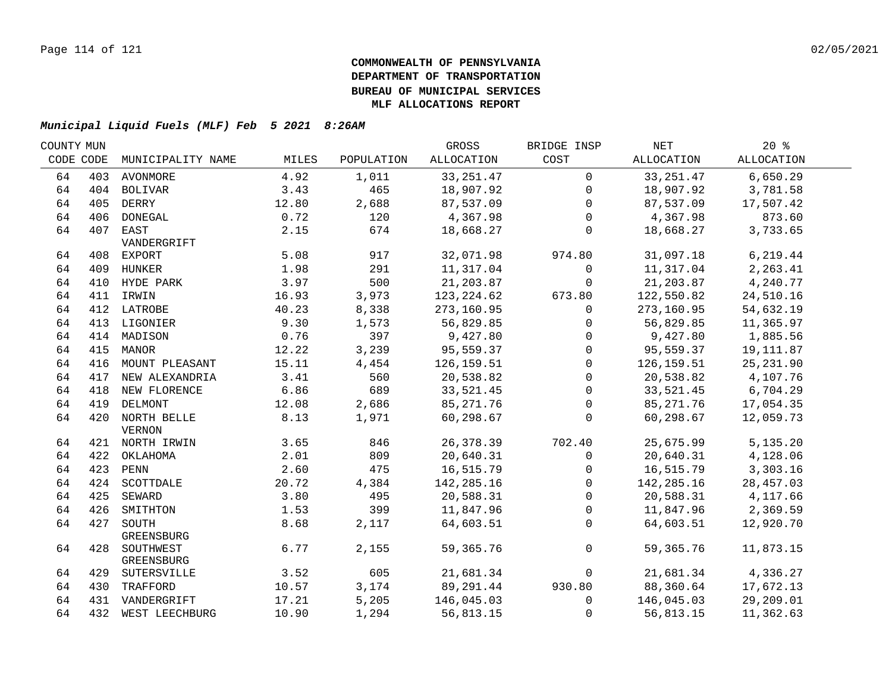| COUNTY MUN |           |                    |       |            | GROSS      | BRIDGE INSP  | NET        | $20*$              |  |
|------------|-----------|--------------------|-------|------------|------------|--------------|------------|--------------------|--|
|            | CODE CODE | MUNICIPALITY NAME  | MILES | POPULATION | ALLOCATION | COST         | ALLOCATION | ALLOCATION         |  |
| 64         |           | 403 AVONMORE       | 4.92  | 1,011      | 33, 251.47 | $\mathbf 0$  | 33, 251.47 | 6,650.29           |  |
| 64         |           | 404 BOLIVAR        | 3.43  | 465        | 18,907.92  | $\mathbf{0}$ | 18,907.92  | 3,781.58           |  |
| 64         |           | 405 DERRY          | 12.80 | 2,688      | 87,537.09  | $\Omega$     | 87,537.09  | 17,507.42          |  |
| 64         |           | 406 DONEGAL        | 0.72  | 120        | 4,367.98   | $\mathbf 0$  | 4,367.98   | 873.60             |  |
| 64         |           | 407 EAST           | 2.15  | 674        | 18,668.27  | 0            | 18,668.27  | 3,733.65           |  |
|            |           | VANDERGRIFT        |       |            |            |              |            |                    |  |
| 64         |           | 408 EXPORT         | 5.08  | 917        | 32,071.98  | 974.80       | 31,097.18  | 6,219.44           |  |
| 64         |           | 409 HUNKER         | 1.98  | 291        | 11,317.04  | 0            | 11,317.04  | 2,263.41           |  |
| 64         |           | 410 HYDE PARK      | 3.97  | 500        | 21,203.87  | $\mathbf 0$  | 21,203.87  | 4,240.77           |  |
| 64         |           | 411 IRWIN          | 16.93 | 3,973      | 123,224.62 | 673.80       | 122,550.82 | 24,510.16          |  |
| 64         |           | 412 LATROBE        | 40.23 | 8,338      | 273,160.95 | $\mathbf 0$  | 273,160.95 | 54,632.19          |  |
| 64         |           | 413 LIGONIER       | 9.30  | 1,573      | 56,829.85  | $\Omega$     | 56,829.85  | 11,365.97          |  |
| 64         |           | 414 MADISON        | 0.76  | 397        | 9,427.80   | $\Omega$     | 9,427.80   | 1,885.56           |  |
| 64         | 415       | MANOR              | 12.22 | 3,239      | 95,559.37  | $\mathbf 0$  | 95,559.37  | 19,111.87          |  |
| 64         | 416       | MOUNT PLEASANT     | 15.11 | 4,454      | 126,159.51 | $\mathbf{0}$ | 126,159.51 | 25, 231.90         |  |
| 64         | 417       | NEW ALEXANDRIA     | 3.41  | 560        | 20,538.82  | $\Omega$     | 20,538.82  | 4,107.76           |  |
| 64         |           | 418 NEW FLORENCE   | 6.86  | 689        | 33,521.45  | $\mathbf 0$  | 33,521.45  | 6,704.29           |  |
| 64         |           | 419 DELMONT        | 12.08 | 2,686      | 85, 271.76 | $\mathbf 0$  | 85, 271.76 | 17,054.35          |  |
| 64         |           | 420 NORTH BELLE    | 8.13  | 1,971      | 60,298.67  | $\mathbf{0}$ | 60,298.67  | 12,059.73          |  |
|            |           | <b>VERNON</b>      |       |            |            |              |            |                    |  |
| 64         |           | 421 NORTH IRWIN    | 3.65  | 846        | 26,378.39  | 702.40       | 25,675.99  | 5,135.20           |  |
| 64         |           | 422 OKLAHOMA       | 2.01  | 809        | 20,640.31  | $\mathbf 0$  | 20,640.31  | 4,128.06           |  |
| 64         |           | 423 PENN           | 2.60  | 475        | 16,515.79  | $\mathbf 0$  | 16,515.79  | 3,303.16           |  |
| 64         |           | 424 SCOTTDALE      | 20.72 | 4,384      | 142,285.16 | $\mathbf 0$  | 142,285.16 | 28,457.03          |  |
| 64         |           | 425 SEWARD         | 3.80  | 495        | 20,588.31  | $\mathbf 0$  | 20,588.31  | 4,117.66           |  |
| 64         |           | 426 SMITHTON       | 1.53  | 399        | 11,847.96  | $\mathbf 0$  |            | 11,847.96 2,369.59 |  |
| 64         | 427       | SOUTH              | 8.68  | 2,117      | 64,603.51  | $\mathbf 0$  | 64,603.51  | 12,920.70          |  |
|            |           | GREENSBURG         |       |            |            |              |            |                    |  |
| 64         |           | 428 SOUTHWEST      | 6.77  | 2,155      | 59,365.76  | $\mathbf 0$  | 59,365.76  | 11,873.15          |  |
|            |           | GREENSBURG         |       |            |            |              |            |                    |  |
| 64         |           | 429 SUTERSVILLE    | 3.52  | 605        | 21,681.34  | $\mathbf 0$  | 21,681.34  | 4,336.27           |  |
| 64         |           | 430 TRAFFORD       | 10.57 | 3,174      | 89,291.44  | 930.80       | 88,360.64  | 17,672.13          |  |
| 64         |           | 431 VANDERGRIFT    | 17.21 | 5,205      | 146,045.03 | $\mathbf 0$  | 146,045.03 | 29,209.01          |  |
| 64         |           | 432 WEST LEECHBURG | 10.90 | 1,294      | 56,813.15  | $\mathbf{0}$ | 56,813.15  | 11,362.63          |  |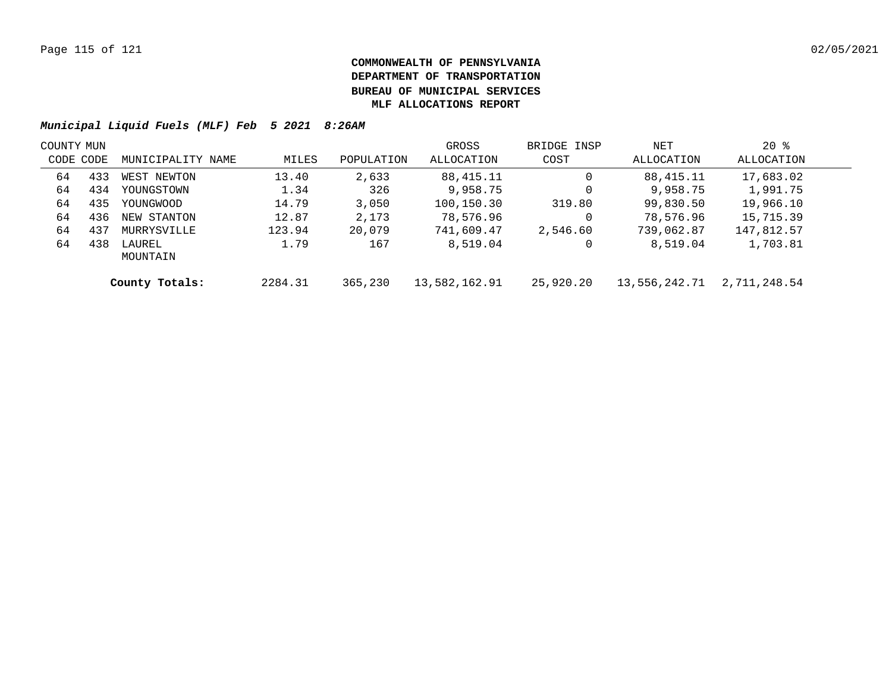| COUNTY MUN |     |                    |         |            | GROSS         | BRIDGE INSP | NET           | $20*$        |  |
|------------|-----|--------------------|---------|------------|---------------|-------------|---------------|--------------|--|
| CODE CODE  |     | MUNICIPALITY NAME  | MILES   | POPULATION | ALLOCATION    | COST        | ALLOCATION    | ALLOCATION   |  |
| 64         | 433 | WEST NEWTON        | 13.40   | 2,633      | 88,415.11     | 0           | 88,415.11     | 17,683.02    |  |
| 64         | 434 | YOUNGSTOWN         | 1.34    | 326        | 9,958.75      | 0           | 9,958.75      | 1,991.75     |  |
| 64         | 435 | YOUNGWOOD          | 14.79   | 3,050      | 100,150.30    | 319.80      | 99,830.50     | 19,966.10    |  |
| 64         | 436 | NEW STANTON        | 12.87   | 2,173      | 78,576.96     | 0           | 78,576.96     | 15,715.39    |  |
| 64         | 437 | MURRYSVILLE        | 123.94  | 20,079     | 741,609.47    | 2,546.60    | 739,062.87    | 147,812.57   |  |
| 64         | 438 | LAUREL<br>MOUNTAIN | 1.79    | 167        | 8,519.04      | 0           | 8,519.04      | 1,703.81     |  |
|            |     | County Totals:     | 2284.31 | 365,230    | 13,582,162.91 | 25,920.20   | 13,556,242.71 | 2,711,248.54 |  |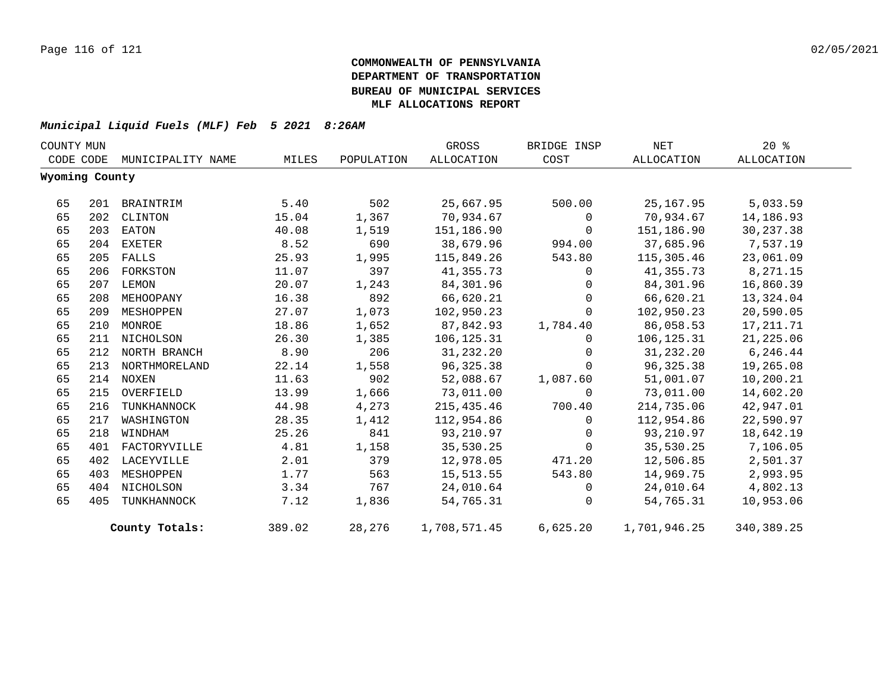| COUNTY MUN |                |                   |        |            | GROSS        | BRIDGE INSP  | NET          | $20*$        |
|------------|----------------|-------------------|--------|------------|--------------|--------------|--------------|--------------|
|            | CODE CODE      | MUNICIPALITY NAME | MILES  | POPULATION | ALLOCATION   | COST         | ALLOCATION   | ALLOCATION   |
|            | Wyoming County |                   |        |            |              |              |              |              |
| 65         | 201            | BRAINTRIM         | 5.40   | 502        | 25,667.95    | 500.00       | 25, 167.95   | 5,033.59     |
| 65         | 202            | CLINTON           | 15.04  | 1,367      | 70,934.67    | $\mathbf{0}$ | 70,934.67    | 14,186.93    |
| 65         | 203            | EATON             | 40.08  | 1,519      | 151,186.90   | $\Omega$     | 151,186.90   | 30,237.38    |
| 65         | 204            | EXETER            | 8.52   | 690        | 38,679.96    | 994.00       | 37,685.96    | 7,537.19     |
| 65         | 205            | FALLS             | 25.93  | 1,995      | 115,849.26   | 543.80       | 115,305.46   | 23,061.09    |
| 65         |                | 206 FORKSTON      | 11.07  | 397        | 41,355.73    | $\mathbf{0}$ | 41,355.73    | 8,271.15     |
| 65         | 207            | LEMON             | 20.07  | 1,243      | 84,301.96    | $\mathbf{0}$ | 84,301.96    | 16,860.39    |
| 65         | 208            | MEHOOPANY         | 16.38  | 892        | 66,620.21    | $\Omega$     | 66,620.21    | 13,324.04    |
| 65         | 209            | MESHOPPEN         | 27.07  | 1,073      | 102,950.23   | $\Omega$     | 102,950.23   | 20,590.05    |
| 65         | 210            | MONROE            | 18.86  | 1,652      | 87,842.93    | 1,784.40     | 86,058.53    | 17, 211.71   |
| 65         | 211            | NICHOLSON         | 26.30  | 1,385      | 106,125.31   | $\mathbf 0$  | 106,125.31   | 21,225.06    |
| 65         |                | 212 NORTH BRANCH  | 8.90   | 206        | 31,232.20    | $\Omega$     | 31,232.20    | 6,246.44     |
| 65         |                | 213 NORTHMORELAND | 22.14  | 1,558      | 96,325.38    | $\mathbf 0$  | 96,325.38    | 19,265.08    |
| 65         |                | 214 NOXEN         | 11.63  | 902        | 52,088.67    | 1,087.60     | 51,001.07    | 10,200.21    |
| 65         | 215            | OVERFIELD         | 13.99  | 1,666      | 73,011.00    | $\mathbf{0}$ | 73,011.00    | 14,602.20    |
| 65         | 216            | TUNKHANNOCK       | 44.98  | 4,273      | 215,435.46   | 700.40       | 214,735.06   | 42,947.01    |
| 65         | 217            | WASHINGTON        | 28.35  | 1,412      | 112,954.86   | $\Omega$     | 112,954.86   | 22,590.97    |
| 65         | 218            | WINDHAM           | 25.26  | 841        | 93,210.97    | $\mathbf{0}$ | 93,210.97    | 18,642.19    |
| 65         |                | 401 FACTORYVILLE  | 4.81   | 1,158      | 35,530.25    | $\Omega$     | 35,530.25    | 7,106.05     |
| 65         | 402            | LACEYVILLE        | 2.01   | 379        | 12,978.05    | 471.20       | 12,506.85    | 2,501.37     |
| 65         | 403            | MESHOPPEN         | 1.77   | 563        | 15,513.55    | 543.80       | 14,969.75    | 2,993.95     |
| 65         |                | 404 NICHOLSON     | 3.34   | 767        | 24,010.64    | $\mathbf 0$  | 24,010.64    | 4,802.13     |
| 65         | 405            | TUNKHANNOCK       | 7.12   | 1,836      | 54,765.31    | $\Omega$     | 54,765.31    | 10,953.06    |
|            |                | County Totals:    | 389.02 | 28,276     | 1,708,571.45 | 6,625.20     | 1,701,946.25 | 340, 389. 25 |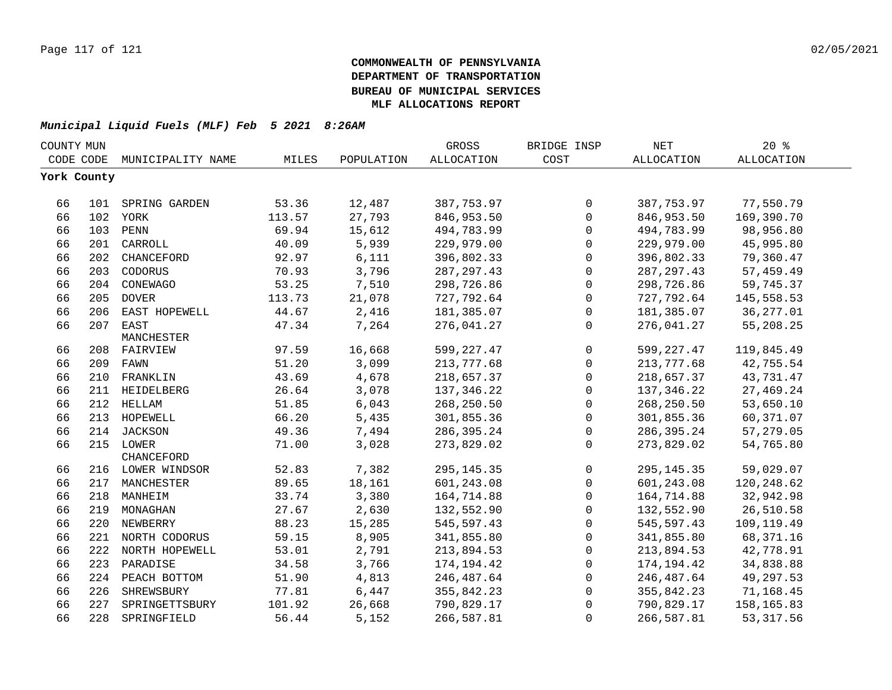| COUNTY MUN  |     |                    |        |            | GROSS        | BRIDGE INSP | <b>NET</b>   | $20*$             |  |
|-------------|-----|--------------------|--------|------------|--------------|-------------|--------------|-------------------|--|
| CODE CODE   |     | MUNICIPALITY NAME  | MILES  | POPULATION | ALLOCATION   | COST        | ALLOCATION   | <b>ALLOCATION</b> |  |
| York County |     |                    |        |            |              |             |              |                   |  |
|             |     |                    |        |            |              |             |              |                   |  |
| 66          |     | 101 SPRING GARDEN  | 53.36  | 12,487     | 387,753.97   | 0           | 387,753.97   | 77,550.79         |  |
| 66          |     | 102 YORK           | 113.57 | 27,793     | 846,953.50   | 0           | 846,953.50   | 169,390.70        |  |
| 66          |     | 103 PENN           | 69.94  | 15,612     | 494,783.99   | 0           | 494,783.99   | 98,956.80         |  |
| 66          | 201 | CARROLL            | 40.09  | 5,939      | 229,979.00   | 0           | 229,979.00   | 45,995.80         |  |
| 66          | 202 | CHANCEFORD         | 92.97  | 6,111      | 396,802.33   | 0           | 396,802.33   | 79,360.47         |  |
| 66          | 203 | CODORUS            | 70.93  | 3,796      | 287, 297.43  | $\mathbf 0$ | 287, 297.43  | 57,459.49         |  |
| 66          | 204 | CONEWAGO           | 53.25  | 7,510      | 298,726.86   | $\mathbf 0$ | 298,726.86   | 59,745.37         |  |
| 66          | 205 | <b>DOVER</b>       | 113.73 | 21,078     | 727,792.64   | 0           | 727,792.64   | 145,558.53        |  |
| 66          | 206 | EAST HOPEWELL      | 44.67  | 2,416      | 181,385.07   | $\mathbf 0$ | 181,385.07   | 36, 277.01        |  |
| 66          | 207 | EAST               | 47.34  | 7,264      | 276,041.27   | 0           | 276,041.27   | 55,208.25         |  |
|             |     | MANCHESTER         |        |            |              |             |              |                   |  |
| 66          |     | 208 FAIRVIEW       | 97.59  | 16,668     | 599,227.47   | $\mathbf 0$ | 599,227.47   | 119,845.49        |  |
| 66          | 209 | FAWN               | 51.20  | 3,099      | 213,777.68   | $\mathbf 0$ | 213,777.68   | 42,755.54         |  |
| 66          | 210 | FRANKLIN           | 43.69  | 4,678      | 218,657.37   | 0           | 218,657.37   | 43,731.47         |  |
| 66          | 211 | HEIDELBERG         | 26.64  | 3,078      | 137, 346.22  | $\Omega$    | 137,346.22   | 27,469.24         |  |
| 66          |     | 212 HELLAM         | 51.85  | 6,043      | 268,250.50   | 0           | 268,250.50   | 53,650.10         |  |
| 66          |     | 213 HOPEWELL       | 66.20  | 5,435      | 301,855.36   | 0           | 301,855.36   | 60,371.07         |  |
| 66          |     | 214 JACKSON        | 49.36  | 7,494      | 286, 395. 24 | 0           | 286,395.24   | 57,279.05         |  |
| 66          |     | 215 LOWER          | 71.00  | 3,028      | 273,829.02   | 0           | 273,829.02   | 54,765.80         |  |
|             |     | <b>CHANCEFORD</b>  |        |            |              |             |              |                   |  |
| 66          |     | 216 LOWER WINDSOR  | 52.83  | 7,382      | 295, 145. 35 | 0           | 295, 145. 35 | 59,029.07         |  |
| 66          |     | 217 MANCHESTER     | 89.65  | 18,161     | 601,243.08   | 0           | 601,243.08   | 120, 248.62       |  |
| 66          |     | 218 MANHEIM        | 33.74  | 3,380      | 164,714.88   | $\mathbf 0$ | 164,714.88   | 32,942.98         |  |
| 66          |     | 219 MONAGHAN       | 27.67  | 2,630      | 132,552.90   | 0           | 132,552.90   | 26,510.58         |  |
| 66          |     | 220 NEWBERRY       | 88.23  | 15,285     | 545,597.43   | $\mathbf 0$ | 545, 597.43  | 109,119.49        |  |
| 66          |     | 221 NORTH CODORUS  | 59.15  | 8,905      | 341,855.80   | $\mathbf 0$ | 341,855.80   | 68, 371. 16       |  |
| 66          |     | 222 NORTH HOPEWELL | 53.01  | 2,791      | 213,894.53   | $\mathbf 0$ | 213,894.53   | 42,778.91         |  |
| 66          |     | 223 PARADISE       | 34.58  | 3,766      | 174,194.42   | $\Omega$    | 174,194.42   | 34,838.88         |  |
| 66          |     | 224 PEACH BOTTOM   | 51.90  | 4,813      | 246,487.64   | 0           | 246,487.64   | 49,297.53         |  |
| 66          | 226 | SHREWSBURY         | 77.81  | 6,447      | 355,842.23   | $\mathbf 0$ | 355,842.23   | 71,168.45         |  |
| 66          | 227 | SPRINGETTSBURY     | 101.92 | 26,668     | 790,829.17   | $\Omega$    | 790,829.17   | 158,165.83        |  |
| 66          |     | 228 SPRINGFIELD    | 56.44  | 5,152      | 266,587.81   | 0           | 266,587.81   | 53, 317.56        |  |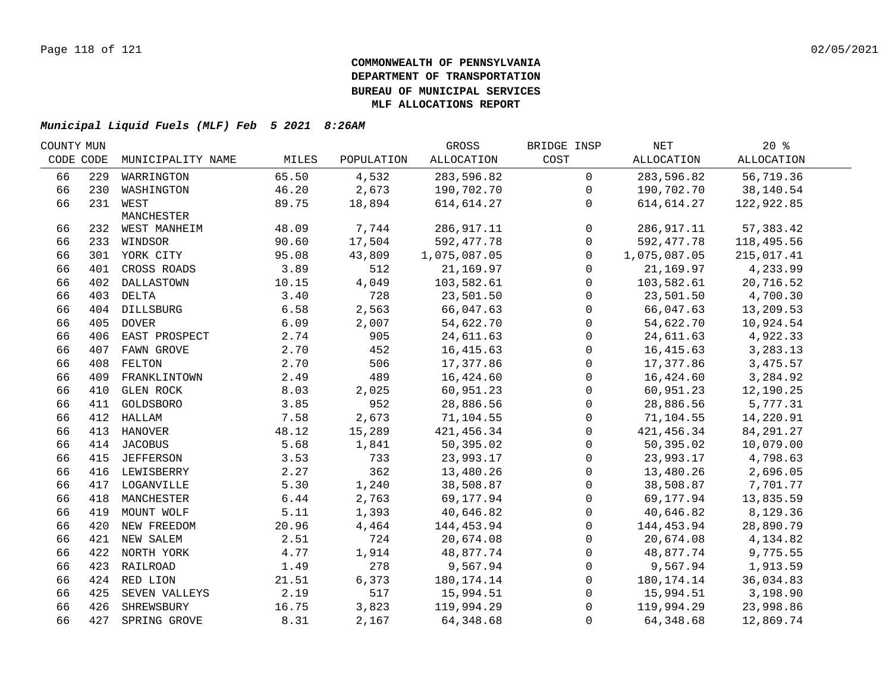| COUNTY MUN |     |                   |       |            | GROSS        | BRIDGE INSP         | NET          | $20*$             |  |
|------------|-----|-------------------|-------|------------|--------------|---------------------|--------------|-------------------|--|
| CODE CODE  |     | MUNICIPALITY NAME | MILES | POPULATION | ALLOCATION   | COST                | ALLOCATION   | <b>ALLOCATION</b> |  |
| 66         | 229 | WARRINGTON        | 65.50 | 4,532      | 283,596.82   | $\overline{0}$      | 283,596.82   | 56,719.36         |  |
| 66         |     | 230 WASHINGTON    | 46.20 | 2,673      | 190,702.70   | $\mathbf 0$         | 190,702.70   | 38,140.54         |  |
| 66         |     | 231 WEST          | 89.75 | 18,894     | 614,614.27   | $\mathbf{0}$        | 614,614.27   | 122,922.85        |  |
|            |     | MANCHESTER        |       |            |              |                     |              |                   |  |
| 66         |     | 232 WEST MANHEIM  | 48.09 | 7,744      | 286,917.11   | $\mathsf{O}$        | 286,917.11   | 57, 383.42        |  |
| 66         |     | 233 WINDSOR       | 90.60 | 17,504     | 592, 477.78  | $\mathbf 0$         | 592,477.78   | 118,495.56        |  |
| 66         |     | 301 YORK CITY     | 95.08 | 43,809     | 1,075,087.05 | $\mathbf 0$         | 1,075,087.05 | 215,017.41        |  |
| 66         | 401 | CROSS ROADS       | 3.89  | 512        | 21, 169.97   | $\mathbf 0$         | 21,169.97    | 4,233.99          |  |
| 66         |     | 402 DALLASTOWN    | 10.15 | 4,049      | 103,582.61   | $\mathbf 0$         | 103,582.61   | 20,716.52         |  |
| 66         |     | 403 DELTA         | 3.40  | 728        | 23,501.50    | 0                   | 23,501.50    | 4,700.30          |  |
| 66         |     | 404 DILLSBURG     | 6.58  | 2,563      | 66,047.63    | $\mathsf{O}$        | 66,047.63    | 13,209.53         |  |
| 66         |     | 405 DOVER         | 6.09  | 2,007      | 54,622.70    | $\mathsf{O}\xspace$ | 54,622.70    | 10,924.54         |  |
| 66         |     | 406 EAST PROSPECT | 2.74  | 905        | 24,611.63    | $\mathsf{O}$        | 24,611.63    | 4,922.33          |  |
| 66         | 407 | FAWN GROVE        | 2.70  | 452        | 16, 415.63   | $\mathsf{O}$        | 16,415.63    | 3,283.13          |  |
| 66         | 408 | FELTON            | 2.70  | 506        | 17,377.86    | 0                   | 17,377.86    | 3,475.57          |  |
| 66         | 409 | FRANKLINTOWN      | 2.49  | 489        | 16,424.60    | 0                   | 16,424.60    | 3,284.92          |  |
| 66         | 410 | <b>GLEN ROCK</b>  | 8.03  | 2,025      | 60,951.23    | $\mathsf{O}$        | 60,951.23    | 12,190.25         |  |
| 66         | 411 | GOLDSBORO         | 3.85  | 952        | 28,886.56    | $\mathsf{O}$        | 28,886.56    | 5,777.31          |  |
| 66         | 412 | HALLAM            | 7.58  | 2,673      | 71,104.55    | $\mathsf{O}$        | 71,104.55    | 14,220.91         |  |
| 66         |     | 413 HANOVER       | 48.12 | 15,289     | 421, 456.34  | $\mathbf 0$         | 421,456.34   | 84, 291. 27       |  |
| 66         |     | 414 JACOBUS       | 5.68  | 1,841      | 50,395.02    | $\mathbf 0$         | 50,395.02    | 10,079.00         |  |
| 66         |     | 415 JEFFERSON     | 3.53  | 733        | 23,993.17    | 0                   | 23,993.17    | 4,798.63          |  |
| 66         |     | 416 LEWISBERRY    | 2.27  | 362        | 13,480.26    | $\mathsf{O}$        | 13,480.26    | 2,696.05          |  |
| 66         |     | 417 LOGANVILLE    | 5.30  | 1,240      | 38,508.87    | $\mathbf 0$         | 38,508.87    | 7,701.77          |  |
| 66         |     | 418 MANCHESTER    | 6.44  | 2,763      | 69,177.94    | 0                   | 69,177.94    | 13,835.59         |  |
| 66         |     | 419 MOUNT WOLF    | 5.11  | 1,393      | 40,646.82    | $\mathsf{O}$        | 40,646.82    | 8,129.36          |  |
| 66         |     | 420 NEW FREEDOM   | 20.96 | 4,464      | 144,453.94   | $\mathbf 0$         | 144,453.94   | 28,890.79         |  |
| 66         |     | 421 NEW SALEM     | 2.51  | 724        | 20,674.08    | $\mathbf 0$         | 20,674.08    | 4,134.82          |  |
| 66         |     | 422 NORTH YORK    | 4.77  | 1,914      | 48,877.74    | $\mathsf{O}$        | 48,877.74    | 9,775.55          |  |
| 66         |     | 423 RAILROAD      | 1.49  | 278        | 9,567.94     | $\mathbf 0$         | 9,567.94     | 1,913.59          |  |
| 66         |     | 424 RED LION      | 21.51 | 6,373      | 180,174.14   | $\mathbf 0$         | 180,174.14   | 36,034.83         |  |
| 66         |     | 425 SEVEN VALLEYS | 2.19  | 517        | 15,994.51    | $\mathbf 0$         | 15,994.51    | 3,198.90          |  |
| 66         |     | 426 SHREWSBURY    | 16.75 | 3,823      | 119,994.29   | $\mathbf 0$         | 119,994.29   | 23,998.86         |  |
| 66         |     | 427 SPRING GROVE  | 8.31  | 2,167      | 64, 348.68   | $\Omega$            | 64,348.68    | 12,869.74         |  |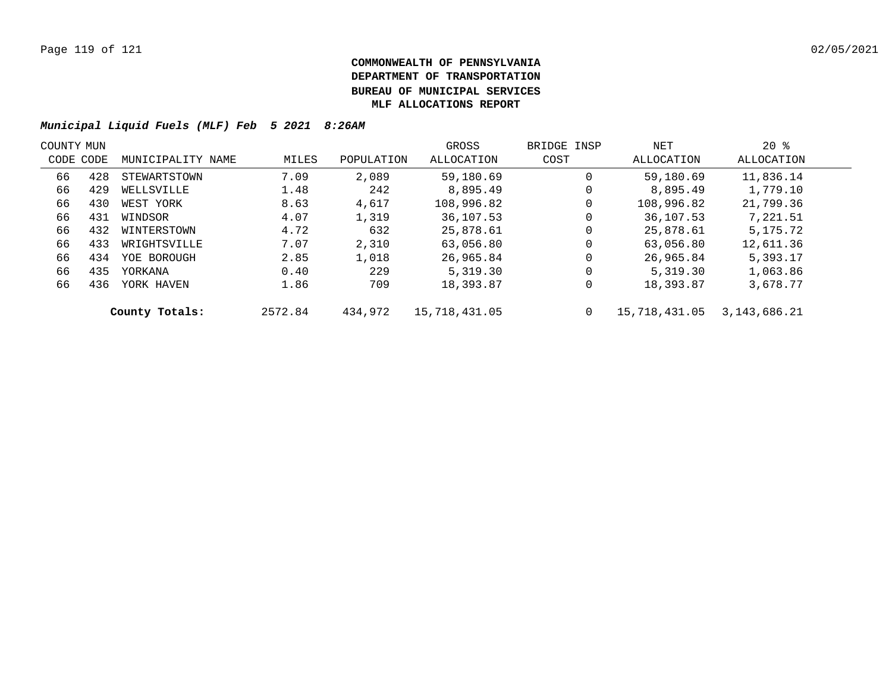| COUNTY MUN |           |                   |         |            | GROSS         | BRIDGE INSP | NET           | $20*$        |  |
|------------|-----------|-------------------|---------|------------|---------------|-------------|---------------|--------------|--|
|            | CODE CODE | MUNICIPALITY NAME | MILES   | POPULATION | ALLOCATION    | COST        | ALLOCATION    | ALLOCATION   |  |
| 66         | 428       | STEWARTSTOWN      | 7.09    | 2,089      | 59,180.69     | 0           | 59,180.69     | 11,836.14    |  |
| 66         | 429       | WELLSVILLE        | 1.48    | 242        | 8,895.49      | 0           | 8,895.49      | 1,779.10     |  |
| 66         | 430       | WEST YORK         | 8.63    | 4,617      | 108,996.82    | 0           | 108,996.82    | 21,799.36    |  |
| 66         | 431       | WINDSOR           | 4.07    | 1,319      | 36,107.53     | 0           | 36,107.53     | 7,221.51     |  |
| 66         | 432       | WINTERSTOWN       | 4.72    | 632        | 25,878.61     | 0           | 25,878.61     | 5, 175, 72   |  |
| 66         | 433       | WRIGHTSVILLE      | 7.07    | 2,310      | 63,056.80     | 0           | 63,056.80     | 12,611.36    |  |
| 66         | 434       | YOE BOROUGH       | 2.85    | 1,018      | 26,965.84     | 0           | 26,965.84     | 5,393.17     |  |
| 66         | 435       | YORKANA           | 0.40    | 229        | 5,319.30      | 0           | 5,319.30      | 1,063.86     |  |
| 66         | 436       | YORK HAVEN        | 1.86    | 709        | 18,393.87     | 0           | 18,393.87     | 3,678.77     |  |
|            |           | County Totals:    | 2572.84 | 434,972    | 15,718,431.05 | 0           | 15,718,431.05 | 3,143,686.21 |  |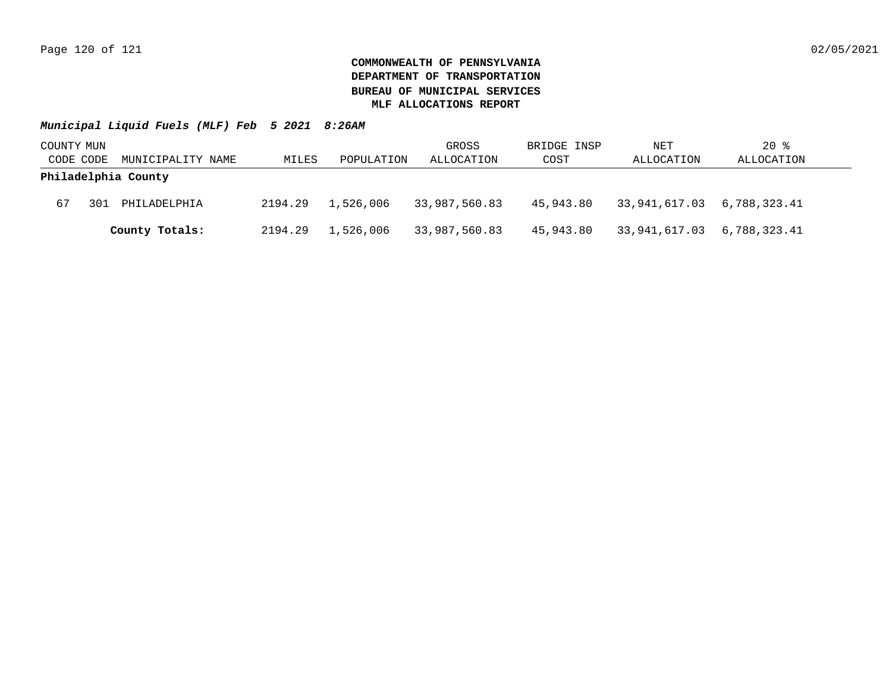| COUNTY MUN |     |                     |         |            | GROSS         | BRIDGE INSP | NET                        | $20$ %       |
|------------|-----|---------------------|---------|------------|---------------|-------------|----------------------------|--------------|
| CODE CODE  |     | MUNICIPALITY NAME   | MILES   | POPULATION | ALLOCATION    | COST        | ALLOCATION                 | ALLOCATION   |
|            |     | Philadelphia County |         |            |               |             |                            |              |
| 67         | 301 | PHILADELPHIA        | 2194.29 | 1,526,006  | 33,987,560.83 | 45,943.80   | 33,941,617.03 6,788,323.41 |              |
|            |     | County Totals:      | 2194.29 | 1,526,006  | 33,987,560.83 | 45,943.80   | 33,941,617.03              | 6,788,323.41 |